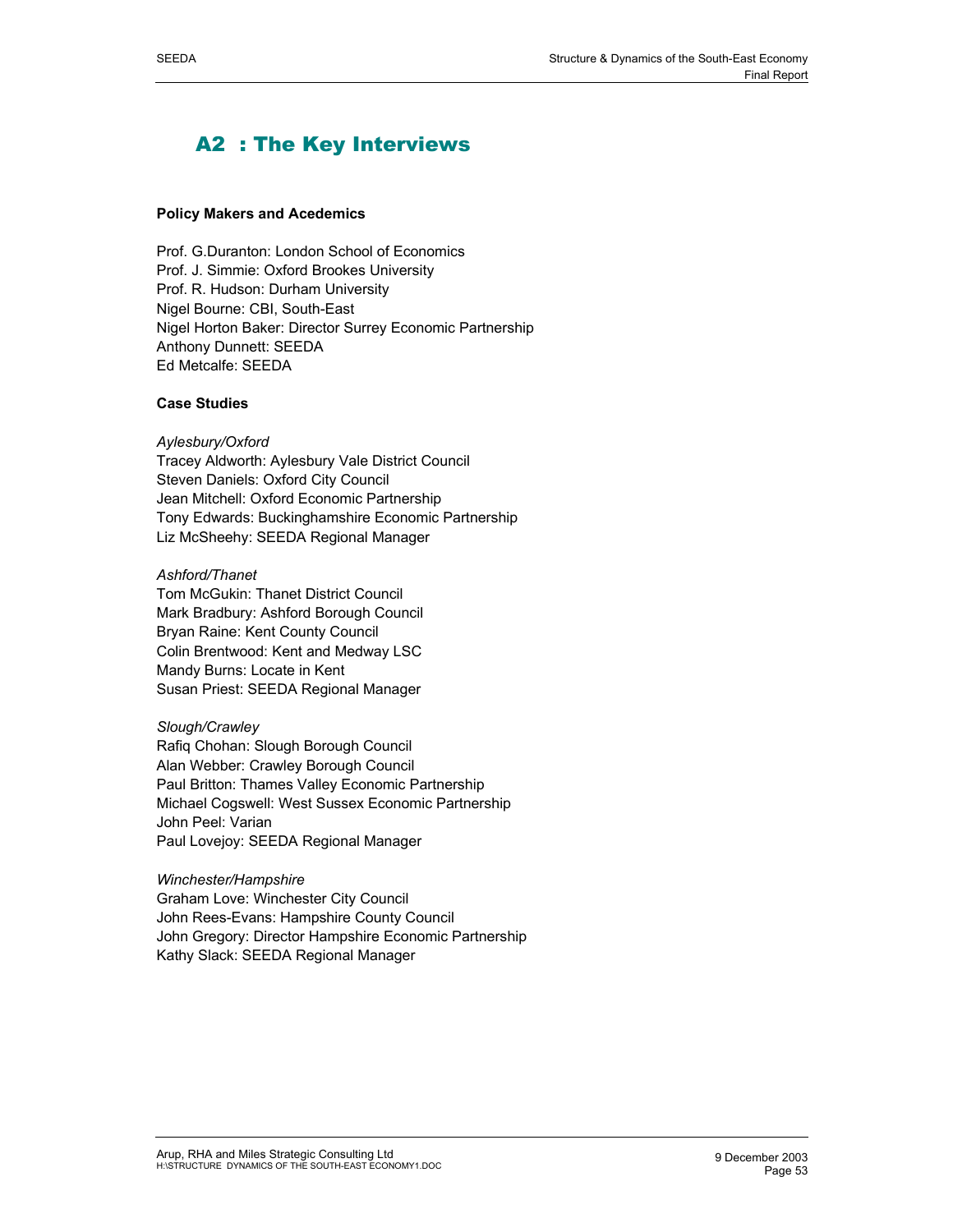## A2 : The Key Interviews

## **Policy Makers and Acedemics**

Prof. G.Duranton: London School of Economics Prof. J. Simmie: Oxford Brookes University Prof. R. Hudson: Durham University Nigel Bourne: CBI, South-East Nigel Horton Baker: Director Surrey Economic Partnership Anthony Dunnett: SEEDA Ed Metcalfe: SEEDA

## **Case Studies**

## *Aylesbury/Oxford*

Tracey Aldworth: Aylesbury Vale District Council Steven Daniels: Oxford City Council Jean Mitchell: Oxford Economic Partnership Tony Edwards: Buckinghamshire Economic Partnership Liz McSheehy: SEEDA Regional Manager

## *Ashford/Thanet*

Tom McGukin: Thanet District Council Mark Bradbury: Ashford Borough Council Bryan Raine: Kent County Council Colin Brentwood: Kent and Medway LSC Mandy Burns: Locate in Kent Susan Priest: SEEDA Regional Manager

*Slough/Crawley* Rafiq Chohan: Slough Borough Council Alan Webber: Crawley Borough Council Paul Britton: Thames Valley Economic Partnership Michael Cogswell: West Sussex Economic Partnership John Peel: Varian Paul Lovejoy: SEEDA Regional Manager

## *Winchester/Hampshire*

Graham Love: Winchester City Council John Rees-Evans: Hampshire County Council John Gregory: Director Hampshire Economic Partnership Kathy Slack: SEEDA Regional Manager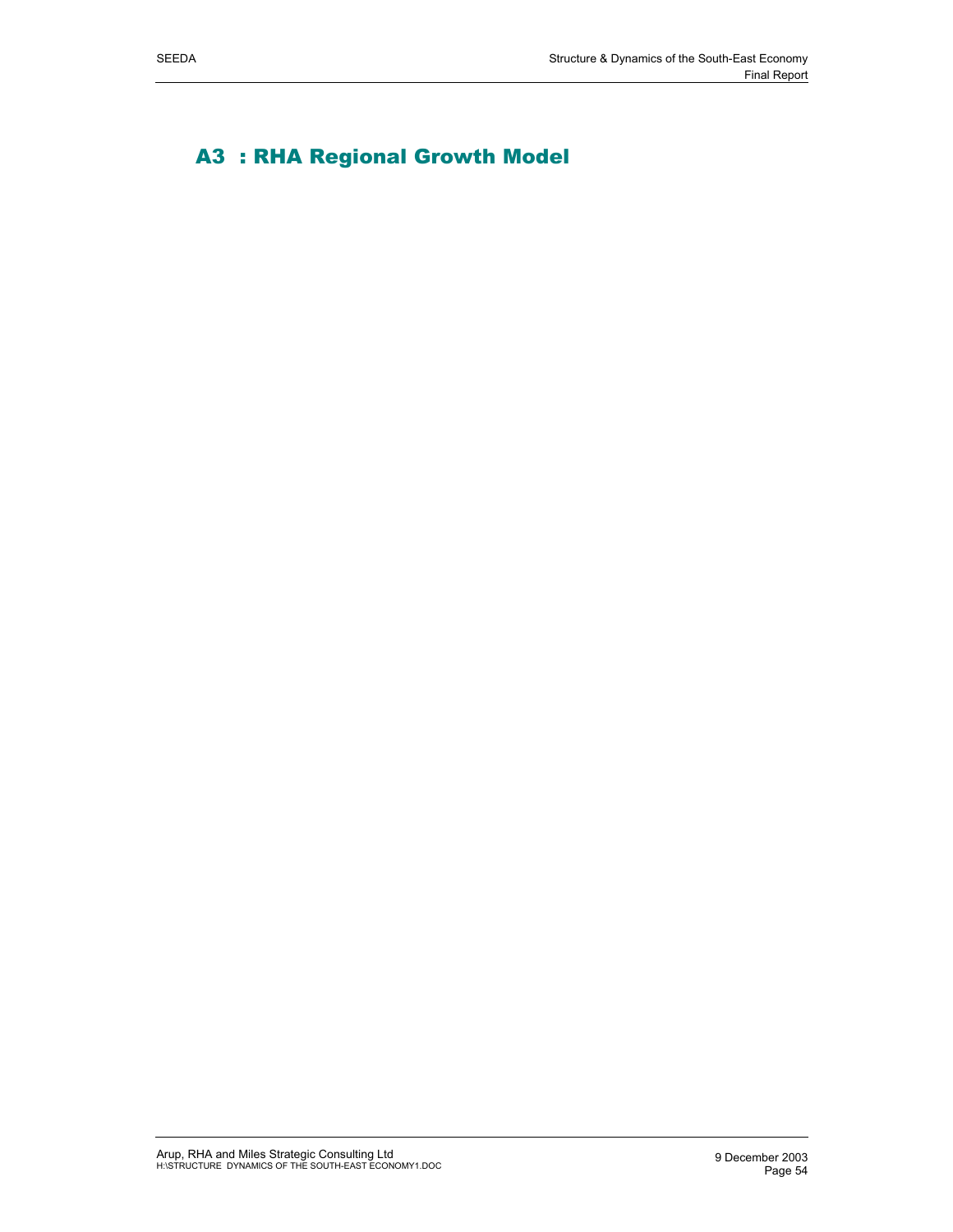# A3 : RHA Regional Growth Model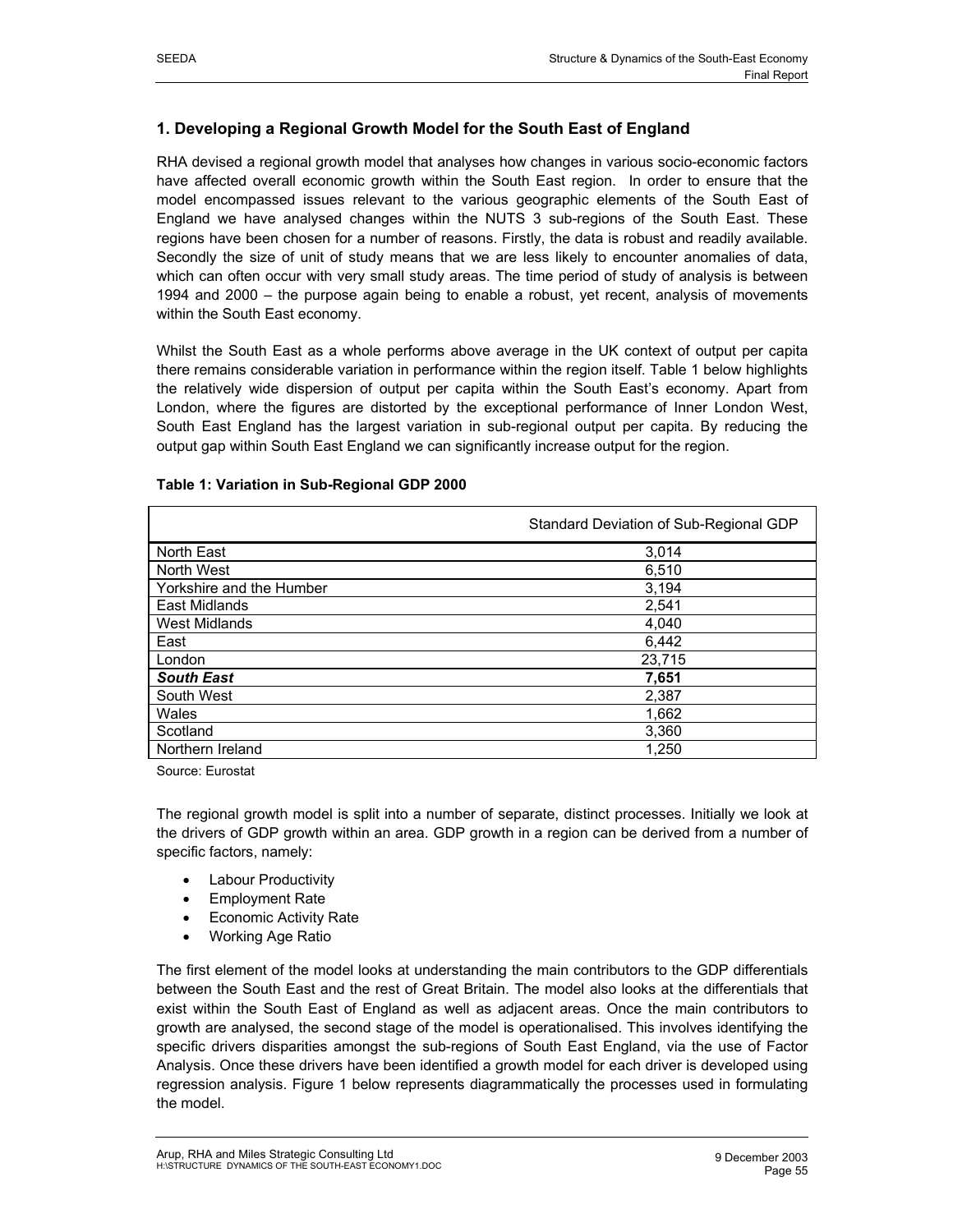## **1. Developing a Regional Growth Model for the South East of England**

RHA devised a regional growth model that analyses how changes in various socio-economic factors have affected overall economic growth within the South East region. In order to ensure that the model encompassed issues relevant to the various geographic elements of the South East of England we have analysed changes within the NUTS 3 sub-regions of the South East. These regions have been chosen for a number of reasons. Firstly, the data is robust and readily available. Secondly the size of unit of study means that we are less likely to encounter anomalies of data, which can often occur with very small study areas. The time period of study of analysis is between 1994 and 2000 – the purpose again being to enable a robust, yet recent, analysis of movements within the South East economy.

Whilst the South East as a whole performs above average in the UK context of output per capita there remains considerable variation in performance within the region itself. Table 1 below highlights the relatively wide dispersion of output per capita within the South East's economy. Apart from London, where the figures are distorted by the exceptional performance of Inner London West, South East England has the largest variation in sub-regional output per capita. By reducing the output gap within South East England we can significantly increase output for the region.

|                          | Standard Deviation of Sub-Regional GDP |  |
|--------------------------|----------------------------------------|--|
| North East               | 3.014                                  |  |
| North West               | 6,510                                  |  |
| Yorkshire and the Humber | 3.194                                  |  |
| East Midlands            | 2.541                                  |  |
| West Midlands            | 4.040                                  |  |
| East                     | 6.442                                  |  |

London 23,715 *South East* **7,651**  South West 2,387  $W$ ales  $1,662$ Scotland 3,360 Northern Ireland 1,250

#### **Table 1: Variation in Sub-Regional GDP 2000**

Source: Eurostat

The regional growth model is split into a number of separate, distinct processes. Initially we look at the drivers of GDP growth within an area. GDP growth in a region can be derived from a number of specific factors, namely:

- Labour Productivity
- Employment Rate
- **Economic Activity Rate**
- Working Age Ratio

The first element of the model looks at understanding the main contributors to the GDP differentials between the South East and the rest of Great Britain. The model also looks at the differentials that exist within the South East of England as well as adjacent areas. Once the main contributors to growth are analysed, the second stage of the model is operationalised. This involves identifying the specific drivers disparities amongst the sub-regions of South East England, via the use of Factor Analysis. Once these drivers have been identified a growth model for each driver is developed using regression analysis. Figure 1 below represents diagrammatically the processes used in formulating the model.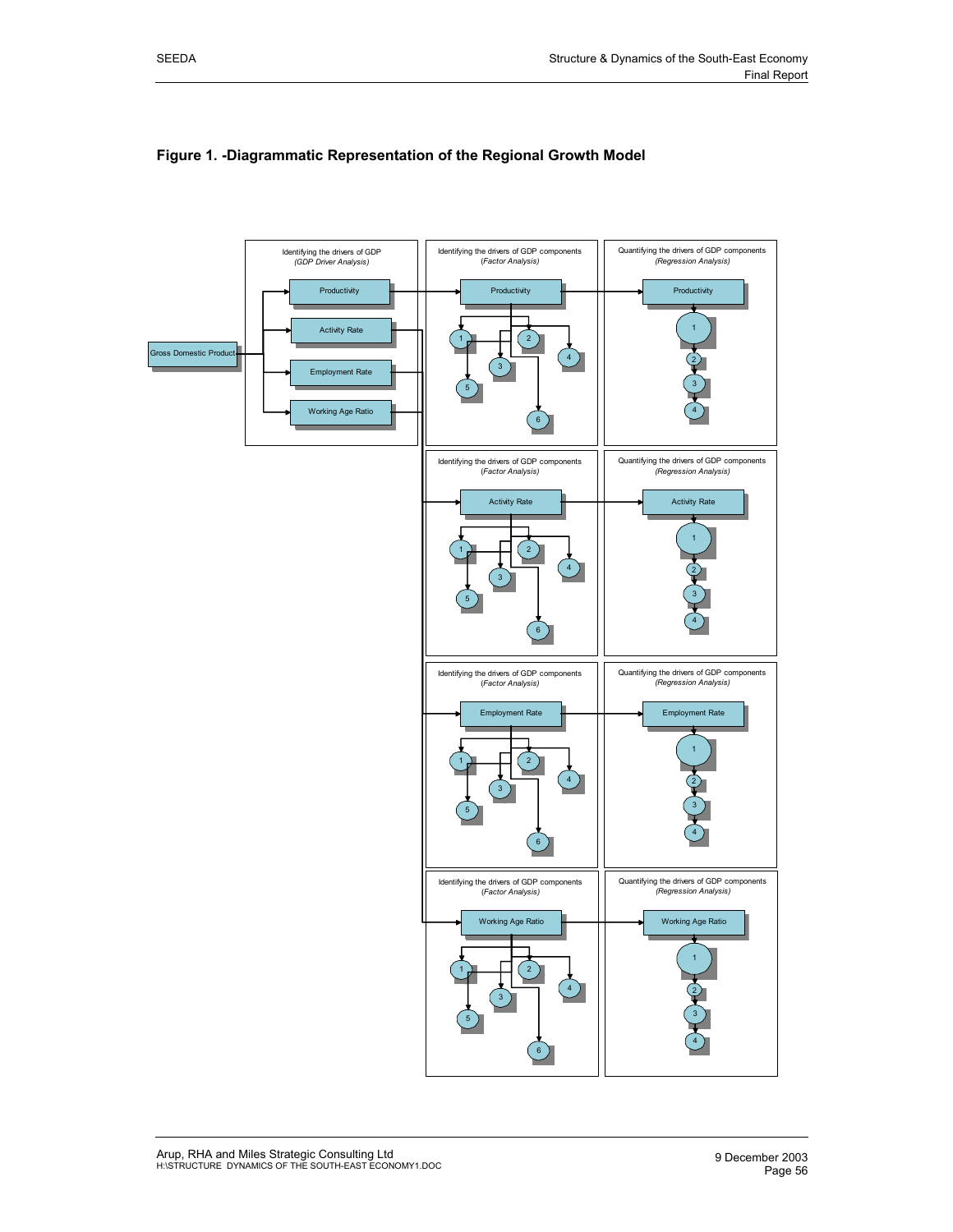

## **Figure 1. -Diagrammatic Representation of the Regional Growth Model**

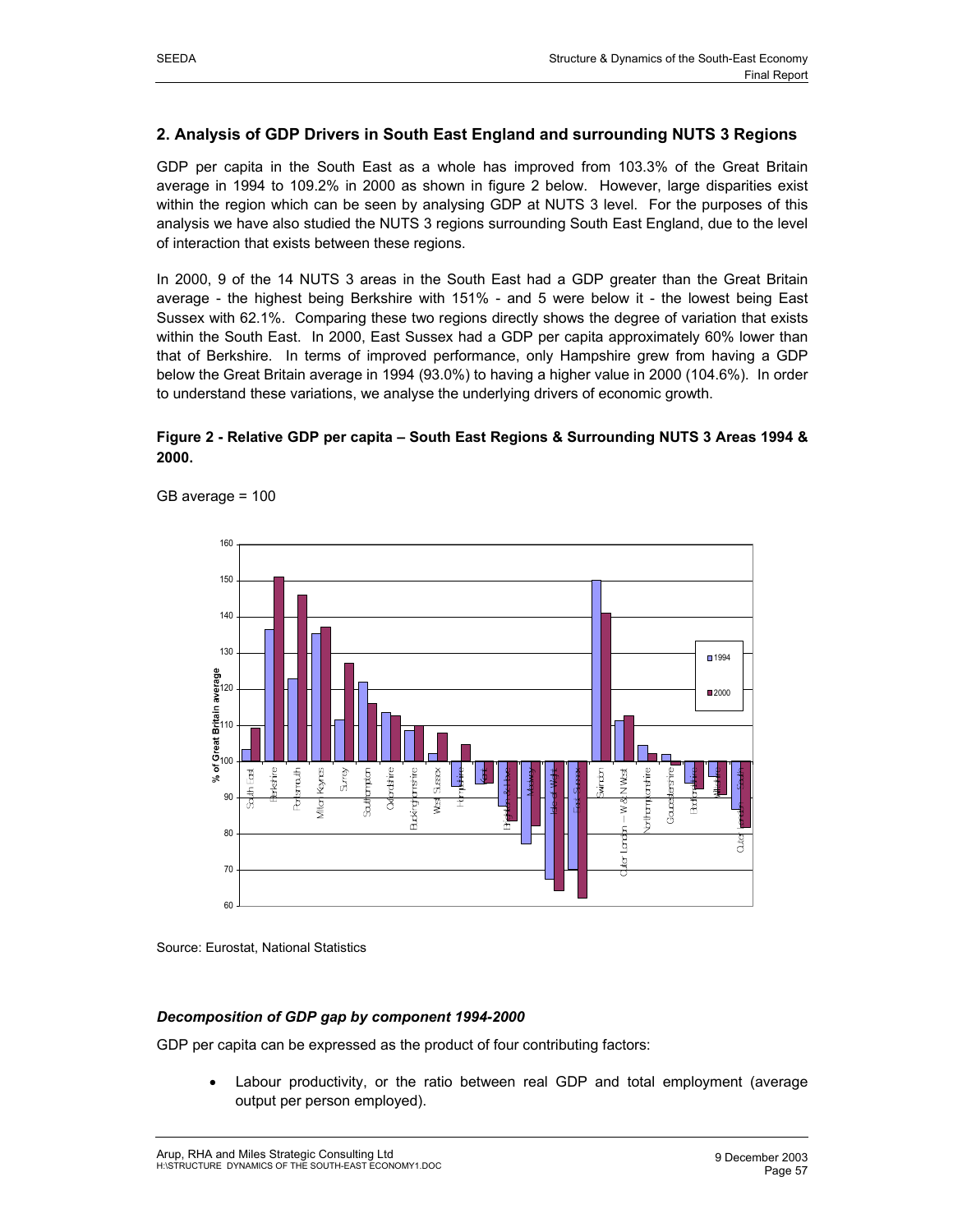## **2. Analysis of GDP Drivers in South East England and surrounding NUTS 3 Regions**

GDP per capita in the South East as a whole has improved from 103.3% of the Great Britain average in 1994 to 109.2% in 2000 as shown in figure 2 below. However, large disparities exist within the region which can be seen by analysing GDP at NUTS 3 level. For the purposes of this analysis we have also studied the NUTS 3 regions surrounding South East England, due to the level of interaction that exists between these regions.

In 2000, 9 of the 14 NUTS 3 areas in the South East had a GDP greater than the Great Britain average - the highest being Berkshire with 151% - and 5 were below it - the lowest being East Sussex with 62.1%. Comparing these two regions directly shows the degree of variation that exists within the South East. In 2000, East Sussex had a GDP per capita approximately 60% lower than that of Berkshire. In terms of improved performance, only Hampshire grew from having a GDP below the Great Britain average in 1994 (93.0%) to having a higher value in 2000 (104.6%). In order to understand these variations, we analyse the underlying drivers of economic growth.

## **Figure 2 - Relative GDP per capita – South East Regions & Surrounding NUTS 3 Areas 1994 & 2000.**



GB average = 100

Source: Eurostat, National Statistics

## *Decomposition of GDP gap by component 1994-2000*

GDP per capita can be expressed as the product of four contributing factors:

• Labour productivity, or the ratio between real GDP and total employment (average output per person employed).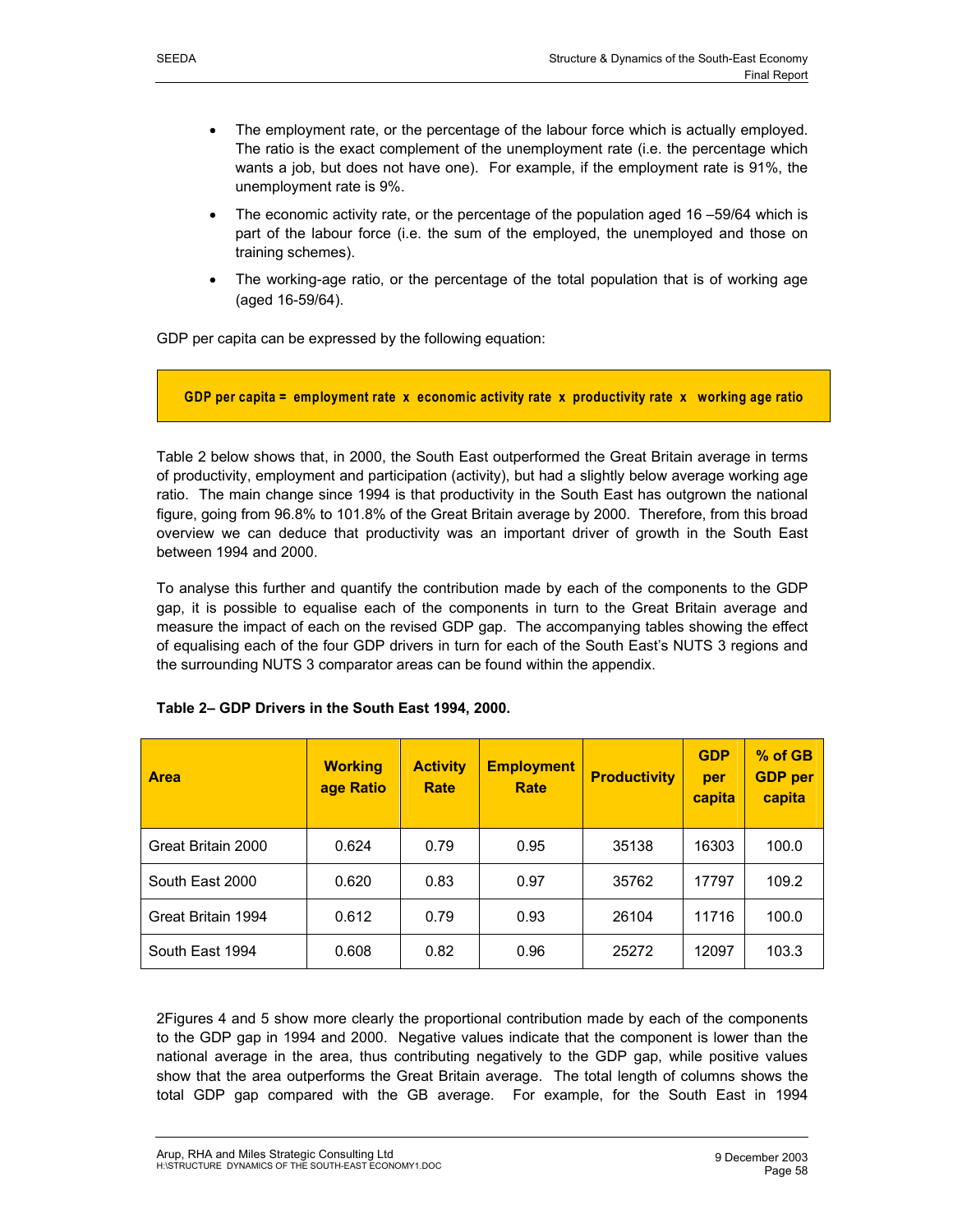- The employment rate, or the percentage of the labour force which is actually employed. The ratio is the exact complement of the unemployment rate (i.e. the percentage which
- wants a job, but does not have one). For example, if the employment rate is 91%, the unemployment rate is 9%. • The economic activity rate, or the percentage of the population aged 16 –59/64 which is
- part of the labour force (i.e. the sum of the employed, the unemployed and those on training schemes).
- The working-age ratio, or the percentage of the total population that is of working age (aged 16-59/64).

GDP per capita can be expressed by the following equation:



Table 2 below shows that, in 2000, the South East outperformed the Great Britain average in terms of productivity, employment and participation (activity), but had a slightly below average working age ratio. The main change since 1994 is that productivity in the South East has outgrown the national figure, going from 96.8% to 101.8% of the Great Britain average by 2000. Therefore, from this broad overview we can deduce that productivity was an important driver of growth in the South East between 1994 and 2000.

To analyse this further and quantify the contribution made by each of the components to the GDP gap, it is possible to equalise each of the components in turn to the Great Britain average and measure the impact of each on the revised GDP gap. The accompanying tables showing the effect of equalising each of the four GDP drivers in turn for each of the South East's NUTS 3 regions and the surrounding NUTS 3 comparator areas can be found within the appendix.

| <b>Area</b>        | <b>Working</b><br>age Ratio | <b>Activity</b><br>Rate | <b>Employment</b><br>Rate | <b>Productivity</b> | <b>GDP</b><br>per<br>capita | $%$ of GB<br><b>GDP</b> per<br>capita |
|--------------------|-----------------------------|-------------------------|---------------------------|---------------------|-----------------------------|---------------------------------------|
| Great Britain 2000 | 0.624                       | 0.79                    | 0.95                      | 35138               | 16303                       | 100.0                                 |
| South East 2000    | 0.620                       | 0.83                    | 0.97                      | 35762               | 17797                       | 109.2                                 |
| Great Britain 1994 | 0.612                       | 0.79                    | 0.93                      | 26104               | 11716                       | 100.0                                 |
| South East 1994    | 0.608                       | 0.82                    | 0.96                      | 25272               | 12097                       | 103.3                                 |

## **Table 2– GDP Drivers in the South East 1994, 2000.**

2Figures 4 and 5 show more clearly the proportional contribution made by each of the components to the GDP gap in 1994 and 2000. Negative values indicate that the component is lower than the national average in the area, thus contributing negatively to the GDP gap, while positive values show that the area outperforms the Great Britain average. The total length of columns shows the total GDP gap compared with the GB average. For example, for the South East in 1994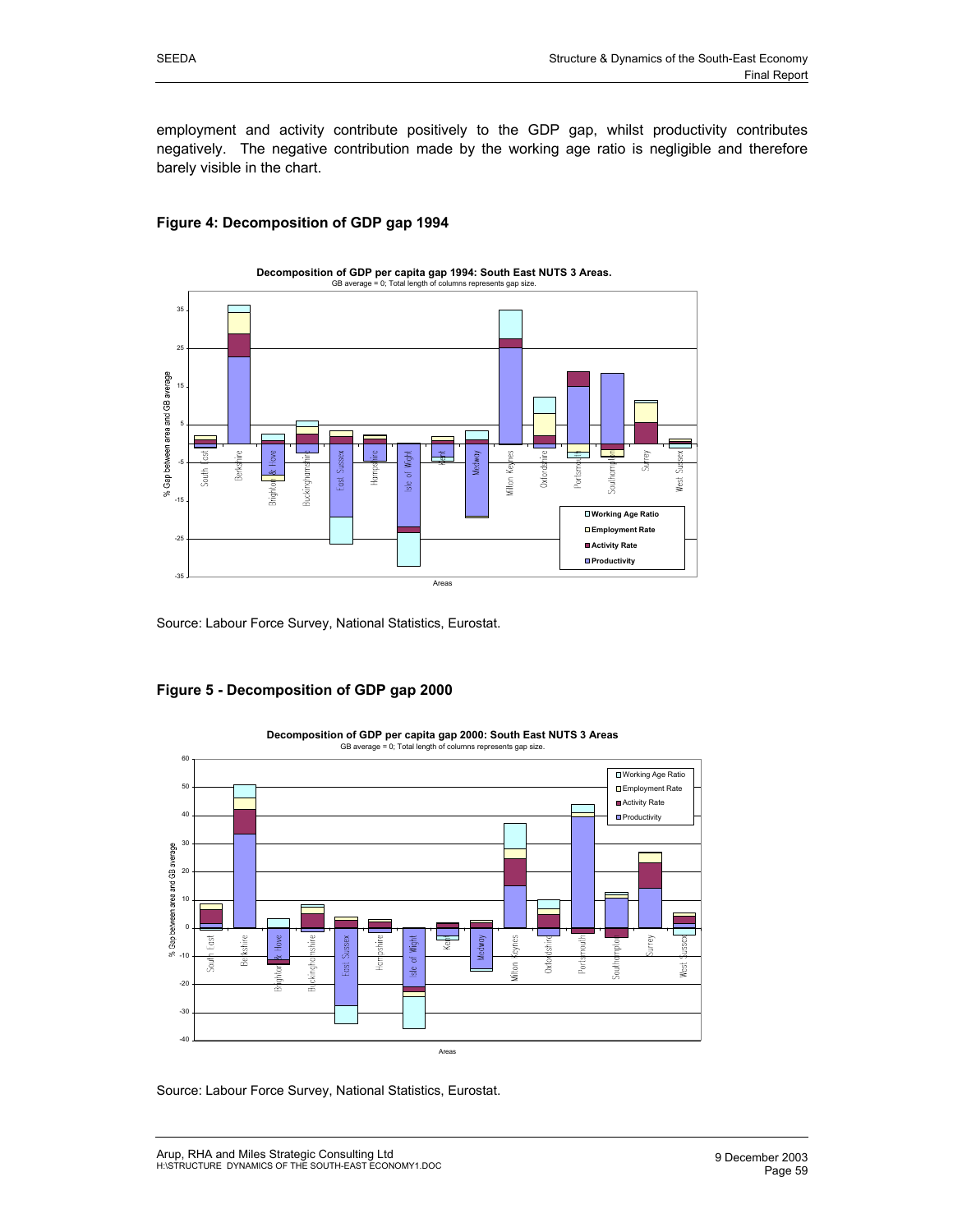## **Figure 4: Decomposition of GDP gap 1994**



Source: Labour Force Survey, National Statistics, Eurostat.





**Decomposition of GDP per capita gap 2000: South East NUTS 3 Areas** GB average = 0; Total length of columns represents gap size.

Source: Labour Force Survey, National Statistics, Eurostat.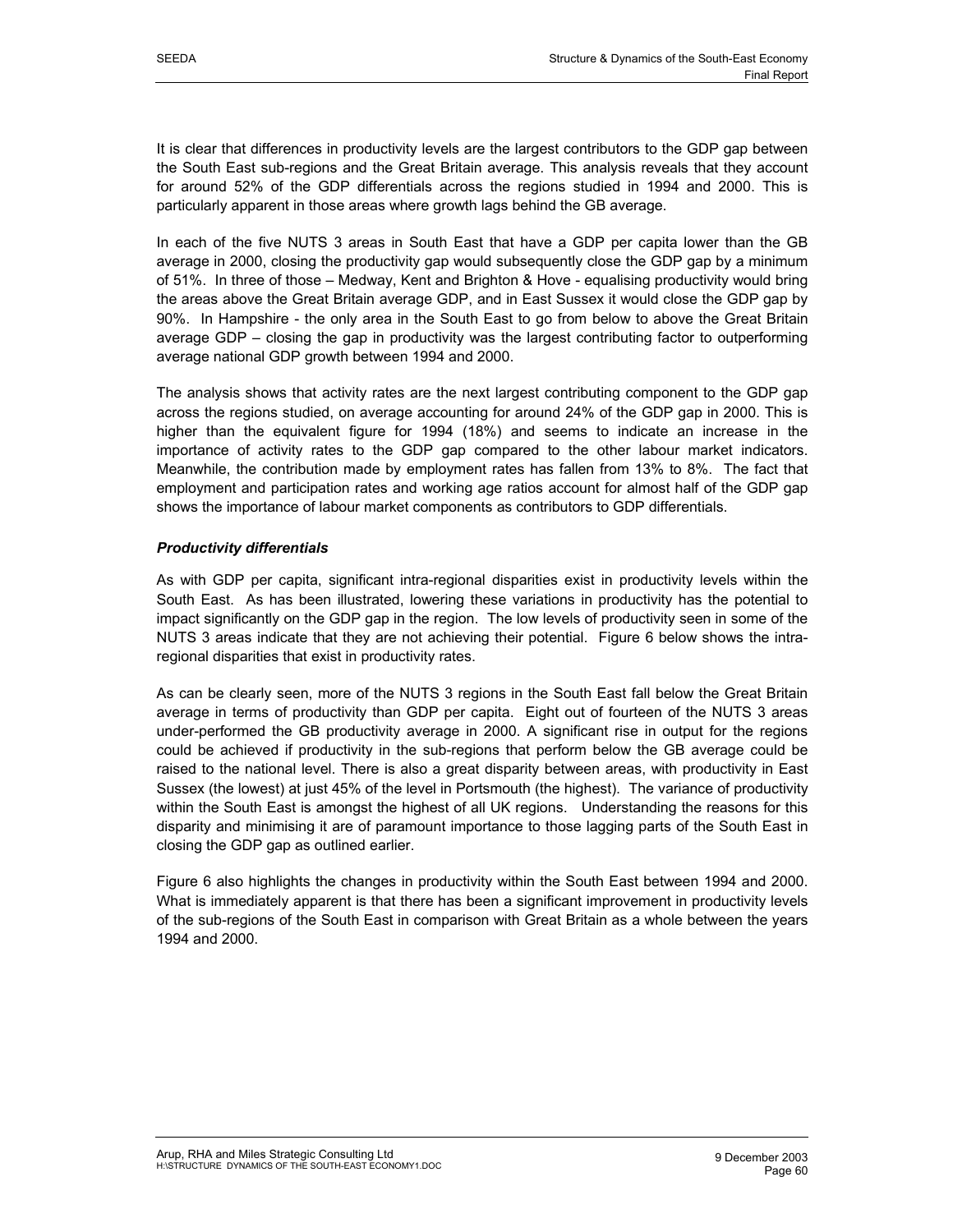It is clear that differences in productivity levels are the largest contributors to the GDP gap between the South East sub-regions and the Great Britain average. This analysis reveals that they account for around 52% of the GDP differentials across the regions studied in 1994 and 2000. This is particularly apparent in those areas where growth lags behind the GB average.

In each of the five NUTS 3 areas in South East that have a GDP per capita lower than the GB average in 2000, closing the productivity gap would subsequently close the GDP gap by a minimum of 51%. In three of those – Medway, Kent and Brighton & Hove - equalising productivity would bring the areas above the Great Britain average GDP, and in East Sussex it would close the GDP gap by 90%. In Hampshire - the only area in the South East to go from below to above the Great Britain average GDP – closing the gap in productivity was the largest contributing factor to outperforming average national GDP growth between 1994 and 2000.

The analysis shows that activity rates are the next largest contributing component to the GDP gap across the regions studied, on average accounting for around 24% of the GDP gap in 2000. This is higher than the equivalent figure for 1994 (18%) and seems to indicate an increase in the importance of activity rates to the GDP gap compared to the other labour market indicators. Meanwhile, the contribution made by employment rates has fallen from 13% to 8%. The fact that employment and participation rates and working age ratios account for almost half of the GDP gap shows the importance of labour market components as contributors to GDP differentials.

## *Productivity differentials*

As with GDP per capita, significant intra-regional disparities exist in productivity levels within the South East. As has been illustrated, lowering these variations in productivity has the potential to impact significantly on the GDP gap in the region. The low levels of productivity seen in some of the NUTS 3 areas indicate that they are not achieving their potential. Figure 6 below shows the intraregional disparities that exist in productivity rates.

As can be clearly seen, more of the NUTS 3 regions in the South East fall below the Great Britain average in terms of productivity than GDP per capita. Eight out of fourteen of the NUTS 3 areas under-performed the GB productivity average in 2000. A significant rise in output for the regions could be achieved if productivity in the sub-regions that perform below the GB average could be raised to the national level. There is also a great disparity between areas, with productivity in East Sussex (the lowest) at just 45% of the level in Portsmouth (the highest). The variance of productivity within the South East is amongst the highest of all UK regions. Understanding the reasons for this disparity and minimising it are of paramount importance to those lagging parts of the South East in closing the GDP gap as outlined earlier.

Figure 6 also highlights the changes in productivity within the South East between 1994 and 2000. What is immediately apparent is that there has been a significant improvement in productivity levels of the sub-regions of the South East in comparison with Great Britain as a whole between the years 1994 and 2000.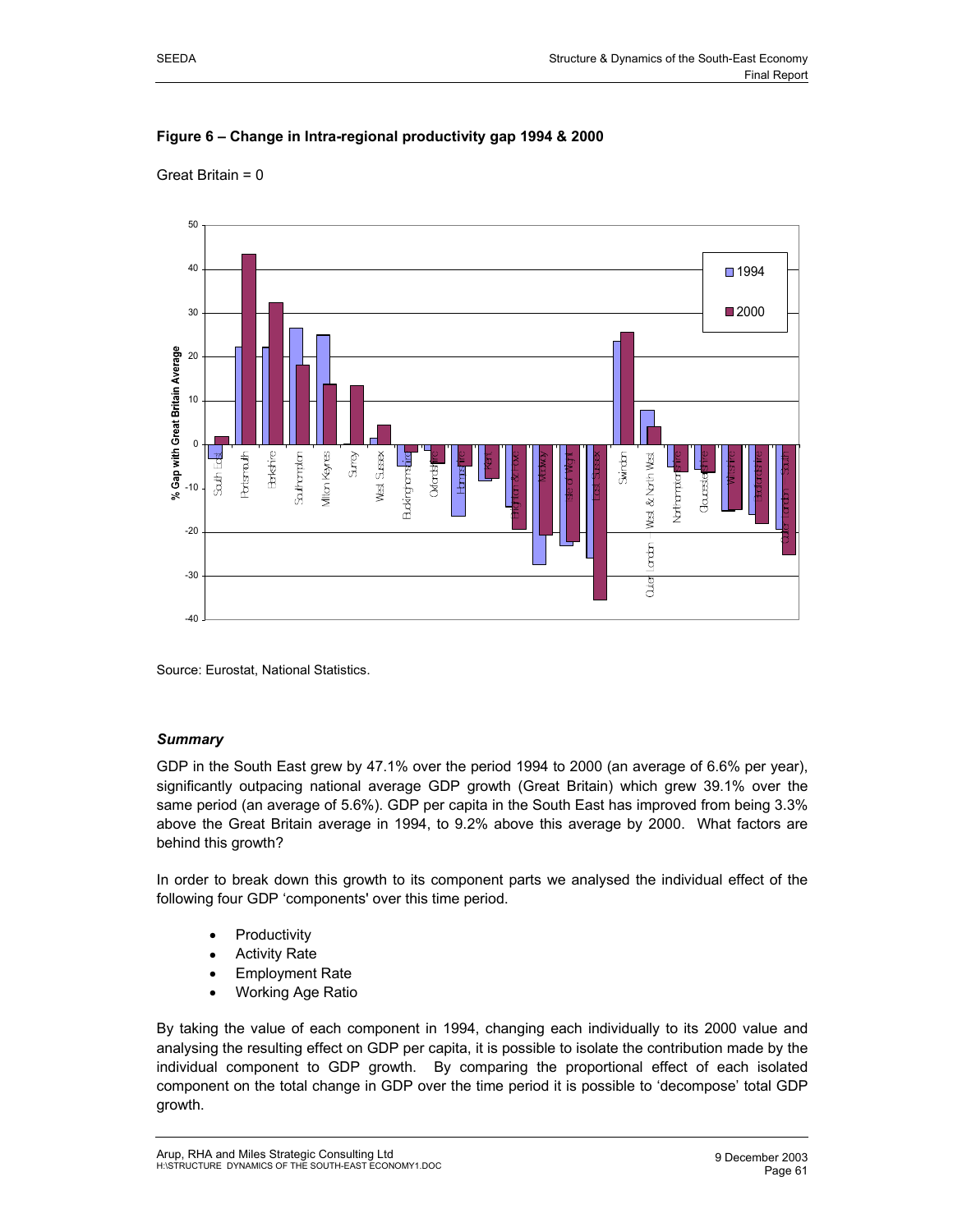

Great Britain = 0



Source: Eurostat, National Statistics.

## *Summary*

GDP in the South East grew by 47.1% over the period 1994 to 2000 (an average of 6.6% per year), significantly outpacing national average GDP growth (Great Britain) which grew 39.1% over the same period (an average of 5.6%). GDP per capita in the South East has improved from being 3.3% above the Great Britain average in 1994, to 9.2% above this average by 2000. What factors are behind this growth?

In order to break down this growth to its component parts we analysed the individual effect of the following four GDP 'components' over this time period.

- **Productivity**
- **Activity Rate**
- Employment Rate
- Working Age Ratio

By taking the value of each component in 1994, changing each individually to its 2000 value and analysing the resulting effect on GDP per capita, it is possible to isolate the contribution made by the individual component to GDP growth. By comparing the proportional effect of each isolated component on the total change in GDP over the time period it is possible to 'decompose' total GDP growth.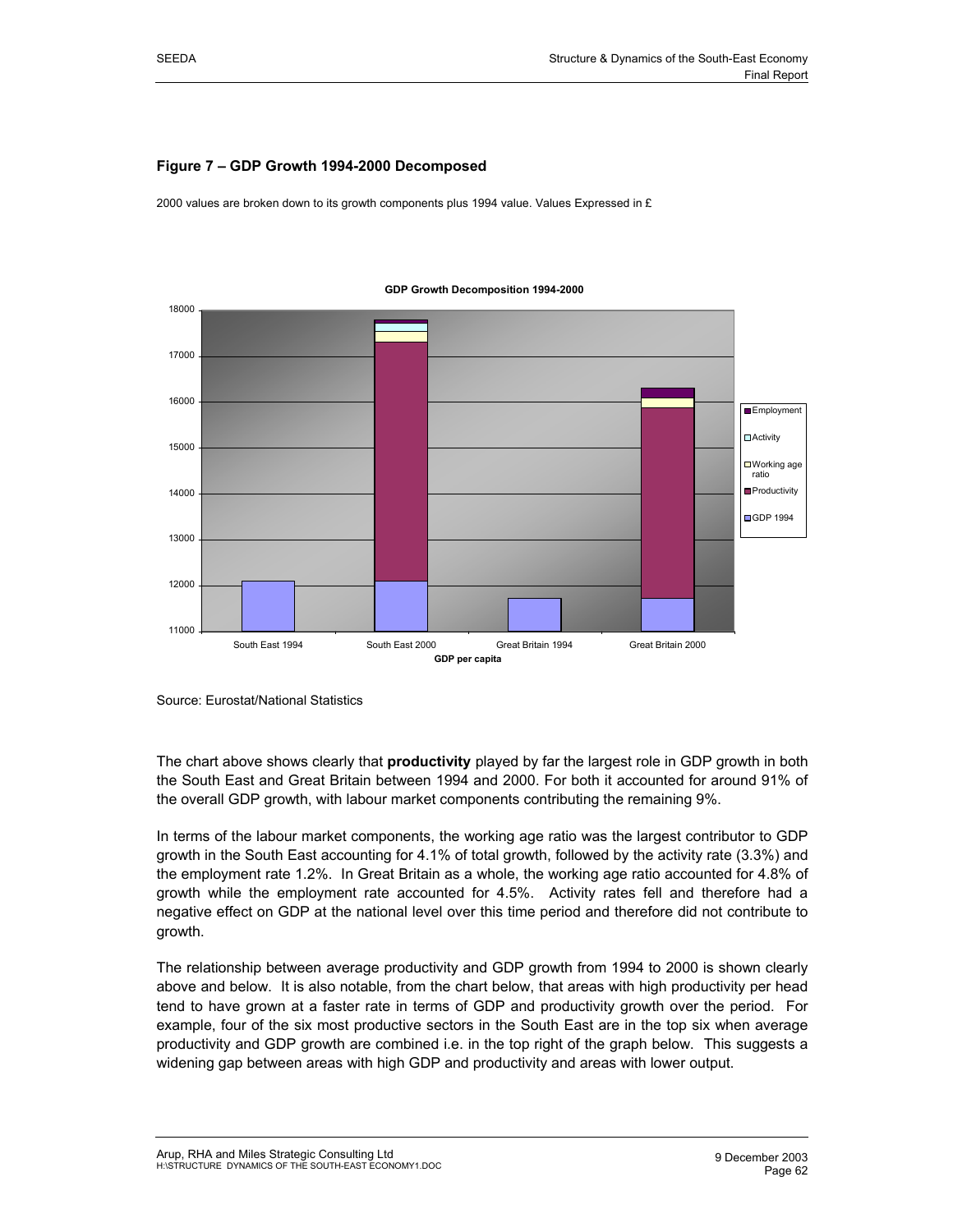## **Figure 7 – GDP Growth 1994-2000 Decomposed**

2000 values are broken down to its growth components plus 1994 value. Values Expressed in £



#### **GDP Growth Decomposition 1994-2000**

Source: Eurostat/National Statistics

The chart above shows clearly that **productivity** played by far the largest role in GDP growth in both the South East and Great Britain between 1994 and 2000. For both it accounted for around 91% of the overall GDP growth, with labour market components contributing the remaining 9%.

In terms of the labour market components, the working age ratio was the largest contributor to GDP growth in the South East accounting for 4.1% of total growth, followed by the activity rate (3.3%) and the employment rate 1.2%. In Great Britain as a whole, the working age ratio accounted for 4.8% of growth while the employment rate accounted for 4.5%. Activity rates fell and therefore had a negative effect on GDP at the national level over this time period and therefore did not contribute to growth.

The relationship between average productivity and GDP growth from 1994 to 2000 is shown clearly above and below. It is also notable, from the chart below, that areas with high productivity per head tend to have grown at a faster rate in terms of GDP and productivity growth over the period. For example, four of the six most productive sectors in the South East are in the top six when average productivity and GDP growth are combined i.e. in the top right of the graph below. This suggests a widening gap between areas with high GDP and productivity and areas with lower output.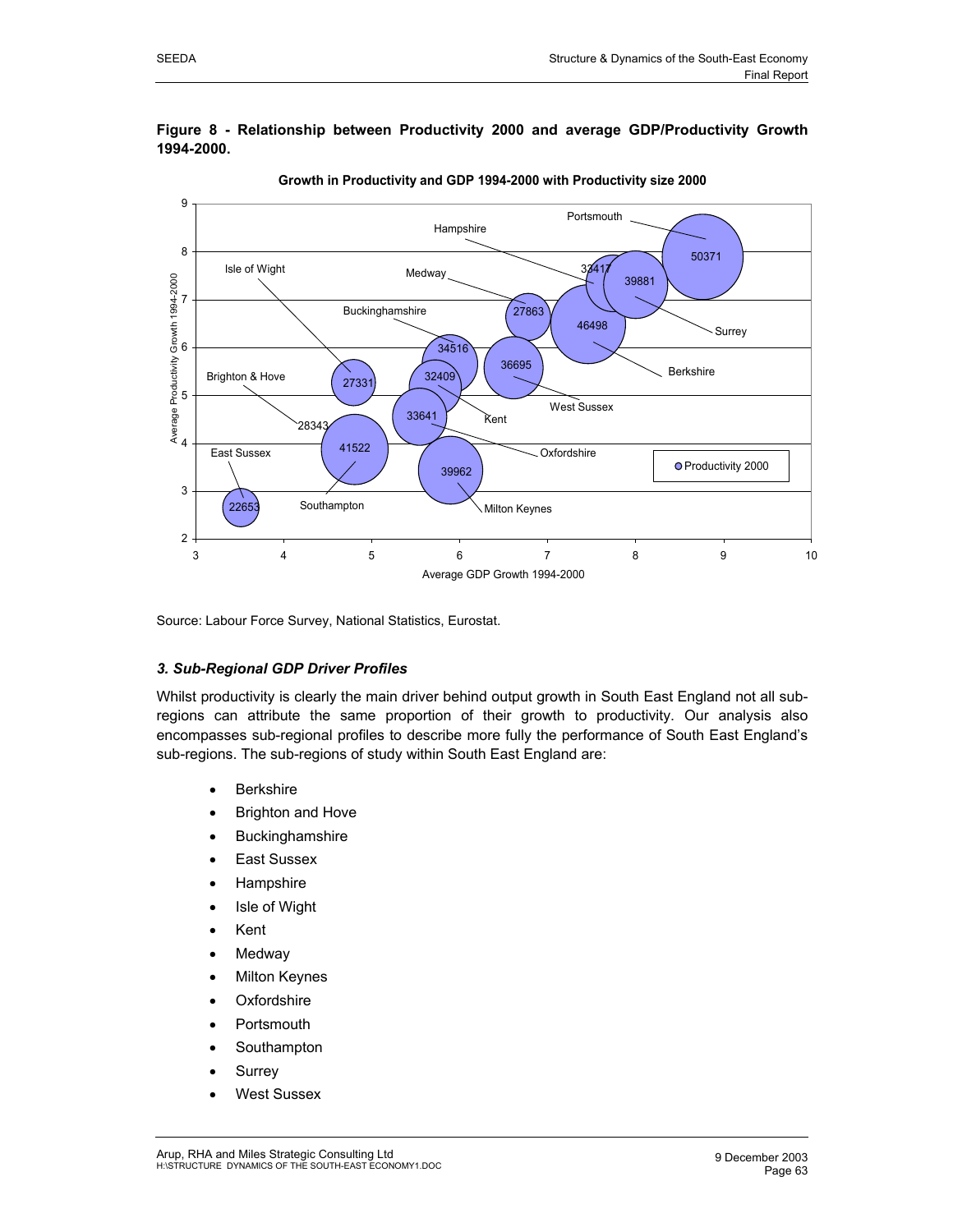

#### **Figure 8 - Relationship between Productivity 2000 and average GDP/Productivity Growth 1994-2000.**

Source: Labour Force Survey, National Statistics, Eurostat.

## *3. Sub-Regional GDP Driver Profiles*

Whilst productivity is clearly the main driver behind output growth in South East England not all subregions can attribute the same proportion of their growth to productivity. Our analysis also encompasses sub-regional profiles to describe more fully the performance of South East England's sub-regions. The sub-regions of study within South East England are:

- Berkshire
- Brighton and Hove
- **Buckinghamshire**
- East Sussex
- **Hampshire**
- **Isle of Wight**
- Kent
- **Medway**
- **Milton Keynes**
- **Oxfordshire**
- **Portsmouth**
- Southampton
- **Surrey**
- West Sussex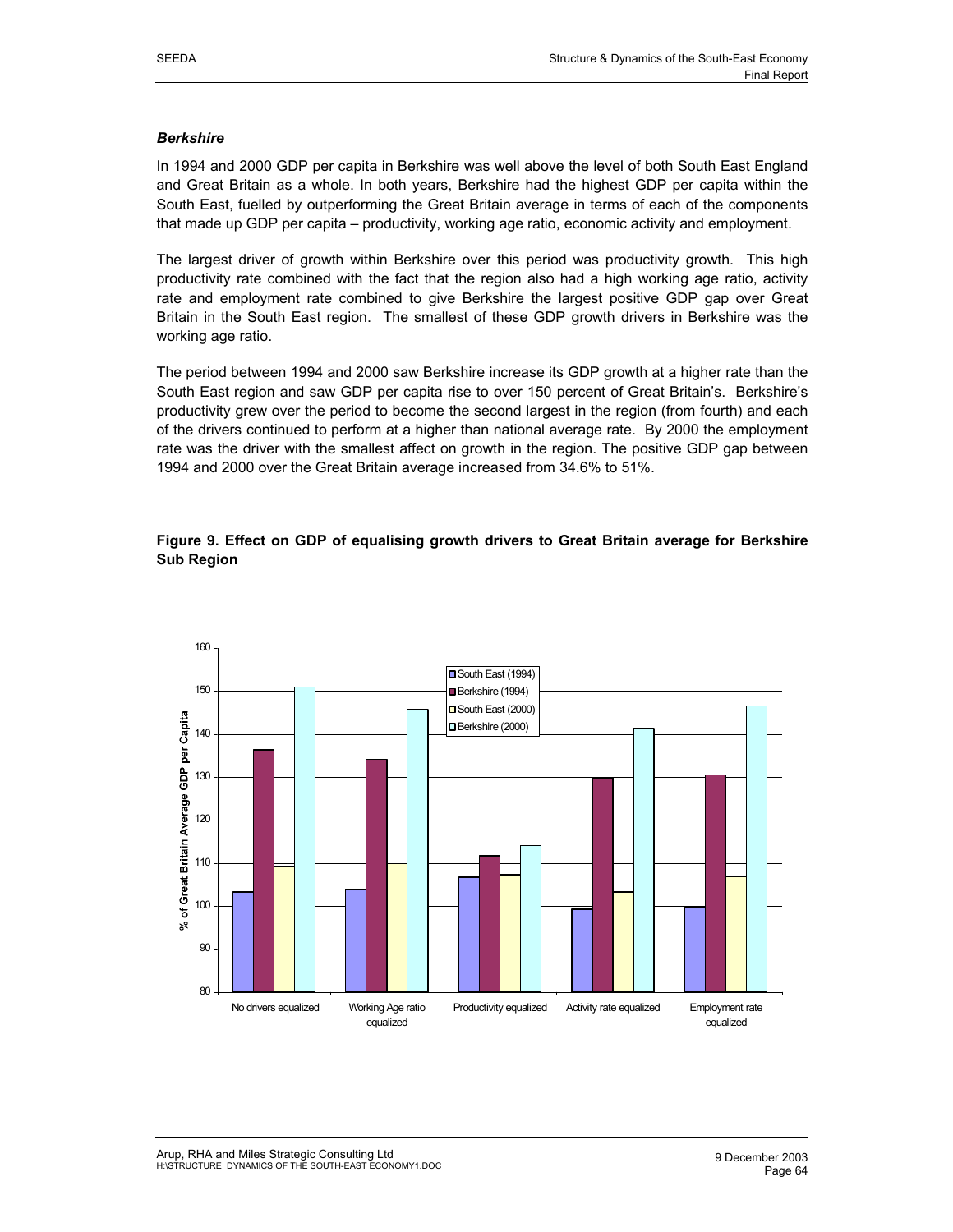#### *Berkshire*

In 1994 and 2000 GDP per capita in Berkshire was well above the level of both South East England and Great Britain as a whole. In both years, Berkshire had the highest GDP per capita within the South East, fuelled by outperforming the Great Britain average in terms of each of the components that made up GDP per capita – productivity, working age ratio, economic activity and employment.

The largest driver of growth within Berkshire over this period was productivity growth. This high productivity rate combined with the fact that the region also had a high working age ratio, activity rate and employment rate combined to give Berkshire the largest positive GDP gap over Great Britain in the South East region. The smallest of these GDP growth drivers in Berkshire was the working age ratio.

The period between 1994 and 2000 saw Berkshire increase its GDP growth at a higher rate than the South East region and saw GDP per capita rise to over 150 percent of Great Britain's. Berkshire's productivity grew over the period to become the second largest in the region (from fourth) and each of the drivers continued to perform at a higher than national average rate. By 2000 the employment rate was the driver with the smallest affect on growth in the region. The positive GDP gap between 1994 and 2000 over the Great Britain average increased from 34.6% to 51%.

## **Figure 9. Effect on GDP of equalising growth drivers to Great Britain average for Berkshire Sub Region**

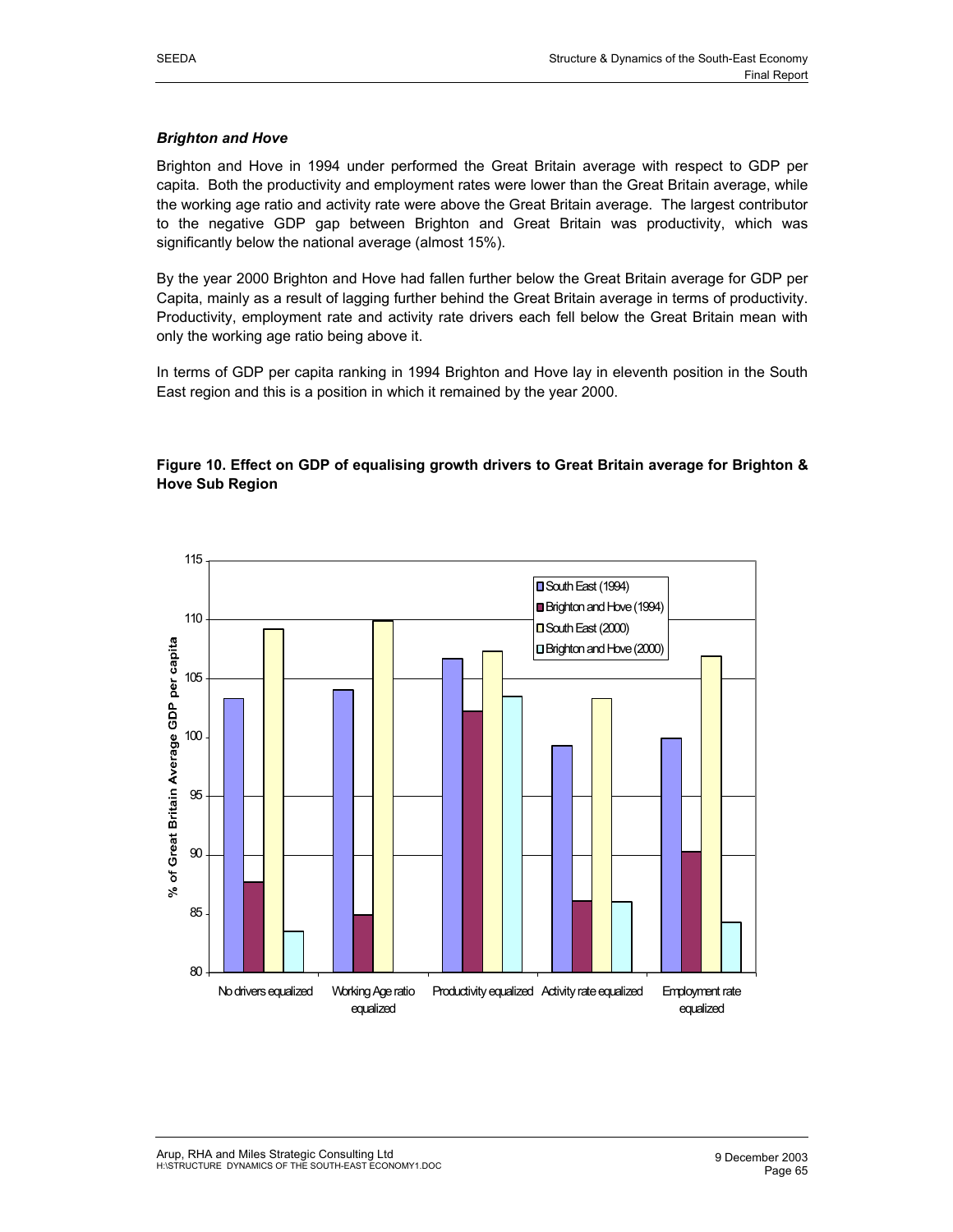#### *Brighton and Hove*

Brighton and Hove in 1994 under performed the Great Britain average with respect to GDP per capita. Both the productivity and employment rates were lower than the Great Britain average, while the working age ratio and activity rate were above the Great Britain average. The largest contributor to the negative GDP gap between Brighton and Great Britain was productivity, which was significantly below the national average (almost 15%).

By the year 2000 Brighton and Hove had fallen further below the Great Britain average for GDP per Capita, mainly as a result of lagging further behind the Great Britain average in terms of productivity. Productivity, employment rate and activity rate drivers each fell below the Great Britain mean with only the working age ratio being above it.

In terms of GDP per capita ranking in 1994 Brighton and Hove lay in eleventh position in the South East region and this is a position in which it remained by the year 2000.

## **Figure 10. Effect on GDP of equalising growth drivers to Great Britain average for Brighton & Hove Sub Region**

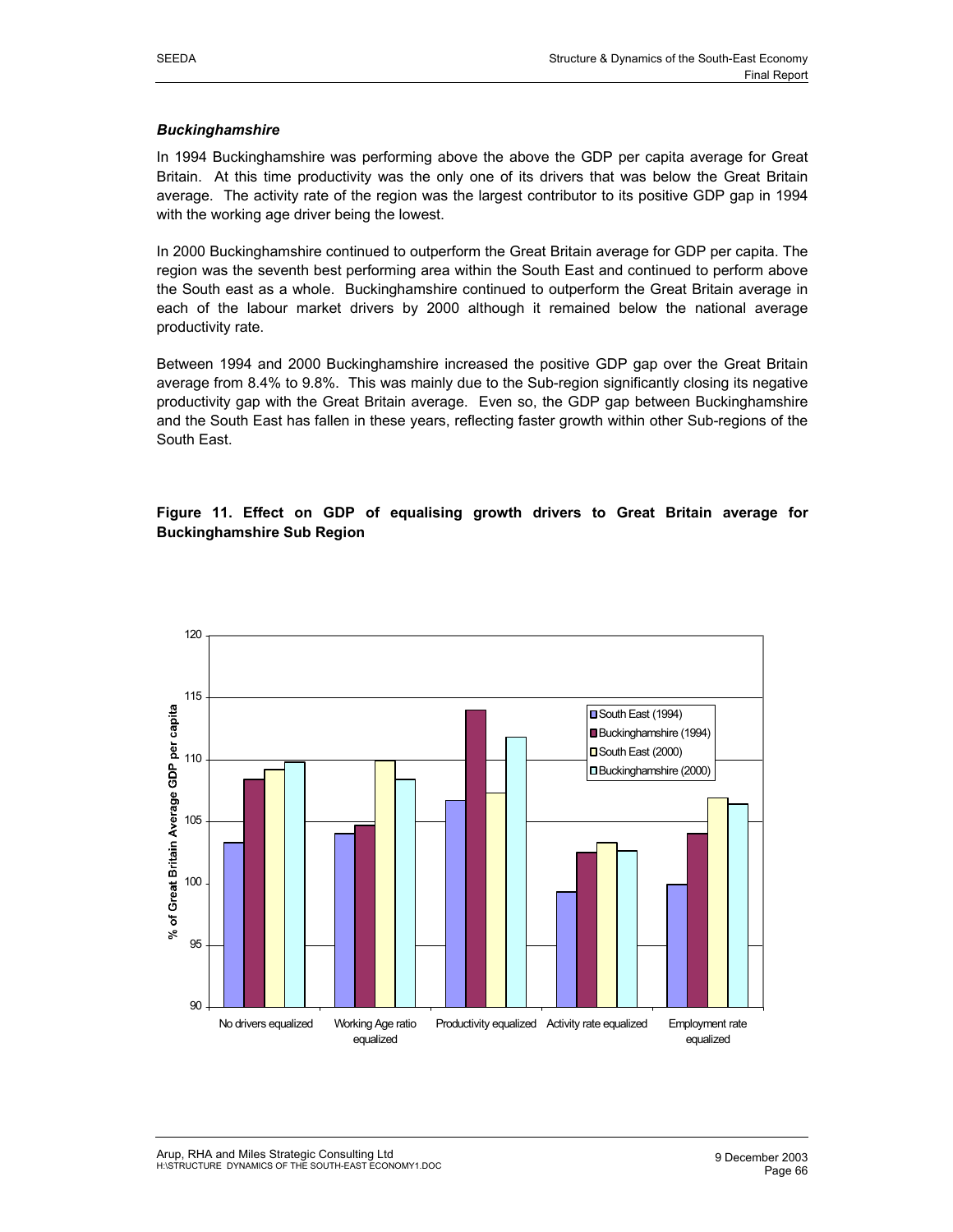#### *Buckinghamshire*

In 1994 Buckinghamshire was performing above the above the GDP per capita average for Great Britain. At this time productivity was the only one of its drivers that was below the Great Britain average. The activity rate of the region was the largest contributor to its positive GDP gap in 1994 with the working age driver being the lowest.

In 2000 Buckinghamshire continued to outperform the Great Britain average for GDP per capita. The region was the seventh best performing area within the South East and continued to perform above the South east as a whole. Buckinghamshire continued to outperform the Great Britain average in each of the labour market drivers by 2000 although it remained below the national average productivity rate.

Between 1994 and 2000 Buckinghamshire increased the positive GDP gap over the Great Britain average from 8.4% to 9.8%. This was mainly due to the Sub-region significantly closing its negative productivity gap with the Great Britain average. Even so, the GDP gap between Buckinghamshire and the South East has fallen in these years, reflecting faster growth within other Sub-regions of the South East.



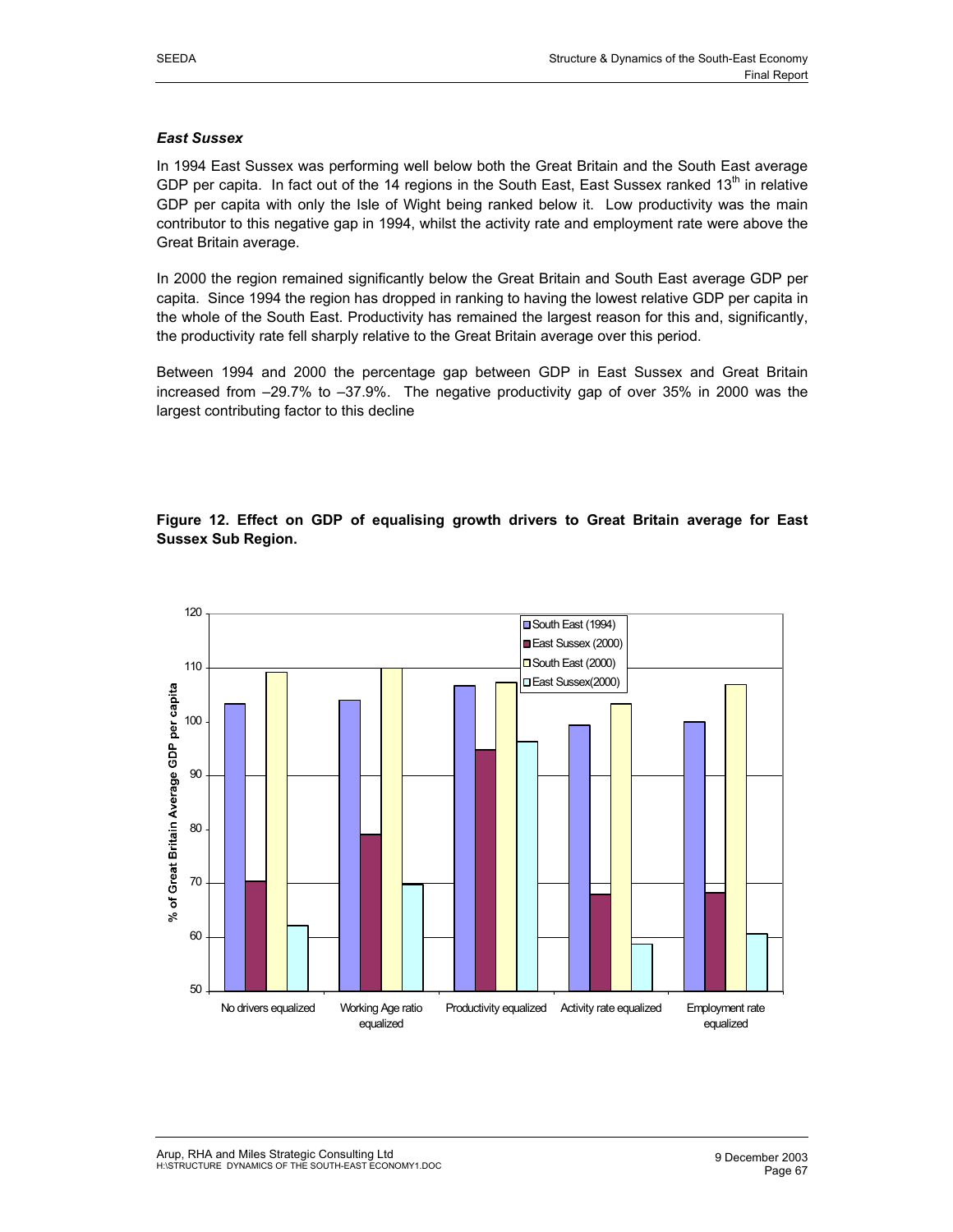#### *East Sussex*

In 1994 East Sussex was performing well below both the Great Britain and the South East average GDP per capita. In fact out of the 14 regions in the South East, East Sussex ranked  $13<sup>th</sup>$  in relative GDP per capita with only the Isle of Wight being ranked below it. Low productivity was the main contributor to this negative gap in 1994, whilst the activity rate and employment rate were above the Great Britain average.

In 2000 the region remained significantly below the Great Britain and South East average GDP per capita. Since 1994 the region has dropped in ranking to having the lowest relative GDP per capita in the whole of the South East. Productivity has remained the largest reason for this and, significantly, the productivity rate fell sharply relative to the Great Britain average over this period.

Between 1994 and 2000 the percentage gap between GDP in East Sussex and Great Britain increased from –29.7% to –37.9%. The negative productivity gap of over 35% in 2000 was the largest contributing factor to this decline

## **Figure 12. Effect on GDP of equalising growth drivers to Great Britain average for East Sussex Sub Region.**

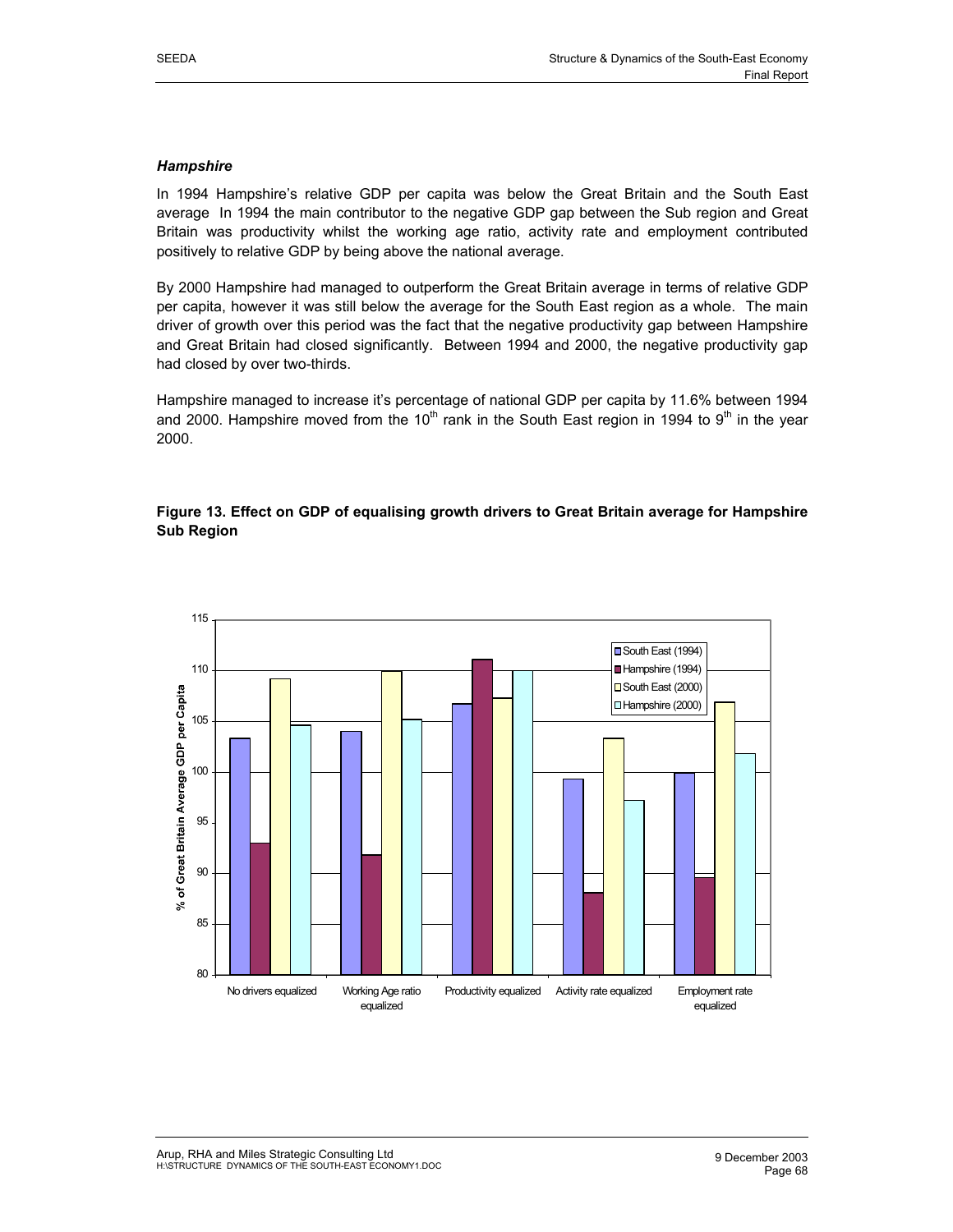#### *Hampshire*

In 1994 Hampshire's relative GDP per capita was below the Great Britain and the South East average In 1994 the main contributor to the negative GDP gap between the Sub region and Great Britain was productivity whilst the working age ratio, activity rate and employment contributed positively to relative GDP by being above the national average.

By 2000 Hampshire had managed to outperform the Great Britain average in terms of relative GDP per capita, however it was still below the average for the South East region as a whole. The main driver of growth over this period was the fact that the negative productivity gap between Hampshire and Great Britain had closed significantly. Between 1994 and 2000, the negative productivity gap had closed by over two-thirds.

Hampshire managed to increase it's percentage of national GDP per capita by 11.6% between 1994 and 2000. Hampshire moved from the 10<sup>th</sup> rank in the South East region in 1994 to 9<sup>th</sup> in the year 2000.

## **Figure 13. Effect on GDP of equalising growth drivers to Great Britain average for Hampshire Sub Region**

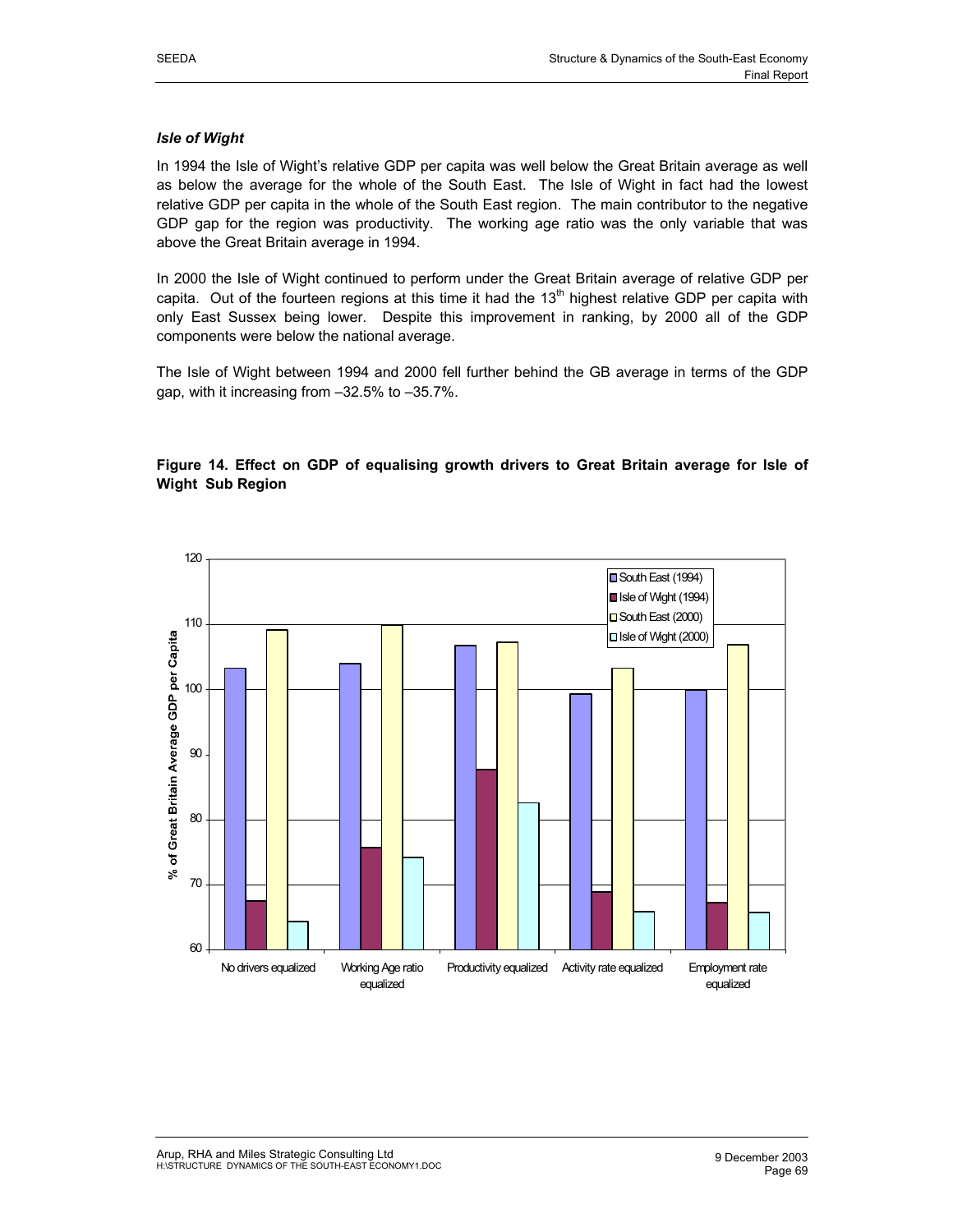#### *Isle of Wight*

In 1994 the Isle of Wight's relative GDP per capita was well below the Great Britain average as well as below the average for the whole of the South East. The Isle of Wight in fact had the lowest relative GDP per capita in the whole of the South East region. The main contributor to the negative GDP gap for the region was productivity. The working age ratio was the only variable that was above the Great Britain average in 1994.

In 2000 the Isle of Wight continued to perform under the Great Britain average of relative GDP per capita. Out of the fourteen regions at this time it had the  $13<sup>th</sup>$  highest relative GDP per capita with only East Sussex being lower. Despite this improvement in ranking, by 2000 all of the GDP components were below the national average.

The Isle of Wight between 1994 and 2000 fell further behind the GB average in terms of the GDP gap, with it increasing from –32.5% to –35.7%.

## **Figure 14. Effect on GDP of equalising growth drivers to Great Britain average for Isle of Wight Sub Region**

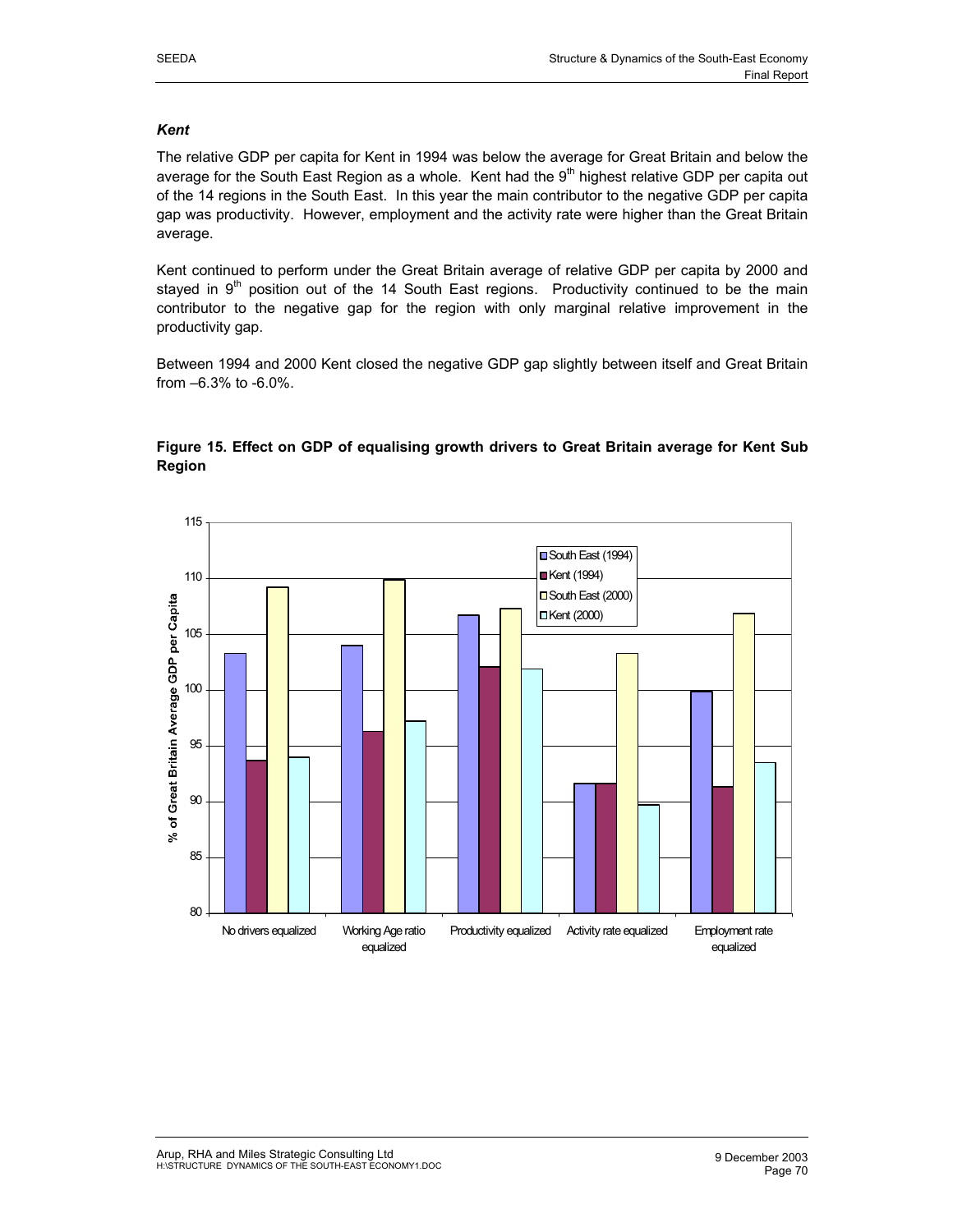## *Kent*

The relative GDP per capita for Kent in 1994 was below the average for Great Britain and below the average for the South East Region as a whole. Kent had the 9<sup>th</sup> highest relative GDP per capita out of the 14 regions in the South East. In this year the main contributor to the negative GDP per capita gap was productivity. However, employment and the activity rate were higher than the Great Britain average.

Kent continued to perform under the Great Britain average of relative GDP per capita by 2000 and stayed in  $9<sup>th</sup>$  position out of the 14 South East regions. Productivity continued to be the main contributor to the negative gap for the region with only marginal relative improvement in the productivity gap.

Between 1994 and 2000 Kent closed the negative GDP gap slightly between itself and Great Britain from –6.3% to -6.0%.



## **Figure 15. Effect on GDP of equalising growth drivers to Great Britain average for Kent Sub Region**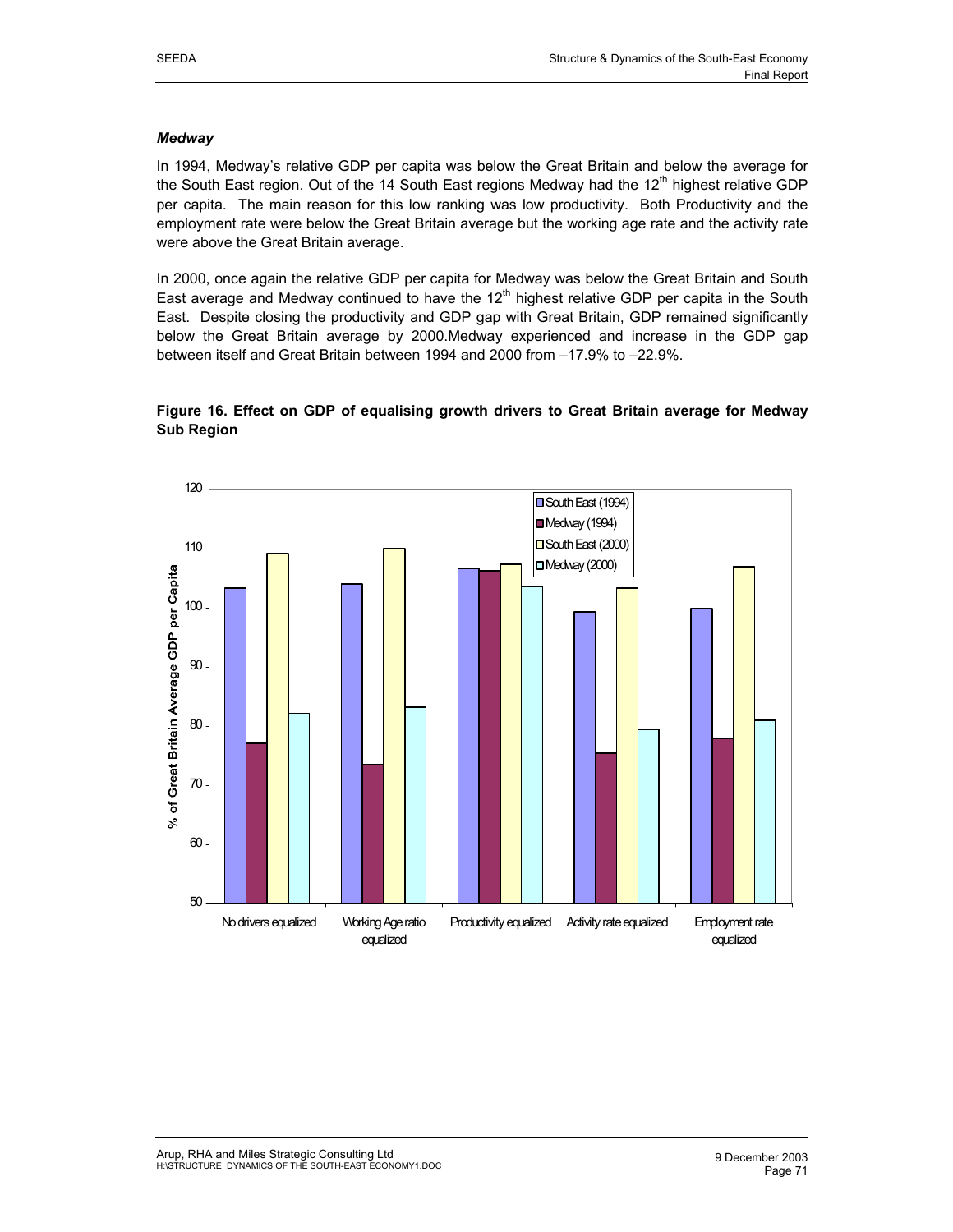#### *Medway*

In 1994, Medway's relative GDP per capita was below the Great Britain and below the average for the South East region. Out of the 14 South East regions Medway had the  $12<sup>th</sup>$  highest relative GDP per capita. The main reason for this low ranking was low productivity. Both Productivity and the employment rate were below the Great Britain average but the working age rate and the activity rate were above the Great Britain average.

In 2000, once again the relative GDP per capita for Medway was below the Great Britain and South East average and Medway continued to have the  $12<sup>th</sup>$  highest relative GDP per capita in the South East. Despite closing the productivity and GDP gap with Great Britain, GDP remained significantly below the Great Britain average by 2000.Medway experienced and increase in the GDP gap between itself and Great Britain between 1994 and 2000 from –17.9% to –22.9%.

## **Figure 16. Effect on GDP of equalising growth drivers to Great Britain average for Medway Sub Region**

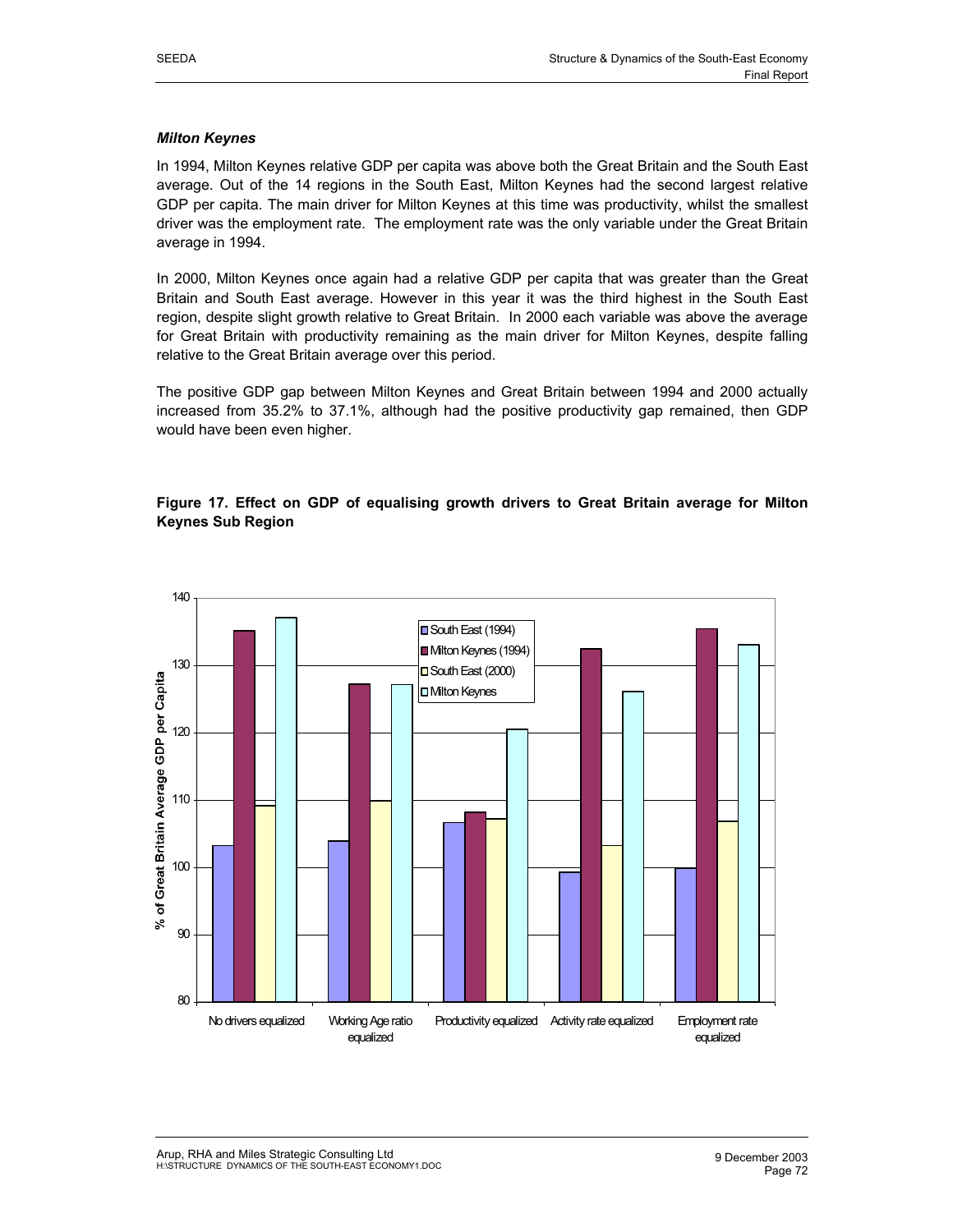#### *Milton Keynes*

In 1994, Milton Keynes relative GDP per capita was above both the Great Britain and the South East average. Out of the 14 regions in the South East, Milton Keynes had the second largest relative GDP per capita. The main driver for Milton Keynes at this time was productivity, whilst the smallest driver was the employment rate. The employment rate was the only variable under the Great Britain average in 1994.

In 2000, Milton Keynes once again had a relative GDP per capita that was greater than the Great Britain and South East average. However in this year it was the third highest in the South East region, despite slight growth relative to Great Britain. In 2000 each variable was above the average for Great Britain with productivity remaining as the main driver for Milton Keynes, despite falling relative to the Great Britain average over this period.

The positive GDP gap between Milton Keynes and Great Britain between 1994 and 2000 actually increased from 35.2% to 37.1%, although had the positive productivity gap remained, then GDP would have been even higher.

## **Figure 17. Effect on GDP of equalising growth drivers to Great Britain average for Milton Keynes Sub Region**

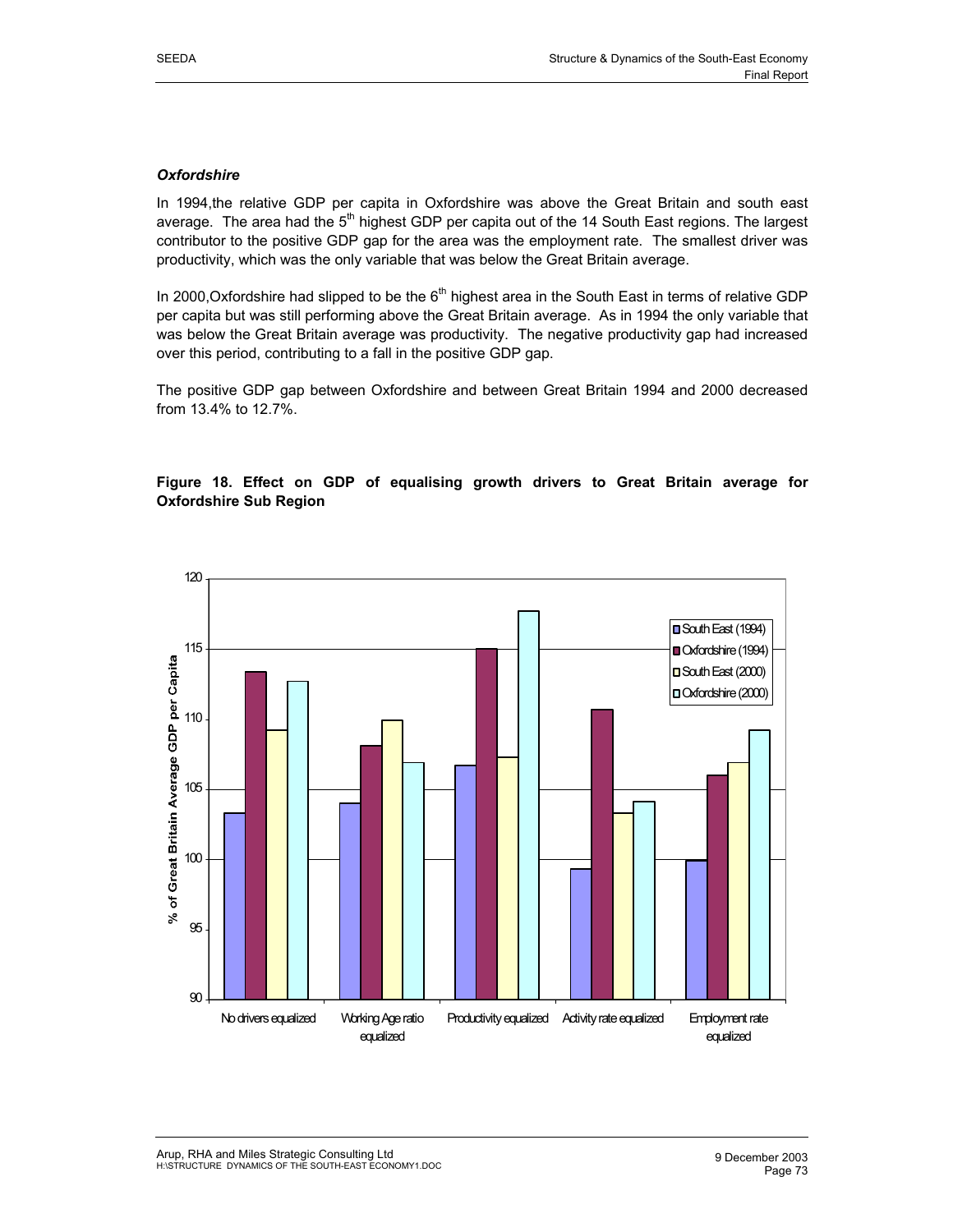## *Oxfordshire*

In 1994,the relative GDP per capita in Oxfordshire was above the Great Britain and south east average. The area had the 5<sup>th</sup> highest GDP per capita out of the 14 South East regions. The largest contributor to the positive GDP gap for the area was the employment rate. The smallest driver was productivity, which was the only variable that was below the Great Britain average.

In 2000, Oxfordshire had slipped to be the  $6<sup>th</sup>$  highest area in the South East in terms of relative GDP per capita but was still performing above the Great Britain average. As in 1994 the only variable that was below the Great Britain average was productivity. The negative productivity gap had increased over this period, contributing to a fall in the positive GDP gap.

The positive GDP gap between Oxfordshire and between Great Britain 1994 and 2000 decreased from 13.4% to 12.7%.

## **Figure 18. Effect on GDP of equalising growth drivers to Great Britain average for Oxfordshire Sub Region**

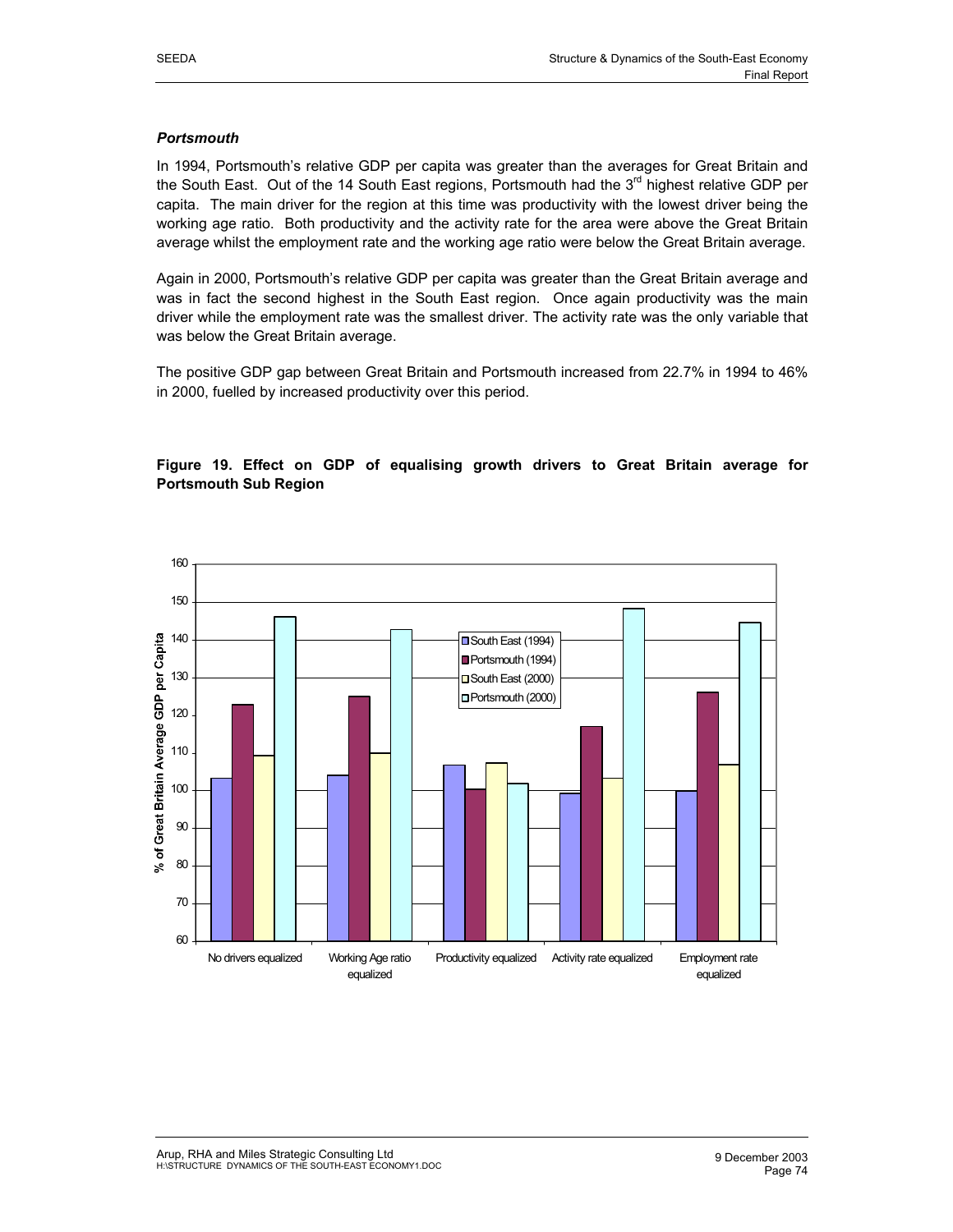#### *Portsmouth*

In 1994, Portsmouth's relative GDP per capita was greater than the averages for Great Britain and the South East. Out of the 14 South East regions, Portsmouth had the  $3<sup>rd</sup>$  highest relative GDP per capita. The main driver for the region at this time was productivity with the lowest driver being the working age ratio. Both productivity and the activity rate for the area were above the Great Britain average whilst the employment rate and the working age ratio were below the Great Britain average.

Again in 2000, Portsmouth's relative GDP per capita was greater than the Great Britain average and was in fact the second highest in the South East region. Once again productivity was the main driver while the employment rate was the smallest driver. The activity rate was the only variable that was below the Great Britain average.

The positive GDP gap between Great Britain and Portsmouth increased from 22.7% in 1994 to 46% in 2000, fuelled by increased productivity over this period.



## **Figure 19. Effect on GDP of equalising growth drivers to Great Britain average for Portsmouth Sub Region**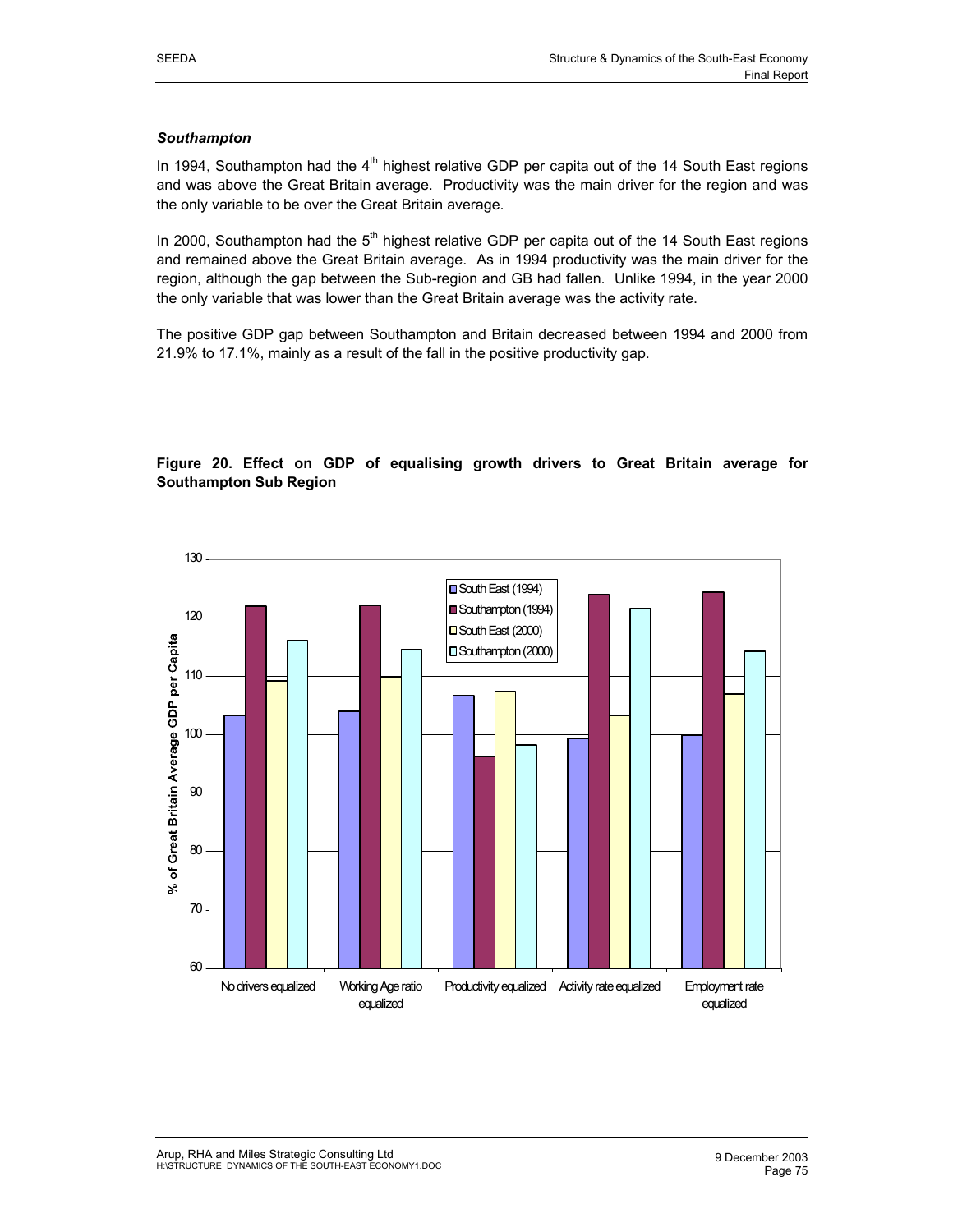#### *Southampton*

In 1994, Southampton had the  $4<sup>th</sup>$  highest relative GDP per capita out of the 14 South East regions and was above the Great Britain average. Productivity was the main driver for the region and was the only variable to be over the Great Britain average.

In 2000, Southampton had the  $5<sup>th</sup>$  highest relative GDP per capita out of the 14 South East regions and remained above the Great Britain average. As in 1994 productivity was the main driver for the region, although the gap between the Sub-region and GB had fallen. Unlike 1994, in the year 2000 the only variable that was lower than the Great Britain average was the activity rate.

The positive GDP gap between Southampton and Britain decreased between 1994 and 2000 from 21.9% to 17.1%, mainly as a result of the fall in the positive productivity gap.

## **Figure 20. Effect on GDP of equalising growth drivers to Great Britain average for Southampton Sub Region**

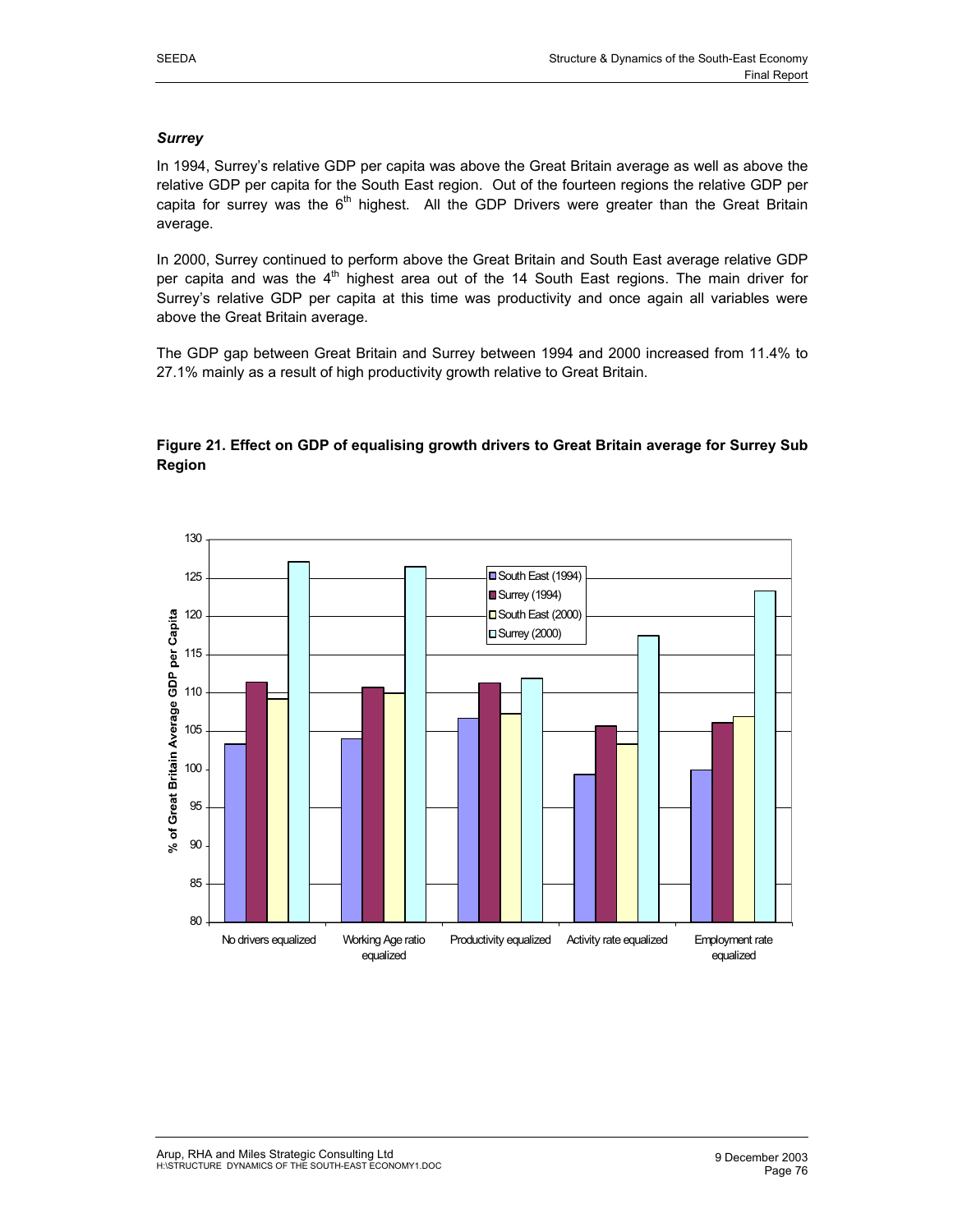## *Surrey*

In 1994, Surrey's relative GDP per capita was above the Great Britain average as well as above the relative GDP per capita for the South East region. Out of the fourteen regions the relative GDP per capita for surrey was the  $6<sup>th</sup>$  highest. All the GDP Drivers were greater than the Great Britain average.

In 2000, Surrey continued to perform above the Great Britain and South East average relative GDP per capita and was the 4<sup>th</sup> highest area out of the 14 South East regions. The main driver for Surrey's relative GDP per capita at this time was productivity and once again all variables were above the Great Britain average.

The GDP gap between Great Britain and Surrey between 1994 and 2000 increased from 11.4% to 27.1% mainly as a result of high productivity growth relative to Great Britain.

## **Figure 21. Effect on GDP of equalising growth drivers to Great Britain average for Surrey Sub Region**

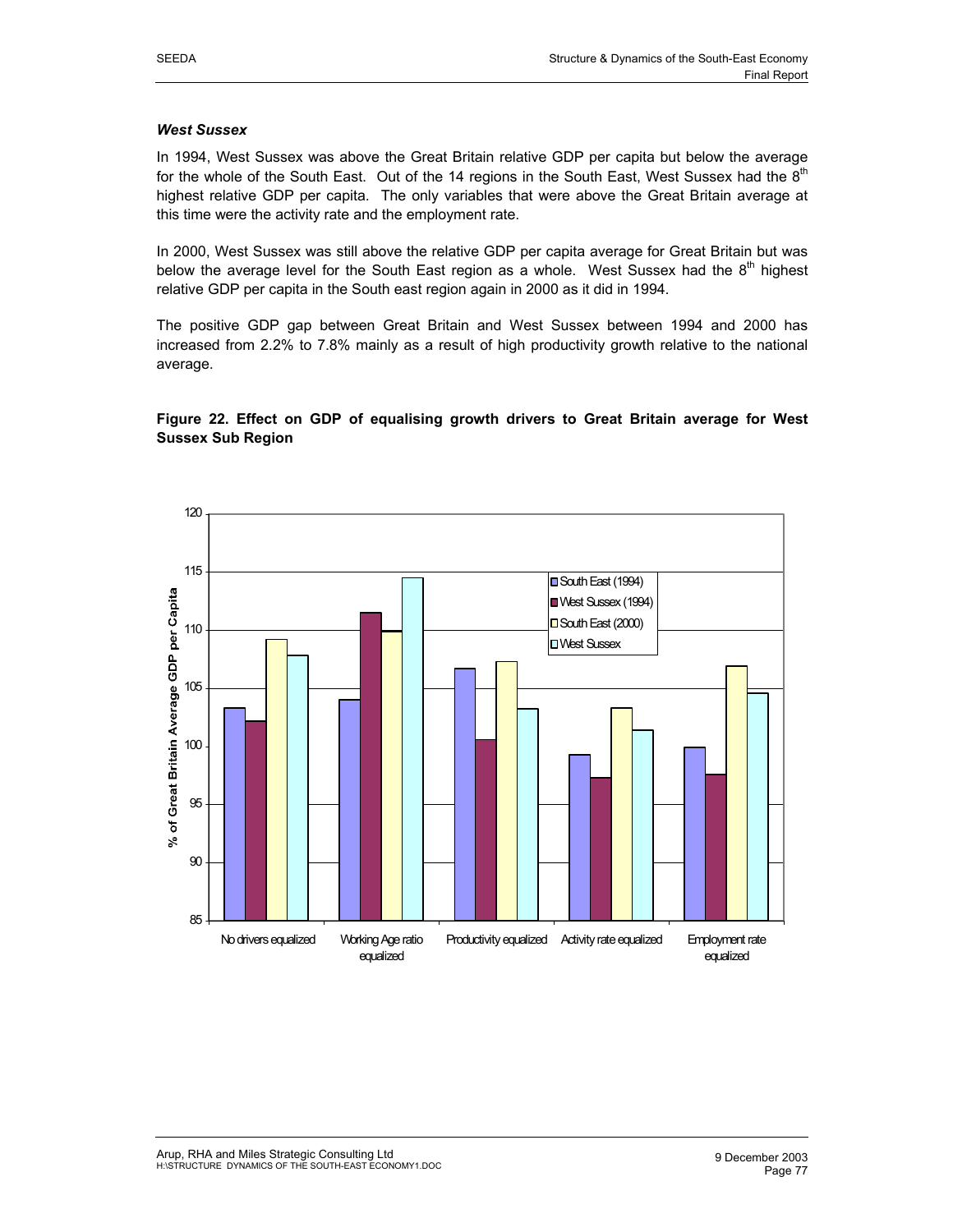#### *West Sussex*

In 1994, West Sussex was above the Great Britain relative GDP per capita but below the average for the whole of the South East. Out of the 14 regions in the South East, West Sussex had the  $8<sup>m</sup>$ highest relative GDP per capita. The only variables that were above the Great Britain average at this time were the activity rate and the employment rate.

In 2000, West Sussex was still above the relative GDP per capita average for Great Britain but was below the average level for the South East region as a whole. West Sussex had the  $8<sup>th</sup>$  highest relative GDP per capita in the South east region again in 2000 as it did in 1994.

The positive GDP gap between Great Britain and West Sussex between 1994 and 2000 has increased from 2.2% to 7.8% mainly as a result of high productivity growth relative to the national average.

**Figure 22. Effect on GDP of equalising growth drivers to Great Britain average for West Sussex Sub Region** 

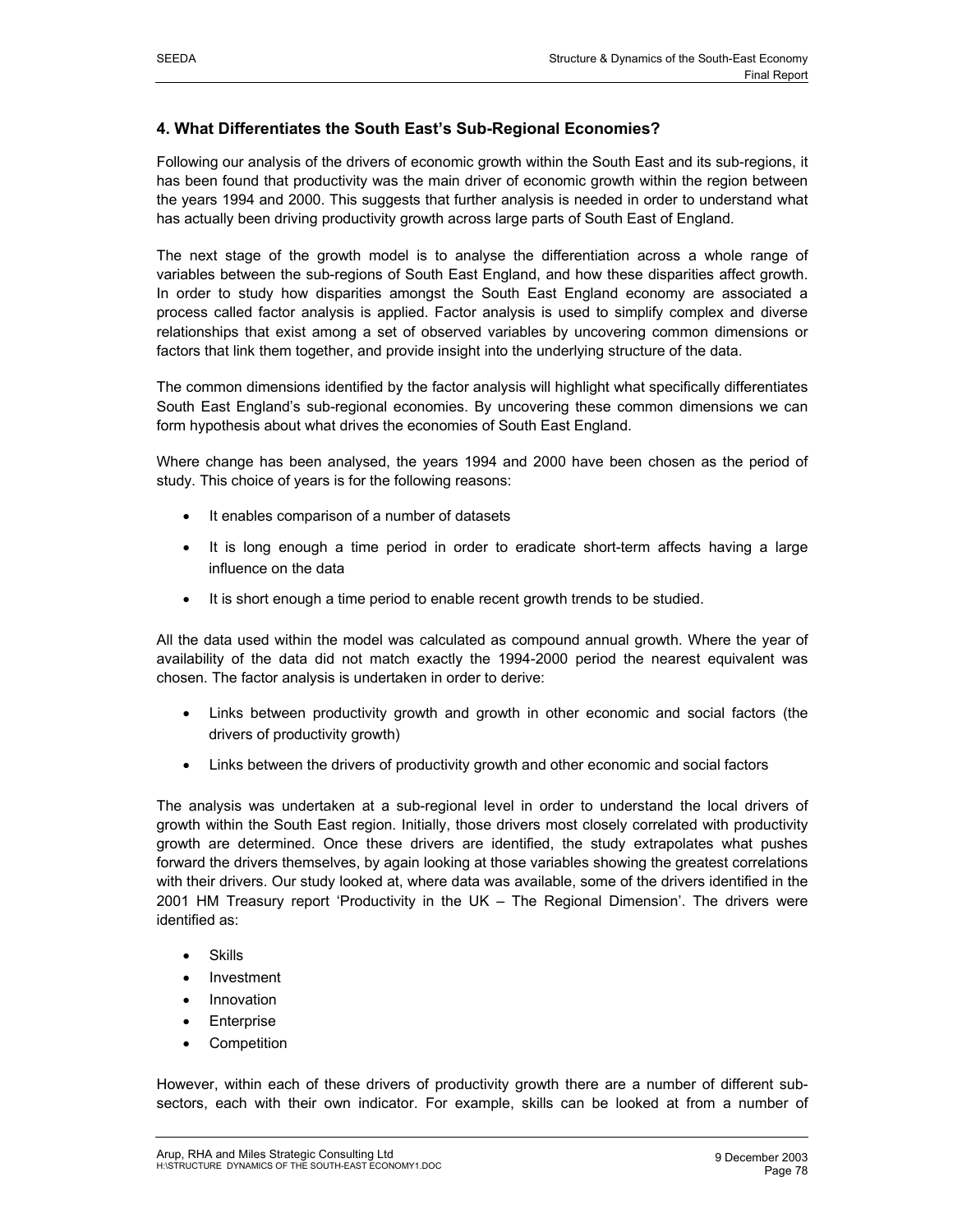## **4. What Differentiates the South East's Sub-Regional Economies?**

Following our analysis of the drivers of economic growth within the South East and its sub-regions, it has been found that productivity was the main driver of economic growth within the region between the years 1994 and 2000. This suggests that further analysis is needed in order to understand what has actually been driving productivity growth across large parts of South East of England.

The next stage of the growth model is to analyse the differentiation across a whole range of variables between the sub-regions of South East England, and how these disparities affect growth. In order to study how disparities amongst the South East England economy are associated a process called factor analysis is applied. Factor analysis is used to simplify complex and diverse relationships that exist among a set of observed variables by uncovering common dimensions or factors that link them together, and provide insight into the underlying structure of the data.

The common dimensions identified by the factor analysis will highlight what specifically differentiates South East England's sub-regional economies. By uncovering these common dimensions we can form hypothesis about what drives the economies of South East England.

Where change has been analysed, the years 1994 and 2000 have been chosen as the period of study. This choice of years is for the following reasons:

- It enables comparison of a number of datasets
- It is long enough a time period in order to eradicate short-term affects having a large influence on the data
- It is short enough a time period to enable recent growth trends to be studied.

All the data used within the model was calculated as compound annual growth. Where the year of availability of the data did not match exactly the 1994-2000 period the nearest equivalent was chosen. The factor analysis is undertaken in order to derive:

- Links between productivity growth and growth in other economic and social factors (the drivers of productivity growth)
- Links between the drivers of productivity growth and other economic and social factors

The analysis was undertaken at a sub-regional level in order to understand the local drivers of growth within the South East region. Initially, those drivers most closely correlated with productivity growth are determined. Once these drivers are identified, the study extrapolates what pushes forward the drivers themselves, by again looking at those variables showing the greatest correlations with their drivers. Our study looked at, where data was available, some of the drivers identified in the 2001 HM Treasury report 'Productivity in the UK – The Regional Dimension'. The drivers were identified as:

- **Skills**
- **Investment**
- **Innovation**
- **Enterprise**
- Competition

However, within each of these drivers of productivity growth there are a number of different subsectors, each with their own indicator. For example, skills can be looked at from a number of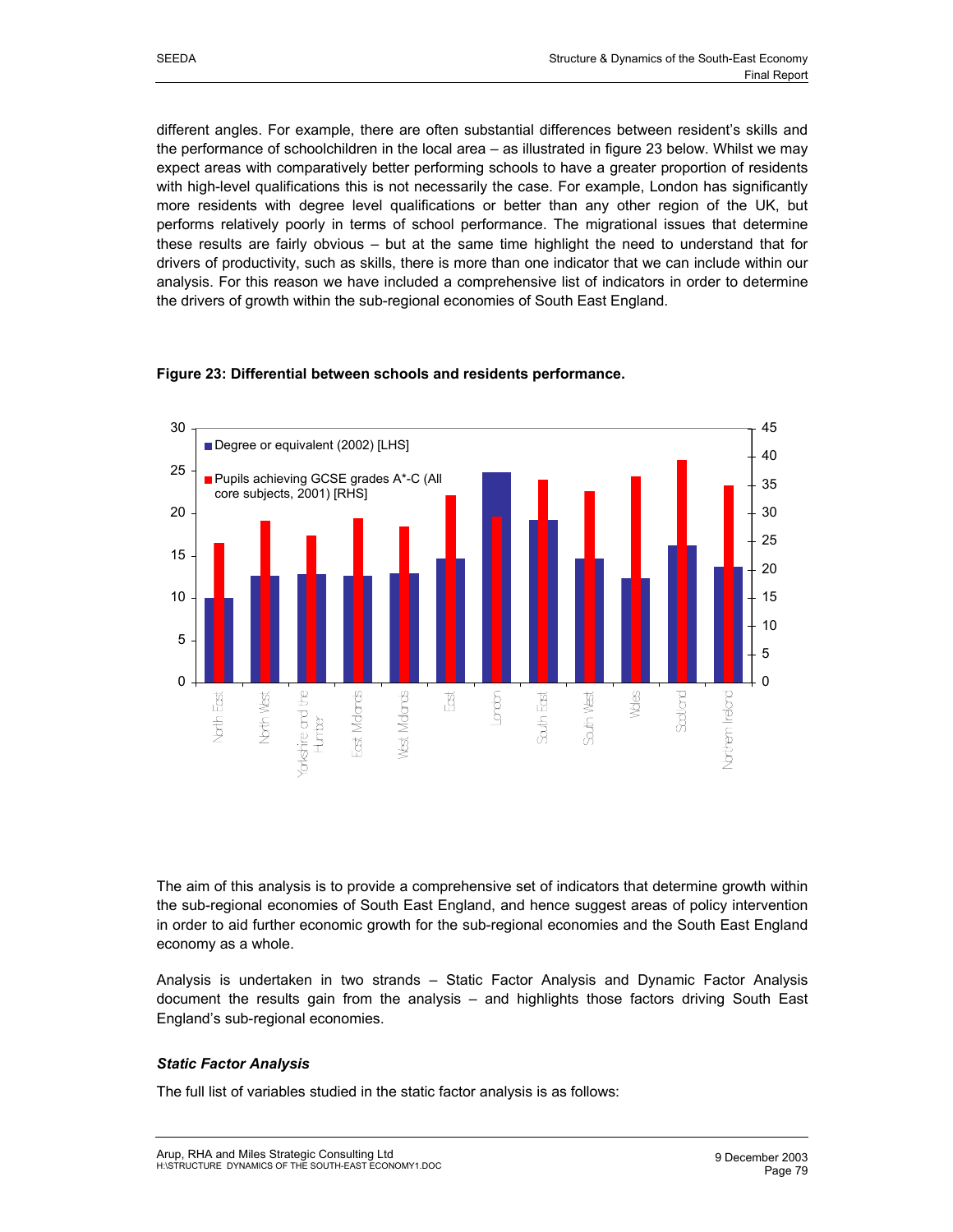different angles. For example, there are often substantial differences between resident's skills and the performance of schoolchildren in the local area – as illustrated in figure 23 below. Whilst we may expect areas with comparatively better performing schools to have a greater proportion of residents with high-level qualifications this is not necessarily the case. For example, London has significantly more residents with degree level qualifications or better than any other region of the UK, but performs relatively poorly in terms of school performance. The migrational issues that determine these results are fairly obvious – but at the same time highlight the need to understand that for drivers of productivity, such as skills, there is more than one indicator that we can include within our analysis. For this reason we have included a comprehensive list of indicators in order to determine the drivers of growth within the sub-regional economies of South East England.



## **Figure 23: Differential between schools and residents performance.**

The aim of this analysis is to provide a comprehensive set of indicators that determine growth within the sub-regional economies of South East England, and hence suggest areas of policy intervention in order to aid further economic growth for the sub-regional economies and the South East England economy as a whole.

Analysis is undertaken in two strands – Static Factor Analysis and Dynamic Factor Analysis document the results gain from the analysis – and highlights those factors driving South East England's sub-regional economies.

## *Static Factor Analysis*

The full list of variables studied in the static factor analysis is as follows: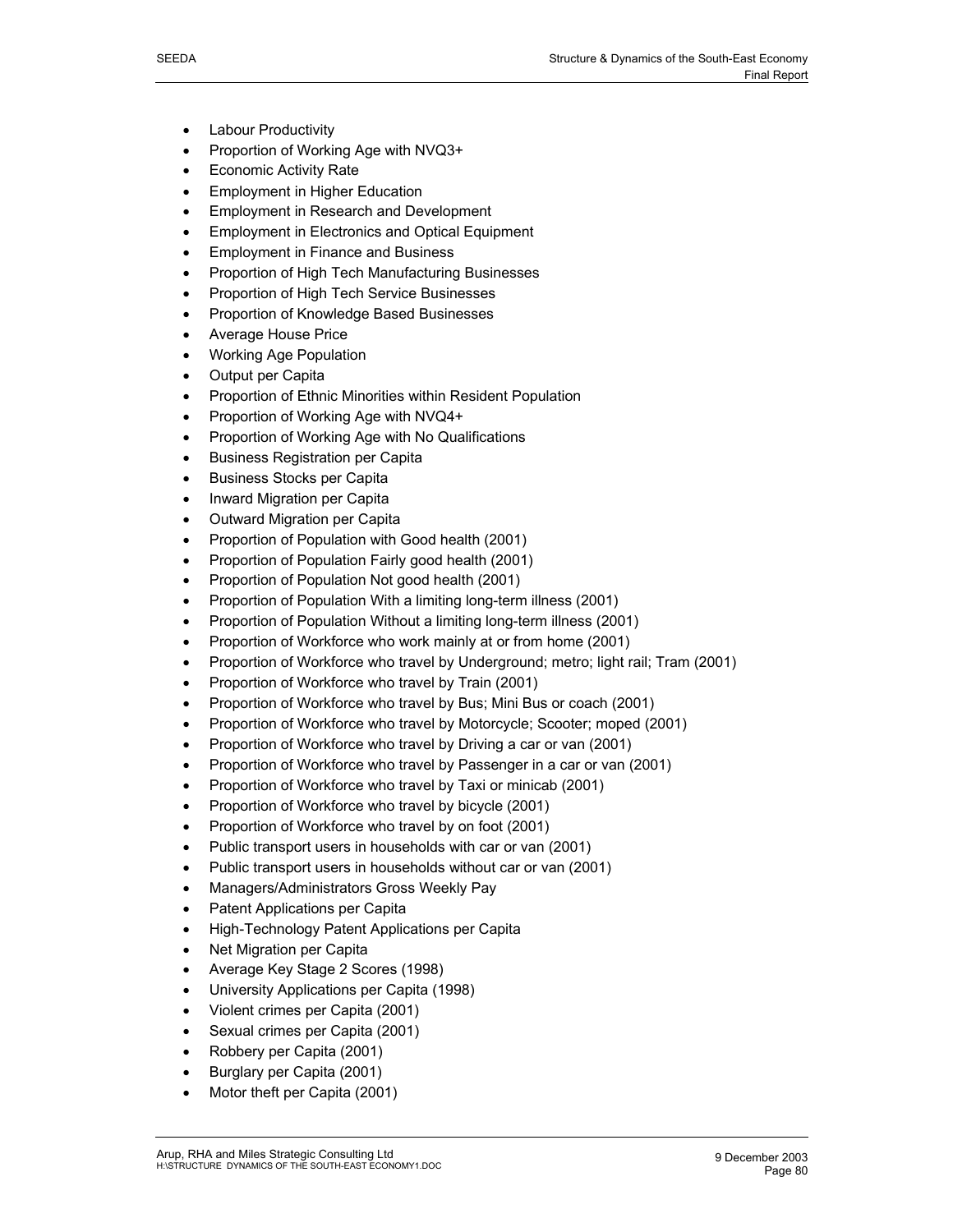- Labour Productivity
- Proportion of Working Age with NVQ3+
- **Economic Activity Rate**
- **Employment in Higher Education**
- Employment in Research and Development
- Employment in Electronics and Optical Equipment
- Employment in Finance and Business
- Proportion of High Tech Manufacturing Businesses
- Proportion of High Tech Service Businesses
- Proportion of Knowledge Based Businesses
- Average House Price
- Working Age Population
- Output per Capita
- Proportion of Ethnic Minorities within Resident Population
- Proportion of Working Age with NVQ4+
- Proportion of Working Age with No Qualifications
- Business Registration per Capita
- Business Stocks per Capita
- Inward Migration per Capita
- Outward Migration per Capita
- Proportion of Population with Good health (2001)
- Proportion of Population Fairly good health (2001)
- Proportion of Population Not good health (2001)
- Proportion of Population With a limiting long-term illness (2001)
- Proportion of Population Without a limiting long-term illness (2001)
- Proportion of Workforce who work mainly at or from home (2001)
- Proportion of Workforce who travel by Underground; metro; light rail; Tram (2001)
- Proportion of Workforce who travel by Train (2001)
- Proportion of Workforce who travel by Bus; Mini Bus or coach (2001)
- Proportion of Workforce who travel by Motorcycle; Scooter; moped (2001)
- Proportion of Workforce who travel by Driving a car or van (2001)
- Proportion of Workforce who travel by Passenger in a car or van (2001)
- Proportion of Workforce who travel by Taxi or minicab (2001)
- Proportion of Workforce who travel by bicycle (2001)
- Proportion of Workforce who travel by on foot (2001)
- Public transport users in households with car or van (2001)
- Public transport users in households without car or van (2001)
- Managers/Administrators Gross Weekly Pay
- Patent Applications per Capita
- High-Technology Patent Applications per Capita
- Net Migration per Capita
- Average Key Stage 2 Scores (1998)
- University Applications per Capita (1998)
- Violent crimes per Capita (2001)
- Sexual crimes per Capita (2001)
- Robbery per Capita (2001)
- Burglary per Capita (2001)
- Motor theft per Capita (2001)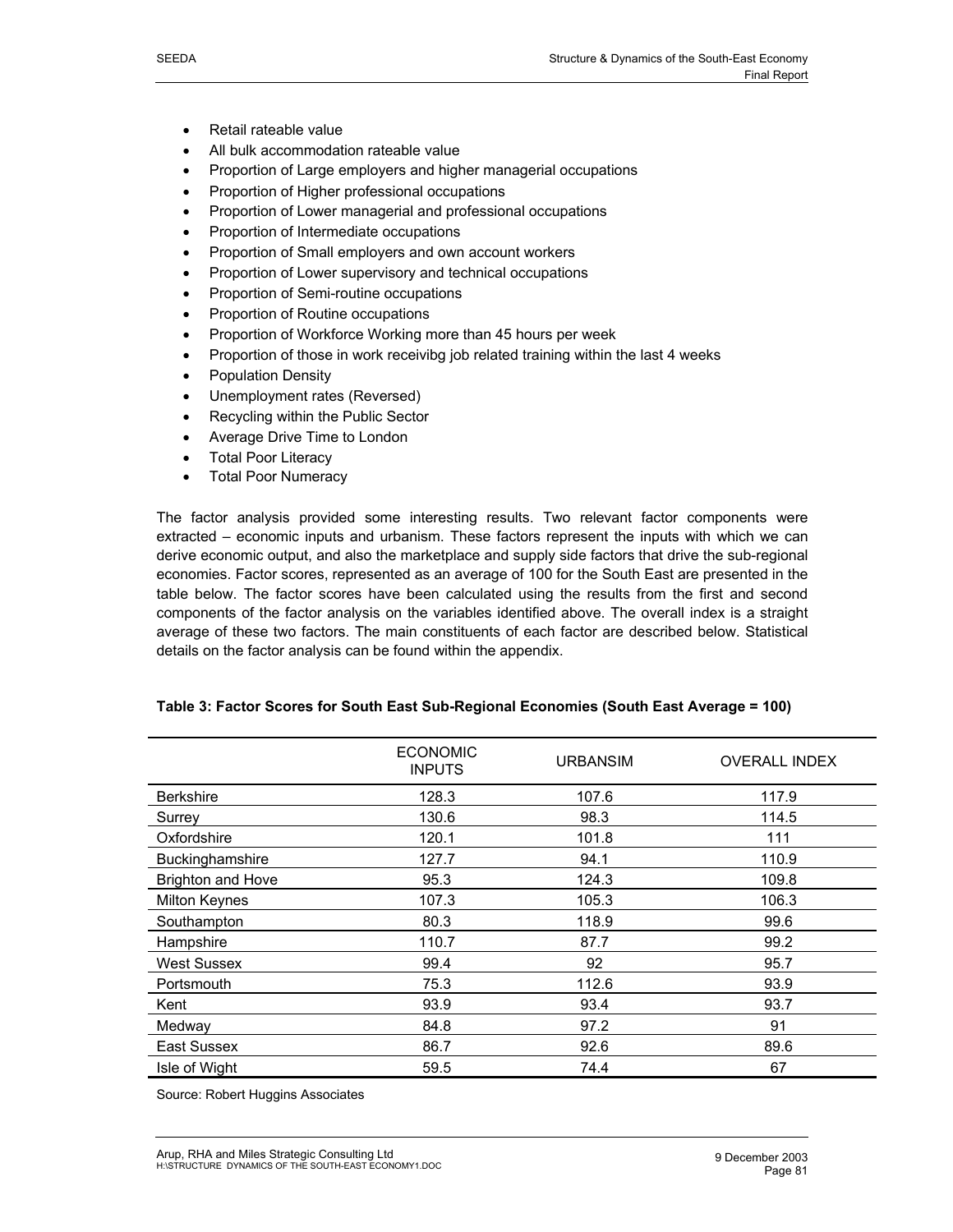- Retail rateable value
- All bulk accommodation rateable value
- Proportion of Large employers and higher managerial occupations
- Proportion of Higher professional occupations
- Proportion of Lower managerial and professional occupations
- Proportion of Intermediate occupations
- Proportion of Small employers and own account workers
- Proportion of Lower supervisory and technical occupations
- Proportion of Semi-routine occupations
- Proportion of Routine occupations
- Proportion of Workforce Working more than 45 hours per week
- Proportion of those in work receivibg job related training within the last 4 weeks
- Population Density
- Unemployment rates (Reversed)
- Recycling within the Public Sector
- Average Drive Time to London
- Total Poor Literacy
- Total Poor Numeracy

The factor analysis provided some interesting results. Two relevant factor components were extracted – economic inputs and urbanism. These factors represent the inputs with which we can derive economic output, and also the marketplace and supply side factors that drive the sub-regional economies. Factor scores, represented as an average of 100 for the South East are presented in the table below. The factor scores have been calculated using the results from the first and second components of the factor analysis on the variables identified above. The overall index is a straight average of these two factors. The main constituents of each factor are described below. Statistical details on the factor analysis can be found within the appendix.

|                          | <b>ECONOMIC</b><br><b>INPUTS</b> | <b>URBANSIM</b> | <b>OVERALL INDEX</b> |
|--------------------------|----------------------------------|-----------------|----------------------|
| <b>Berkshire</b>         | 128.3                            | 107.6           | 117.9                |
| Surrey                   | 130.6                            | 98.3            | 114.5                |
| Oxfordshire              | 120.1                            | 101.8           | 111                  |
| Buckinghamshire          | 127.7                            | 94.1            | 110.9                |
| <b>Brighton and Hove</b> | 95.3                             | 124.3           | 109.8                |
| <b>Milton Keynes</b>     | 107.3                            | 105.3           | 106.3                |
| Southampton              | 80.3                             | 118.9           | 99.6                 |
| Hampshire                | 110.7                            | 87.7            | 99.2                 |
| <b>West Sussex</b>       | 99.4                             | 92              | 95.7                 |
| Portsmouth               | 75.3                             | 112.6           | 93.9                 |
| Kent                     | 93.9                             | 93.4            | 93.7                 |
| Medway                   | 84.8                             | 97.2            | 91                   |
| East Sussex              | 86.7                             | 92.6            | 89.6                 |
| Isle of Wight            | 59.5                             | 74.4            | 67                   |

## **Table 3: Factor Scores for South East Sub-Regional Economies (South East Average = 100)**

Source: Robert Huggins Associates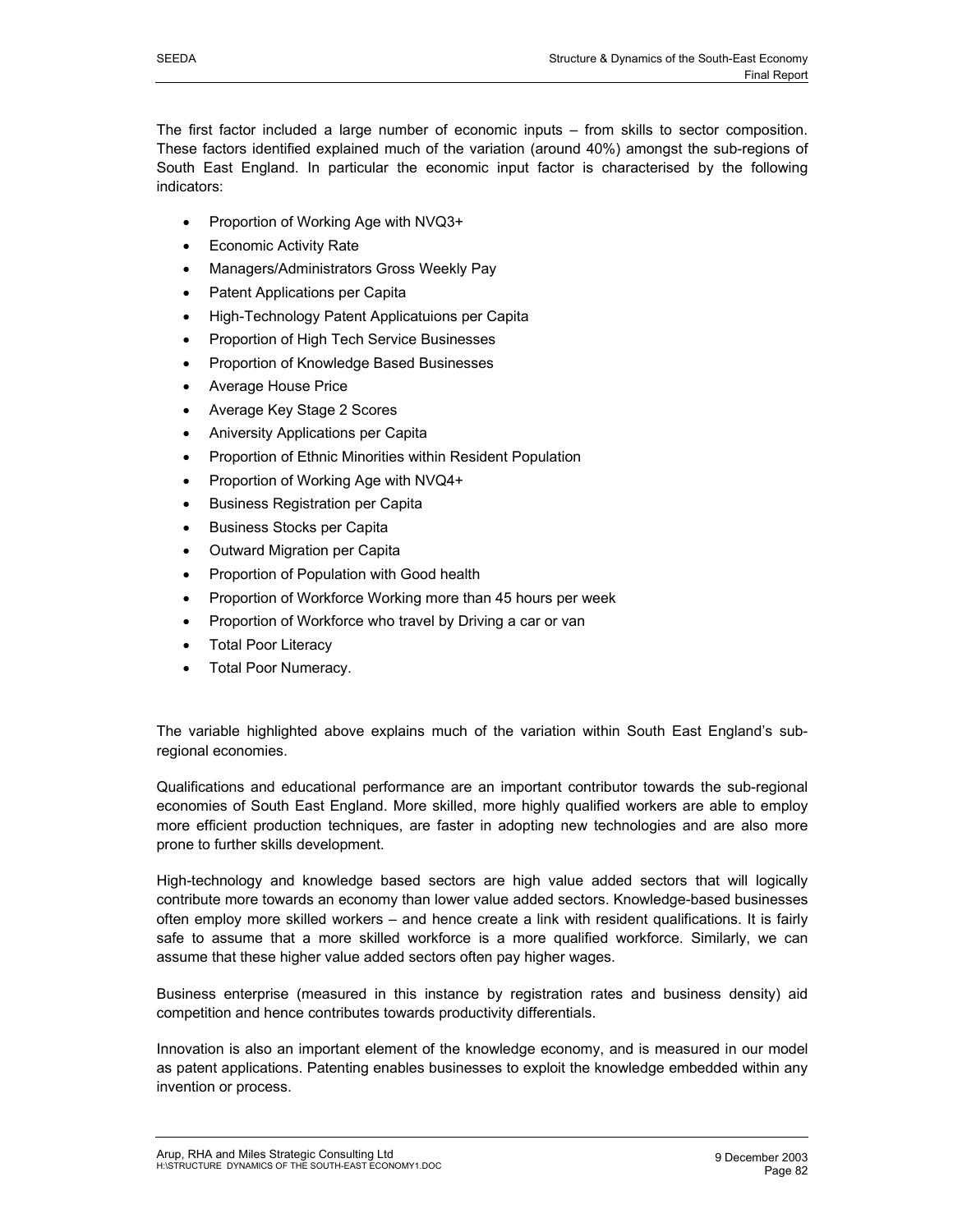The first factor included a large number of economic inputs – from skills to sector composition. These factors identified explained much of the variation (around 40%) amongst the sub-regions of South East England. In particular the economic input factor is characterised by the following indicators:

- Proportion of Working Age with NVQ3+
- **Economic Activity Rate**
- Managers/Administrators Gross Weekly Pay
- Patent Applications per Capita
- High-Technology Patent Applicatuions per Capita
- Proportion of High Tech Service Businesses
- Proportion of Knowledge Based Businesses
- Average House Price
- Average Key Stage 2 Scores
- Aniversity Applications per Capita
- Proportion of Ethnic Minorities within Resident Population
- Proportion of Working Age with NVQ4+
- Business Registration per Capita
- Business Stocks per Capita
- Outward Migration per Capita
- Proportion of Population with Good health
- Proportion of Workforce Working more than 45 hours per week
- Proportion of Workforce who travel by Driving a car or van
- **Total Poor Literacy**
- Total Poor Numeracy.

The variable highlighted above explains much of the variation within South East England's subregional economies.

Qualifications and educational performance are an important contributor towards the sub-regional economies of South East England. More skilled, more highly qualified workers are able to employ more efficient production techniques, are faster in adopting new technologies and are also more prone to further skills development.

High-technology and knowledge based sectors are high value added sectors that will logically contribute more towards an economy than lower value added sectors. Knowledge-based businesses often employ more skilled workers – and hence create a link with resident qualifications. It is fairly safe to assume that a more skilled workforce is a more qualified workforce. Similarly, we can assume that these higher value added sectors often pay higher wages.

Business enterprise (measured in this instance by registration rates and business density) aid competition and hence contributes towards productivity differentials.

Innovation is also an important element of the knowledge economy, and is measured in our model as patent applications. Patenting enables businesses to exploit the knowledge embedded within any invention or process.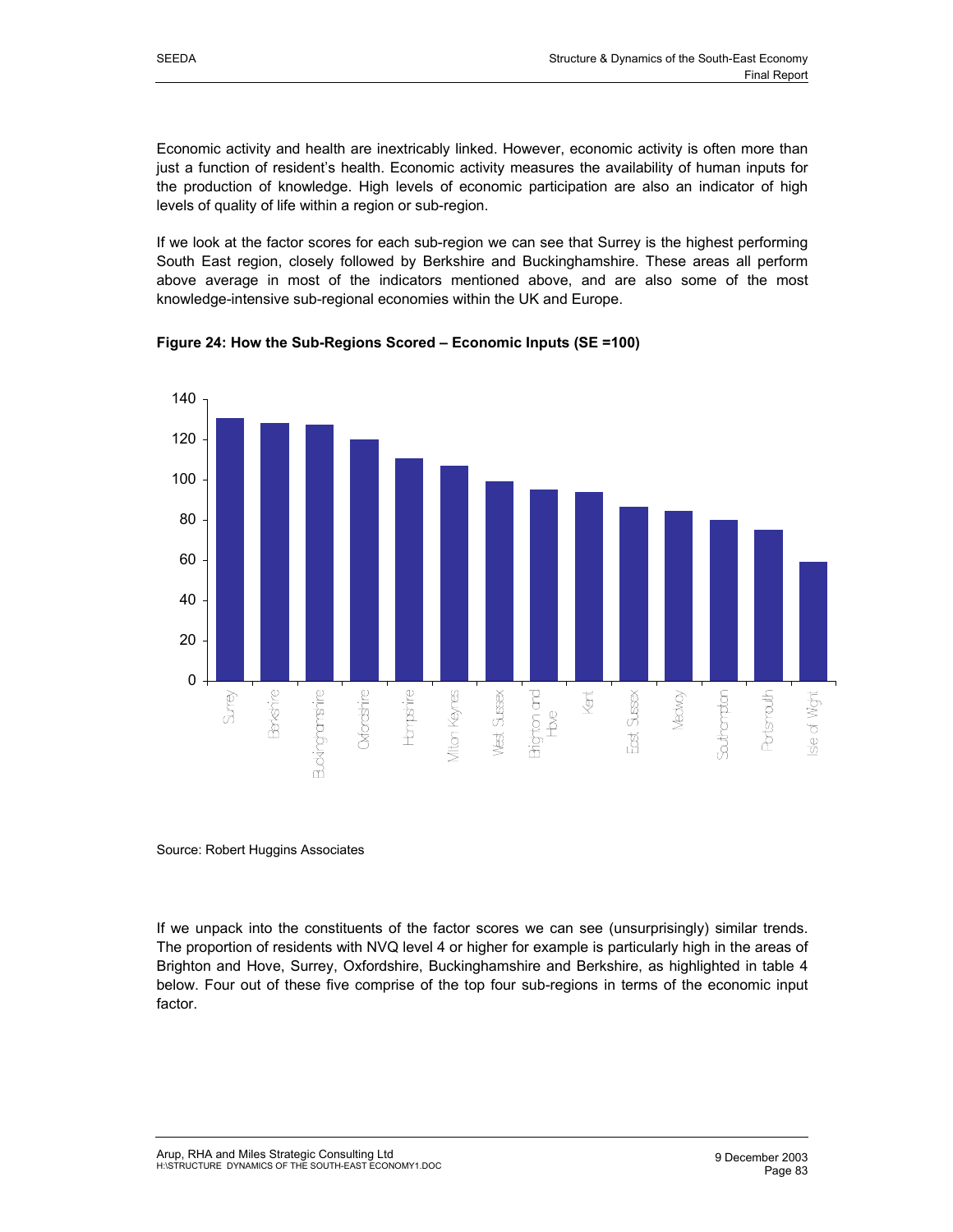Economic activity and health are inextricably linked. However, economic activity is often more than just a function of resident's health. Economic activity measures the availability of human inputs for the production of knowledge. High levels of economic participation are also an indicator of high levels of quality of life within a region or sub-region.

If we look at the factor scores for each sub-region we can see that Surrey is the highest performing South East region, closely followed by Berkshire and Buckinghamshire. These areas all perform above average in most of the indicators mentioned above, and are also some of the most knowledge-intensive sub-regional economies within the UK and Europe.



**Figure 24: How the Sub-Regions Scored – Economic Inputs (SE =100)** 

#### Source: Robert Huggins Associates

If we unpack into the constituents of the factor scores we can see (unsurprisingly) similar trends. The proportion of residents with NVQ level 4 or higher for example is particularly high in the areas of Brighton and Hove, Surrey, Oxfordshire, Buckinghamshire and Berkshire, as highlighted in table 4 below. Four out of these five comprise of the top four sub-regions in terms of the economic input factor.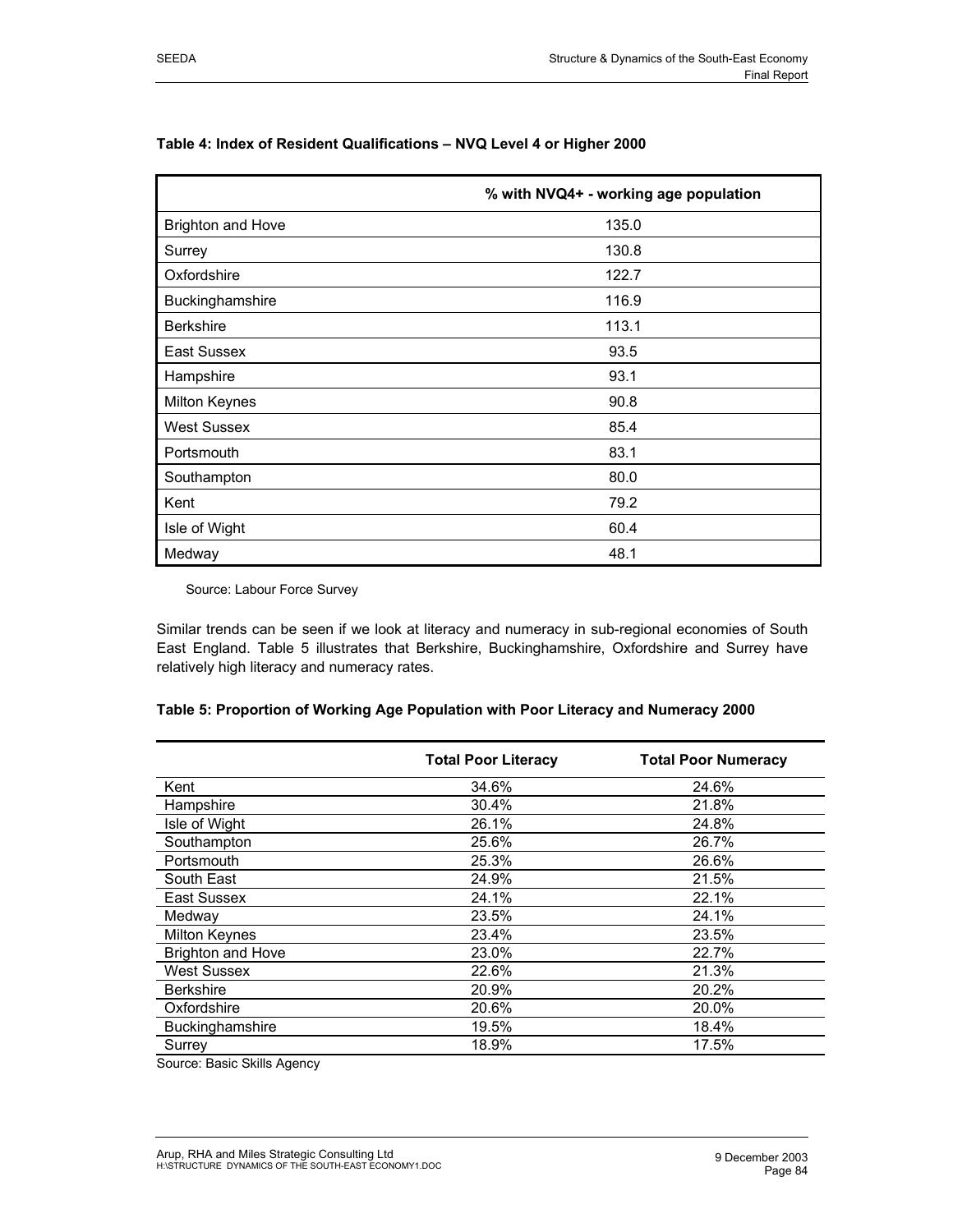|                          | % with NVQ4+ - working age population |
|--------------------------|---------------------------------------|
| <b>Brighton and Hove</b> | 135.0                                 |
| Surrey                   | 130.8                                 |
| Oxfordshire              | 122.7                                 |
| Buckinghamshire          | 116.9                                 |
| <b>Berkshire</b>         | 113.1                                 |
| East Sussex              | 93.5                                  |
| Hampshire                | 93.1                                  |
| <b>Milton Keynes</b>     | 90.8                                  |
| <b>West Sussex</b>       | 85.4                                  |
| Portsmouth               | 83.1                                  |
| Southampton              | 80.0                                  |
| Kent                     | 79.2                                  |
| Isle of Wight            | 60.4                                  |
| Medway                   | 48.1                                  |

## **Table 4: Index of Resident Qualifications – NVQ Level 4 or Higher 2000**

Source: Labour Force Survey

Similar trends can be seen if we look at literacy and numeracy in sub-regional economies of South East England. Table 5 illustrates that Berkshire, Buckinghamshire, Oxfordshire and Surrey have relatively high literacy and numeracy rates.

|                          | <b>Total Poor Literacy</b> | <b>Total Poor Numeracy</b> |
|--------------------------|----------------------------|----------------------------|
| Kent                     | 34.6%                      | 24.6%                      |
| Hampshire                | 30.4%                      | 21.8%                      |
| Isle of Wight            | 26.1%                      | 24.8%                      |
| Southampton              | 25.6%                      | 26.7%                      |
| Portsmouth               | 25.3%                      | 26.6%                      |
| South East               | 24.9%                      | 21.5%                      |
| East Sussex              | 24.1%                      | 22.1%                      |
| Medway                   | 23.5%                      | 24.1%                      |
| Milton Keynes            | 23.4%                      | 23.5%                      |
| <b>Brighton and Hove</b> | 23.0%                      | 22.7%                      |
| <b>West Sussex</b>       | 22.6%                      | 21.3%                      |
| <b>Berkshire</b>         | 20.9%                      | 20.2%                      |
| Oxfordshire              | 20.6%                      | 20.0%                      |
| Buckinghamshire          | 19.5%                      | 18.4%                      |
| Surrey                   | 18.9%                      | 17.5%                      |

#### **Table 5: Proportion of Working Age Population with Poor Literacy and Numeracy 2000**

Source: Basic Skills Agency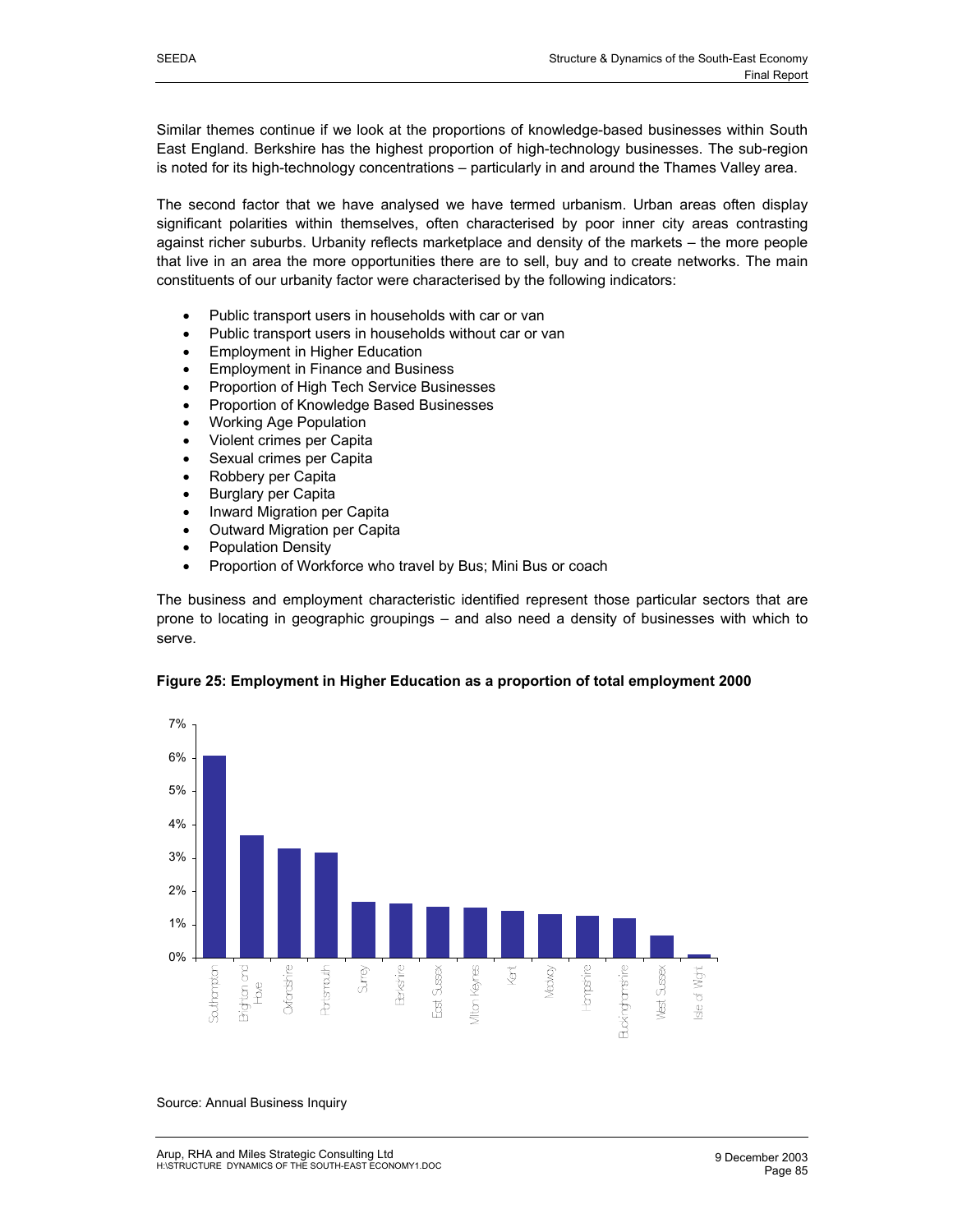Similar themes continue if we look at the proportions of knowledge-based businesses within South East England. Berkshire has the highest proportion of high-technology businesses. The sub-region is noted for its high-technology concentrations – particularly in and around the Thames Valley area.

The second factor that we have analysed we have termed urbanism. Urban areas often display significant polarities within themselves, often characterised by poor inner city areas contrasting against richer suburbs. Urbanity reflects marketplace and density of the markets – the more people that live in an area the more opportunities there are to sell, buy and to create networks. The main constituents of our urbanity factor were characterised by the following indicators:

- Public transport users in households with car or van
- Public transport users in households without car or van
- Employment in Higher Education
- Employment in Finance and Business
- Proportion of High Tech Service Businesses
- Proportion of Knowledge Based Businesses
- Working Age Population
- Violent crimes per Capita
- Sexual crimes per Capita
- Robbery per Capita
- Burglary per Capita
- Inward Migration per Capita
- Outward Migration per Capita
- Population Density
- Proportion of Workforce who travel by Bus; Mini Bus or coach

The business and employment characteristic identified represent those particular sectors that are prone to locating in geographic groupings – and also need a density of businesses with which to serve.





Source: Annual Business Inquiry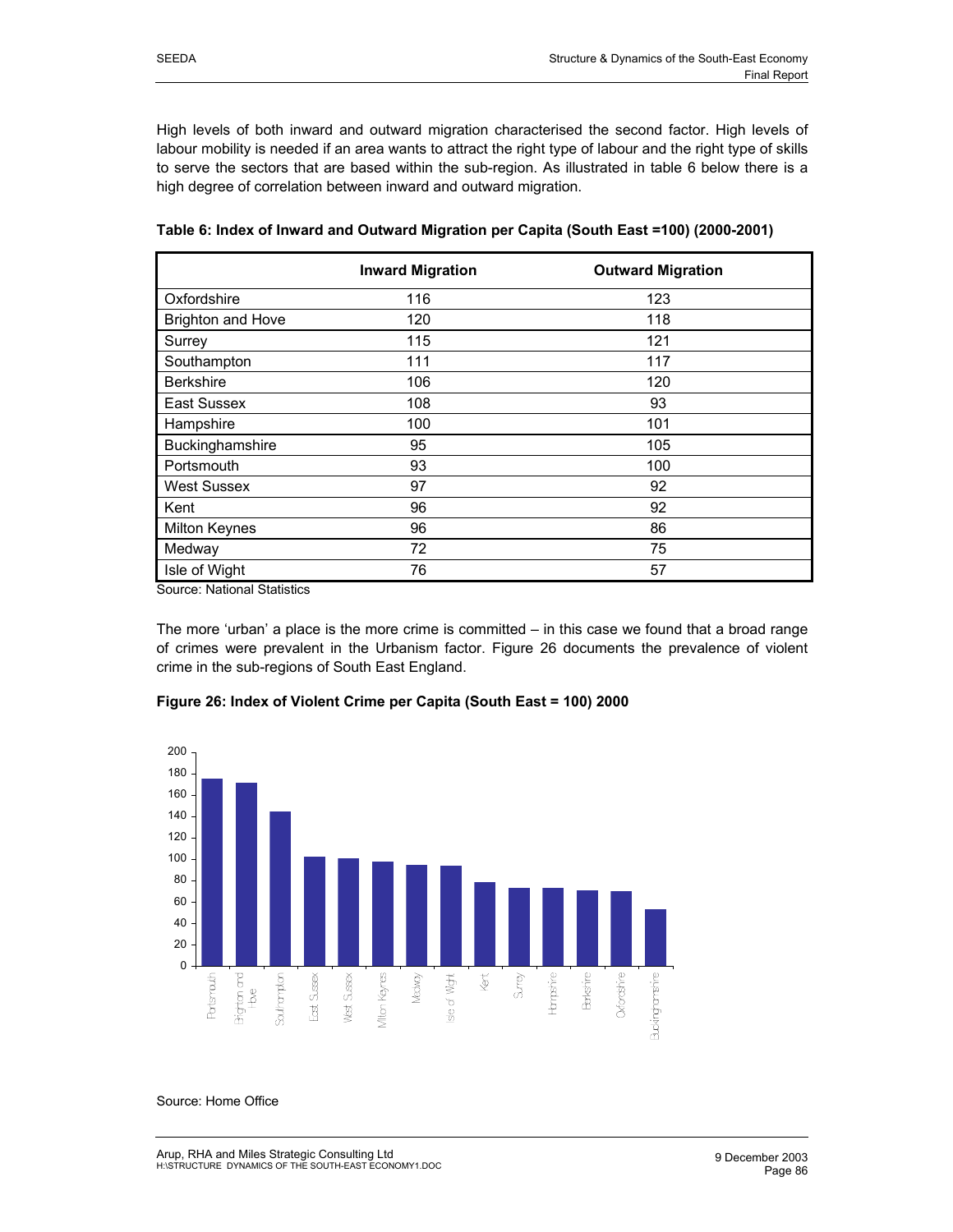High levels of both inward and outward migration characterised the second factor. High levels of labour mobility is needed if an area wants to attract the right type of labour and the right type of skills to serve the sectors that are based within the sub-region. As illustrated in table 6 below there is a high degree of correlation between inward and outward migration.

|                          | <b>Inward Migration</b> | <b>Outward Migration</b> |
|--------------------------|-------------------------|--------------------------|
| Oxfordshire              | 116                     | 123                      |
| <b>Brighton and Hove</b> | 120                     | 118                      |
| Surrey                   | 115                     | 121                      |
| Southampton              | 111                     | 117                      |
| <b>Berkshire</b>         | 106                     | 120                      |
| East Sussex              | 108                     | 93                       |
| Hampshire                | 100                     | 101                      |
| Buckinghamshire          | 95                      | 105                      |
| Portsmouth               | 93                      | 100                      |
| <b>West Sussex</b>       | 97                      | 92                       |
| Kent                     | 96                      | 92                       |
| <b>Milton Keynes</b>     | 96                      | 86                       |
| Medway                   | 72                      | 75                       |
| Isle of Wight            | 76                      | 57                       |

**Table 6: Index of Inward and Outward Migration per Capita (South East =100) (2000-2001)** 

Source: National Statistics

The more 'urban' a place is the more crime is committed – in this case we found that a broad range of crimes were prevalent in the Urbanism factor. Figure 26 documents the prevalence of violent crime in the sub-regions of South East England.

## **Figure 26: Index of Violent Crime per Capita (South East = 100) 2000**



Source: Home Office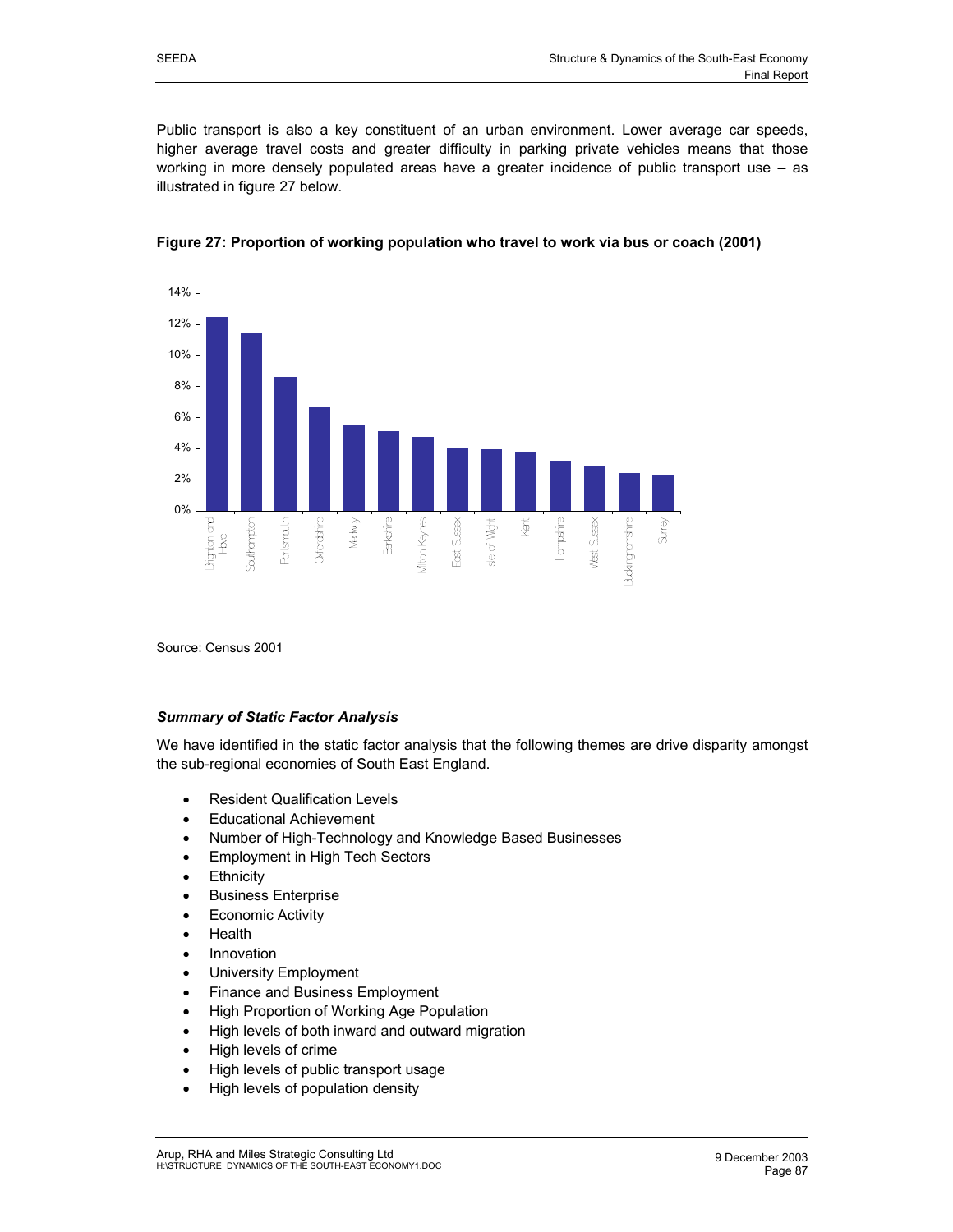Public transport is also a key constituent of an urban environment. Lower average car speeds, higher average travel costs and greater difficulty in parking private vehicles means that those working in more densely populated areas have a greater incidence of public transport use – as illustrated in figure 27 below.





Source: Census 2001

#### *Summary of Static Factor Analysis*

We have identified in the static factor analysis that the following themes are drive disparity amongst the sub-regional economies of South East England.

- Resident Qualification Levels
- Educational Achievement
- Number of High-Technology and Knowledge Based Businesses
- Employment in High Tech Sectors
- Ethnicity
- Business Enterprise
- **Economic Activity**
- Health
- Innovation
- University Employment
- Finance and Business Employment
- High Proportion of Working Age Population
- High levels of both inward and outward migration
- High levels of crime
- High levels of public transport usage
- High levels of population density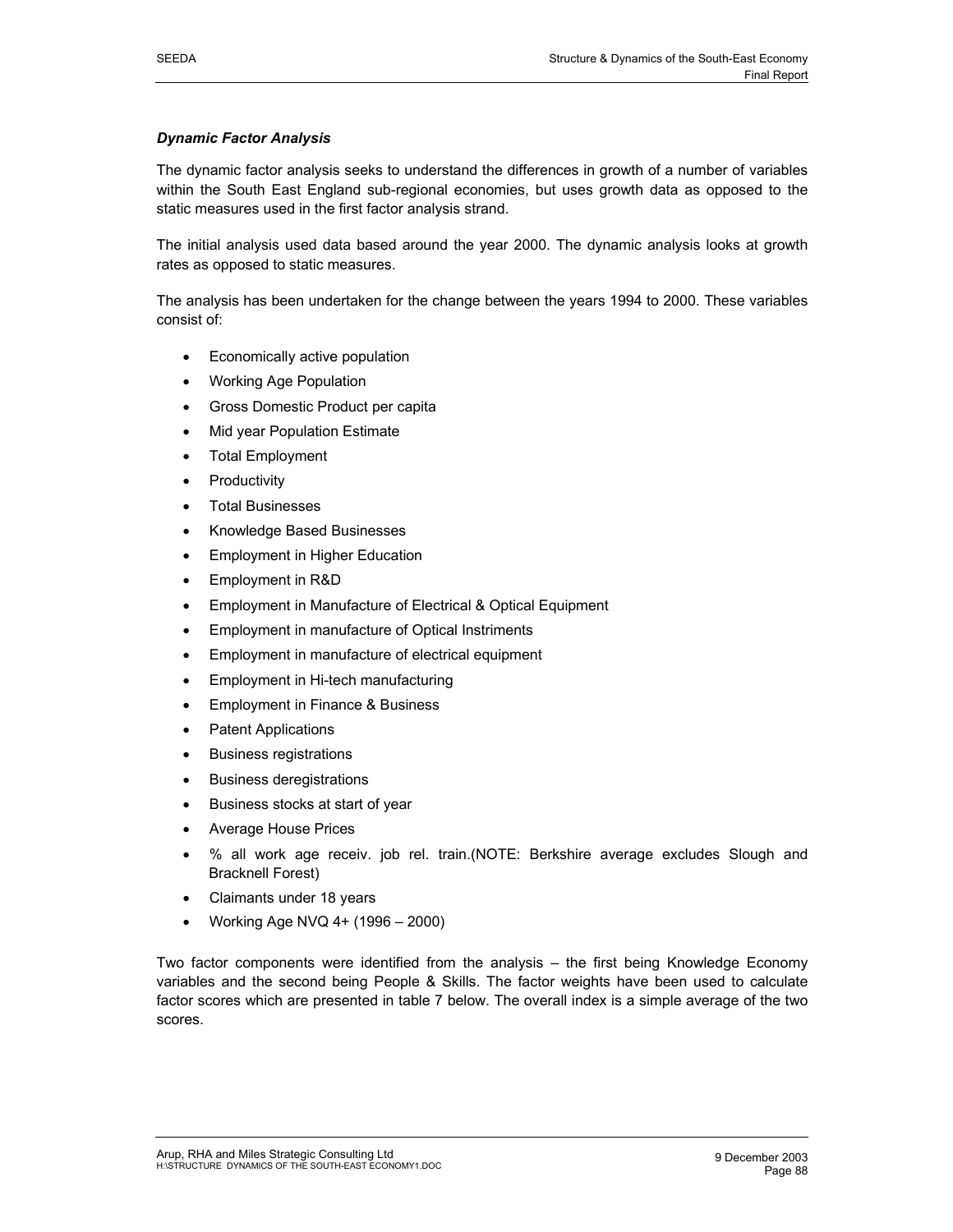## *Dynamic Factor Analysis*

The dynamic factor analysis seeks to understand the differences in growth of a number of variables within the South East England sub-regional economies, but uses growth data as opposed to the static measures used in the first factor analysis strand.

The initial analysis used data based around the year 2000. The dynamic analysis looks at growth rates as opposed to static measures.

The analysis has been undertaken for the change between the years 1994 to 2000. These variables consist of:

- Economically active population
- Working Age Population
- Gross Domestic Product per capita
- **Mid year Population Estimate**
- **Total Employment**
- **Productivity**
- Total Businesses
- Knowledge Based Businesses
- Employment in Higher Education
- Employment in R&D
- Employment in Manufacture of Electrical & Optical Equipment
- Employment in manufacture of Optical Instriments
- Employment in manufacture of electrical equipment
- Employment in Hi-tech manufacturing
- Employment in Finance & Business
- Patent Applications
- Business registrations
- Business deregistrations
- Business stocks at start of year
- Average House Prices
- % all work age receiv. job rel. train.(NOTE: Berkshire average excludes Slough and Bracknell Forest)
- Claimants under 18 years
- Working Age NVQ 4+ (1996 2000)

Two factor components were identified from the analysis – the first being Knowledge Economy variables and the second being People & Skills. The factor weights have been used to calculate factor scores which are presented in table 7 below. The overall index is a simple average of the two scores.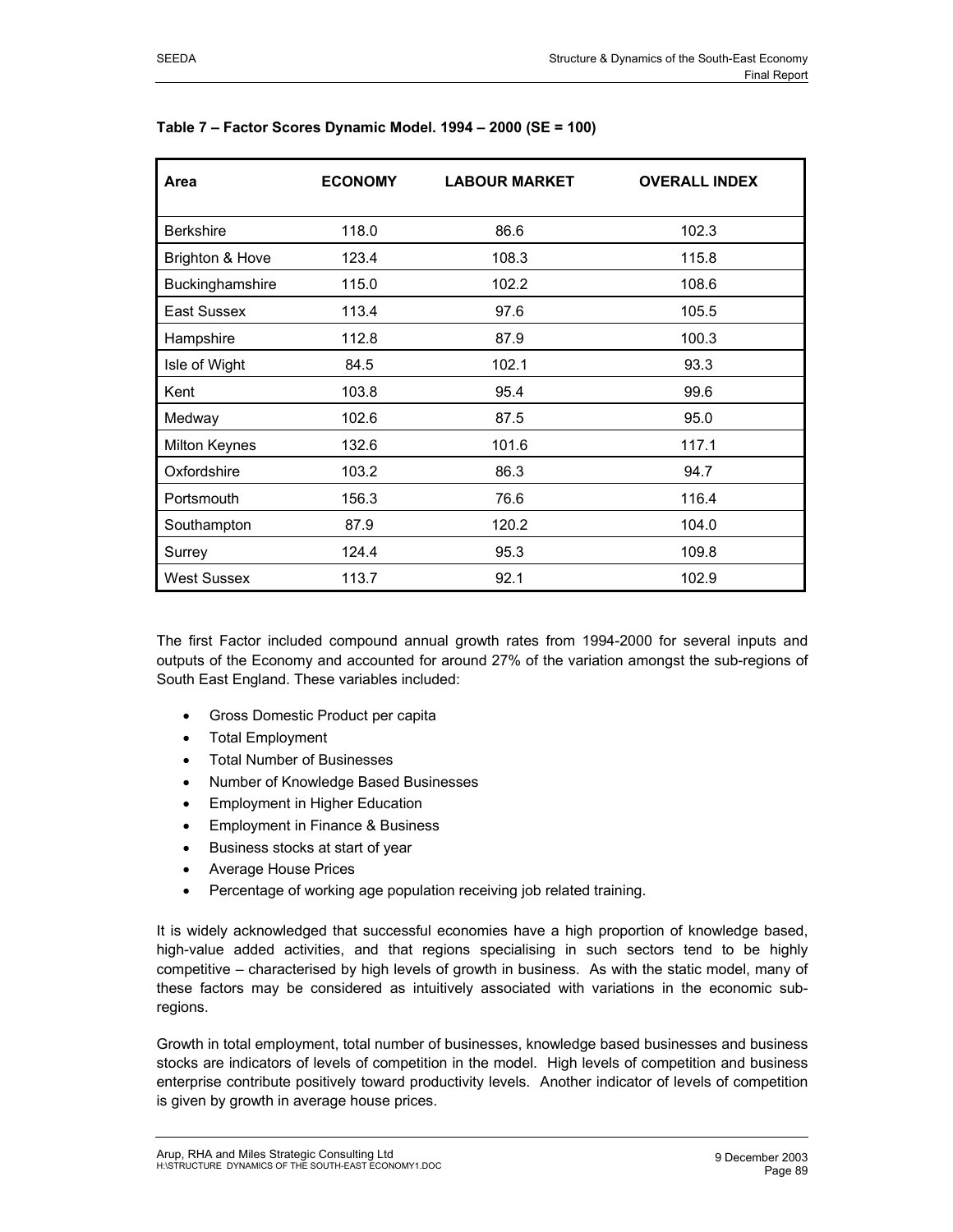| Area                 | <b>ECONOMY</b> | <b>LABOUR MARKET</b> | <b>OVERALL INDEX</b> |
|----------------------|----------------|----------------------|----------------------|
| <b>Berkshire</b>     | 118.0          | 86.6                 | 102.3                |
| Brighton & Hove      | 123.4          | 108.3                | 115.8                |
| Buckinghamshire      | 115.0          | 102.2                | 108.6                |
| East Sussex          | 113.4          | 97.6                 | 105.5                |
| Hampshire            | 112.8          | 87.9                 | 100.3                |
| Isle of Wight        | 84.5           | 102.1                | 93.3                 |
| Kent                 | 103.8          | 95.4                 | 99.6                 |
| Medway               | 102.6          | 87.5                 | 95.0                 |
| <b>Milton Keynes</b> | 132.6          | 101.6                | 117.1                |
| Oxfordshire          | 103.2          | 86.3                 | 94.7                 |
| Portsmouth           | 156.3          | 76.6                 | 116.4                |
| Southampton          | 87.9           | 120.2                | 104.0                |
| Surrey               | 124.4          | 95.3                 | 109.8                |
| <b>West Sussex</b>   | 113.7          | 92.1                 | 102.9                |

#### **Table 7 – Factor Scores Dynamic Model. 1994 – 2000 (SE = 100)**

The first Factor included compound annual growth rates from 1994-2000 for several inputs and outputs of the Economy and accounted for around 27% of the variation amongst the sub-regions of South East England. These variables included:

- Gross Domestic Product per capita
- Total Employment
- Total Number of Businesses
- Number of Knowledge Based Businesses
- Employment in Higher Education
- Employment in Finance & Business
- Business stocks at start of year
- Average House Prices
- Percentage of working age population receiving job related training.

It is widely acknowledged that successful economies have a high proportion of knowledge based, high-value added activities, and that regions specialising in such sectors tend to be highly competitive – characterised by high levels of growth in business. As with the static model, many of these factors may be considered as intuitively associated with variations in the economic subregions.

Growth in total employment, total number of businesses, knowledge based businesses and business stocks are indicators of levels of competition in the model. High levels of competition and business enterprise contribute positively toward productivity levels. Another indicator of levels of competition is given by growth in average house prices.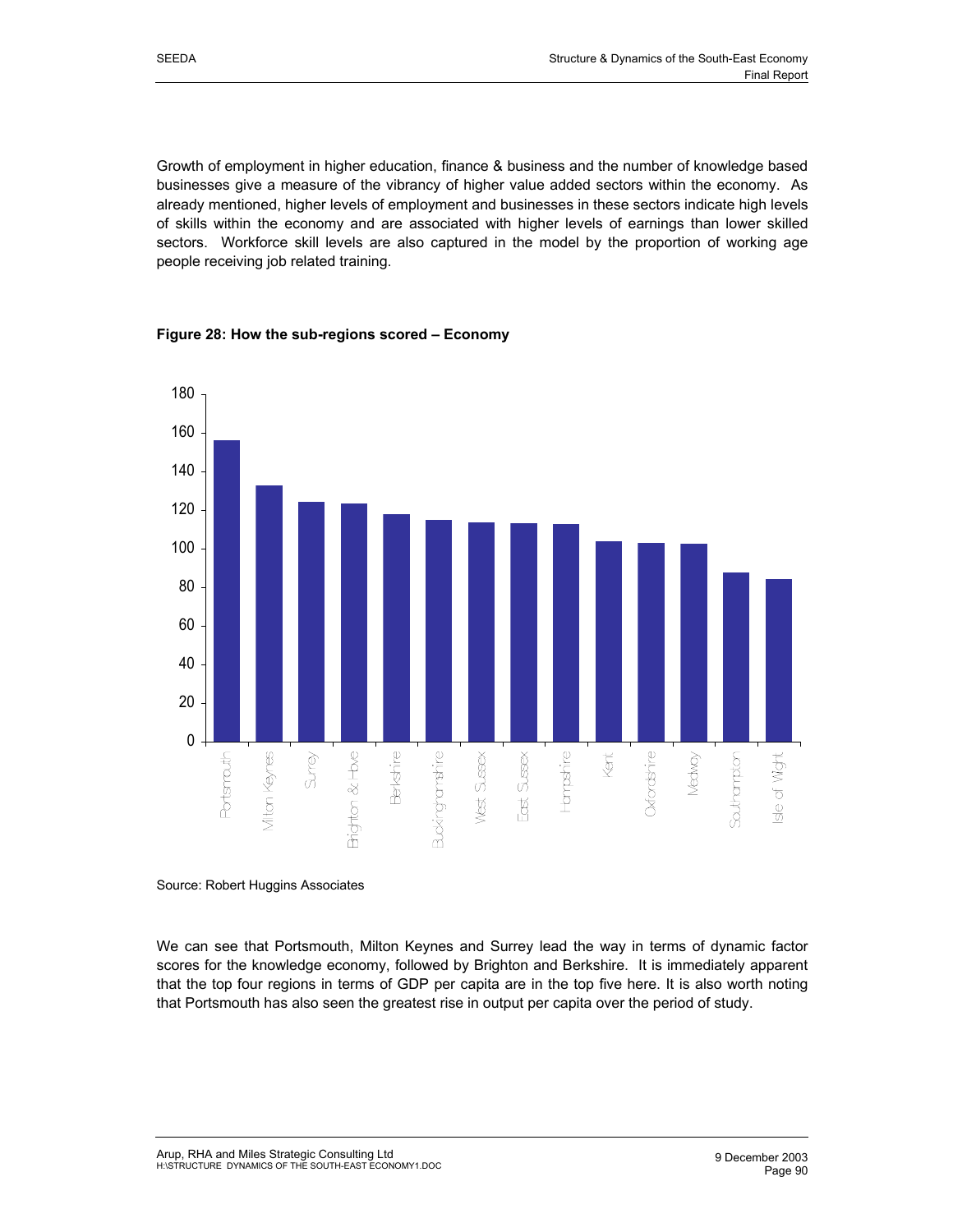Growth of employment in higher education, finance & business and the number of knowledge based businesses give a measure of the vibrancy of higher value added sectors within the economy. As already mentioned, higher levels of employment and businesses in these sectors indicate high levels of skills within the economy and are associated with higher levels of earnings than lower skilled sectors. Workforce skill levels are also captured in the model by the proportion of working age people receiving job related training.



# **Figure 28: How the sub-regions scored – Economy**

Source: Robert Huggins Associates

We can see that Portsmouth, Milton Keynes and Surrey lead the way in terms of dynamic factor scores for the knowledge economy, followed by Brighton and Berkshire. It is immediately apparent that the top four regions in terms of GDP per capita are in the top five here. It is also worth noting that Portsmouth has also seen the greatest rise in output per capita over the period of study.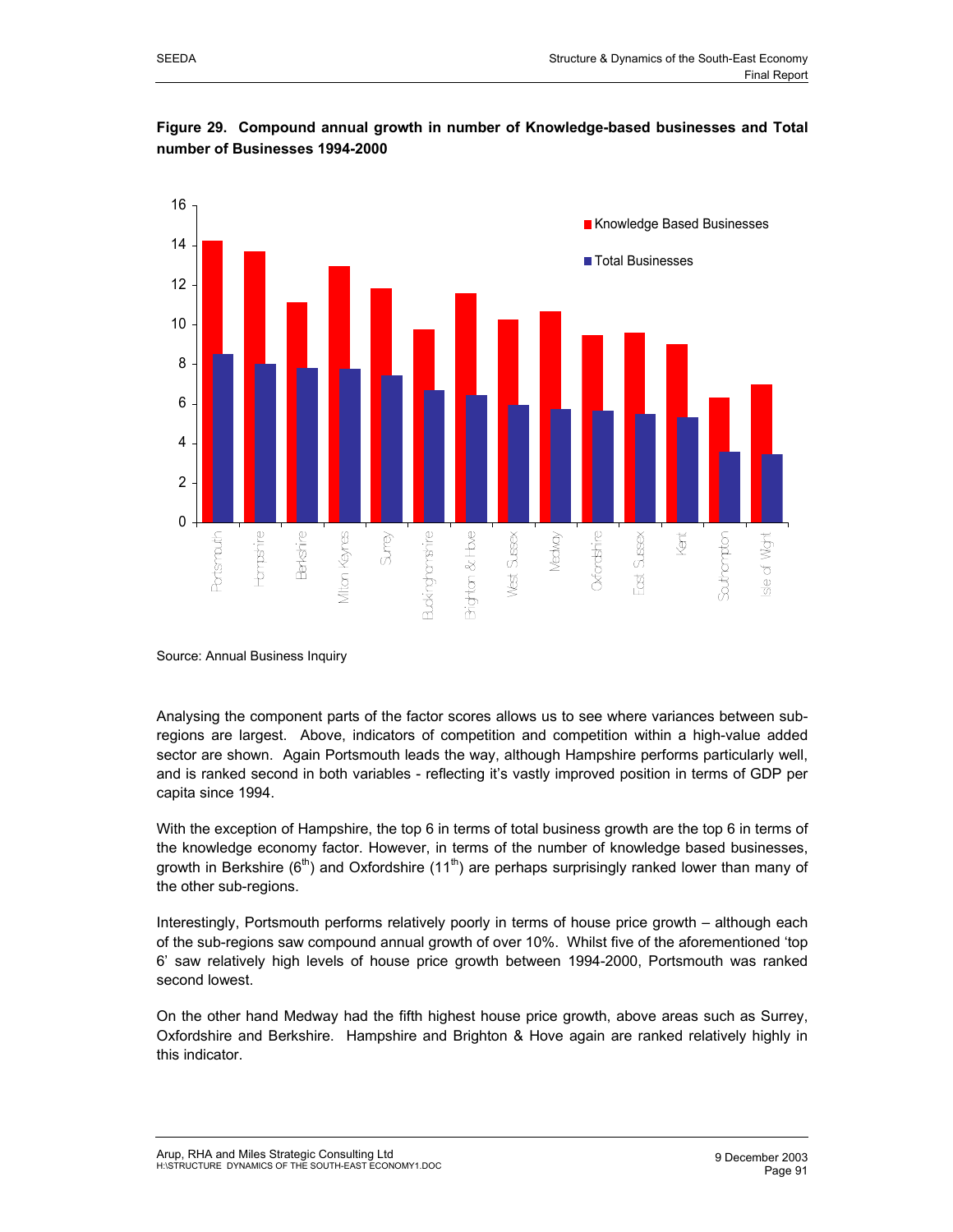





Source: Annual Business Inquiry

Analysing the component parts of the factor scores allows us to see where variances between subregions are largest. Above, indicators of competition and competition within a high-value added sector are shown. Again Portsmouth leads the way, although Hampshire performs particularly well, and is ranked second in both variables - reflecting it's vastly improved position in terms of GDP per capita since 1994.

With the exception of Hampshire, the top 6 in terms of total business growth are the top 6 in terms of the knowledge economy factor. However, in terms of the number of knowledge based businesses, growth in Berkshire ( $6<sup>th</sup>$ ) and Oxfordshire (11<sup>th</sup>) are perhaps surprisingly ranked lower than many of the other sub-regions.

Interestingly, Portsmouth performs relatively poorly in terms of house price growth – although each of the sub-regions saw compound annual growth of over 10%. Whilst five of the aforementioned 'top 6' saw relatively high levels of house price growth between 1994-2000, Portsmouth was ranked second lowest.

On the other hand Medway had the fifth highest house price growth, above areas such as Surrey, Oxfordshire and Berkshire. Hampshire and Brighton & Hove again are ranked relatively highly in this indicator.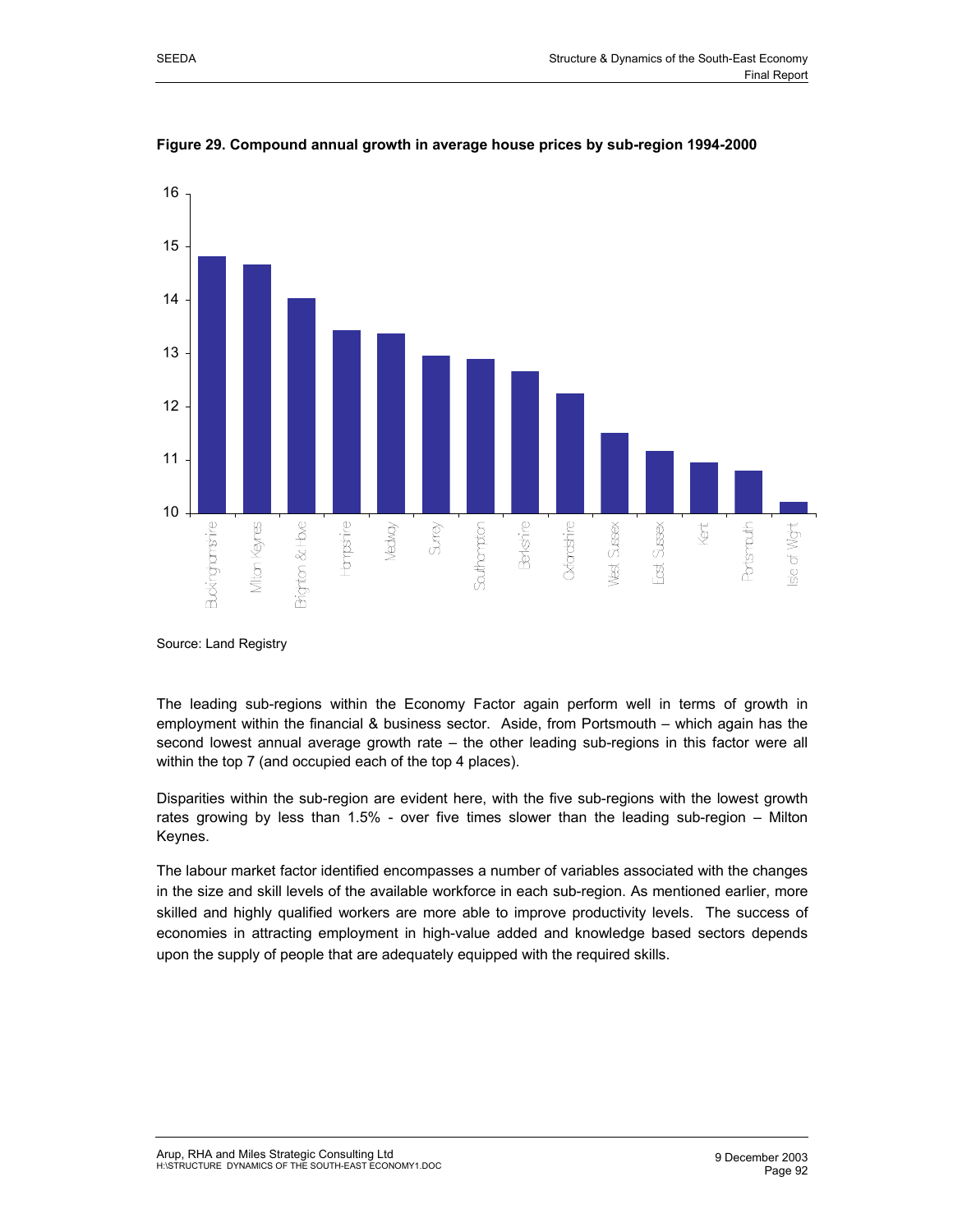

**Figure 29. Compound annual growth in average house prices by sub-region 1994-2000** 

Source: Land Registry

The leading sub-regions within the Economy Factor again perform well in terms of growth in employment within the financial & business sector. Aside, from Portsmouth – which again has the second lowest annual average growth rate – the other leading sub-regions in this factor were all within the top 7 (and occupied each of the top 4 places).

Disparities within the sub-region are evident here, with the five sub-regions with the lowest growth rates growing by less than 1.5% - over five times slower than the leading sub-region – Milton Keynes.

The labour market factor identified encompasses a number of variables associated with the changes in the size and skill levels of the available workforce in each sub-region. As mentioned earlier, more skilled and highly qualified workers are more able to improve productivity levels. The success of economies in attracting employment in high-value added and knowledge based sectors depends upon the supply of people that are adequately equipped with the required skills.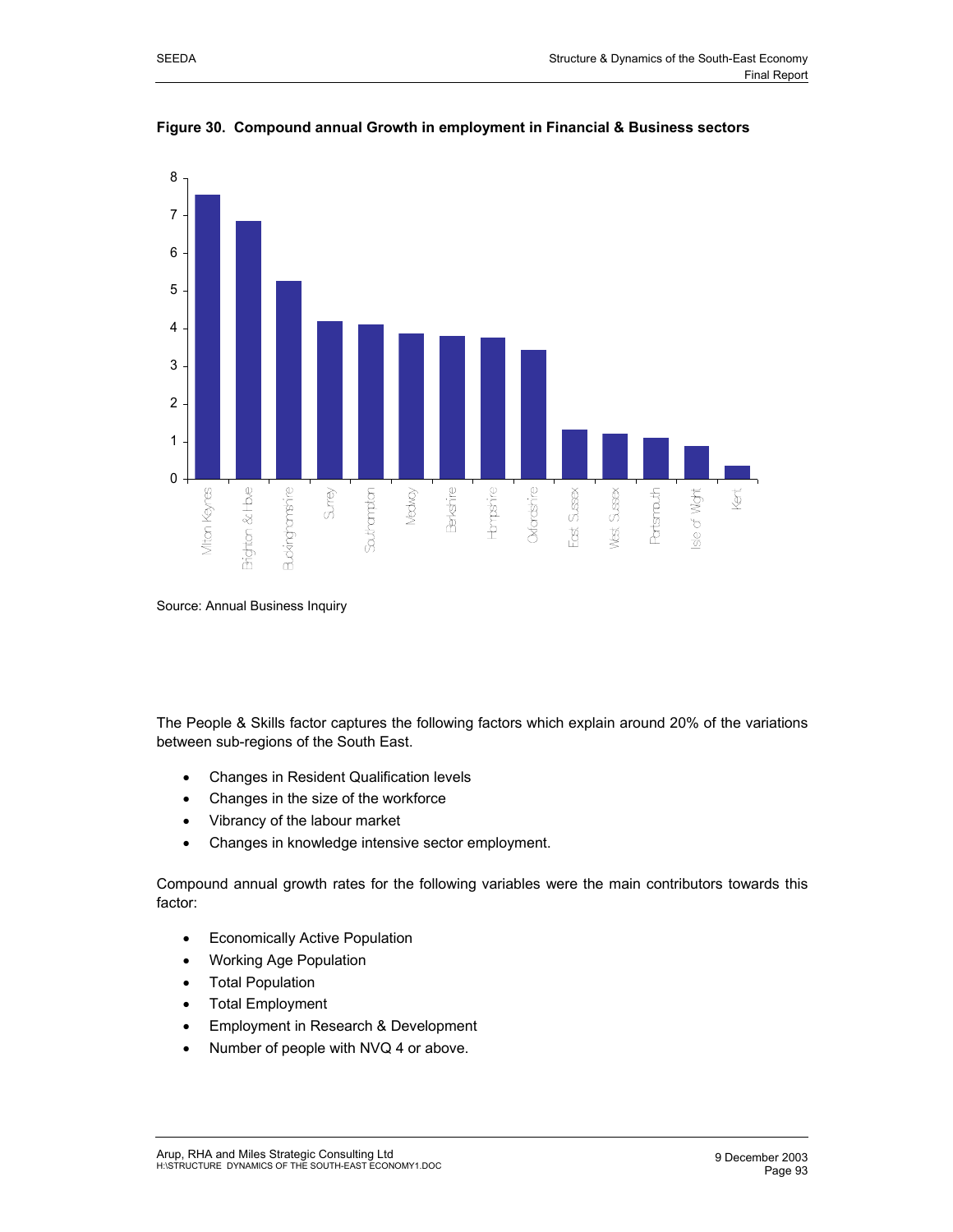

**Figure 30. Compound annual Growth in employment in Financial & Business sectors** 

Source: Annual Business Inquiry

The People & Skills factor captures the following factors which explain around 20% of the variations between sub-regions of the South East.

- Changes in Resident Qualification levels
- Changes in the size of the workforce
- Vibrancy of the labour market
- Changes in knowledge intensive sector employment.

Compound annual growth rates for the following variables were the main contributors towards this factor:

- Economically Active Population
- Working Age Population
- **Total Population**
- Total Employment
- Employment in Research & Development
- Number of people with NVQ 4 or above.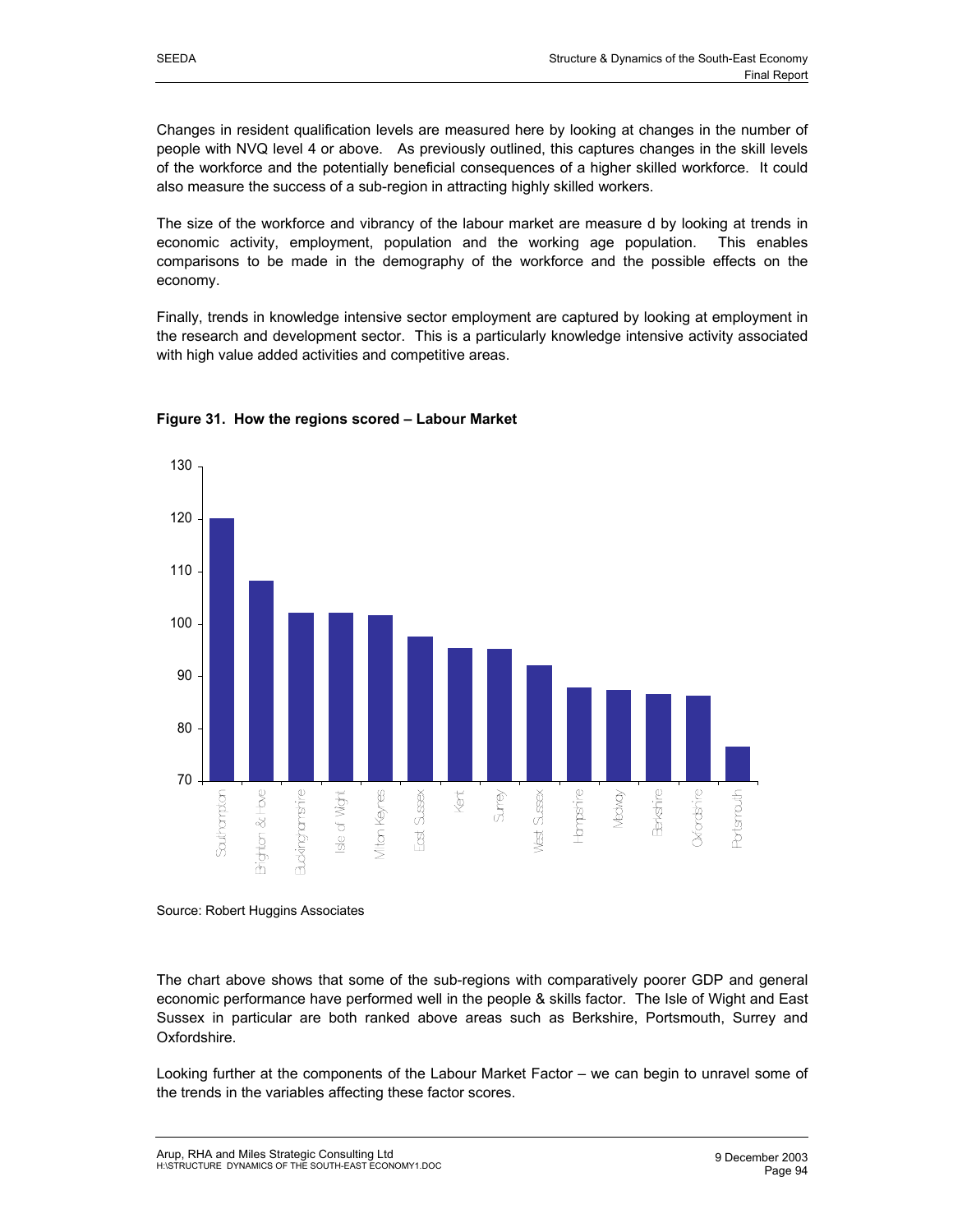Changes in resident qualification levels are measured here by looking at changes in the number of people with NVQ level 4 or above. As previously outlined, this captures changes in the skill levels of the workforce and the potentially beneficial consequences of a higher skilled workforce. It could also measure the success of a sub-region in attracting highly skilled workers.

The size of the workforce and vibrancy of the labour market are measure d by looking at trends in economic activity, employment, population and the working age population. This enables comparisons to be made in the demography of the workforce and the possible effects on the economy.

Finally, trends in knowledge intensive sector employment are captured by looking at employment in the research and development sector. This is a particularly knowledge intensive activity associated with high value added activities and competitive areas.



# **Figure 31. How the regions scored – Labour Market**

Source: Robert Huggins Associates

The chart above shows that some of the sub-regions with comparatively poorer GDP and general economic performance have performed well in the people & skills factor. The Isle of Wight and East Sussex in particular are both ranked above areas such as Berkshire, Portsmouth, Surrey and Oxfordshire.

Looking further at the components of the Labour Market Factor – we can begin to unravel some of the trends in the variables affecting these factor scores.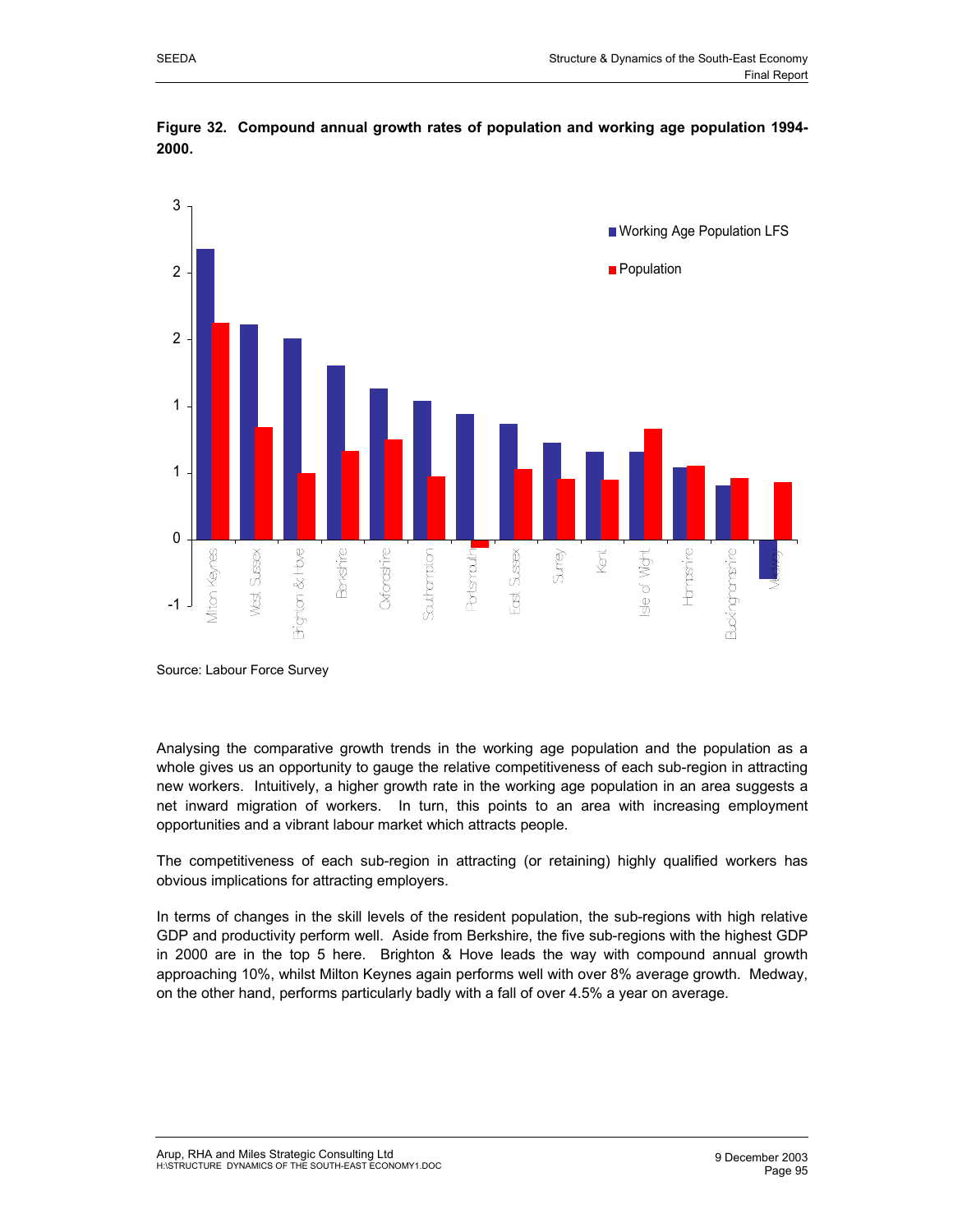

**Figure 32. Compound annual growth rates of population and working age population 1994- 2000.** 

Source: Labour Force Survey

Analysing the comparative growth trends in the working age population and the population as a whole gives us an opportunity to gauge the relative competitiveness of each sub-region in attracting new workers. Intuitively, a higher growth rate in the working age population in an area suggests a net inward migration of workers. In turn, this points to an area with increasing employment opportunities and a vibrant labour market which attracts people.

The competitiveness of each sub-region in attracting (or retaining) highly qualified workers has obvious implications for attracting employers.

In terms of changes in the skill levels of the resident population, the sub-regions with high relative GDP and productivity perform well. Aside from Berkshire, the five sub-regions with the highest GDP in 2000 are in the top 5 here. Brighton & Hove leads the way with compound annual growth approaching 10%, whilst Milton Keynes again performs well with over 8% average growth. Medway, on the other hand, performs particularly badly with a fall of over 4.5% a year on average.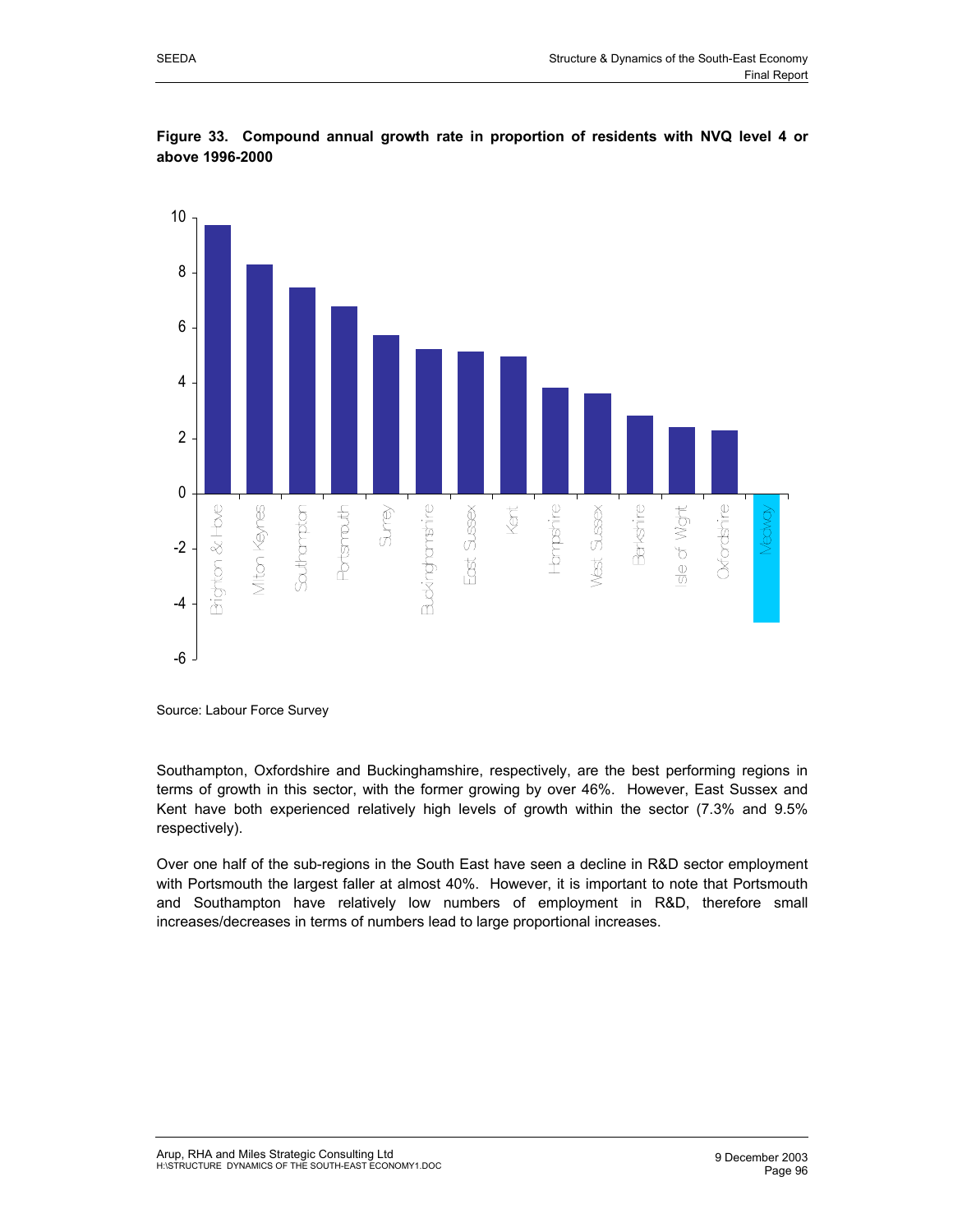



**Figure 33. Compound annual growth rate in proportion of residents with NVQ level 4 or above 1996-2000** 

Source: Labour Force Survey

Southampton, Oxfordshire and Buckinghamshire, respectively, are the best performing regions in terms of growth in this sector, with the former growing by over 46%. However, East Sussex and Kent have both experienced relatively high levels of growth within the sector (7.3% and 9.5% respectively).

Over one half of the sub-regions in the South East have seen a decline in R&D sector employment with Portsmouth the largest faller at almost 40%. However, it is important to note that Portsmouth and Southampton have relatively low numbers of employment in R&D, therefore small increases/decreases in terms of numbers lead to large proportional increases.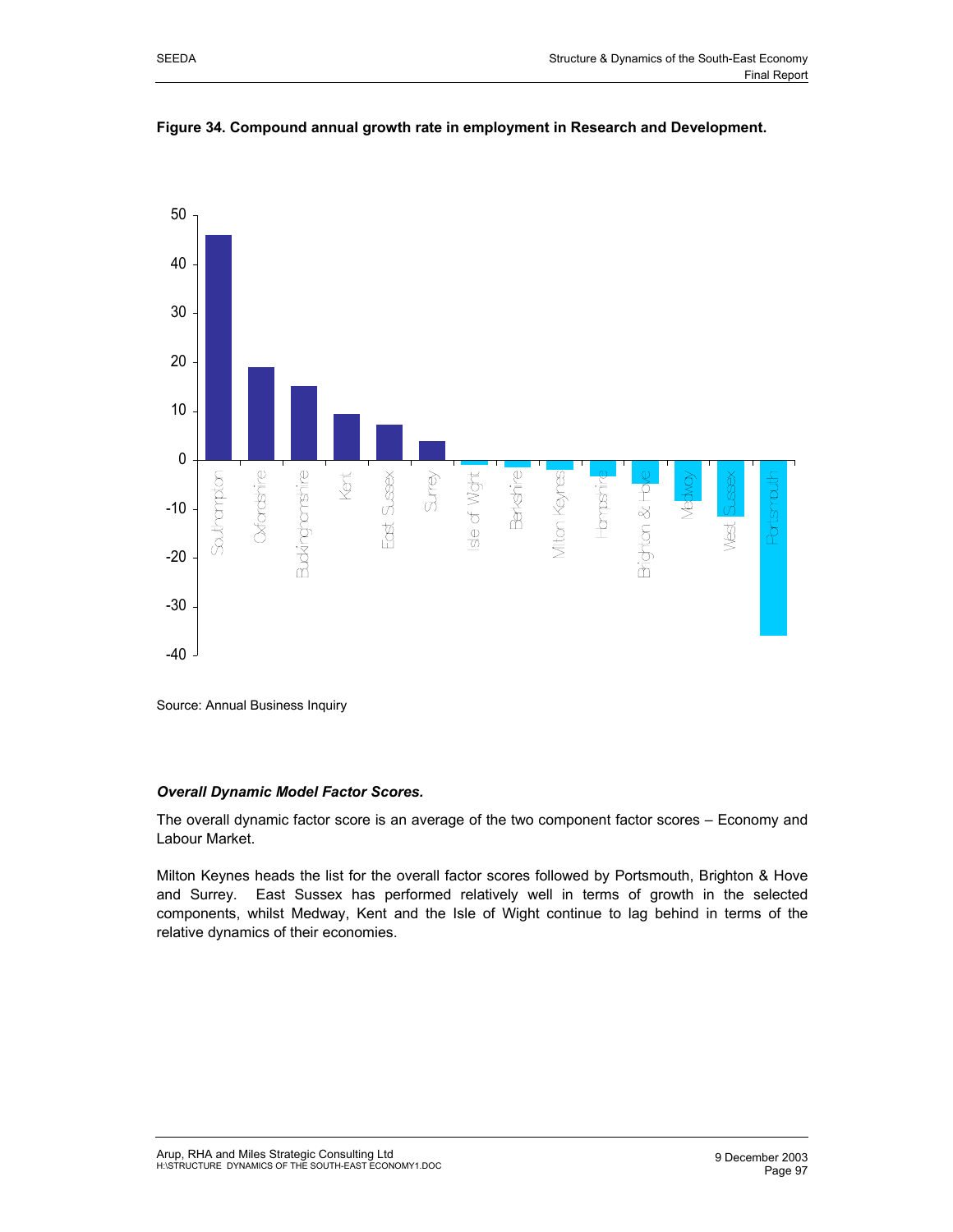

**Figure 34. Compound annual growth rate in employment in Research and Development.** 

Source: Annual Business Inquiry

#### *Overall Dynamic Model Factor Scores.*

The overall dynamic factor score is an average of the two component factor scores – Economy and Labour Market.

Milton Keynes heads the list for the overall factor scores followed by Portsmouth, Brighton & Hove and Surrey. East Sussex has performed relatively well in terms of growth in the selected components, whilst Medway, Kent and the Isle of Wight continue to lag behind in terms of the relative dynamics of their economies.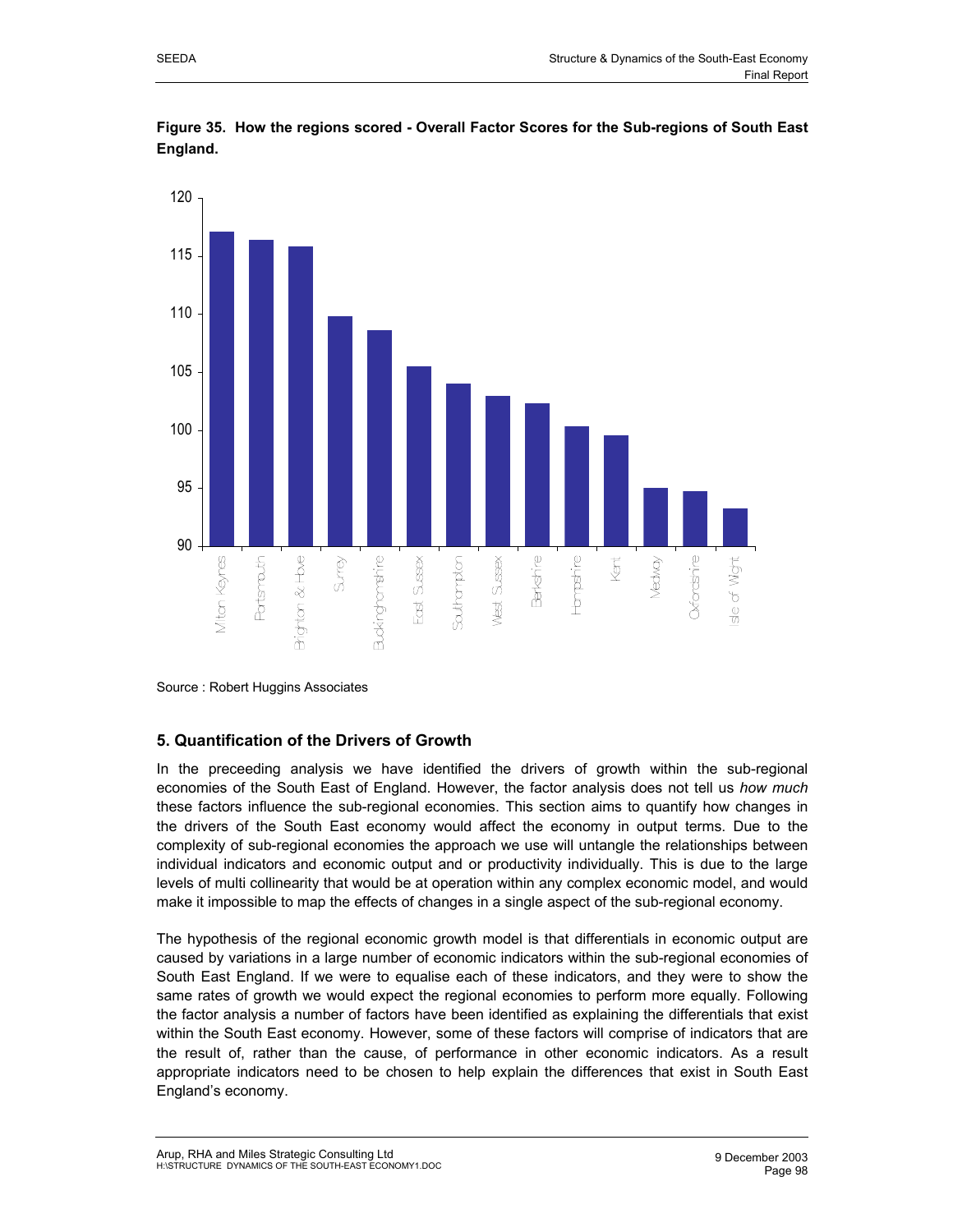

**Figure 35. How the regions scored - Overall Factor Scores for the Sub-regions of South East England.** 

# **5. Quantification of the Drivers of Growth**

In the preceeding analysis we have identified the drivers of growth within the sub-regional economies of the South East of England. However, the factor analysis does not tell us *how much* these factors influence the sub-regional economies. This section aims to quantify how changes in the drivers of the South East economy would affect the economy in output terms. Due to the complexity of sub-regional economies the approach we use will untangle the relationships between individual indicators and economic output and or productivity individually. This is due to the large levels of multi collinearity that would be at operation within any complex economic model, and would make it impossible to map the effects of changes in a single aspect of the sub-regional economy.

The hypothesis of the regional economic growth model is that differentials in economic output are caused by variations in a large number of economic indicators within the sub-regional economies of South East England. If we were to equalise each of these indicators, and they were to show the same rates of growth we would expect the regional economies to perform more equally. Following the factor analysis a number of factors have been identified as explaining the differentials that exist within the South East economy. However, some of these factors will comprise of indicators that are the result of, rather than the cause, of performance in other economic indicators. As a result appropriate indicators need to be chosen to help explain the differences that exist in South East England's economy.

Source : Robert Huggins Associates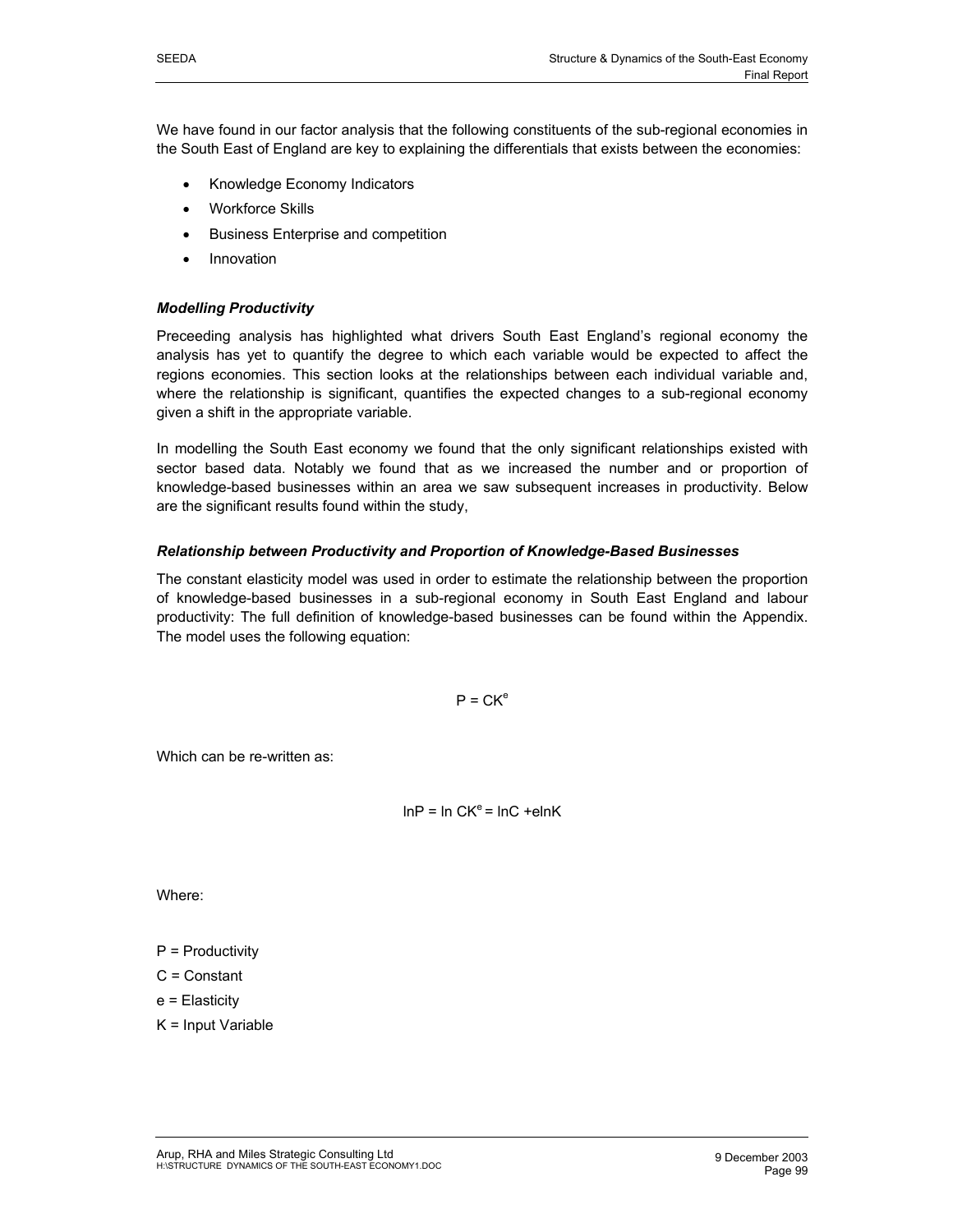We have found in our factor analysis that the following constituents of the sub-regional economies in the South East of England are key to explaining the differentials that exists between the economies:

- Knowledge Economy Indicators
- **Workforce Skills**
- Business Enterprise and competition
- **Innovation**

#### *Modelling Productivity*

Preceeding analysis has highlighted what drivers South East England's regional economy the analysis has yet to quantify the degree to which each variable would be expected to affect the regions economies. This section looks at the relationships between each individual variable and, where the relationship is significant, quantifies the expected changes to a sub-regional economy given a shift in the appropriate variable.

In modelling the South East economy we found that the only significant relationships existed with sector based data. Notably we found that as we increased the number and or proportion of knowledge-based businesses within an area we saw subsequent increases in productivity. Below are the significant results found within the study,

#### *Relationship between Productivity and Proportion of Knowledge-Based Businesses*

The constant elasticity model was used in order to estimate the relationship between the proportion of knowledge-based businesses in a sub-regional economy in South East England and labour productivity: The full definition of knowledge-based businesses can be found within the Appendix. The model uses the following equation:

 $P = CK<sup>e</sup>$ 

Which can be re-written as:

 $lnP = ln CK<sup>e</sup> = lnC + elnK$ 

Where:

- $P =$  Productivity
- C = Constant
- e = Elasticity
- K = Input Variable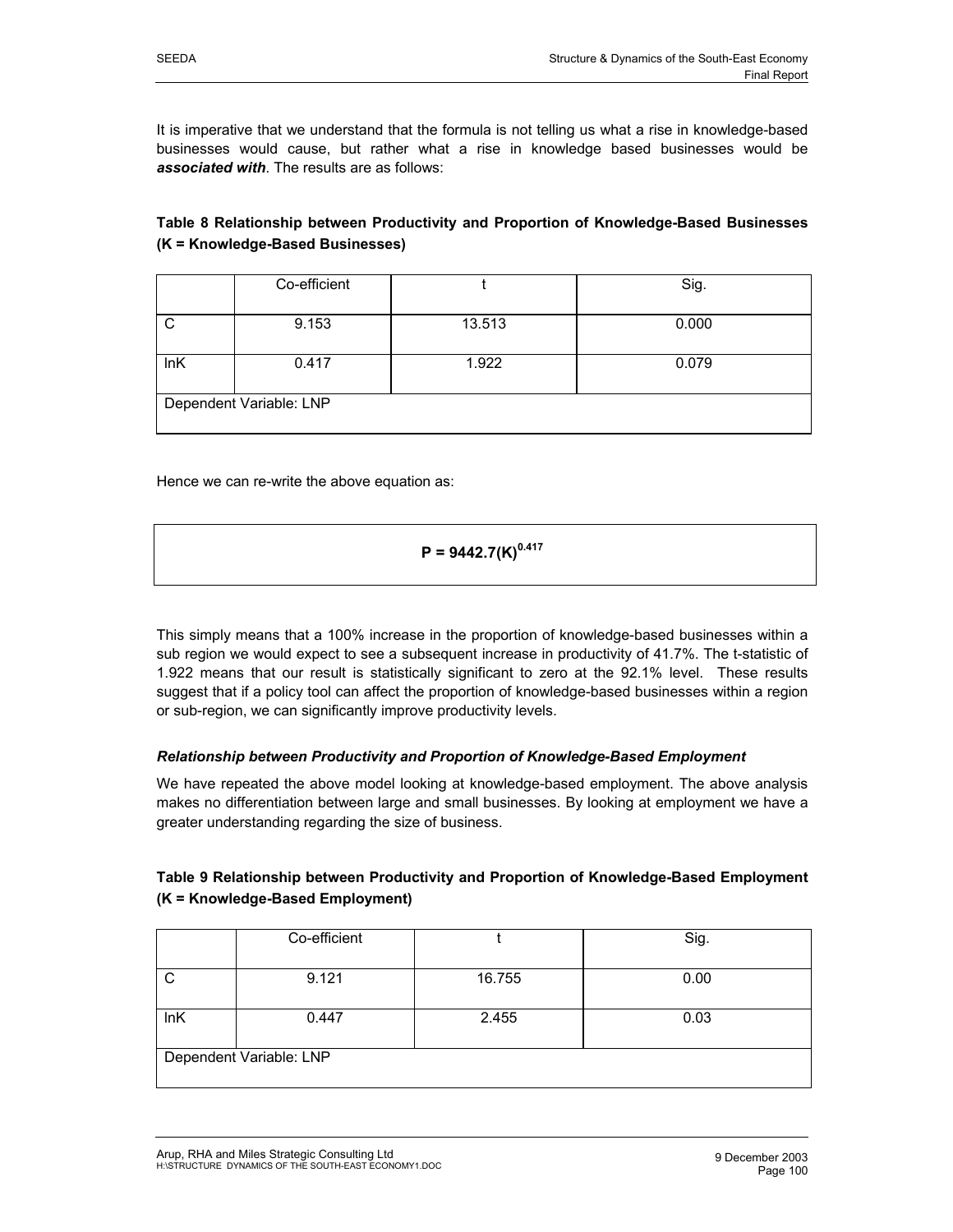It is imperative that we understand that the formula is not telling us what a rise in knowledge-based businesses would cause, but rather what a rise in knowledge based businesses would be *associated with*. The results are as follows:

**Table 8 Relationship between Productivity and Proportion of Knowledge-Based Businesses (K = Knowledge-Based Businesses)** 

|     | Co-efficient            |        | Sig.  |
|-----|-------------------------|--------|-------|
| C   | 9.153                   | 13.513 | 0.000 |
| lnK | 0.417                   | 1.922  | 0.079 |
|     | Dependent Variable: LNP |        |       |

Hence we can re-write the above equation as:

# **P = 9442.7(K)0.417**

This simply means that a 100% increase in the proportion of knowledge-based businesses within a sub region we would expect to see a subsequent increase in productivity of 41.7%. The t-statistic of 1.922 means that our result is statistically significant to zero at the 92.1% level. These results suggest that if a policy tool can affect the proportion of knowledge-based businesses within a region or sub-region, we can significantly improve productivity levels.

# *Relationship between Productivity and Proportion of Knowledge-Based Employment*

We have repeated the above model looking at knowledge-based employment. The above analysis makes no differentiation between large and small businesses. By looking at employment we have a greater understanding regarding the size of business.

| Table 9 Relationship between Productivity and Proportion of Knowledge-Based Employment |
|----------------------------------------------------------------------------------------|
| (K = Knowledge-Based Employment)                                                       |

|     | Co-efficient            |        | Sig. |
|-----|-------------------------|--------|------|
|     | 9.121                   | 16.755 | 0.00 |
| lnK | 0.447                   | 2.455  | 0.03 |
|     | Dependent Variable: LNP |        |      |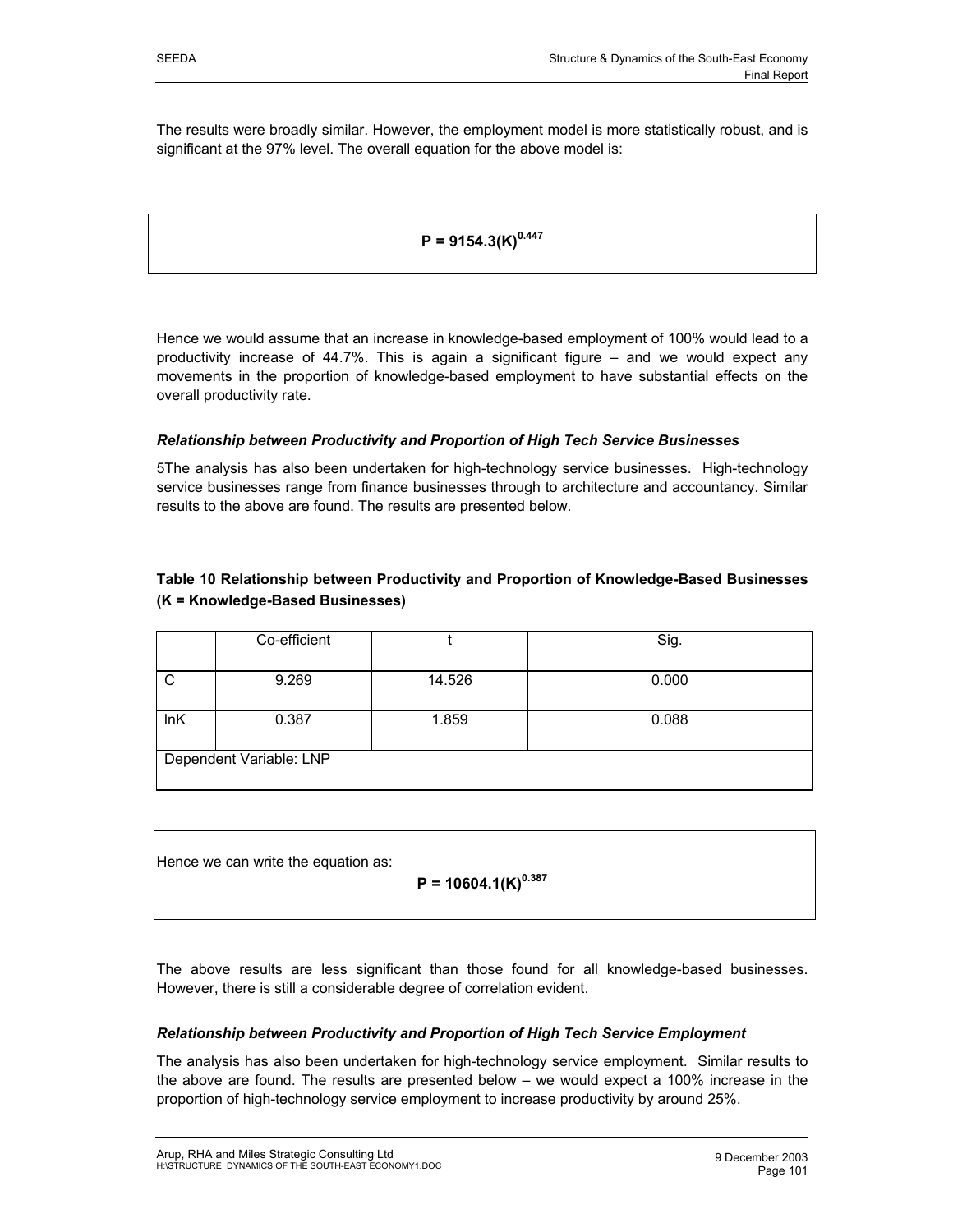The results were broadly similar. However, the employment model is more statistically robust, and is significant at the 97% level. The overall equation for the above model is:

# $P = 9154.3(K)^{0.447}$

Hence we would assume that an increase in knowledge-based employment of 100% would lead to a productivity increase of 44.7%. This is again a significant figure – and we would expect any movements in the proportion of knowledge-based employment to have substantial effects on the overall productivity rate.

#### *Relationship between Productivity and Proportion of High Tech Service Businesses*

5The analysis has also been undertaken for high-technology service businesses. High-technology service businesses range from finance businesses through to architecture and accountancy. Similar results to the above are found. The results are presented below.

# **Table 10 Relationship between Productivity and Proportion of Knowledge-Based Businesses (K = Knowledge-Based Businesses)**

|     | Co-efficient            |        | Sig.  |
|-----|-------------------------|--------|-------|
| C   | 9.269                   | 14.526 | 0.000 |
| InK | 0.387                   | 1.859  | 0.088 |
|     | Dependent Variable: LNP |        |       |

Hence we can write the equation as:

$$
P = 10604.1(K)^{0.387}
$$

The above results are less significant than those found for all knowledge-based businesses. However, there is still a considerable degree of correlation evident.

#### *Relationship between Productivity and Proportion of High Tech Service Employment*

The analysis has also been undertaken for high-technology service employment. Similar results to the above are found. The results are presented below – we would expect a 100% increase in the proportion of high-technology service employment to increase productivity by around 25%.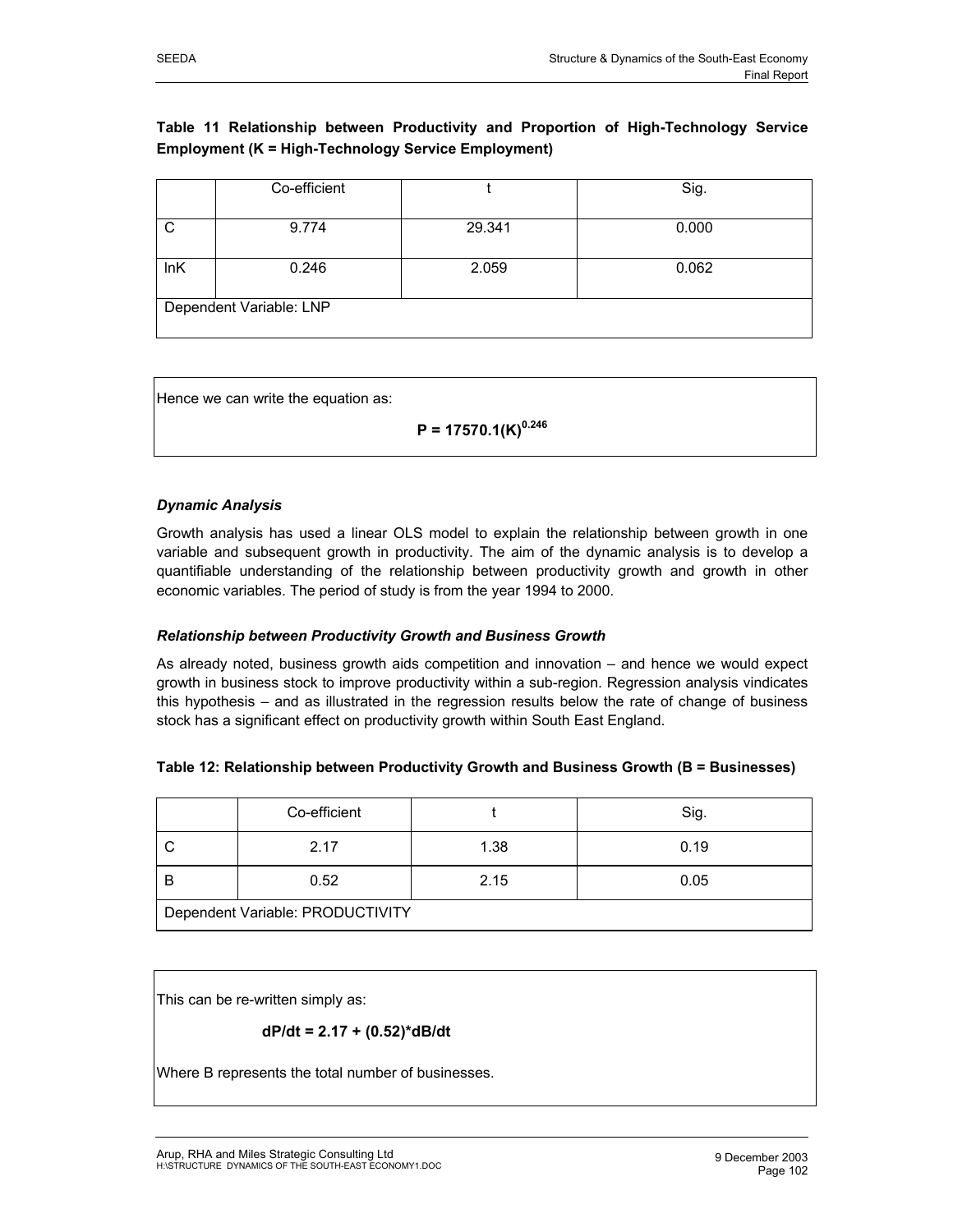# **Table 11 Relationship between Productivity and Proportion of High-Technology Service Employment (K = High-Technology Service Employment)**

|     | Co-efficient            |        | Sig.  |
|-----|-------------------------|--------|-------|
| C   | 9.774                   | 29.341 | 0.000 |
| lnK | 0.246                   | 2.059  | 0.062 |
|     | Dependent Variable: LNP |        |       |

Hence we can write the equation as:

$$
P = 17570.1(K)^{0.246}
$$

# *Dynamic Analysis*

Growth analysis has used a linear OLS model to explain the relationship between growth in one variable and subsequent growth in productivity. The aim of the dynamic analysis is to develop a quantifiable understanding of the relationship between productivity growth and growth in other economic variables. The period of study is from the year 1994 to 2000.

#### *Relationship between Productivity Growth and Business Growth*

As already noted, business growth aids competition and innovation – and hence we would expect growth in business stock to improve productivity within a sub-region. Regression analysis vindicates this hypothesis – and as illustrated in the regression results below the rate of change of business stock has a significant effect on productivity growth within South East England.

#### **Table 12: Relationship between Productivity Growth and Business Growth (B = Businesses)**

|                                  | Co-efficient |      | Sig. |  |  |
|----------------------------------|--------------|------|------|--|--|
|                                  | 2.17         | 1.38 | 0.19 |  |  |
|                                  | 0.52         | 2.15 | 0.05 |  |  |
| Dependent Variable: PRODUCTIVITY |              |      |      |  |  |

This can be re-written simply as:

$$
dP/dt = 2.17 + (0.52)^*dB/dt
$$

Where B represents the total number of businesses.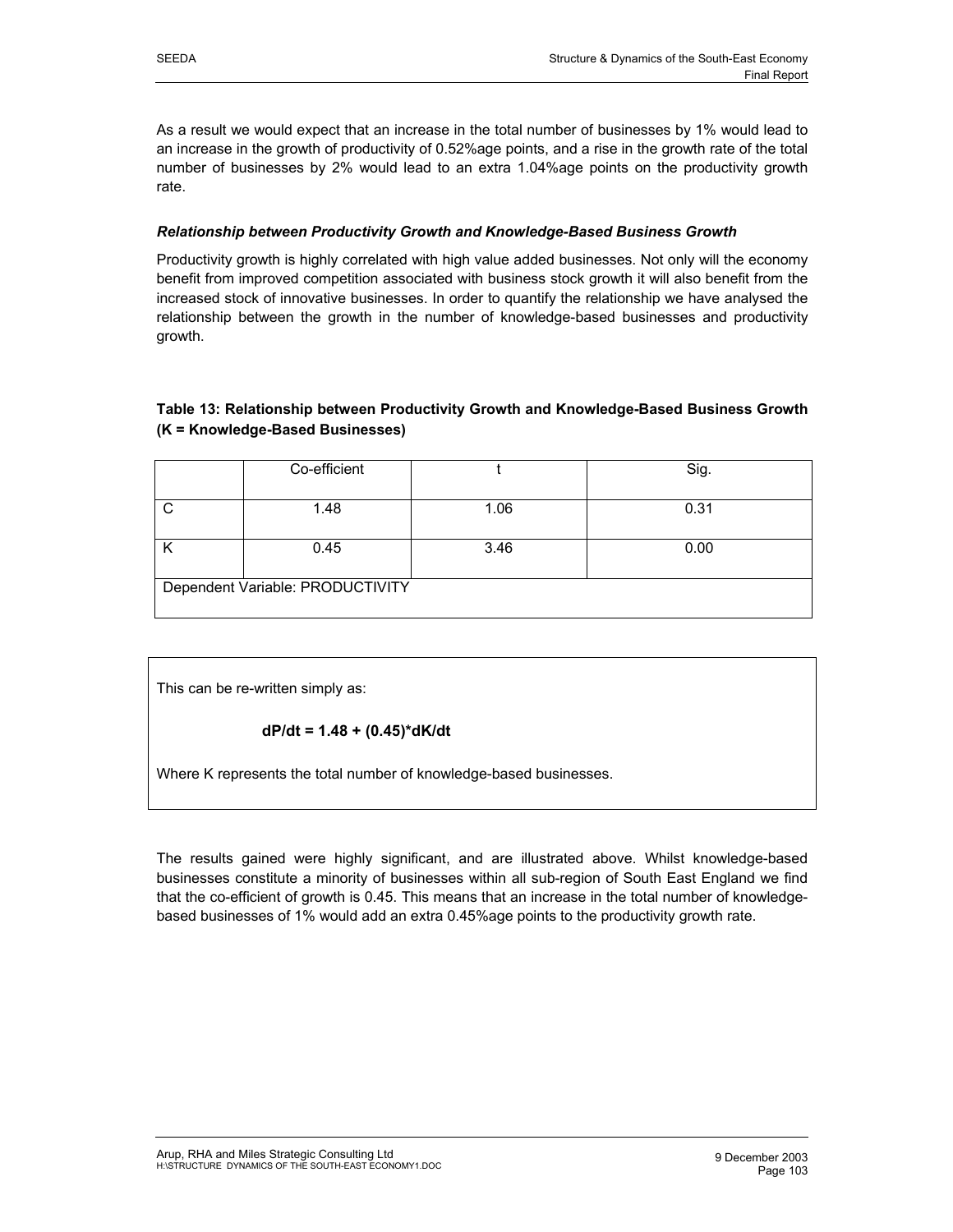As a result we would expect that an increase in the total number of businesses by 1% would lead to an increase in the growth of productivity of 0.52%age points, and a rise in the growth rate of the total number of businesses by 2% would lead to an extra 1.04%age points on the productivity growth rate.

#### *Relationship between Productivity Growth and Knowledge-Based Business Growth*

Productivity growth is highly correlated with high value added businesses. Not only will the economy benefit from improved competition associated with business stock growth it will also benefit from the increased stock of innovative businesses. In order to quantify the relationship we have analysed the relationship between the growth in the number of knowledge-based businesses and productivity growth.

# **Table 13: Relationship between Productivity Growth and Knowledge-Based Business Growth (K = Knowledge-Based Businesses)**

|                                  | Co-efficient |      | Sig. |  |  |  |
|----------------------------------|--------------|------|------|--|--|--|
| $\cap$                           | 1.48         | 1.06 | 0.31 |  |  |  |
|                                  | 0.45         | 3.46 | 0.00 |  |  |  |
| Dependent Variable: PRODUCTIVITY |              |      |      |  |  |  |

This can be re-written simply as:

$$
dP/dt = 1.48 + (0.45)^*dK/dt
$$

Where K represents the total number of knowledge-based businesses.

The results gained were highly significant, and are illustrated above. Whilst knowledge-based businesses constitute a minority of businesses within all sub-region of South East England we find that the co-efficient of growth is 0.45. This means that an increase in the total number of knowledgebased businesses of 1% would add an extra 0.45%age points to the productivity growth rate.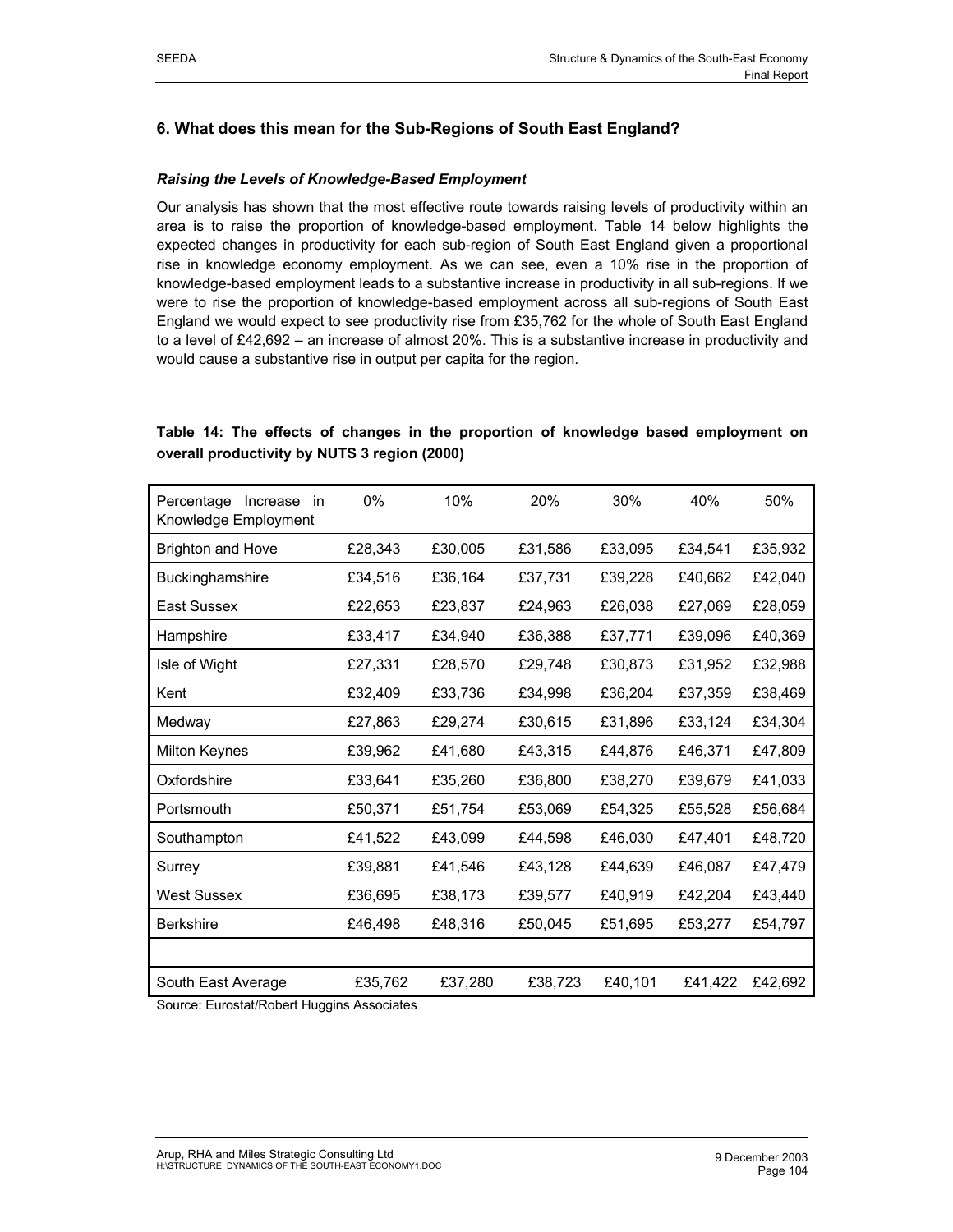# **6. What does this mean for the Sub-Regions of South East England?**

#### *Raising the Levels of Knowledge-Based Employment*

Our analysis has shown that the most effective route towards raising levels of productivity within an area is to raise the proportion of knowledge-based employment. Table 14 below highlights the expected changes in productivity for each sub-region of South East England given a proportional rise in knowledge economy employment. As we can see, even a 10% rise in the proportion of knowledge-based employment leads to a substantive increase in productivity in all sub-regions. If we were to rise the proportion of knowledge-based employment across all sub-regions of South East England we would expect to see productivity rise from £35,762 for the whole of South East England to a level of £42,692 – an increase of almost 20%. This is a substantive increase in productivity and would cause a substantive rise in output per capita for the region.

# **Table 14: The effects of changes in the proportion of knowledge based employment on overall productivity by NUTS 3 region (2000)**

| Percentage<br>Increase<br>in<br>Knowledge Employment | 0%      | 10%     | 20%     | 30%     | 40%     | 50%     |
|------------------------------------------------------|---------|---------|---------|---------|---------|---------|
| <b>Brighton and Hove</b>                             | £28,343 | £30,005 | £31,586 | £33,095 | £34,541 | £35,932 |
| Buckinghamshire                                      | £34,516 | £36,164 | £37,731 | £39,228 | £40,662 | £42,040 |
| East Sussex                                          | £22,653 | £23,837 | £24,963 | £26,038 | £27,069 | £28,059 |
| Hampshire                                            | £33,417 | £34,940 | £36,388 | £37,771 | £39,096 | £40,369 |
| Isle of Wight                                        | £27,331 | £28,570 | £29,748 | £30,873 | £31,952 | £32,988 |
| Kent                                                 | £32,409 | £33,736 | £34,998 | £36,204 | £37,359 | £38,469 |
| Medway                                               | £27,863 | £29,274 | £30,615 | £31,896 | £33,124 | £34,304 |
| <b>Milton Keynes</b>                                 | £39,962 | £41,680 | £43,315 | £44,876 | £46,371 | £47,809 |
| Oxfordshire                                          | £33,641 | £35,260 | £36,800 | £38,270 | £39,679 | £41,033 |
| Portsmouth                                           | £50,371 | £51,754 | £53,069 | £54,325 | £55,528 | £56,684 |
| Southampton                                          | £41,522 | £43,099 | £44,598 | £46,030 | £47,401 | £48,720 |
| Surrey                                               | £39,881 | £41,546 | £43,128 | £44,639 | £46,087 | £47,479 |
| <b>West Sussex</b>                                   | £36,695 | £38,173 | £39,577 | £40,919 | £42,204 | £43,440 |
| <b>Berkshire</b>                                     | £46,498 | £48,316 | £50,045 | £51,695 | £53,277 | £54,797 |
|                                                      |         |         |         |         |         |         |
| South East Average                                   | £35,762 | £37,280 | £38,723 | £40,101 | £41,422 | £42,692 |

Source: Eurostat/Robert Huggins Associates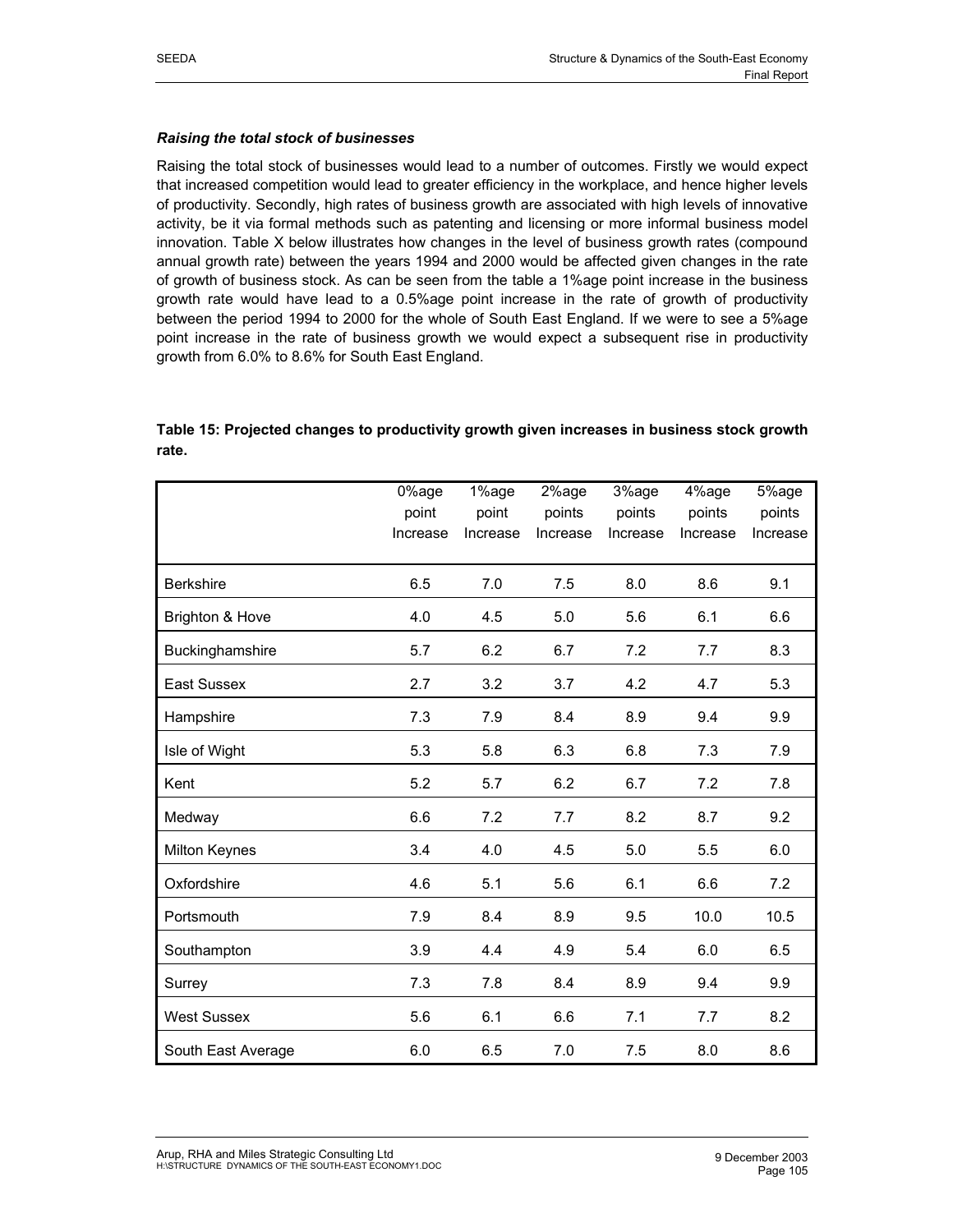#### *Raising the total stock of businesses*

Raising the total stock of businesses would lead to a number of outcomes. Firstly we would expect that increased competition would lead to greater efficiency in the workplace, and hence higher levels of productivity. Secondly, high rates of business growth are associated with high levels of innovative activity, be it via formal methods such as patenting and licensing or more informal business model innovation. Table X below illustrates how changes in the level of business growth rates (compound annual growth rate) between the years 1994 and 2000 would be affected given changes in the rate of growth of business stock. As can be seen from the table a 1%age point increase in the business growth rate would have lead to a 0.5%age point increase in the rate of growth of productivity between the period 1994 to 2000 for the whole of South East England. If we were to see a 5%age point increase in the rate of business growth we would expect a subsequent rise in productivity growth from 6.0% to 8.6% for South East England.

# **Table 15: Projected changes to productivity growth given increases in business stock growth rate.**

|                      | 0%age<br>point<br>Increase | 1%age<br>point<br>Increase | 2%age<br>points<br>Increase | 3%age<br>points<br>Increase | 4%age<br>points<br>Increase | 5%age<br>points<br>Increase |
|----------------------|----------------------------|----------------------------|-----------------------------|-----------------------------|-----------------------------|-----------------------------|
| <b>Berkshire</b>     | 6.5                        | 7.0                        | 7.5                         | 8.0                         | 8.6                         | 9.1                         |
| Brighton & Hove      | 4.0                        | 4.5                        | 5.0                         | 5.6                         | 6.1                         | 6.6                         |
| Buckinghamshire      | 5.7                        | 6.2                        | 6.7                         | 7.2                         | 7.7                         | 8.3                         |
| <b>East Sussex</b>   | 2.7                        | 3.2                        | 3.7                         | 4.2                         | 4.7                         | 5.3                         |
| Hampshire            | 7.3                        | 7.9                        | 8.4                         | 8.9                         | 9.4                         | 9.9                         |
| Isle of Wight        | 5.3                        | 5.8                        | 6.3                         | 6.8                         | 7.3                         | 7.9                         |
| Kent                 | 5.2                        | 5.7                        | 6.2                         | 6.7                         | 7.2                         | 7.8                         |
| Medway               | 6.6                        | 7.2                        | 7.7                         | 8.2                         | 8.7                         | 9.2                         |
| <b>Milton Keynes</b> | 3.4                        | 4.0                        | 4.5                         | 5.0                         | 5.5                         | 6.0                         |
| Oxfordshire          | 4.6                        | 5.1                        | 5.6                         | 6.1                         | 6.6                         | 7.2                         |
| Portsmouth           | 7.9                        | 8.4                        | 8.9                         | 9.5                         | 10.0                        | 10.5                        |
| Southampton          | 3.9                        | 4.4                        | 4.9                         | 5.4                         | 6.0                         | 6.5                         |
| Surrey               | 7.3                        | 7.8                        | 8.4                         | 8.9                         | 9.4                         | 9.9                         |
| <b>West Sussex</b>   | 5.6                        | 6.1                        | 6.6                         | 7.1                         | 7.7                         | 8.2                         |
| South East Average   | 6.0                        | 6.5                        | 7.0                         | 7.5                         | 8.0                         | 8.6                         |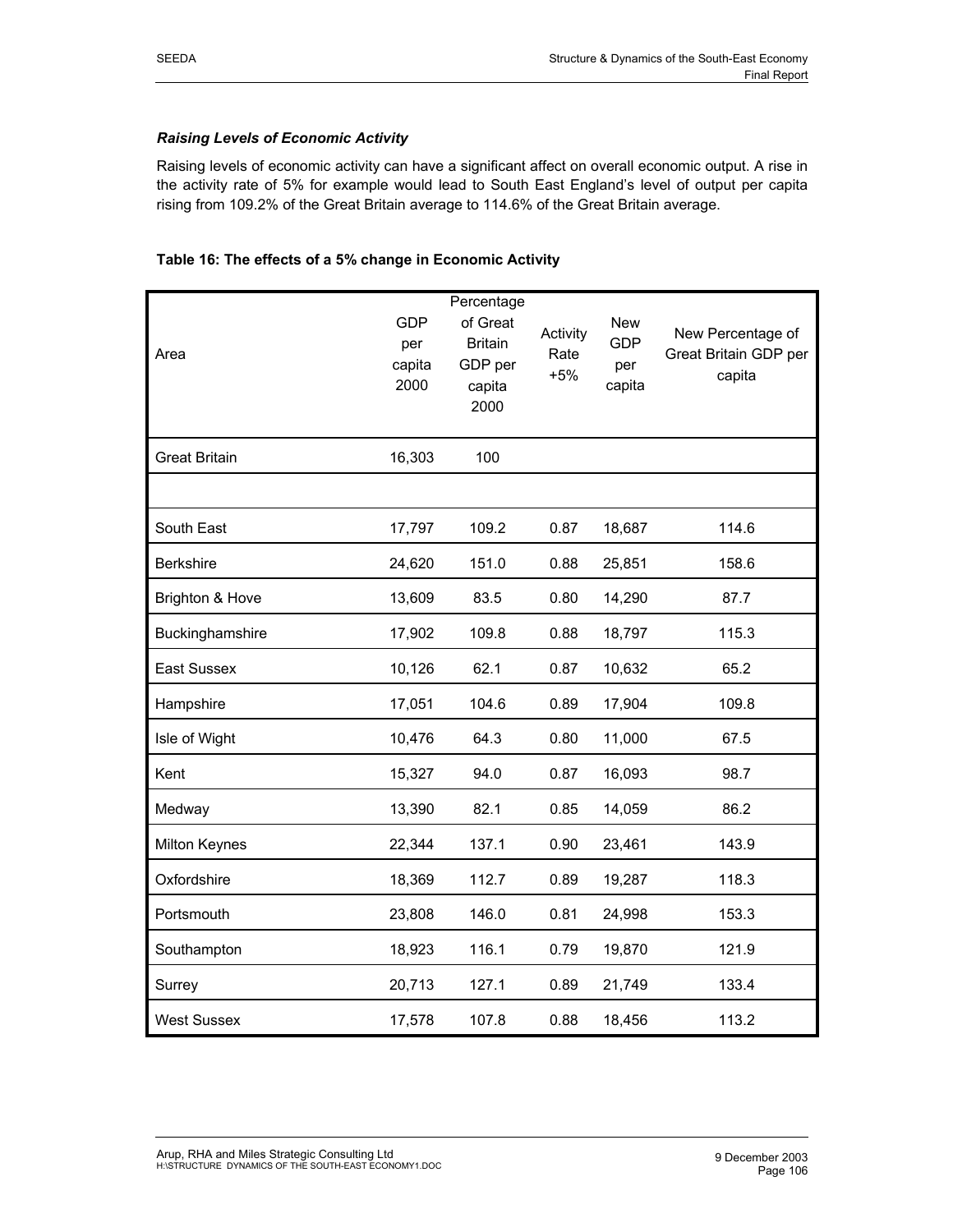# *Raising Levels of Economic Activity*

Raising levels of economic activity can have a significant affect on overall economic output. A rise in the activity rate of 5% for example would lead to South East England's level of output per capita rising from 109.2% of the Great Britain average to 114.6% of the Great Britain average.

#### **Table 16: The effects of a 5% change in Economic Activity**

|                      |            | Percentage     |          |            |                       |
|----------------------|------------|----------------|----------|------------|-----------------------|
|                      | <b>GDP</b> | of Great       | Activity | <b>New</b> | New Percentage of     |
| Area                 | per        | <b>Britain</b> | Rate     | <b>GDP</b> | Great Britain GDP per |
|                      | capita     | GDP per        | $+5%$    | per        | capita                |
|                      | 2000       | capita         |          | capita     |                       |
|                      |            | 2000           |          |            |                       |
| <b>Great Britain</b> | 16,303     | 100            |          |            |                       |
|                      |            |                |          |            |                       |
| South East           | 17,797     | 109.2          | 0.87     | 18,687     | 114.6                 |
| <b>Berkshire</b>     | 24,620     | 151.0          | 0.88     | 25,851     | 158.6                 |
| Brighton & Hove      | 13,609     | 83.5           | 0.80     | 14,290     | 87.7                  |
| Buckinghamshire      | 17,902     | 109.8          | 0.88     | 18,797     | 115.3                 |
| East Sussex          | 10,126     | 62.1           | 0.87     | 10,632     | 65.2                  |
| Hampshire            | 17,051     | 104.6          | 0.89     | 17,904     | 109.8                 |
| Isle of Wight        | 10,476     | 64.3           | 0.80     | 11,000     | 67.5                  |
| Kent                 | 15,327     | 94.0           | 0.87     | 16,093     | 98.7                  |
| Medway               | 13,390     | 82.1           | 0.85     | 14,059     | 86.2                  |
| <b>Milton Keynes</b> | 22,344     | 137.1          | 0.90     | 23,461     | 143.9                 |
| Oxfordshire          | 18,369     | 112.7          | 0.89     | 19,287     | 118.3                 |
| Portsmouth           | 23,808     | 146.0          | 0.81     | 24,998     | 153.3                 |
| Southampton          | 18,923     | 116.1          | 0.79     | 19,870     | 121.9                 |
| Surrey               | 20,713     | 127.1          | 0.89     | 21,749     | 133.4                 |
| <b>West Sussex</b>   | 17,578     | 107.8          | 0.88     | 18,456     | 113.2                 |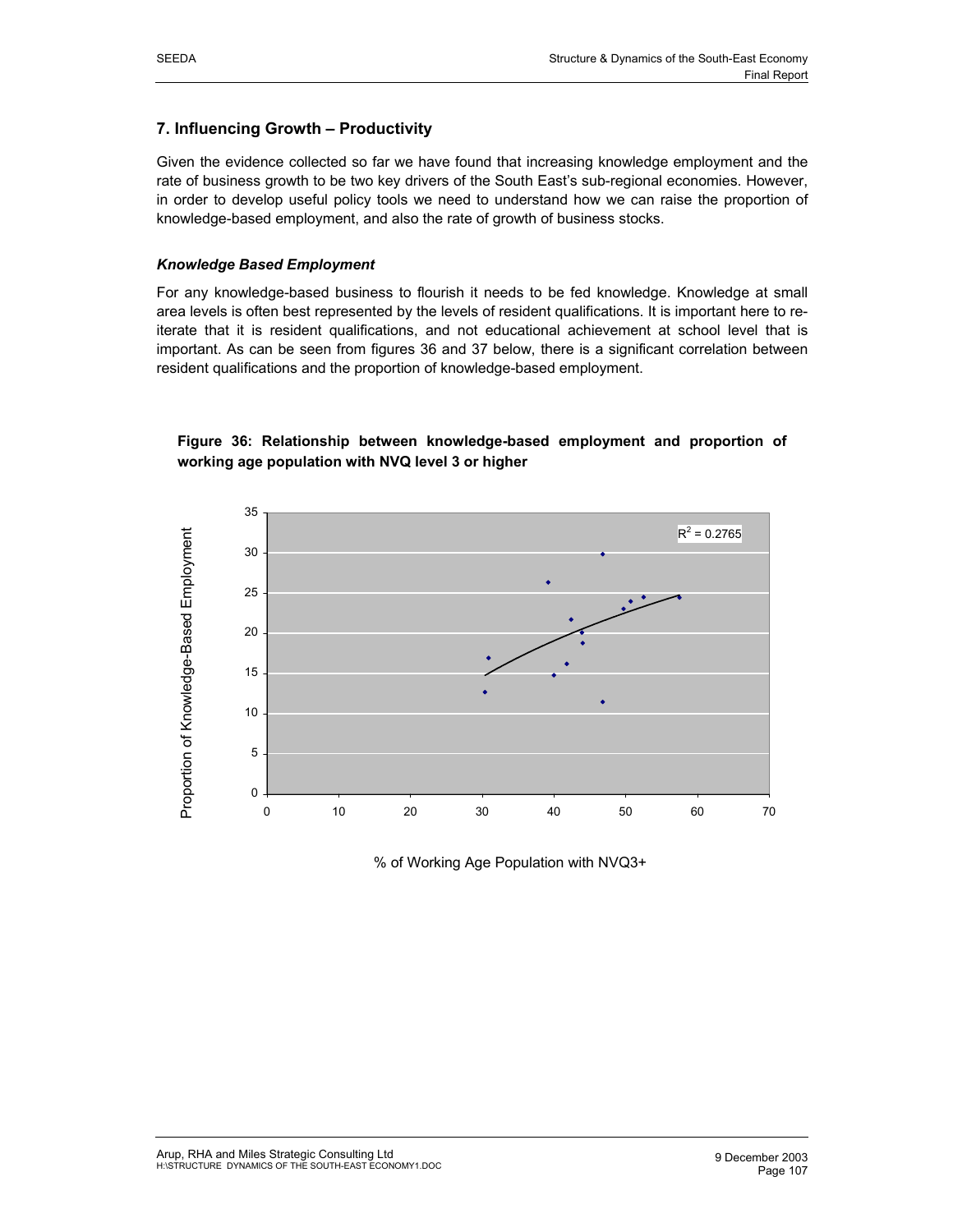# **7. Influencing Growth – Productivity**

Given the evidence collected so far we have found that increasing knowledge employment and the rate of business growth to be two key drivers of the South East's sub-regional economies. However, in order to develop useful policy tools we need to understand how we can raise the proportion of knowledge-based employment, and also the rate of growth of business stocks.

#### *Knowledge Based Employment*

For any knowledge-based business to flourish it needs to be fed knowledge. Knowledge at small area levels is often best represented by the levels of resident qualifications. It is important here to reiterate that it is resident qualifications, and not educational achievement at school level that is important. As can be seen from figures 36 and 37 below, there is a significant correlation between resident qualifications and the proportion of knowledge-based employment.



**Figure 36: Relationship between knowledge-based employment and proportion of working age population with NVQ level 3 or higher** 

% of Working Age Population with NVQ3+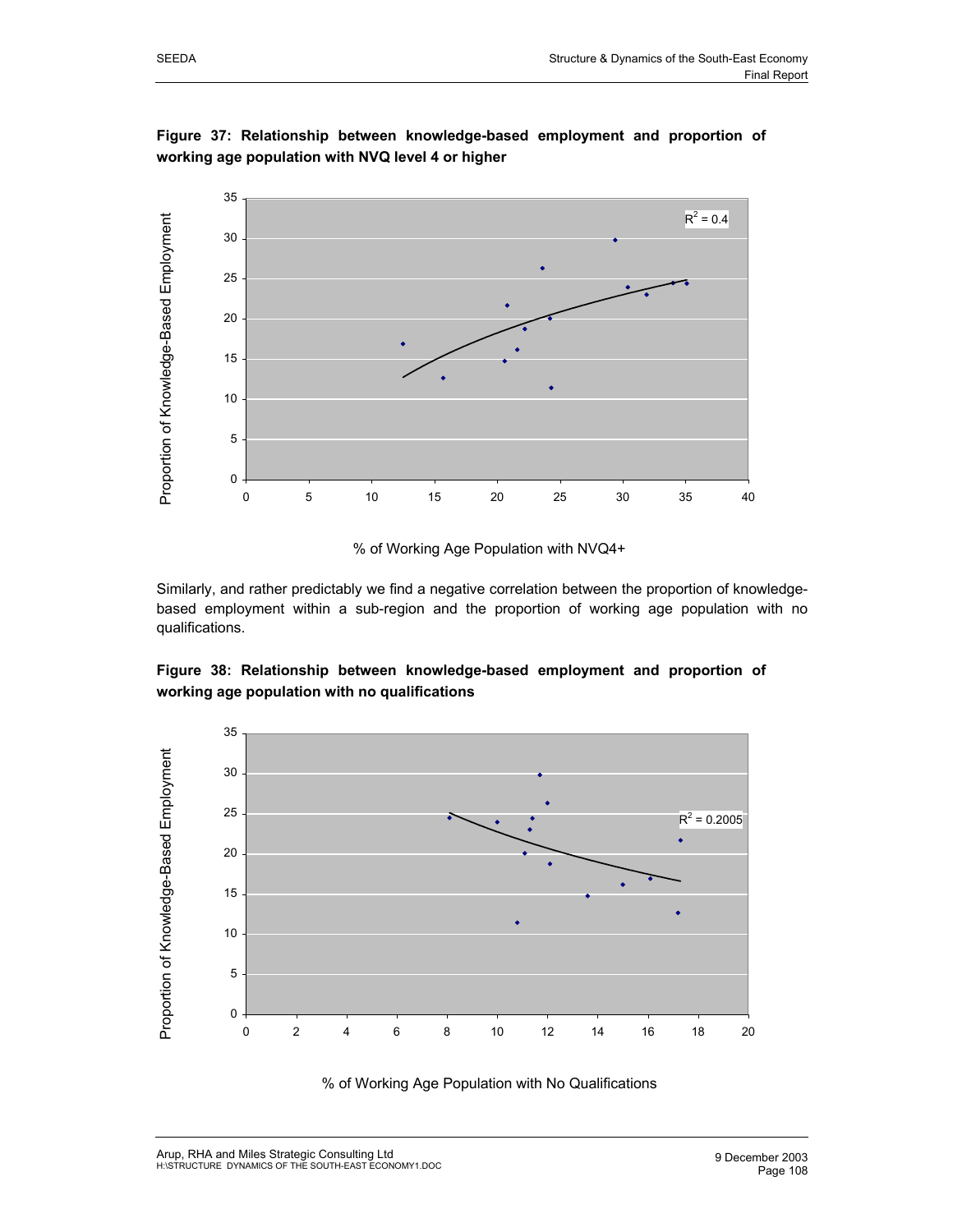

**Figure 37: Relationship between knowledge-based employment and proportion of working age population with NVQ level 4 or higher** 



Similarly, and rather predictably we find a negative correlation between the proportion of knowledgebased employment within a sub-region and the proportion of working age population with no qualifications.

**Figure 38: Relationship between knowledge-based employment and proportion of working age population with no qualifications** 



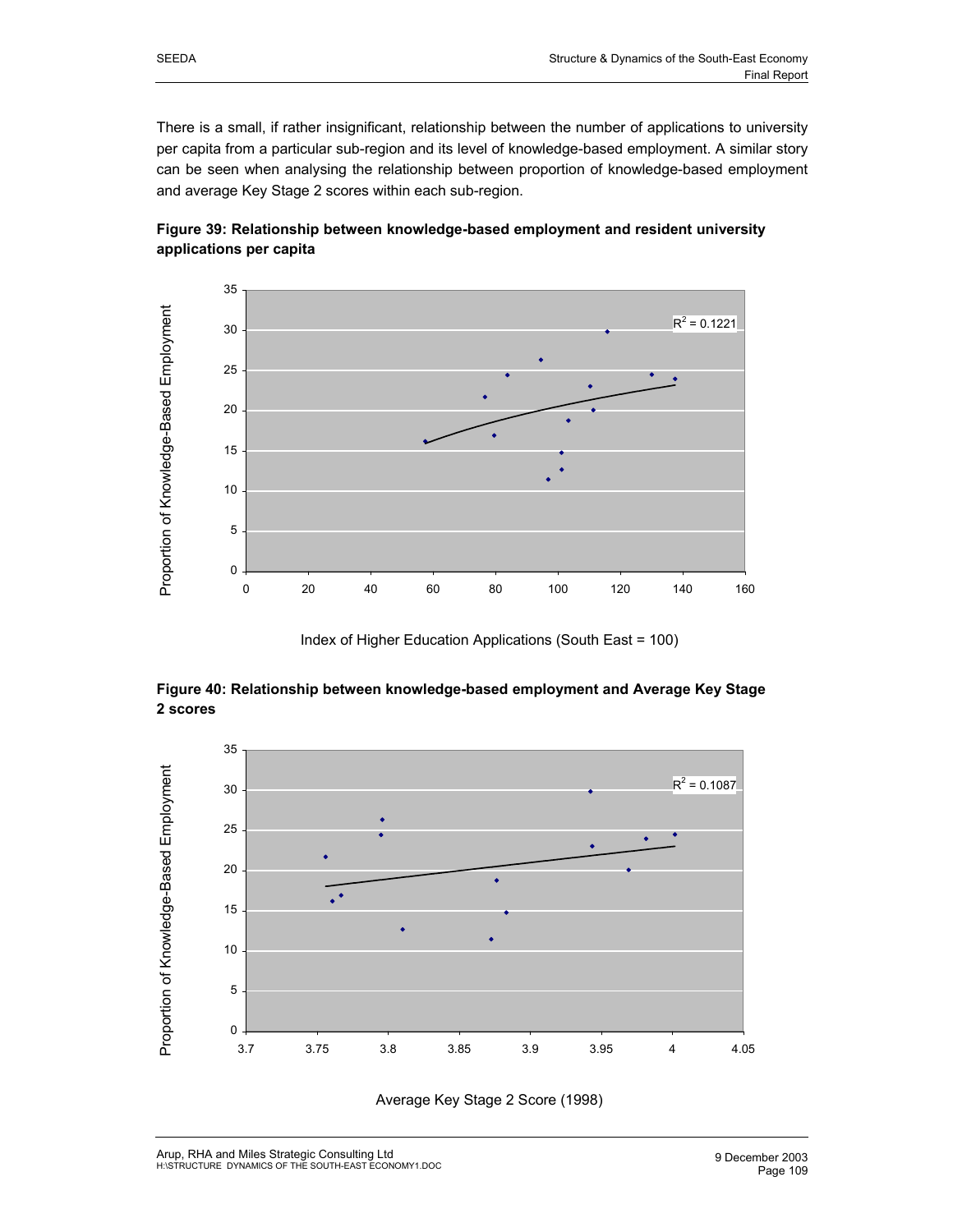There is a small, if rather insignificant, relationship between the number of applications to university per capita from a particular sub-region and its level of knowledge-based employment. A similar story can be seen when analysing the relationship between proportion of knowledge-based employment and average Key Stage 2 scores within each sub-region.



# **Figure 39: Relationship between knowledge-based employment and resident university applications per capita**



# **Figure 40: Relationship between knowledge-based employment and Average Key Stage 2 scores**



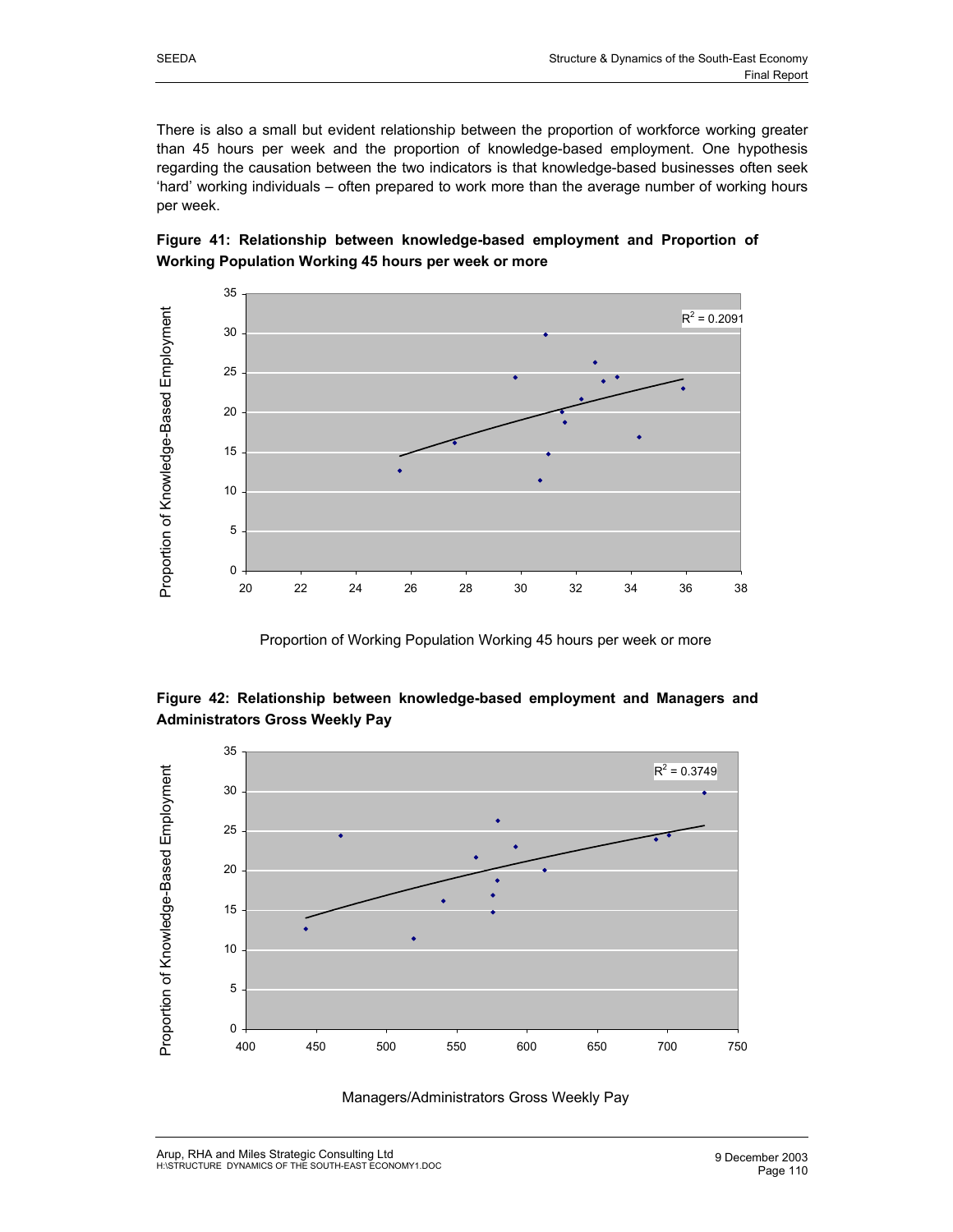There is also a small but evident relationship between the proportion of workforce working greater than 45 hours per week and the proportion of knowledge-based employment. One hypothesis regarding the causation between the two indicators is that knowledge-based businesses often seek 'hard' working individuals – often prepared to work more than the average number of working hours per week.





Proportion of Working Population Working 45 hours per week or more

# **Figure 42: Relationship between knowledge-based employment and Managers and Administrators Gross Weekly Pay**



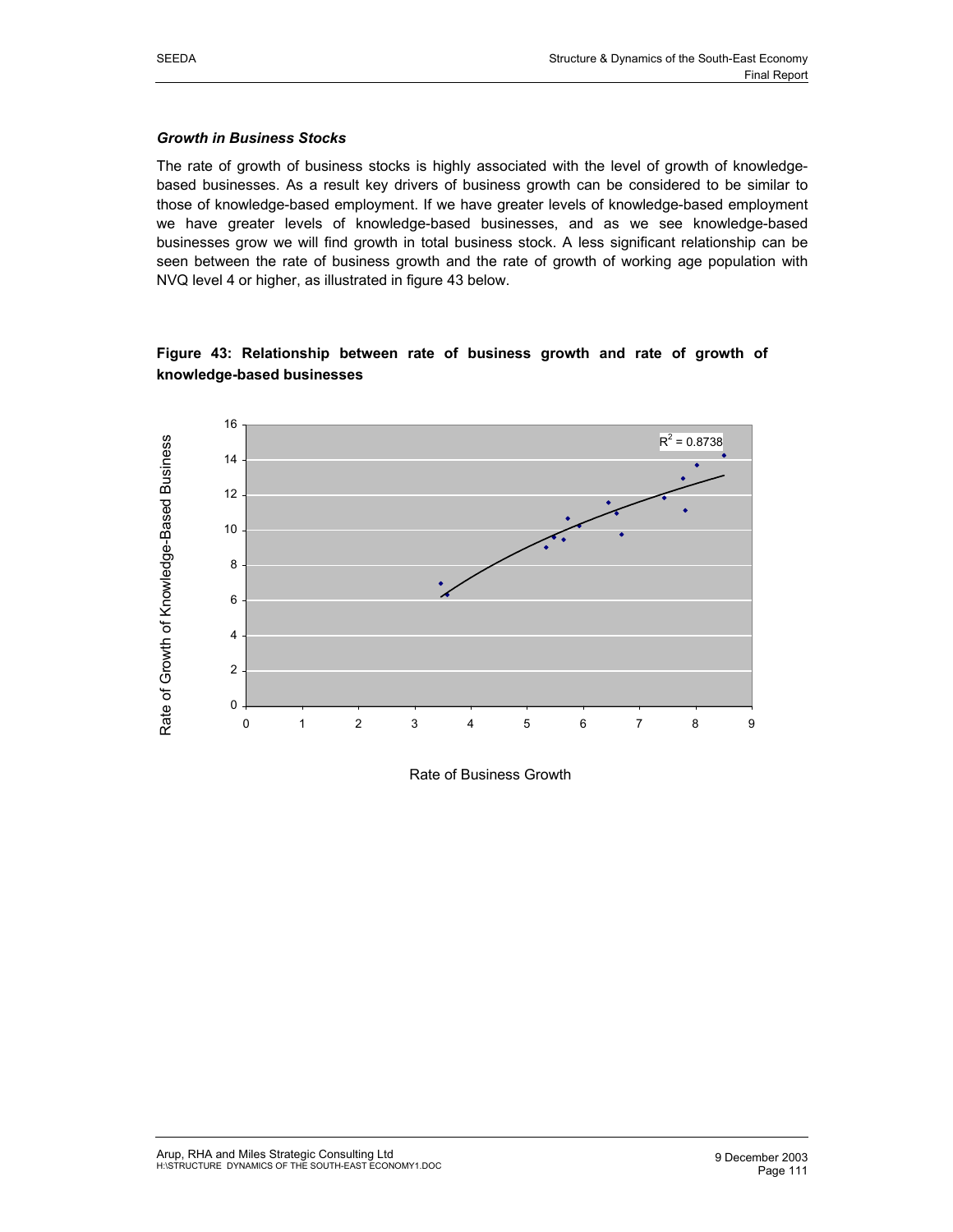#### *Growth in Business Stocks*

The rate of growth of business stocks is highly associated with the level of growth of knowledgebased businesses. As a result key drivers of business growth can be considered to be similar to those of knowledge-based employment. If we have greater levels of knowledge-based employment we have greater levels of knowledge-based businesses, and as we see knowledge-based businesses grow we will find growth in total business stock. A less significant relationship can be seen between the rate of business growth and the rate of growth of working age population with NVQ level 4 or higher, as illustrated in figure 43 below.

# **Figure 43: Relationship between rate of business growth and rate of growth of knowledge-based businesses**



Rate of Business Growth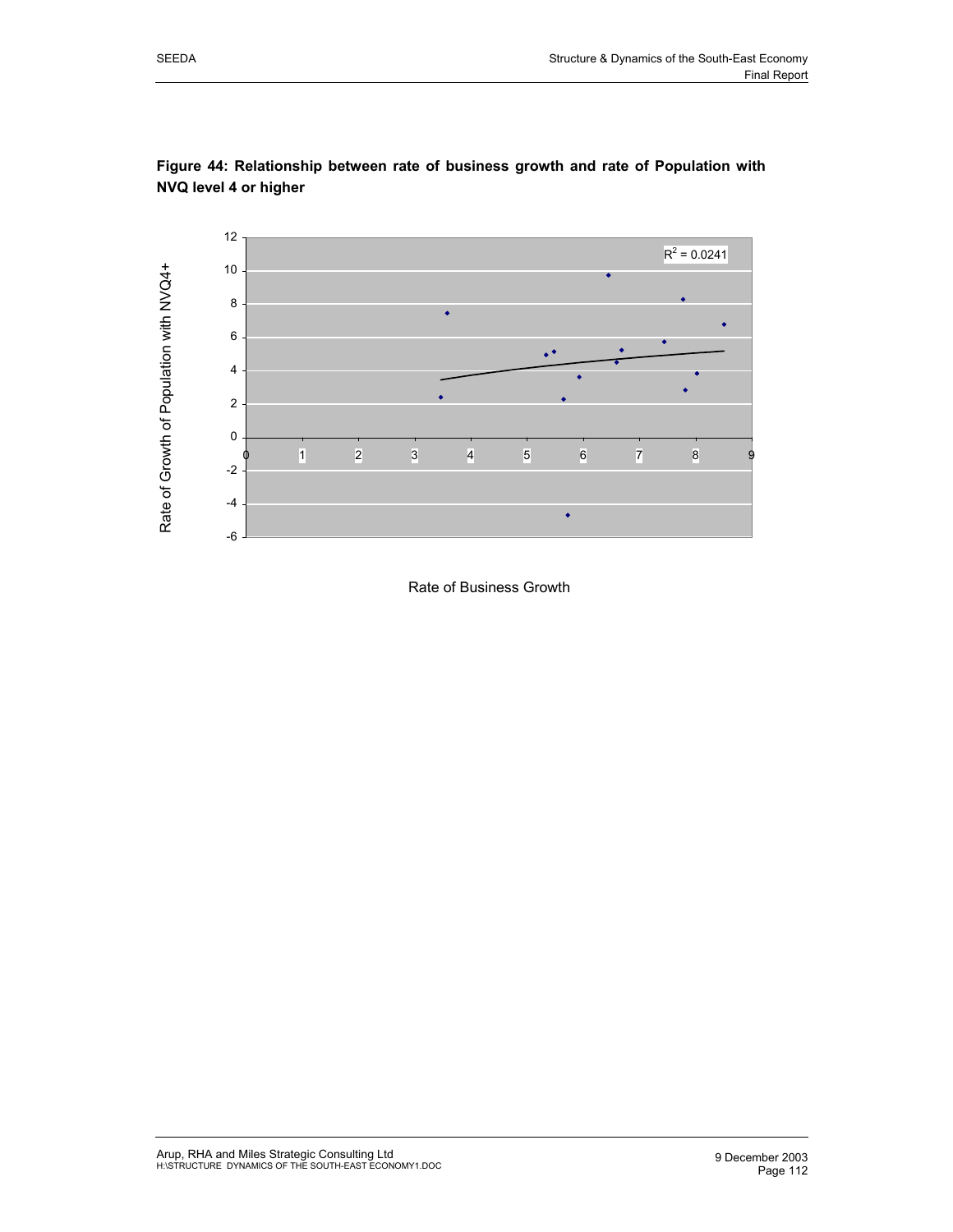





Rate of Business Growth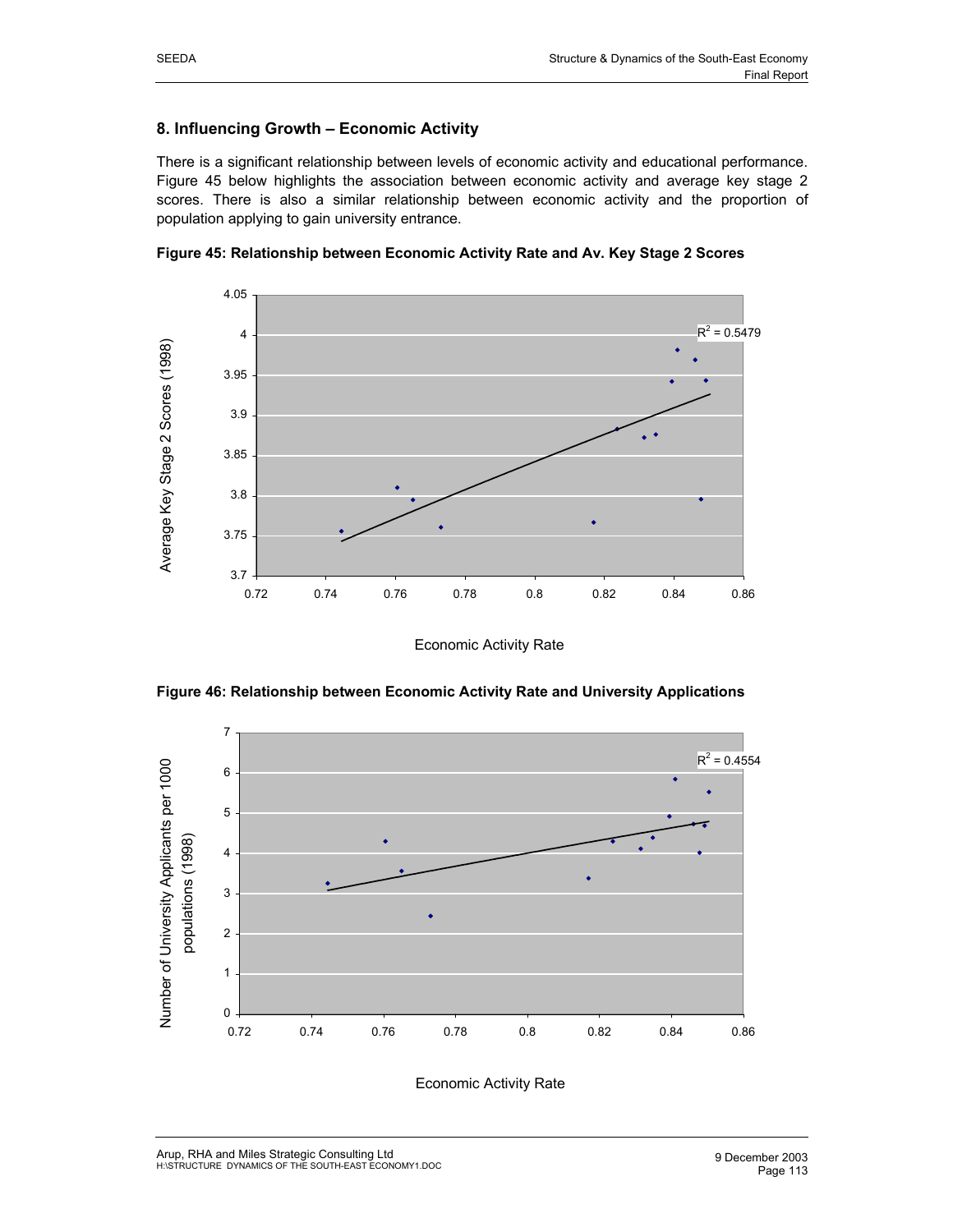# **8. Influencing Growth – Economic Activity**

There is a significant relationship between levels of economic activity and educational performance. Figure 45 below highlights the association between economic activity and average key stage 2 scores. There is also a similar relationship between economic activity and the proportion of population applying to gain university entrance.



**Figure 45: Relationship between Economic Activity Rate and Av. Key Stage 2 Scores**

Economic Activity Rate



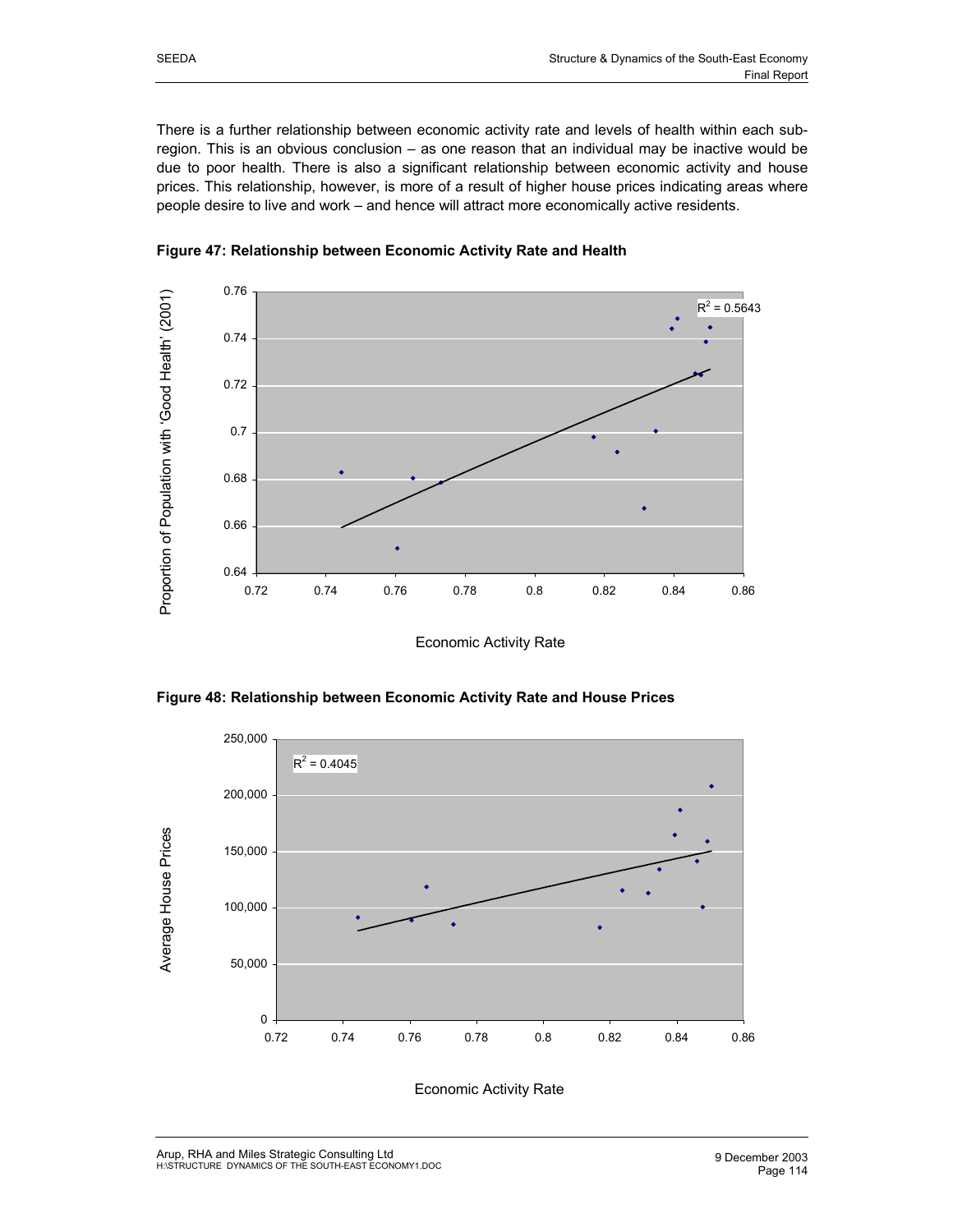There is a further relationship between economic activity rate and levels of health within each subregion. This is an obvious conclusion – as one reason that an individual may be inactive would be due to poor health. There is also a significant relationship between economic activity and house prices. This relationship, however, is more of a result of higher house prices indicating areas where people desire to live and work – and hence will attract more economically active residents.



**Figure 47: Relationship between Economic Activity Rate and Health**

Economic Activity Rate

**Figure 48: Relationship between Economic Activity Rate and House Prices**

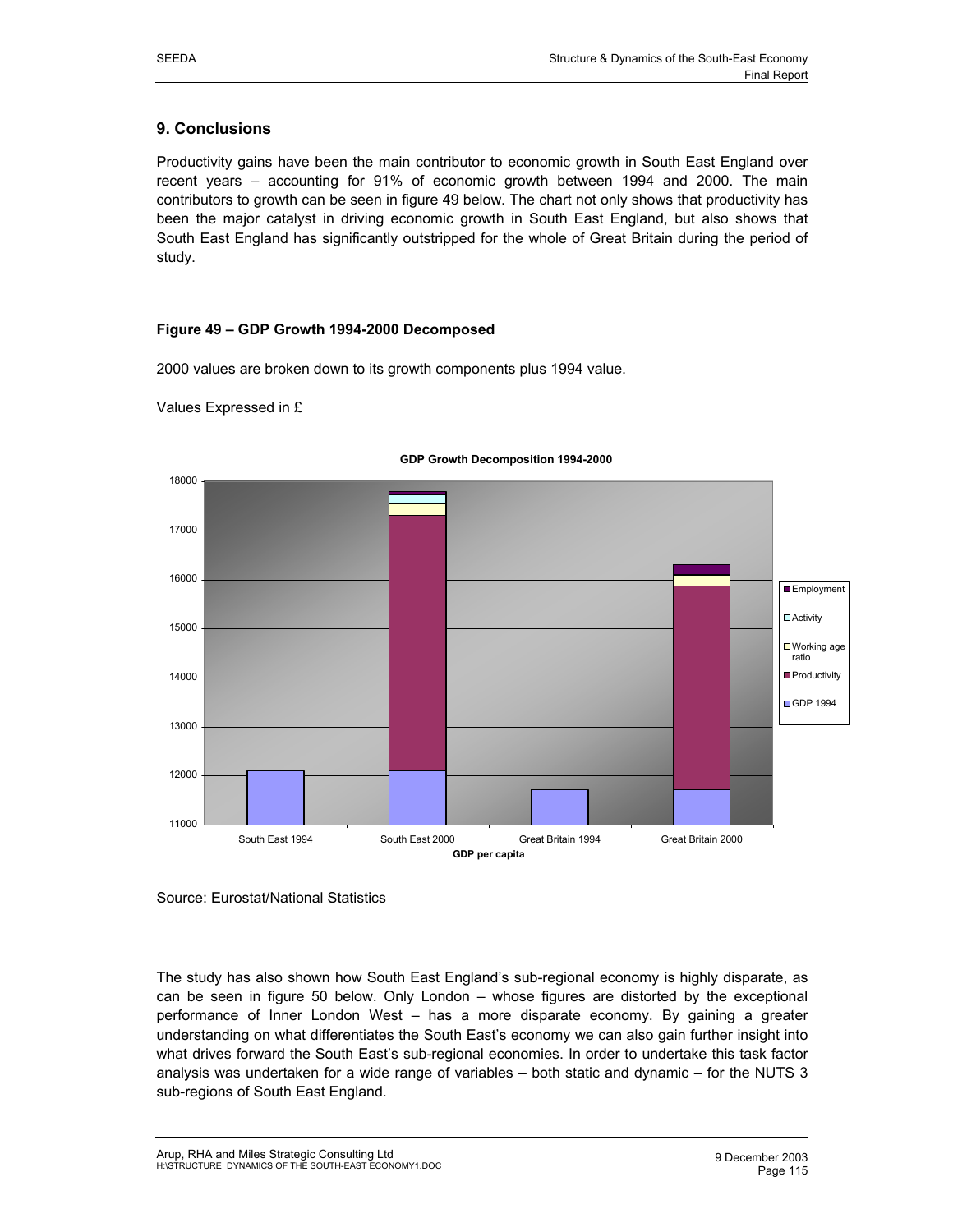# **9. Conclusions**

Productivity gains have been the main contributor to economic growth in South East England over recent years – accounting for 91% of economic growth between 1994 and 2000. The main contributors to growth can be seen in figure 49 below. The chart not only shows that productivity has been the major catalyst in driving economic growth in South East England, but also shows that South East England has significantly outstripped for the whole of Great Britain during the period of study.

# **Figure 49 – GDP Growth 1994-2000 Decomposed**

2000 values are broken down to its growth components plus 1994 value.

Values Expressed in £



#### **GDP Growth Decomposition 1994-2000**

Source: Eurostat/National Statistics

The study has also shown how South East England's sub-regional economy is highly disparate, as can be seen in figure 50 below. Only London – whose figures are distorted by the exceptional performance of Inner London West – has a more disparate economy. By gaining a greater understanding on what differentiates the South East's economy we can also gain further insight into what drives forward the South East's sub-regional economies. In order to undertake this task factor analysis was undertaken for a wide range of variables – both static and dynamic – for the NUTS 3 sub-regions of South East England.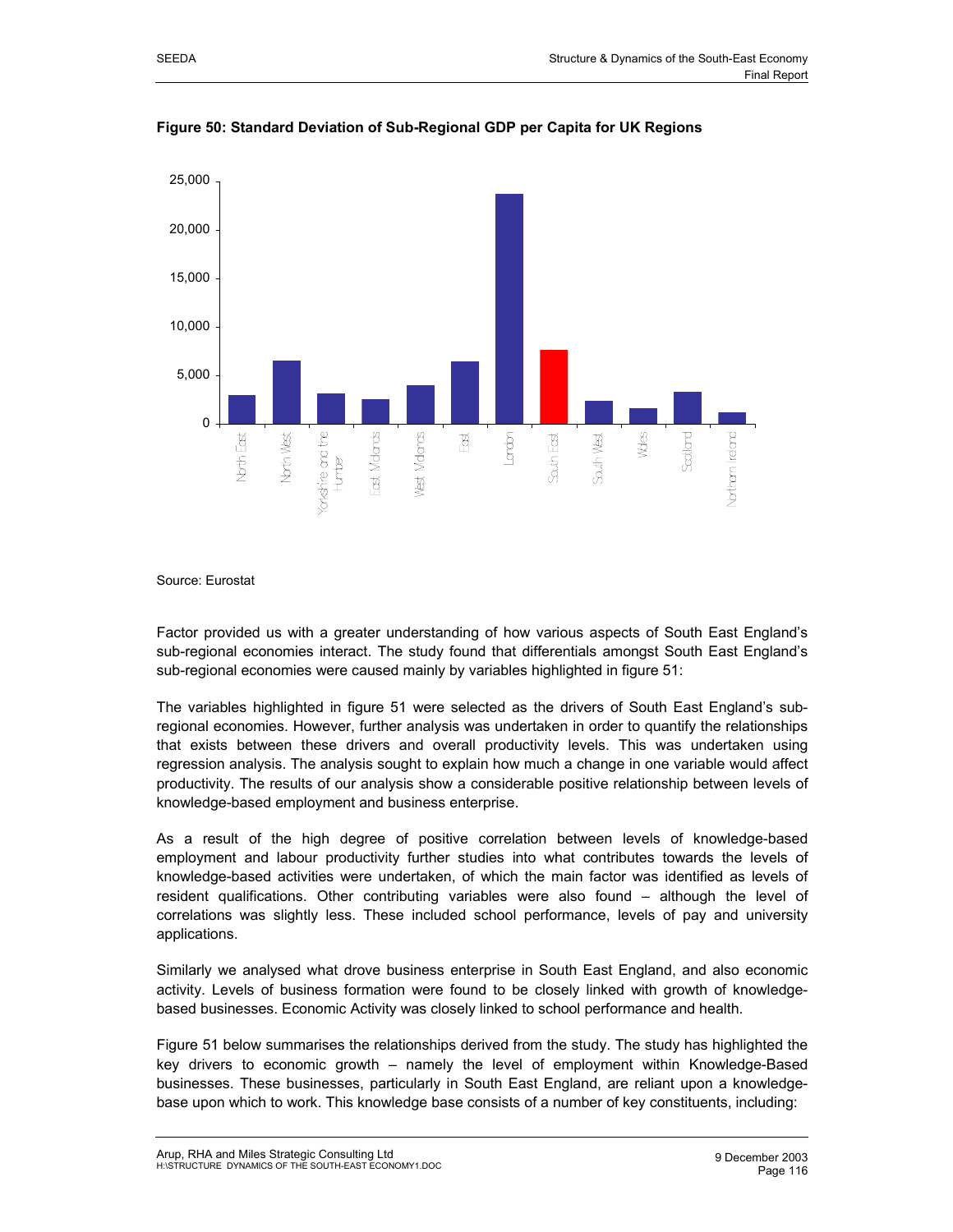



Source: Eurostat

Factor provided us with a greater understanding of how various aspects of South East England's sub-regional economies interact. The study found that differentials amongst South East England's sub-regional economies were caused mainly by variables highlighted in figure 51:

The variables highlighted in figure 51 were selected as the drivers of South East England's subregional economies. However, further analysis was undertaken in order to quantify the relationships that exists between these drivers and overall productivity levels. This was undertaken using regression analysis. The analysis sought to explain how much a change in one variable would affect productivity. The results of our analysis show a considerable positive relationship between levels of knowledge-based employment and business enterprise.

As a result of the high degree of positive correlation between levels of knowledge-based employment and labour productivity further studies into what contributes towards the levels of knowledge-based activities were undertaken, of which the main factor was identified as levels of resident qualifications. Other contributing variables were also found – although the level of correlations was slightly less. These included school performance, levels of pay and university applications.

Similarly we analysed what drove business enterprise in South East England, and also economic activity. Levels of business formation were found to be closely linked with growth of knowledgebased businesses. Economic Activity was closely linked to school performance and health.

Figure 51 below summarises the relationships derived from the study. The study has highlighted the key drivers to economic growth – namely the level of employment within Knowledge-Based businesses. These businesses, particularly in South East England, are reliant upon a knowledgebase upon which to work. This knowledge base consists of a number of key constituents, including: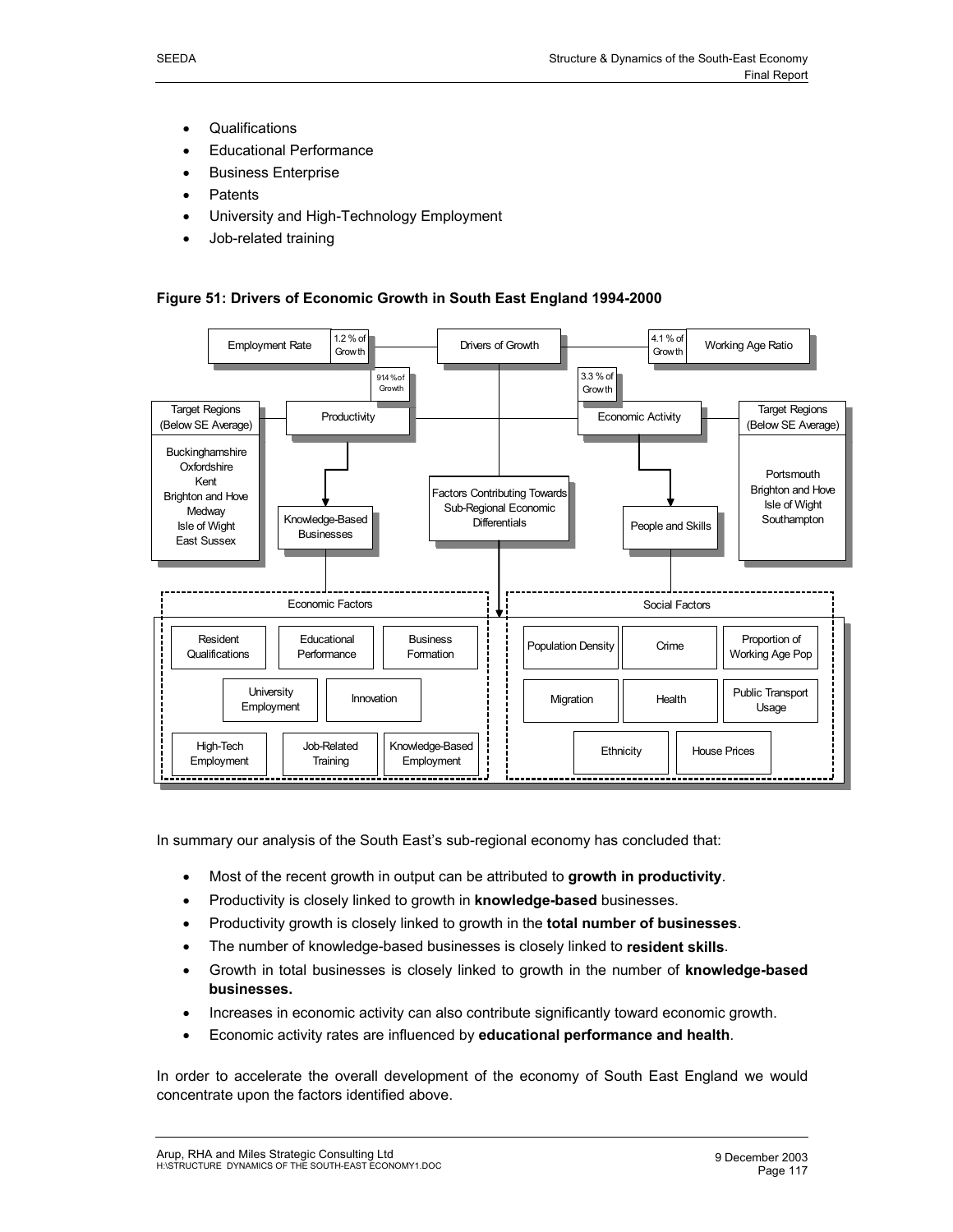- Qualifications
- Educational Performance
- Business Enterprise
- **Patents**
- University and High-Technology Employment
- Job-related training

#### **Figure 51: Drivers of Economic Growth in South East England 1994-2000**



In summary our analysis of the South East's sub-regional economy has concluded that:

- Most of the recent growth in output can be attributed to **growth in productivity**.
- Productivity is closely linked to growth in **knowledge-based** businesses.
- Productivity growth is closely linked to growth in the **total number of businesses**.
- The number of knowledge-based businesses is closely linked to **resident skills**.
- Growth in total businesses is closely linked to growth in the number of **knowledge-based businesses.**
- Increases in economic activity can also contribute significantly toward economic growth.
- Economic activity rates are influenced by **educational performance and health**.

In order to accelerate the overall development of the economy of South East England we would concentrate upon the factors identified above.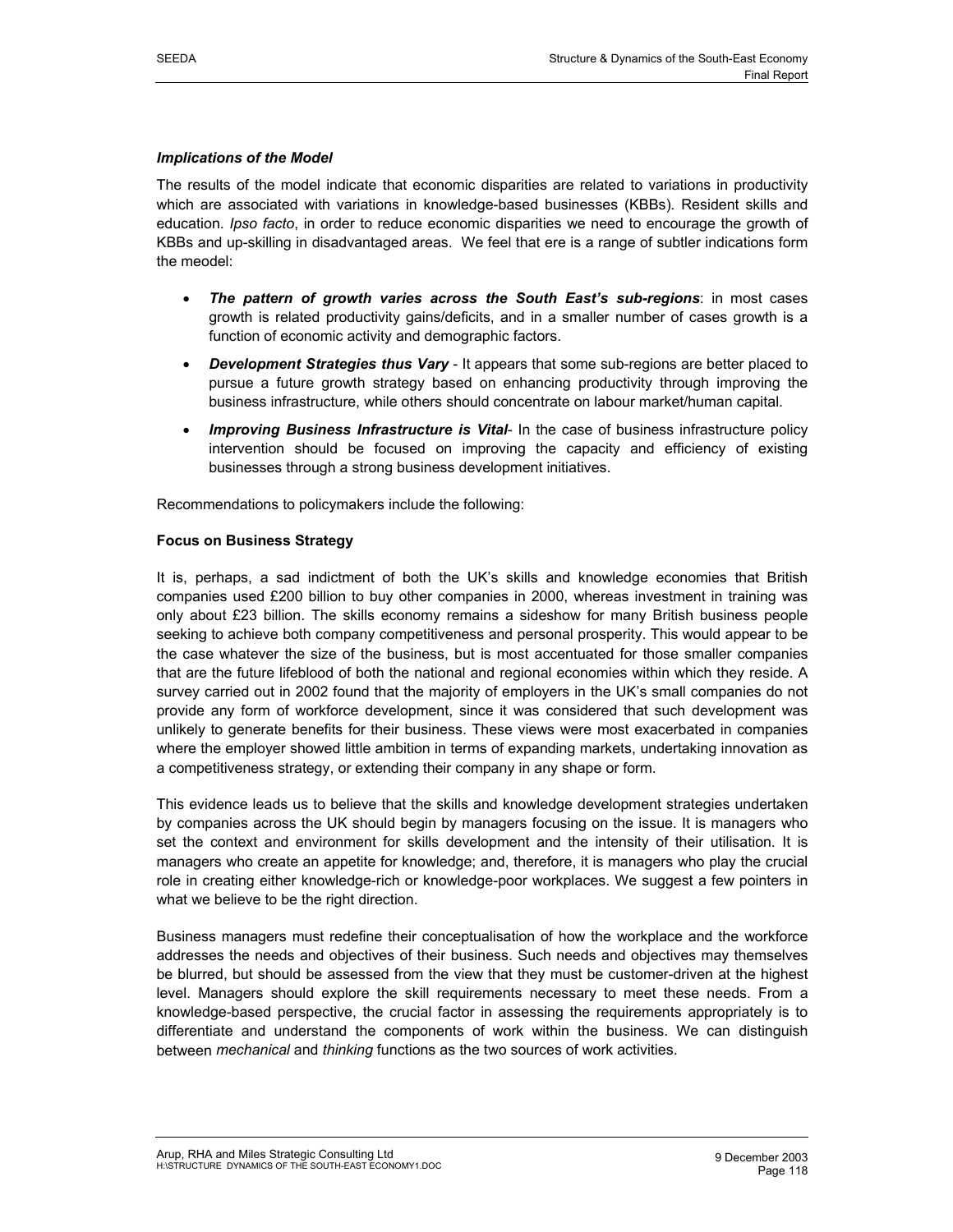#### *Implications of the Model*

The results of the model indicate that economic disparities are related to variations in productivity which are associated with variations in knowledge-based businesses (KBBs). Resident skills and education. *Ipso facto*, in order to reduce economic disparities we need to encourage the growth of KBBs and up-skilling in disadvantaged areas. We feel that ere is a range of subtler indications form the meodel:

- *The pattern of growth varies across the South East's sub-regions*: in most cases growth is related productivity gains/deficits, and in a smaller number of cases growth is a function of economic activity and demographic factors.
- *Development Strategies thus Vary* It appears that some sub-regions are better placed to pursue a future growth strategy based on enhancing productivity through improving the business infrastructure, while others should concentrate on labour market/human capital.
- *Improving Business Infrastructure is Vital* In the case of business infrastructure policy intervention should be focused on improving the capacity and efficiency of existing businesses through a strong business development initiatives.

Recommendations to policymakers include the following:

#### **Focus on Business Strategy**

It is, perhaps, a sad indictment of both the UK's skills and knowledge economies that British companies used £200 billion to buy other companies in 2000, whereas investment in training was only about £23 billion. The skills economy remains a sideshow for many British business people seeking to achieve both company competitiveness and personal prosperity. This would appear to be the case whatever the size of the business, but is most accentuated for those smaller companies that are the future lifeblood of both the national and regional economies within which they reside. A survey carried out in 2002 found that the majority of employers in the UK's small companies do not provide any form of workforce development, since it was considered that such development was unlikely to generate benefits for their business. These views were most exacerbated in companies where the employer showed little ambition in terms of expanding markets, undertaking innovation as a competitiveness strategy, or extending their company in any shape or form.

This evidence leads us to believe that the skills and knowledge development strategies undertaken by companies across the UK should begin by managers focusing on the issue. It is managers who set the context and environment for skills development and the intensity of their utilisation. It is managers who create an appetite for knowledge; and, therefore, it is managers who play the crucial role in creating either knowledge-rich or knowledge-poor workplaces. We suggest a few pointers in what we believe to be the right direction.

Business managers must redefine their conceptualisation of how the workplace and the workforce addresses the needs and objectives of their business. Such needs and objectives may themselves be blurred, but should be assessed from the view that they must be customer-driven at the highest level. Managers should explore the skill requirements necessary to meet these needs. From a knowledge-based perspective, the crucial factor in assessing the requirements appropriately is to differentiate and understand the components of work within the business. We can distinguish between *mechanical* and *thinking* functions as the two sources of work activities.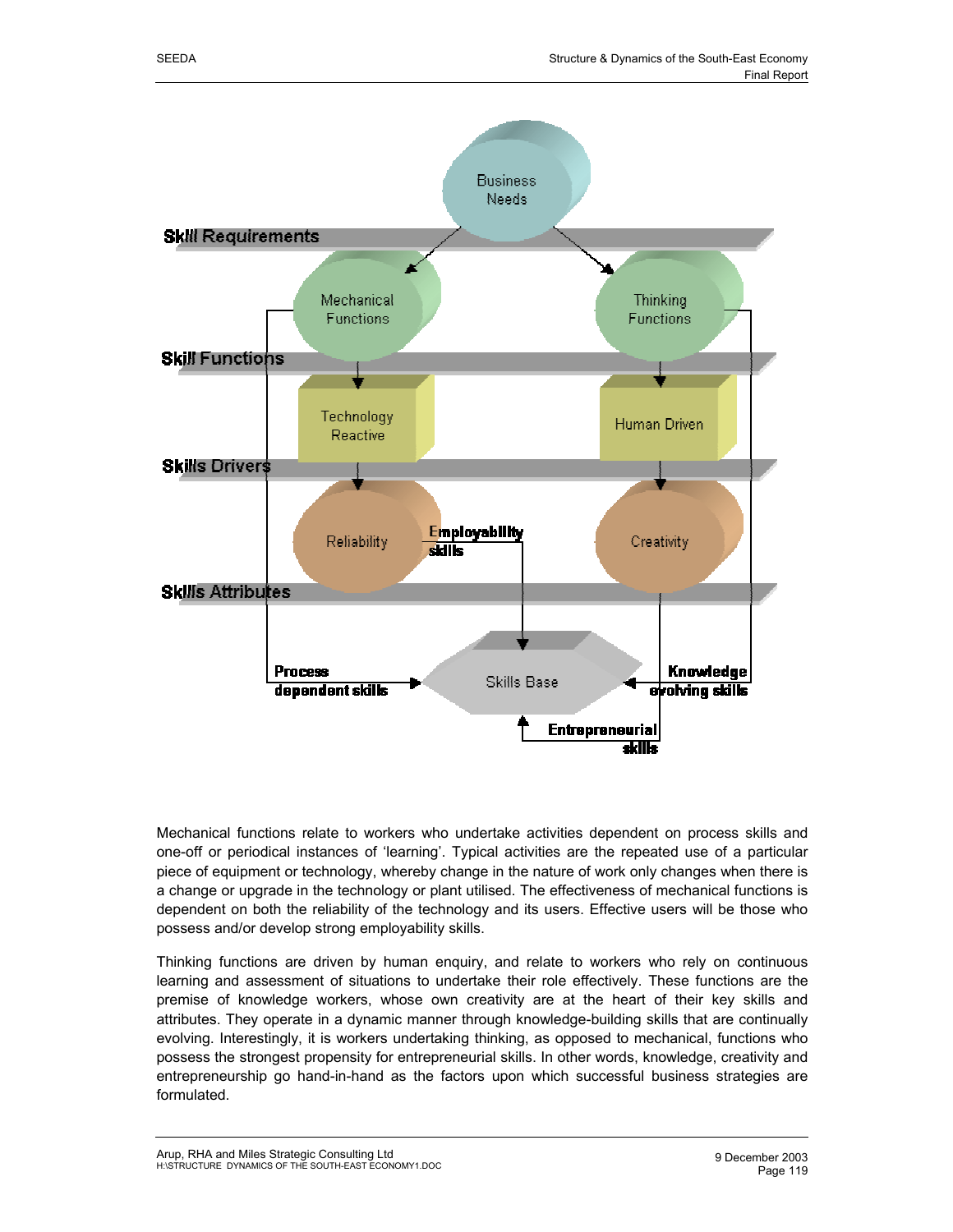

Mechanical functions relate to workers who undertake activities dependent on process skills and one-off or periodical instances of 'learning'. Typical activities are the repeated use of a particular piece of equipment or technology, whereby change in the nature of work only changes when there is a change or upgrade in the technology or plant utilised. The effectiveness of mechanical functions is dependent on both the reliability of the technology and its users. Effective users will be those who possess and/or develop strong employability skills.

Thinking functions are driven by human enquiry, and relate to workers who rely on continuous learning and assessment of situations to undertake their role effectively. These functions are the premise of knowledge workers, whose own creativity are at the heart of their key skills and attributes. They operate in a dynamic manner through knowledge-building skills that are continually evolving. Interestingly, it is workers undertaking thinking, as opposed to mechanical, functions who possess the strongest propensity for entrepreneurial skills. In other words, knowledge, creativity and entrepreneurship go hand-in-hand as the factors upon which successful business strategies are formulated.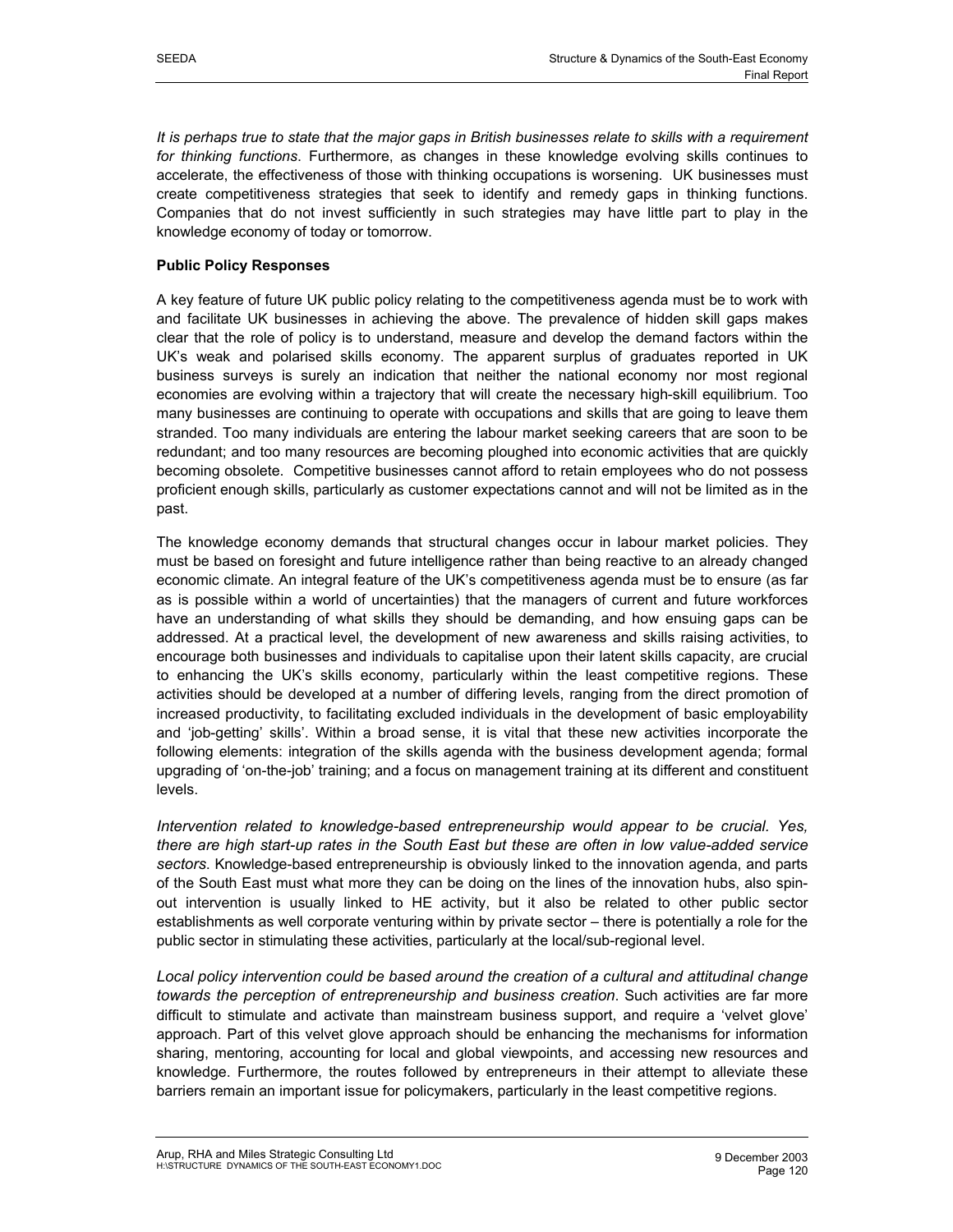*It is perhaps true to state that the major gaps in British businesses relate to skills with a requirement for thinking functions*. Furthermore, as changes in these knowledge evolving skills continues to accelerate, the effectiveness of those with thinking occupations is worsening. UK businesses must create competitiveness strategies that seek to identify and remedy gaps in thinking functions. Companies that do not invest sufficiently in such strategies may have little part to play in the knowledge economy of today or tomorrow.

# **Public Policy Responses**

A key feature of future UK public policy relating to the competitiveness agenda must be to work with and facilitate UK businesses in achieving the above. The prevalence of hidden skill gaps makes clear that the role of policy is to understand, measure and develop the demand factors within the UK's weak and polarised skills economy. The apparent surplus of graduates reported in UK business surveys is surely an indication that neither the national economy nor most regional economies are evolving within a trajectory that will create the necessary high-skill equilibrium. Too many businesses are continuing to operate with occupations and skills that are going to leave them stranded. Too many individuals are entering the labour market seeking careers that are soon to be redundant; and too many resources are becoming ploughed into economic activities that are quickly becoming obsolete. Competitive businesses cannot afford to retain employees who do not possess proficient enough skills, particularly as customer expectations cannot and will not be limited as in the past.

The knowledge economy demands that structural changes occur in labour market policies. They must be based on foresight and future intelligence rather than being reactive to an already changed economic climate. An integral feature of the UK's competitiveness agenda must be to ensure (as far as is possible within a world of uncertainties) that the managers of current and future workforces have an understanding of what skills they should be demanding, and how ensuing gaps can be addressed. At a practical level, the development of new awareness and skills raising activities, to encourage both businesses and individuals to capitalise upon their latent skills capacity, are crucial to enhancing the UK's skills economy, particularly within the least competitive regions. These activities should be developed at a number of differing levels, ranging from the direct promotion of increased productivity, to facilitating excluded individuals in the development of basic employability and 'job-getting' skills'. Within a broad sense, it is vital that these new activities incorporate the following elements: integration of the skills agenda with the business development agenda; formal upgrading of 'on-the-job' training; and a focus on management training at its different and constituent levels.

*Intervention related to knowledge-based entrepreneurship would appear to be crucial. Yes, there are high start-up rates in the South East but these are often in low value-added service sectors*. Knowledge-based entrepreneurship is obviously linked to the innovation agenda, and parts of the South East must what more they can be doing on the lines of the innovation hubs, also spinout intervention is usually linked to HE activity, but it also be related to other public sector establishments as well corporate venturing within by private sector – there is potentially a role for the public sector in stimulating these activities, particularly at the local/sub-regional level.

*Local policy intervention could be based around the creation of a cultural and attitudinal change towards the perception of entrepreneurship and business creation*. Such activities are far more difficult to stimulate and activate than mainstream business support, and require a 'velvet glove' approach. Part of this velvet glove approach should be enhancing the mechanisms for information sharing, mentoring, accounting for local and global viewpoints, and accessing new resources and knowledge. Furthermore, the routes followed by entrepreneurs in their attempt to alleviate these barriers remain an important issue for policymakers, particularly in the least competitive regions.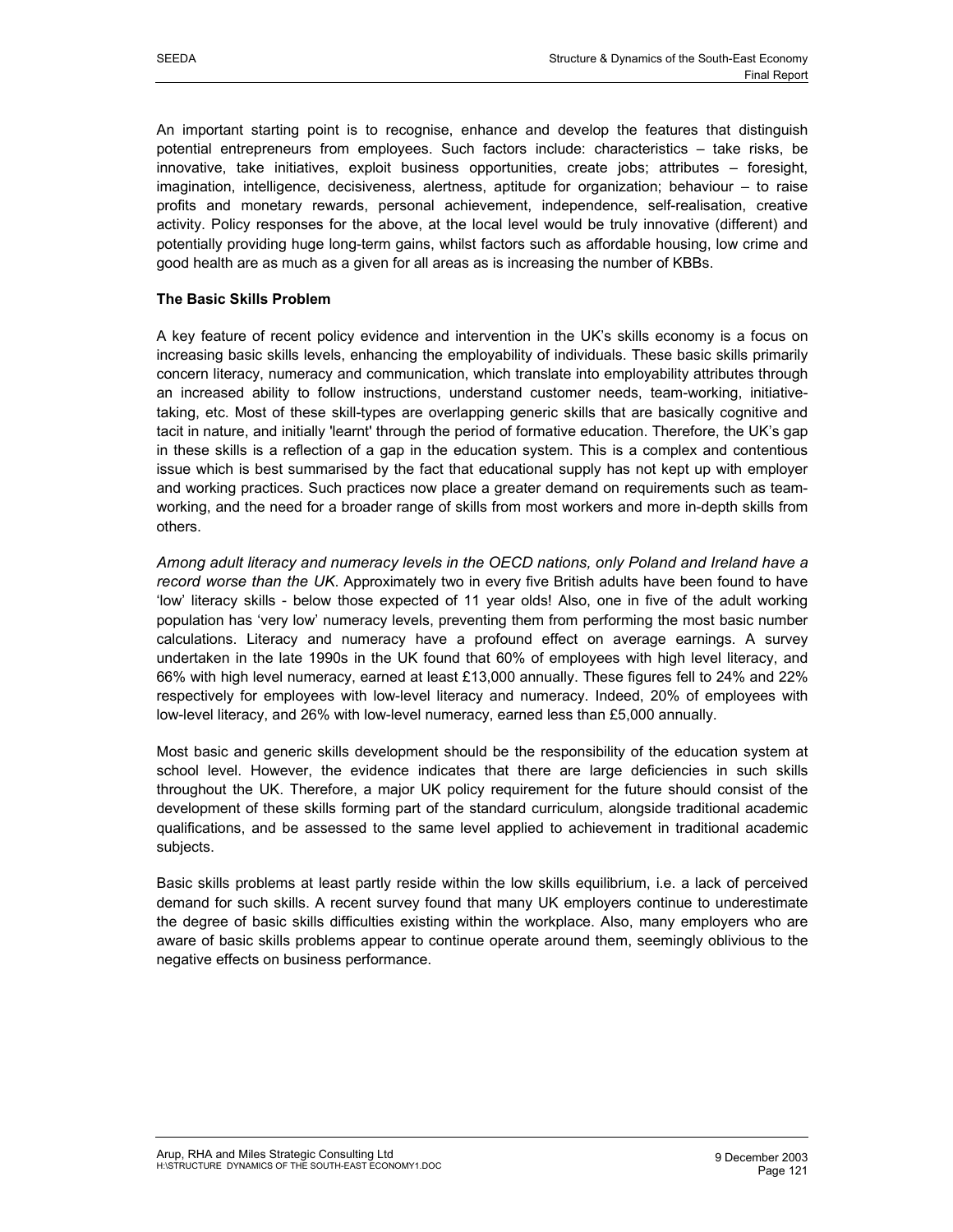An important starting point is to recognise, enhance and develop the features that distinguish potential entrepreneurs from employees. Such factors include: characteristics – take risks, be innovative, take initiatives, exploit business opportunities, create jobs; attributes – foresight, imagination, intelligence, decisiveness, alertness, aptitude for organization; behaviour – to raise profits and monetary rewards, personal achievement, independence, self-realisation, creative activity. Policy responses for the above, at the local level would be truly innovative (different) and potentially providing huge long-term gains, whilst factors such as affordable housing, low crime and good health are as much as a given for all areas as is increasing the number of KBBs.

### **The Basic Skills Problem**

A key feature of recent policy evidence and intervention in the UK's skills economy is a focus on increasing basic skills levels, enhancing the employability of individuals. These basic skills primarily concern literacy, numeracy and communication, which translate into employability attributes through an increased ability to follow instructions, understand customer needs, team-working, initiativetaking, etc. Most of these skill-types are overlapping generic skills that are basically cognitive and tacit in nature, and initially 'learnt' through the period of formative education. Therefore, the UK's gap in these skills is a reflection of a gap in the education system. This is a complex and contentious issue which is best summarised by the fact that educational supply has not kept up with employer and working practices. Such practices now place a greater demand on requirements such as teamworking, and the need for a broader range of skills from most workers and more in-depth skills from others.

*Among adult literacy and numeracy levels in the OECD nations, only Poland and Ireland have a record worse than the UK*. Approximately two in every five British adults have been found to have 'low' literacy skills - below those expected of 11 year olds! Also, one in five of the adult working population has 'very low' numeracy levels, preventing them from performing the most basic number calculations. Literacy and numeracy have a profound effect on average earnings. A survey undertaken in the late 1990s in the UK found that 60% of employees with high level literacy, and 66% with high level numeracy, earned at least £13,000 annually. These figures fell to 24% and 22% respectively for employees with low-level literacy and numeracy. Indeed, 20% of employees with low-level literacy, and 26% with low-level numeracy, earned less than £5,000 annually.

Most basic and generic skills development should be the responsibility of the education system at school level. However, the evidence indicates that there are large deficiencies in such skills throughout the UK. Therefore, a major UK policy requirement for the future should consist of the development of these skills forming part of the standard curriculum, alongside traditional academic qualifications, and be assessed to the same level applied to achievement in traditional academic subjects.

Basic skills problems at least partly reside within the low skills equilibrium, i.e. a lack of perceived demand for such skills. A recent survey found that many UK employers continue to underestimate the degree of basic skills difficulties existing within the workplace. Also, many employers who are aware of basic skills problems appear to continue operate around them, seemingly oblivious to the negative effects on business performance.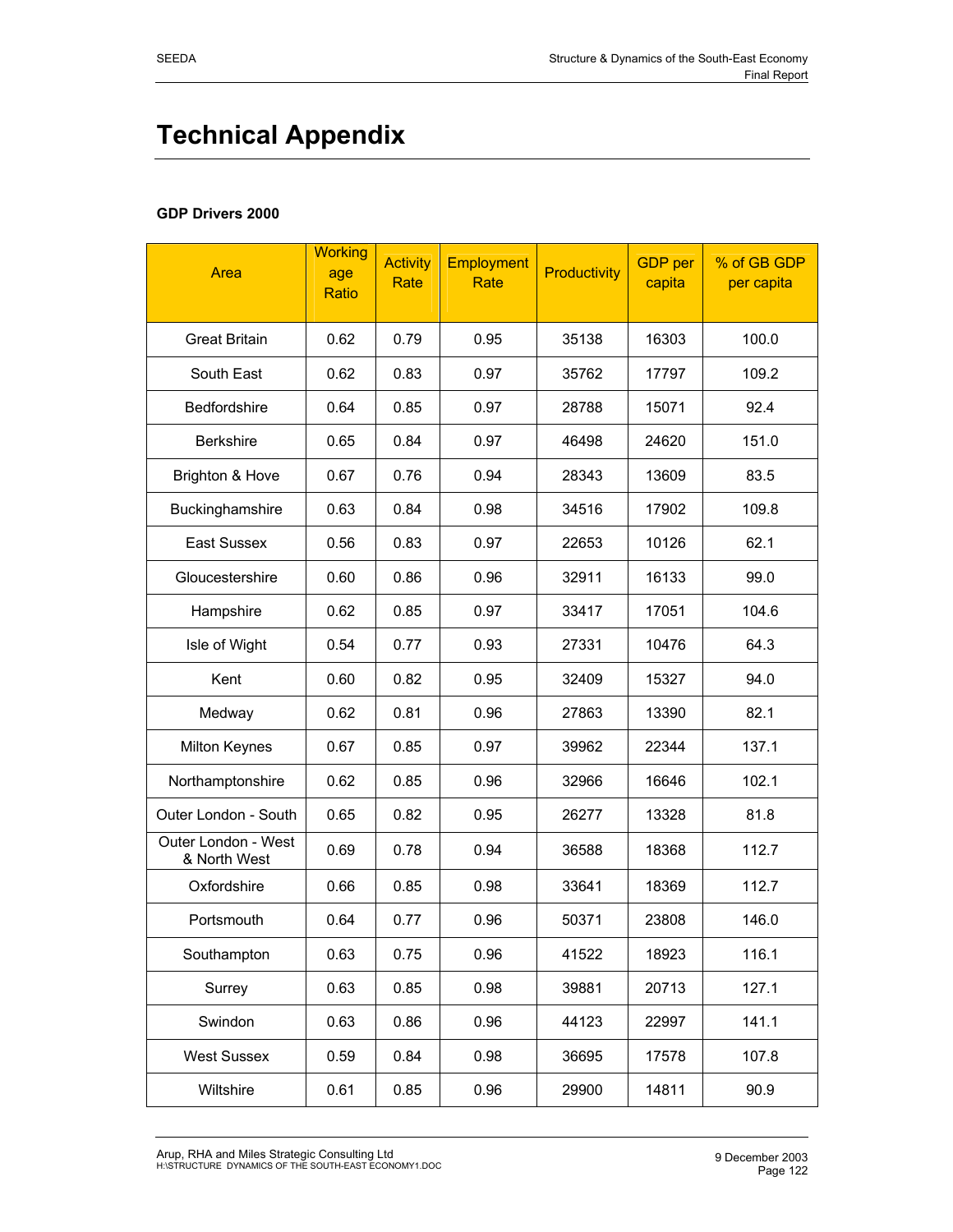# **Technical Appendix**

# **GDP Drivers 2000**

| Area                                | <b>Working</b><br>age<br>Ratio | <b>Activity</b><br>Rate | <b>Employment</b><br>Rate | <b>Productivity</b> | <b>GDP</b> per<br>capita | % of GB GDP<br>per capita |
|-------------------------------------|--------------------------------|-------------------------|---------------------------|---------------------|--------------------------|---------------------------|
| <b>Great Britain</b>                | 0.62                           | 0.79                    | 0.95                      | 35138               | 16303                    | 100.0                     |
| South East                          | 0.62                           | 0.83                    | 0.97                      | 35762               | 17797                    | 109.2                     |
| Bedfordshire                        | 0.64                           | 0.85                    | 0.97                      | 28788               | 15071                    | 92.4                      |
| <b>Berkshire</b>                    | 0.65                           | 0.84                    | 0.97                      | 46498               | 24620                    | 151.0                     |
| Brighton & Hove                     | 0.67                           | 0.76                    | 0.94                      | 28343               | 13609                    | 83.5                      |
| Buckinghamshire                     | 0.63                           | 0.84                    | 0.98                      | 34516               | 17902                    | 109.8                     |
| <b>East Sussex</b>                  | 0.56                           | 0.83                    | 0.97                      | 22653               | 10126                    | 62.1                      |
| Gloucestershire                     | 0.60                           | 0.86                    | 0.96                      | 32911               | 16133                    | 99.0                      |
| Hampshire                           | 0.62                           | 0.85                    | 0.97                      | 33417               | 17051                    | 104.6                     |
| Isle of Wight                       | 0.54                           | 0.77                    | 0.93                      | 27331               | 10476                    | 64.3                      |
| Kent                                | 0.60                           | 0.82                    | 0.95                      | 32409               | 15327                    | 94.0                      |
| Medway                              | 0.62                           | 0.81                    | 0.96                      | 27863               | 13390                    | 82.1                      |
| Milton Keynes                       | 0.67                           | 0.85                    | 0.97                      | 39962               | 22344                    | 137.1                     |
| Northamptonshire                    | 0.62                           | 0.85                    | 0.96                      | 32966               | 16646                    | 102.1                     |
| Outer London - South                | 0.65                           | 0.82                    | 0.95                      | 26277               | 13328                    | 81.8                      |
| Outer London - West<br>& North West | 0.69                           | 0.78                    | 0.94                      | 36588               | 18368                    | 112.7                     |
| Oxfordshire                         | 0.66                           | 0.85                    | 0.98                      | 33641               | 18369                    | 112.7                     |
| Portsmouth                          | 0.64                           | 0.77                    | 0.96                      | 50371               | 23808                    | 146.0                     |
| Southampton                         | 0.63                           | 0.75                    | 0.96                      | 41522               | 18923                    | 116.1                     |
| Surrey                              | 0.63                           | 0.85                    | 0.98                      | 39881               | 20713                    | 127.1                     |
| Swindon                             | 0.63                           | 0.86                    | 0.96                      | 44123               | 22997                    | 141.1                     |
| <b>West Sussex</b>                  | 0.59                           | 0.84                    | 0.98                      | 36695               | 17578                    | 107.8                     |
| Wiltshire                           | 0.61                           | 0.85                    | 0.96                      | 29900               | 14811                    | 90.9                      |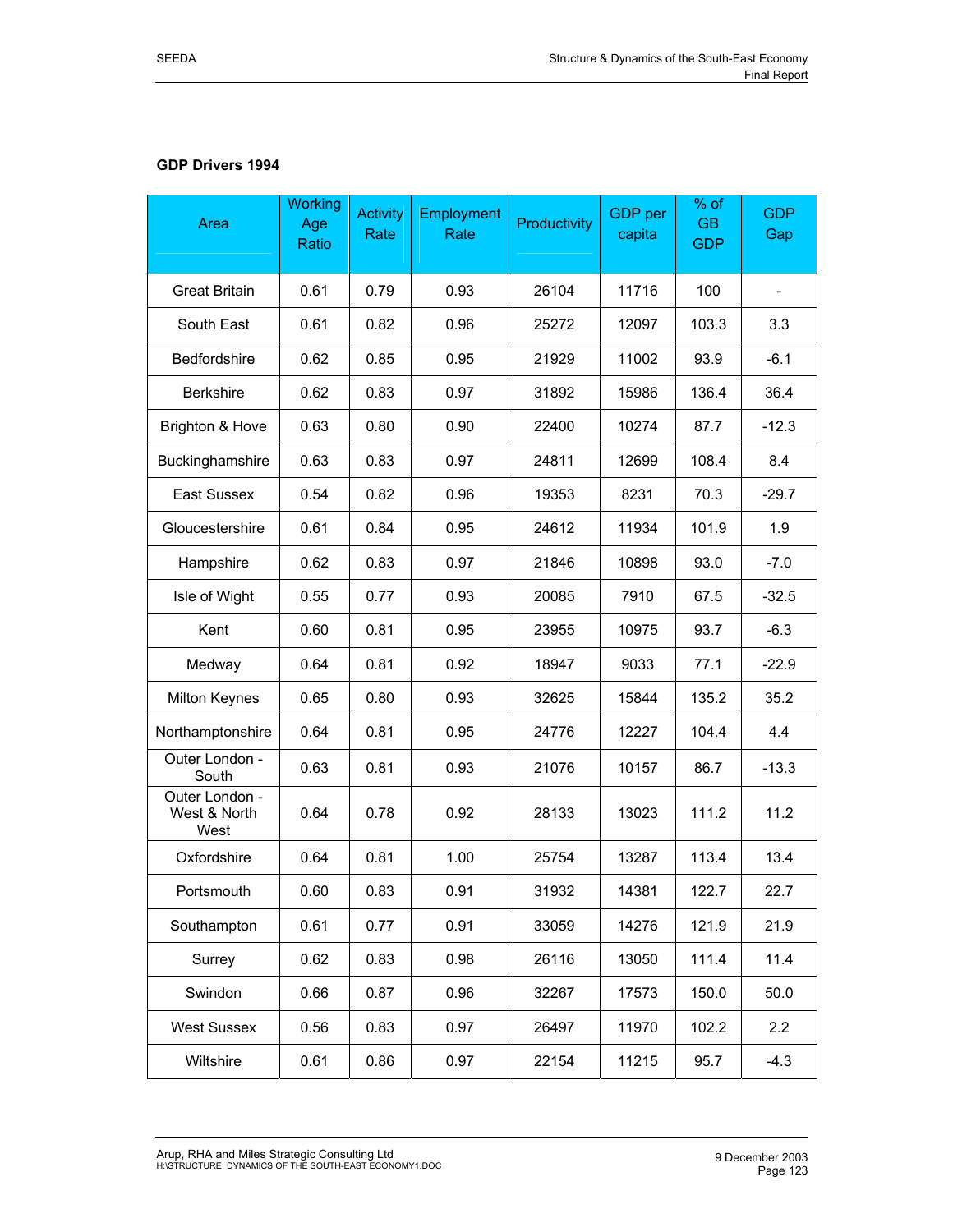# **GDP Drivers 1994**

| Area                                   | <b>Working</b><br>Age<br>Ratio | <b>Activity</b><br>Rate | Employment<br>Rate | Productivity | GDP per<br>capita | % of<br><b>GB</b><br><b>GDP</b> | <b>GDP</b><br>Gap |
|----------------------------------------|--------------------------------|-------------------------|--------------------|--------------|-------------------|---------------------------------|-------------------|
| <b>Great Britain</b>                   | 0.61                           | 0.79                    | 0.93               | 26104        | 11716             | 100                             |                   |
| South East                             | 0.61                           | 0.82                    | 0.96               | 25272        | 12097             | 103.3                           | 3.3               |
| Bedfordshire                           | 0.62                           | 0.85                    | 0.95               | 21929        | 11002             | 93.9                            | $-6.1$            |
| <b>Berkshire</b>                       | 0.62                           | 0.83                    | 0.97               | 31892        | 15986             | 136.4                           | 36.4              |
| Brighton & Hove                        | 0.63                           | 0.80                    | 0.90               | 22400        | 10274             | 87.7                            | $-12.3$           |
| Buckinghamshire                        | 0.63                           | 0.83                    | 0.97               | 24811        | 12699             | 108.4                           | 8.4               |
| <b>East Sussex</b>                     | 0.54                           | 0.82                    | 0.96               | 19353        | 8231              | 70.3                            | $-29.7$           |
| Gloucestershire                        | 0.61                           | 0.84                    | 0.95               | 24612        | 11934             | 101.9                           | 1.9               |
| Hampshire                              | 0.62                           | 0.83                    | 0.97               | 21846        | 10898             | 93.0                            | $-7.0$            |
| Isle of Wight                          | 0.55                           | 0.77                    | 0.93               | 20085        | 7910              | 67.5                            | $-32.5$           |
| Kent                                   | 0.60                           | 0.81                    | 0.95               | 23955        | 10975             | 93.7                            | $-6.3$            |
| Medway                                 | 0.64                           | 0.81                    | 0.92               | 18947        | 9033              | 77.1                            | $-22.9$           |
| Milton Keynes                          | 0.65                           | 0.80                    | 0.93               | 32625        | 15844             | 135.2                           | 35.2              |
| Northamptonshire                       | 0.64                           | 0.81                    | 0.95               | 24776        | 12227             | 104.4                           | 4.4               |
| Outer London -<br>South                | 0.63                           | 0.81                    | 0.93               | 21076        | 10157             | 86.7                            | $-13.3$           |
| Outer London -<br>West & North<br>West | 0.64                           | 0.78                    | 0.92               | 28133        | 13023             | 111.2                           | 11.2              |
| Oxfordshire                            | 0.64                           | 0.81                    | 1.00               | 25754        | 13287             | 113.4                           | 13.4              |
| Portsmouth                             | 0.60                           | 0.83                    | 0.91               | 31932        | 14381             | 122.7                           | 22.7              |
| Southampton                            | 0.61                           | 0.77                    | 0.91               | 33059        | 14276             | 121.9                           | 21.9              |
| Surrey                                 | 0.62                           | 0.83                    | 0.98               | 26116        | 13050             | 111.4                           | 11.4              |
| Swindon                                | 0.66                           | 0.87                    | 0.96               | 32267        | 17573             | 150.0                           | 50.0              |
| <b>West Sussex</b>                     | 0.56                           | 0.83                    | 0.97               | 26497        | 11970             | 102.2                           | 2.2               |
| Wiltshire                              | 0.61                           | 0.86                    | 0.97               | 22154        | 11215             | 95.7                            | $-4.3$            |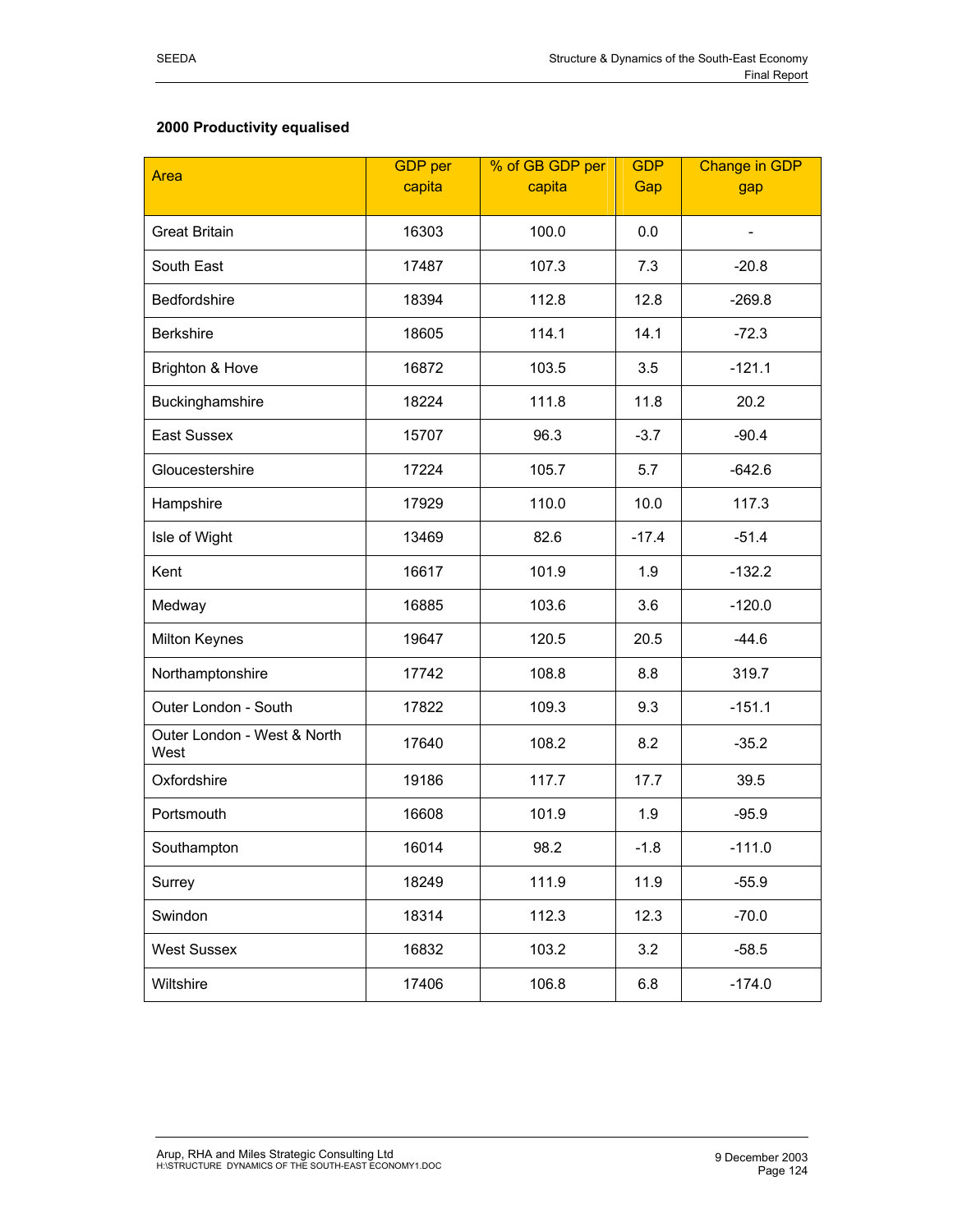# **2000 Productivity equalised**

| Area                                | <b>GDP</b> per<br>capita | % of GB GDP per<br>capita | <b>GDP</b><br>Gap | <b>Change in GDP</b> |
|-------------------------------------|--------------------------|---------------------------|-------------------|----------------------|
|                                     |                          |                           |                   | gap                  |
| <b>Great Britain</b>                | 16303                    | 100.0                     | 0.0               |                      |
| South East                          | 17487                    | 107.3                     | 7.3               | $-20.8$              |
| Bedfordshire                        | 18394                    | 112.8                     | 12.8              | $-269.8$             |
| <b>Berkshire</b>                    | 18605                    | 114.1                     | 14.1              | $-72.3$              |
| Brighton & Hove                     | 16872                    | 103.5                     | 3.5               | $-121.1$             |
| Buckinghamshire                     | 18224                    | 111.8                     | 11.8              | 20.2                 |
| East Sussex                         | 15707                    | 96.3                      | $-3.7$            | $-90.4$              |
| Gloucestershire                     | 17224                    | 105.7                     | 5.7               | $-642.6$             |
| Hampshire                           | 17929                    | 110.0                     | 10.0              | 117.3                |
| Isle of Wight                       | 13469                    | 82.6                      | $-17.4$           | $-51.4$              |
| Kent                                | 16617                    | 101.9                     | 1.9               | $-132.2$             |
| Medway                              | 16885                    | 103.6                     | 3.6               | $-120.0$             |
| Milton Keynes                       | 19647                    | 120.5                     | 20.5              | $-44.6$              |
| Northamptonshire                    | 17742                    | 108.8                     | 8.8               | 319.7                |
| Outer London - South                | 17822                    | 109.3                     | 9.3               | $-151.1$             |
| Outer London - West & North<br>West | 17640                    | 108.2                     | 8.2               | $-35.2$              |
| Oxfordshire                         | 19186                    | 117.7                     | 17.7              | 39.5                 |
| Portsmouth                          | 16608                    | 101.9                     | 1.9               | $-95.9$              |
| Southampton                         | 16014                    | 98.2                      | $-1.8$            | $-111.0$             |
| Surrey                              | 18249                    | 111.9                     | 11.9              | $-55.9$              |
| Swindon                             | 18314                    | 112.3                     | 12.3              | $-70.0$              |
| <b>West Sussex</b>                  | 16832                    | 103.2                     | 3.2               | $-58.5$              |
| Wiltshire                           | 17406                    | 106.8                     | 6.8               | $-174.0$             |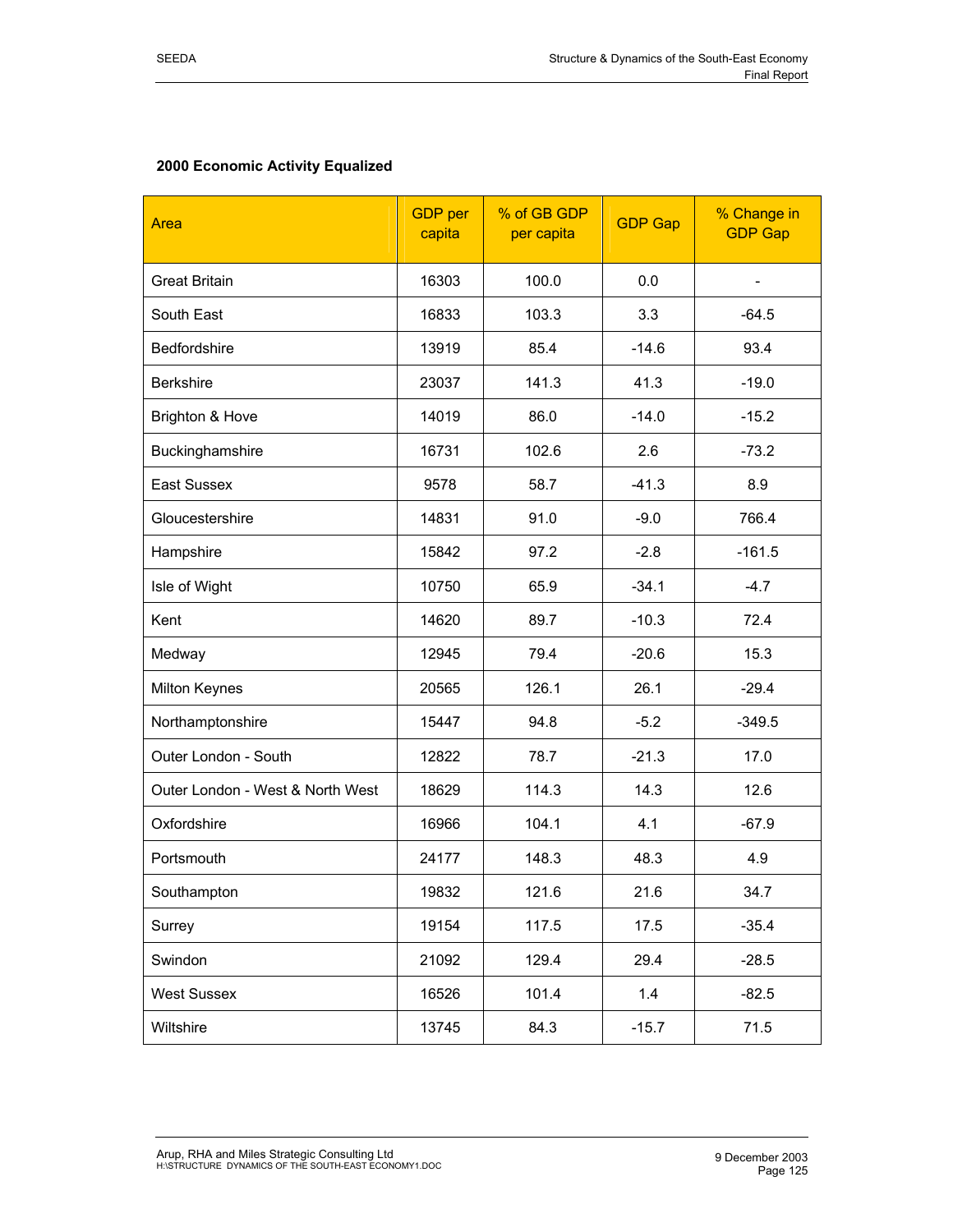## **2000 Economic Activity Equalized**

| Area                             | <b>GDP</b> per<br>capita | % of GB GDP<br>per capita | <b>GDP Gap</b> | % Change in<br><b>GDP Gap</b> |
|----------------------------------|--------------------------|---------------------------|----------------|-------------------------------|
| <b>Great Britain</b>             | 16303                    | 100.0                     | 0.0            |                               |
| South East                       | 16833                    | 103.3                     | 3.3            | $-64.5$                       |
| Bedfordshire                     | 13919                    | 85.4                      | $-14.6$        | 93.4                          |
| <b>Berkshire</b>                 | 23037                    | 141.3                     | 41.3           | $-19.0$                       |
| Brighton & Hove                  | 14019                    | 86.0                      | $-14.0$        | $-15.2$                       |
| Buckinghamshire                  | 16731                    | 102.6                     | 2.6            | $-73.2$                       |
| East Sussex                      | 9578                     | 58.7                      | $-41.3$        | 8.9                           |
| Gloucestershire                  | 14831                    | 91.0                      | $-9.0$         | 766.4                         |
| Hampshire                        | 15842                    | 97.2                      | $-2.8$         | $-161.5$                      |
| Isle of Wight                    | 10750                    | 65.9                      | $-34.1$        | $-4.7$                        |
| Kent                             | 14620                    | 89.7                      | $-10.3$        | 72.4                          |
| Medway                           | 12945                    | 79.4                      | $-20.6$        | 15.3                          |
| Milton Keynes                    | 20565                    | 126.1                     | 26.1           | $-29.4$                       |
| Northamptonshire                 | 15447                    | 94.8                      | $-5.2$         | $-349.5$                      |
| Outer London - South             | 12822                    | 78.7                      | $-21.3$        | 17.0                          |
| Outer London - West & North West | 18629                    | 114.3                     | 14.3           | 12.6                          |
| Oxfordshire                      | 16966                    | 104.1                     | 4.1            | $-67.9$                       |
| Portsmouth                       | 24177                    | 148.3                     | 48.3           | 4.9                           |
| Southampton                      | 19832                    | 121.6                     | 21.6           | 34.7                          |
| Surrey                           | 19154                    | 117.5                     | 17.5           | $-35.4$                       |
| Swindon                          | 21092                    | 129.4                     | 29.4           | $-28.5$                       |
| <b>West Sussex</b>               | 16526                    | 101.4                     | 1.4            | $-82.5$                       |
| Wiltshire                        | 13745                    | 84.3                      | $-15.7$        | 71.5                          |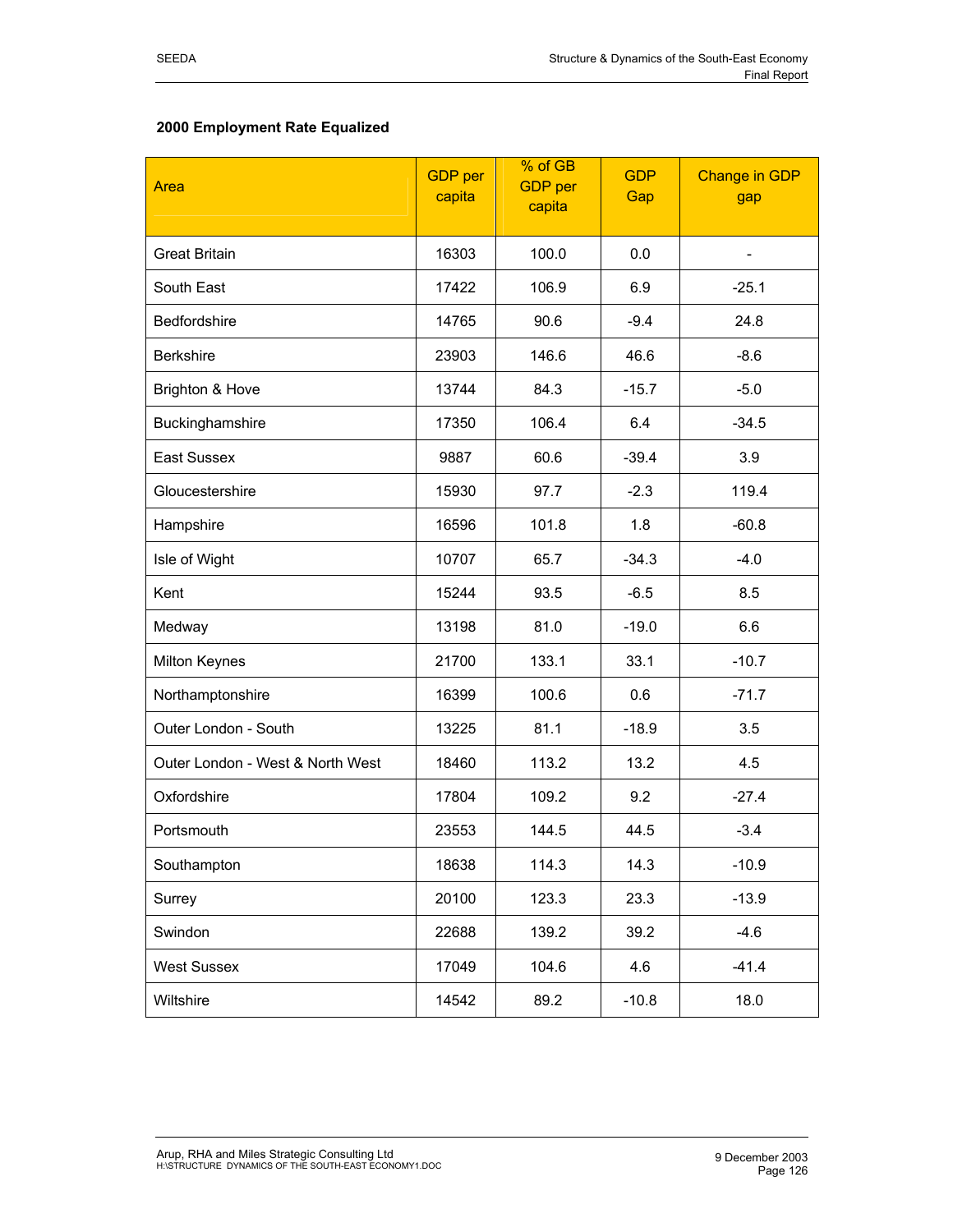## **2000 Employment Rate Equalized**

| Area                             | <b>GDP</b> per<br>capita | % of GB<br><b>GDP</b> per<br>capita |         | <b>Change in GDP</b><br>gap |
|----------------------------------|--------------------------|-------------------------------------|---------|-----------------------------|
| <b>Great Britain</b>             | 16303                    | 100.0                               | 0.0     |                             |
| South East                       | 17422                    | 106.9                               | 6.9     | $-25.1$                     |
| Bedfordshire                     | 14765                    | 90.6                                | $-9.4$  | 24.8                        |
| <b>Berkshire</b>                 | 23903                    | 146.6                               | 46.6    | $-8.6$                      |
| Brighton & Hove                  | 13744                    | 84.3                                | $-15.7$ | $-5.0$                      |
| Buckinghamshire                  | 17350                    | 106.4                               | 6.4     | $-34.5$                     |
| <b>East Sussex</b>               | 9887                     | 60.6                                | $-39.4$ | 3.9                         |
| Gloucestershire                  | 15930                    | 97.7                                | $-2.3$  | 119.4                       |
| Hampshire                        | 16596                    | 101.8                               | 1.8     | $-60.8$                     |
| Isle of Wight                    | 10707                    | 65.7                                | $-34.3$ | $-4.0$                      |
| Kent                             | 15244                    | 93.5                                | $-6.5$  | 8.5                         |
| Medway                           | 13198                    | 81.0                                | $-19.0$ | 6.6                         |
| Milton Keynes                    | 21700                    | 133.1                               | 33.1    | $-10.7$                     |
| Northamptonshire                 | 16399                    | 100.6                               | 0.6     | $-71.7$                     |
| Outer London - South             | 13225                    | 81.1                                | $-18.9$ | 3.5                         |
| Outer London - West & North West | 18460                    | 113.2                               | 13.2    | 4.5                         |
| Oxfordshire                      | 17804                    | 109.2                               | 9.2     | $-27.4$                     |
| Portsmouth                       | 23553                    | 144.5                               | 44.5    | $-3.4$                      |
| Southampton                      | 18638                    | 114.3                               | 14.3    | $-10.9$                     |
| Surrey                           | 20100                    | 123.3                               | 23.3    | $-13.9$                     |
| Swindon                          | 22688                    | 139.2                               | 39.2    | $-4.6$                      |
| <b>West Sussex</b>               | 17049                    | 104.6                               | 4.6     | $-41.4$                     |
| Wiltshire                        | 14542                    | 89.2                                | $-10.8$ | 18.0                        |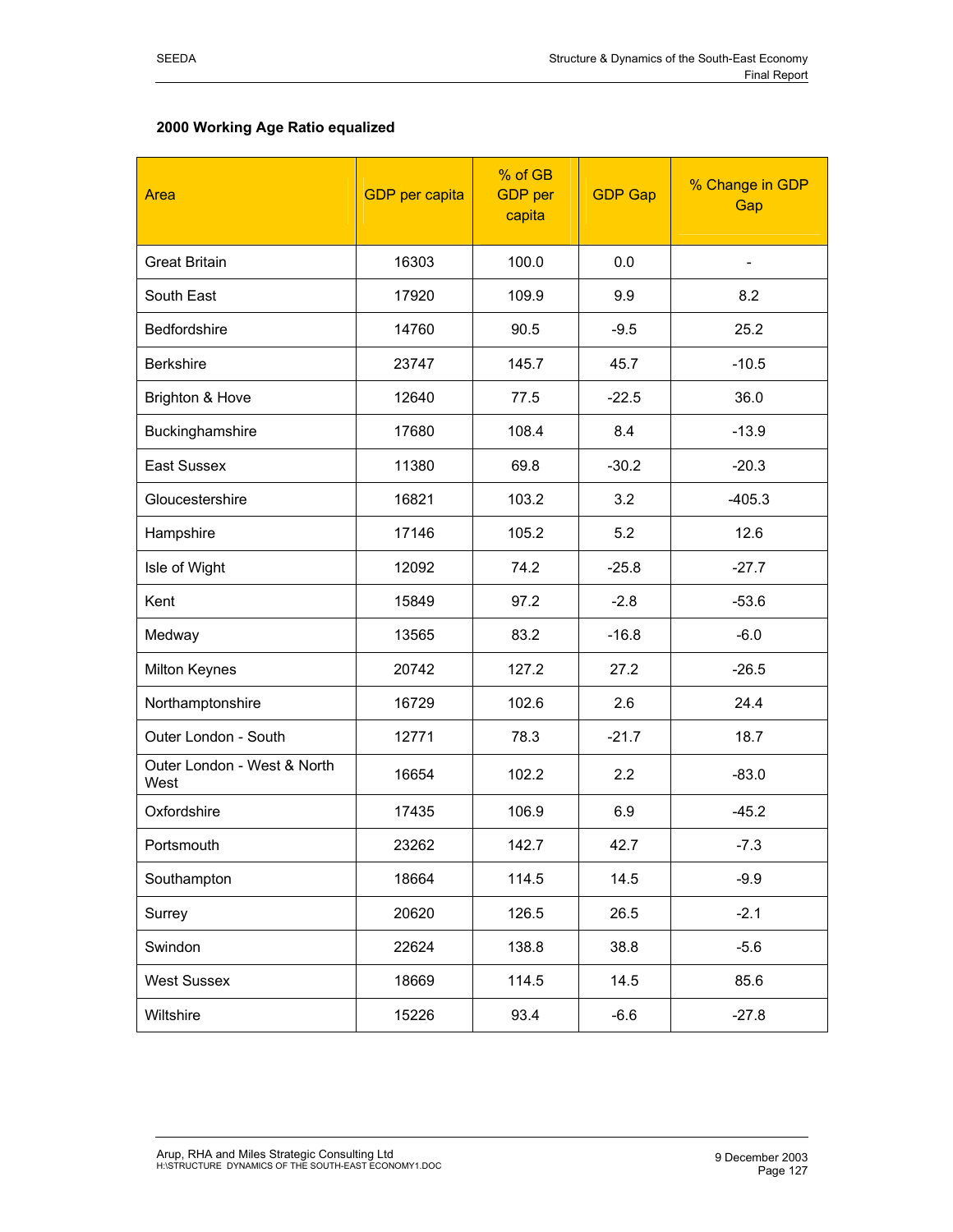## **2000 Working Age Ratio equalized**

| Area                                | % of GB<br><b>GDP</b> per<br><b>GDP</b> per capita<br>capita |       | <b>GDP Gap</b> | % Change in GDP<br>Gap |
|-------------------------------------|--------------------------------------------------------------|-------|----------------|------------------------|
| <b>Great Britain</b>                | 16303                                                        | 100.0 | 0.0            |                        |
| South East                          | 17920                                                        | 109.9 | 9.9            | 8.2                    |
| <b>Bedfordshire</b>                 | 14760                                                        | 90.5  | $-9.5$         | 25.2                   |
| <b>Berkshire</b>                    | 23747                                                        | 145.7 | 45.7           | $-10.5$                |
| Brighton & Hove                     | 12640                                                        | 77.5  | $-22.5$        | 36.0                   |
| Buckinghamshire                     | 17680                                                        | 108.4 | 8.4            | $-13.9$                |
| East Sussex                         | 11380                                                        | 69.8  | $-30.2$        | $-20.3$                |
| Gloucestershire                     | 16821                                                        | 103.2 | 3.2            | $-405.3$               |
| Hampshire                           | 17146                                                        | 105.2 | 5.2            | 12.6                   |
| Isle of Wight                       | 12092                                                        | 74.2  | $-25.8$        | $-27.7$                |
| Kent                                | 15849                                                        | 97.2  | $-2.8$         | $-53.6$                |
| Medway                              | 13565                                                        | 83.2  | $-16.8$        | $-6.0$                 |
| Milton Keynes                       | 20742                                                        | 127.2 | 27.2           | $-26.5$                |
| Northamptonshire                    | 16729                                                        | 102.6 | 2.6            | 24.4                   |
| Outer London - South                | 12771                                                        | 78.3  | $-21.7$        | 18.7                   |
| Outer London - West & North<br>West | 16654                                                        | 102.2 | 2.2            | $-83.0$                |
| Oxfordshire                         | 17435                                                        | 106.9 | 6.9            | $-45.2$                |
| Portsmouth                          | 23262                                                        | 142.7 | 42.7           | $-7.3$                 |
| Southampton                         | 18664                                                        | 114.5 | 14.5           | $-9.9$                 |
| Surrey                              | 20620                                                        | 126.5 | 26.5           | $-2.1$                 |
| Swindon                             | 22624                                                        | 138.8 | 38.8           | $-5.6$                 |
| West Sussex                         | 18669                                                        | 114.5 | 14.5           | 85.6                   |
| Wiltshire                           | 15226                                                        | 93.4  | $-6.6$         | $-27.8$                |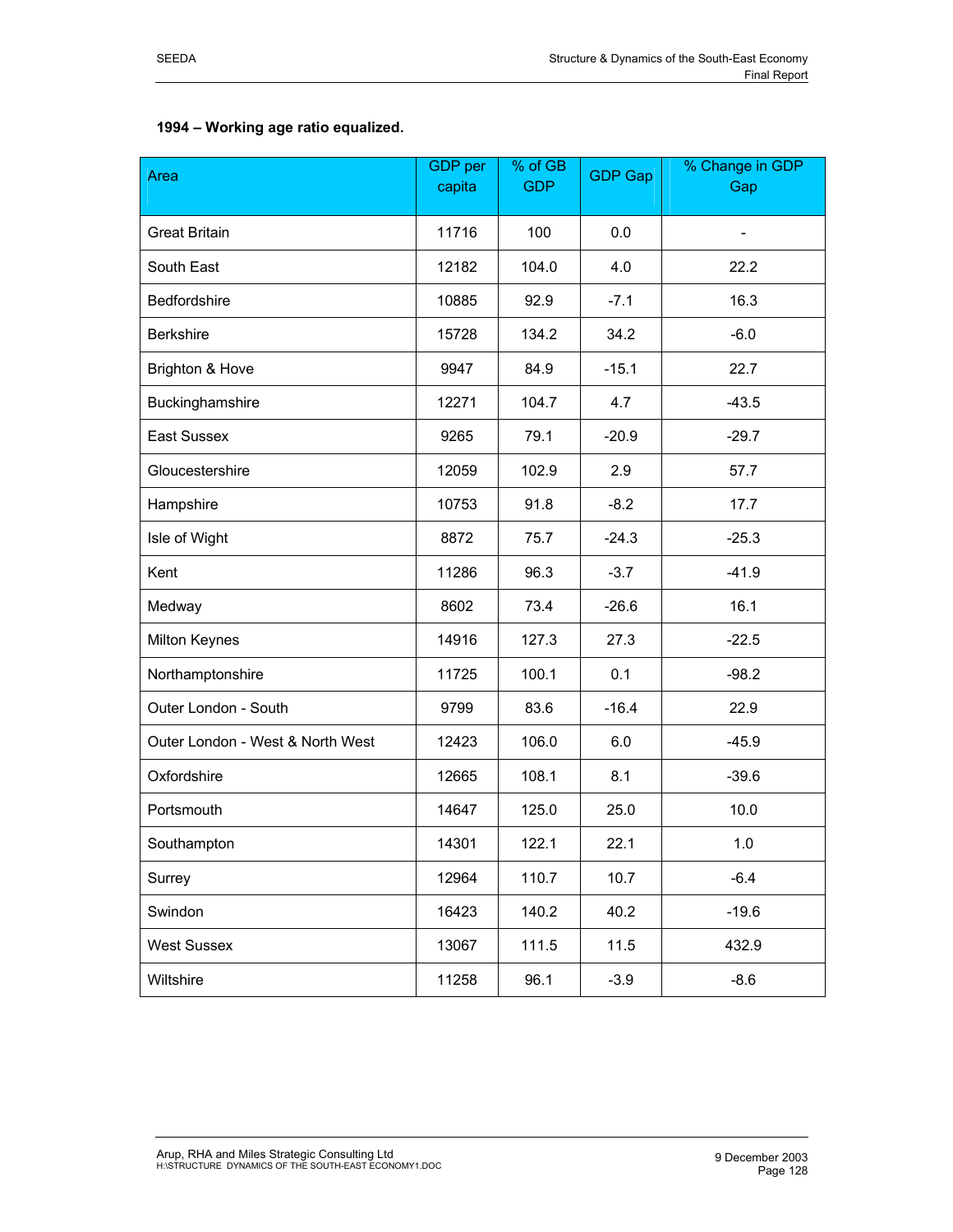| Area                             | GDP per<br>capita | % of GB<br><b>GDP</b> | <b>GDP Gap</b> | % Change in GDP<br>Gap |
|----------------------------------|-------------------|-----------------------|----------------|------------------------|
| <b>Great Britain</b>             | 11716             | 100                   | 0.0            |                        |
| South East                       | 12182             | 104.0                 | 4.0            | 22.2                   |
| Bedfordshire                     | 10885             | 92.9                  | $-7.1$         | 16.3                   |
| <b>Berkshire</b>                 | 15728             | 134.2                 | 34.2           | $-6.0$                 |
| Brighton & Hove                  | 9947              | 84.9                  | $-15.1$        | 22.7                   |
| Buckinghamshire                  | 12271             | 104.7                 | 4.7            | $-43.5$                |
| East Sussex                      | 9265              | 79.1                  | $-20.9$        | $-29.7$                |
| Gloucestershire                  | 12059             | 102.9                 | 2.9            | 57.7                   |
| Hampshire                        | 10753             | 91.8                  | $-8.2$         | 17.7                   |
| Isle of Wight                    | 8872              | 75.7                  | $-24.3$        | $-25.3$                |
| Kent                             | 11286             | 96.3                  | $-3.7$         | $-41.9$                |
| Medway                           | 8602              | 73.4                  | $-26.6$        | 16.1                   |
| Milton Keynes                    | 14916             | 127.3                 | 27.3           | $-22.5$                |
| Northamptonshire                 | 11725             | 100.1                 | 0.1            | $-98.2$                |
| Outer London - South             | 9799              | 83.6                  | $-16.4$        | 22.9                   |
| Outer London - West & North West | 12423             | 106.0                 | 6.0            | $-45.9$                |
| Oxfordshire                      | 12665             | 108.1                 | 8.1            | $-39.6$                |
| Portsmouth                       | 14647             | 125.0                 | 25.0           | 10.0                   |
| Southampton                      | 14301             | 122.1                 | 22.1           | 1.0                    |
| Surrey                           | 12964             | 110.7                 | 10.7           | $-6.4$                 |
| Swindon                          | 16423             | 140.2                 | 40.2           | $-19.6$                |
| <b>West Sussex</b>               | 13067             | 111.5                 | 11.5           | 432.9                  |
| Wiltshire                        | 11258             | 96.1                  | $-3.9$         | $-8.6$                 |

## **1994 – Working age ratio equalized.**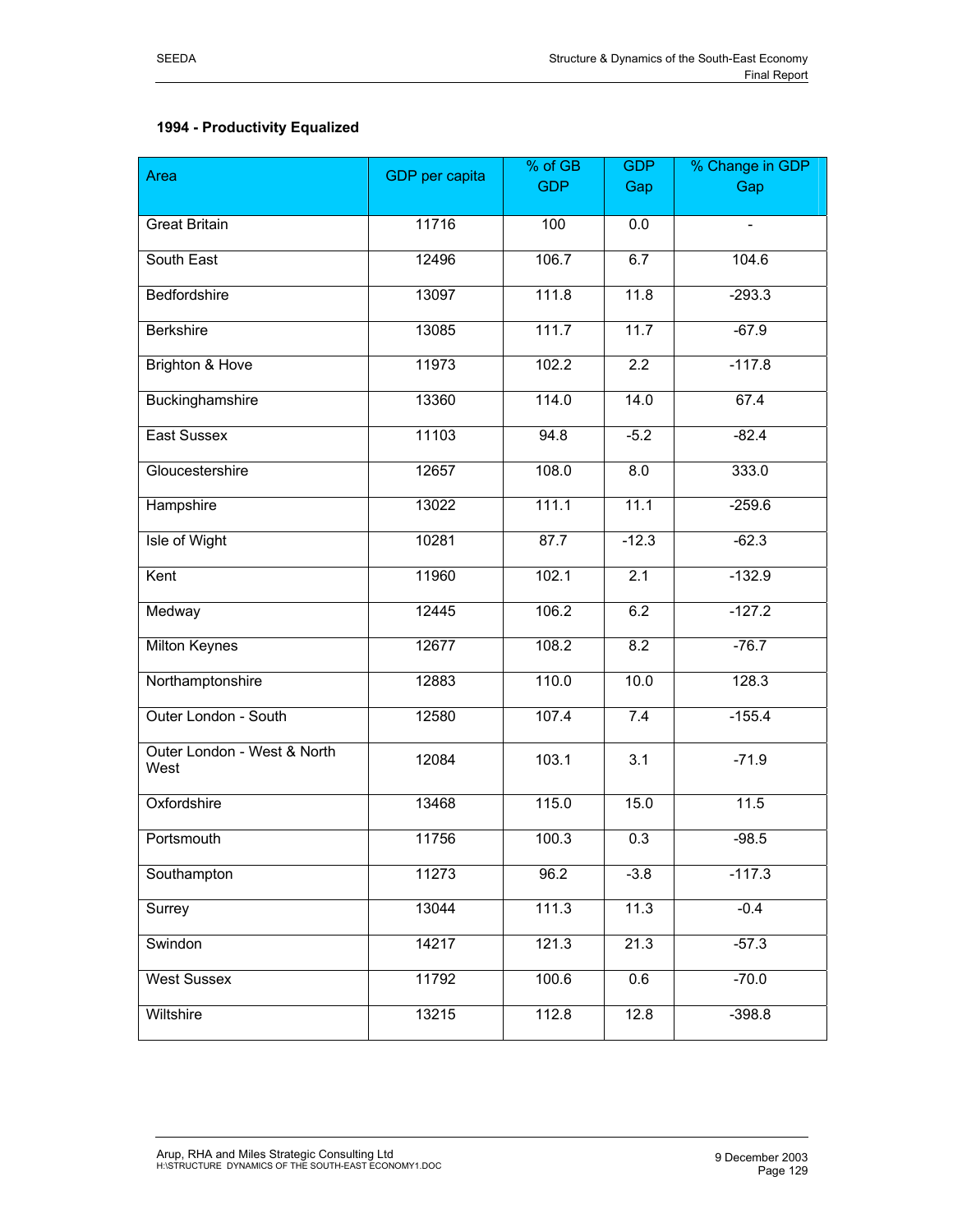# **1994 - Productivity Equalized**

| Area                                | GDP per capita | % of GB    | <b>GDP</b>       | % Change in GDP |  |  |
|-------------------------------------|----------------|------------|------------------|-----------------|--|--|
|                                     |                | <b>GDP</b> | Gap              | Gap             |  |  |
| <b>Great Britain</b>                | 11716          | 100        | 0.0              | $\frac{1}{2}$   |  |  |
| South East                          | 12496          | 106.7      | 6.7              | 104.6           |  |  |
| Bedfordshire                        | 13097          | 111.8      | 11.8             | $-293.3$        |  |  |
| <b>Berkshire</b>                    | 13085          | 111.7      | 11.7             | $-67.9$         |  |  |
| Brighton & Hove                     | 11973          | 102.2      | $\overline{2.2}$ | $-117.8$        |  |  |
| Buckinghamshire                     | 13360          | 114.0      | 14.0             | 67.4            |  |  |
| East Sussex                         | 11103          | 94.8       | $-5.2$           | $-82.4$         |  |  |
| Gloucestershire                     | 12657          | 108.0      | 8.0              | 333.0           |  |  |
| Hampshire                           | 13022          | 111.1      | 11.1             | $-259.6$        |  |  |
| Isle of Wight                       | 10281          | 87.7       | $-12.3$          | $-62.3$         |  |  |
| Kent                                | 11960          | 102.1      | 2.1              | $-132.9$        |  |  |
| Medway                              | 12445          | 106.2      | 6.2              | $-127.2$        |  |  |
| <b>Milton Keynes</b>                | 12677          | 108.2      | 8.2              | $-76.7$         |  |  |
| Northamptonshire                    | 12883          | 110.0      | 10.0             | 128.3           |  |  |
| Outer London - South                | 12580          | 107.4      | 7.4              | $-155.4$        |  |  |
| Outer London - West & North<br>West | 12084          | 103.1      | 3.1              | $-71.9$         |  |  |
| Oxfordshire                         | 13468          | 115.0      | 15.0             | 11.5            |  |  |
| Portsmouth                          | 11756          | 100.3      | 0.3              | $-98.5$         |  |  |
| Southampton                         | 11273          | 96.2       | $-3.8$           | $-117.3$        |  |  |
| Surrey                              | 13044          | 111.3      | 11.3             | $-0.4$          |  |  |
| Swindon                             | 14217          | 121.3      | 21.3             | $-57.3$         |  |  |
| <b>West Sussex</b>                  | 11792          | 100.6      | 0.6              | $-70.0$         |  |  |
| Wiltshire                           | 13215          | 112.8      | 12.8             | $-398.8$        |  |  |
|                                     |                |            |                  |                 |  |  |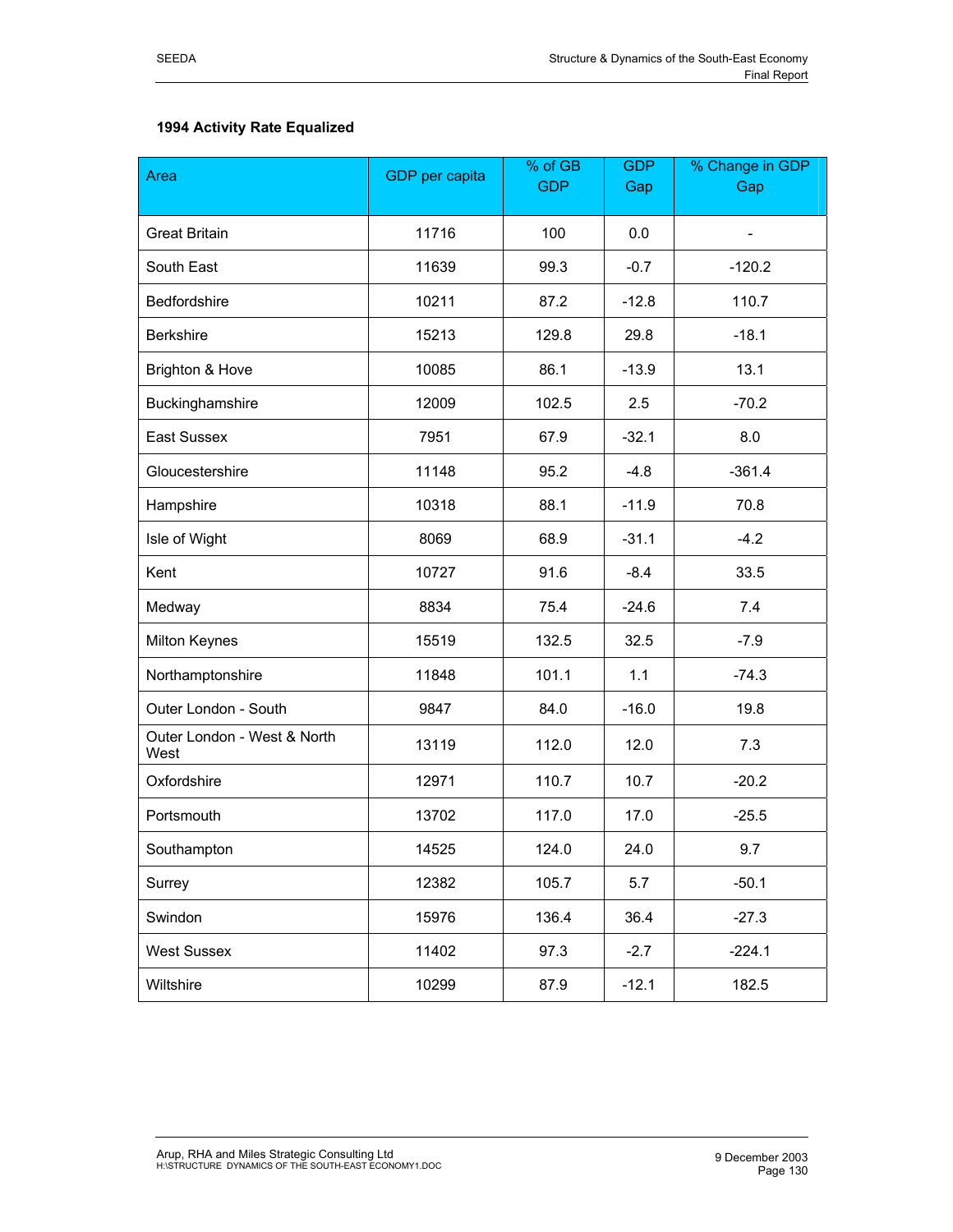# **1994 Activity Rate Equalized**

| Area                                | % of GB<br><b>GDP</b> per capita<br><b>GDP</b> |       | <b>GDP</b><br>Gap | % Change in GDP<br>Gap   |
|-------------------------------------|------------------------------------------------|-------|-------------------|--------------------------|
|                                     |                                                |       |                   |                          |
| <b>Great Britain</b>                | 11716                                          | 100   | 0.0               | $\overline{\phantom{0}}$ |
| South East                          | 11639                                          | 99.3  | $-0.7$            | $-120.2$                 |
| Bedfordshire                        | 10211                                          | 87.2  | $-12.8$           | 110.7                    |
| <b>Berkshire</b>                    | 15213                                          | 129.8 | 29.8              | $-18.1$                  |
| Brighton & Hove                     | 10085                                          | 86.1  | $-13.9$           | 13.1                     |
| Buckinghamshire                     | 12009                                          | 102.5 | 2.5               | $-70.2$                  |
| East Sussex                         | 7951                                           | 67.9  | $-32.1$           | 8.0                      |
| Gloucestershire                     | 11148                                          | 95.2  | $-4.8$            | $-361.4$                 |
| Hampshire                           | 10318                                          | 88.1  | $-11.9$           | 70.8                     |
| Isle of Wight                       | 8069                                           | 68.9  | $-31.1$           | $-4.2$                   |
| Kent                                | 10727                                          | 91.6  | $-8.4$            | 33.5                     |
| Medway                              | 8834                                           | 75.4  | $-24.6$           | 7.4                      |
| Milton Keynes                       | 15519                                          | 132.5 | 32.5              | $-7.9$                   |
| Northamptonshire                    | 11848                                          | 101.1 | 1.1               | $-74.3$                  |
| Outer London - South                | 9847                                           | 84.0  | $-16.0$           | 19.8                     |
| Outer London - West & North<br>West | 13119                                          | 112.0 | 12.0              | 7.3                      |
| Oxfordshire                         | 12971                                          | 110.7 | 10.7              | $-20.2$                  |
| Portsmouth                          | 13702                                          | 117.0 | 17.0              | $-25.5$                  |
| Southampton                         | 14525                                          | 124.0 | 24.0              | 9.7                      |
| Surrey                              | 12382                                          | 105.7 | 5.7               | $-50.1$                  |
| Swindon                             | 15976                                          | 136.4 | 36.4              | $-27.3$                  |
| <b>West Sussex</b>                  | 11402                                          | 97.3  | $-2.7$            | $-224.1$                 |
| Wiltshire                           | 10299                                          | 87.9  | $-12.1$           | 182.5                    |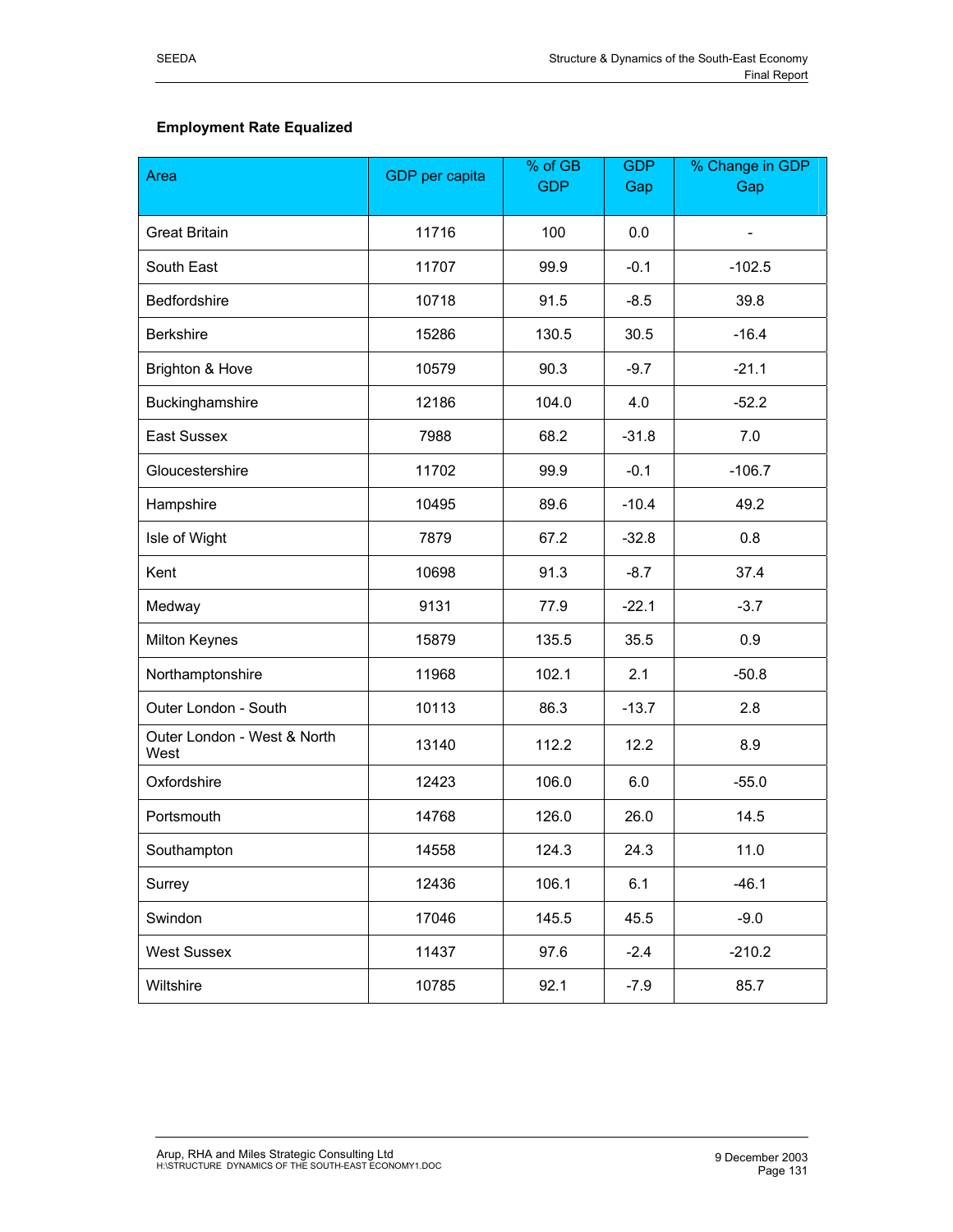# **Employment Rate Equalized**

| Area                                | GDP per capita | % of GB<br><b>GDP</b> | <b>GDP</b><br>Gap | % Change in GDP<br>Gap   |
|-------------------------------------|----------------|-----------------------|-------------------|--------------------------|
|                                     |                |                       |                   |                          |
| <b>Great Britain</b>                | 11716          | 100                   | 0.0               | $\overline{\phantom{0}}$ |
| South East                          | 11707          | 99.9                  | $-0.1$            | $-102.5$                 |
| Bedfordshire                        | 10718          | 91.5                  | $-8.5$            | 39.8                     |
| <b>Berkshire</b>                    | 15286          | 130.5                 | 30.5              | $-16.4$                  |
| Brighton & Hove                     | 10579          | 90.3                  | $-9.7$            | $-21.1$                  |
| Buckinghamshire                     | 12186          | 104.0                 | 4.0               | $-52.2$                  |
| East Sussex                         | 7988           | 68.2                  | $-31.8$           | 7.0                      |
| Gloucestershire                     | 11702          | 99.9                  | $-0.1$            | $-106.7$                 |
| Hampshire                           | 10495          | 89.6                  | $-10.4$           | 49.2                     |
| Isle of Wight                       | 7879           | 67.2                  | $-32.8$           | 0.8                      |
| Kent                                | 10698          | 91.3                  | $-8.7$            | 37.4                     |
| Medway                              | 9131           | 77.9                  | $-22.1$           | $-3.7$                   |
| <b>Milton Keynes</b>                | 15879          | 135.5                 | 35.5              | 0.9                      |
| Northamptonshire                    | 11968          | 102.1                 | 2.1               | $-50.8$                  |
| Outer London - South                | 10113          | 86.3                  | $-13.7$           | 2.8                      |
| Outer London - West & North<br>West | 13140          | 112.2                 | 12.2              | 8.9                      |
| Oxfordshire                         | 12423          | 106.0                 | 6.0               | $-55.0$                  |
| Portsmouth                          | 14768          | 126.0                 | 26.0              | 14.5                     |
| Southampton                         | 14558          | 124.3                 | 24.3              | 11.0                     |
| Surrey                              | 12436          | 106.1                 | 6.1               | $-46.1$                  |
| Swindon                             | 17046          | 145.5                 | 45.5              | $-9.0$                   |
| <b>West Sussex</b>                  | 11437          | 97.6                  | $-2.4$            | $-210.2$                 |
| Wiltshire                           | 10785          | 92.1                  | $-7.9$            | 85.7                     |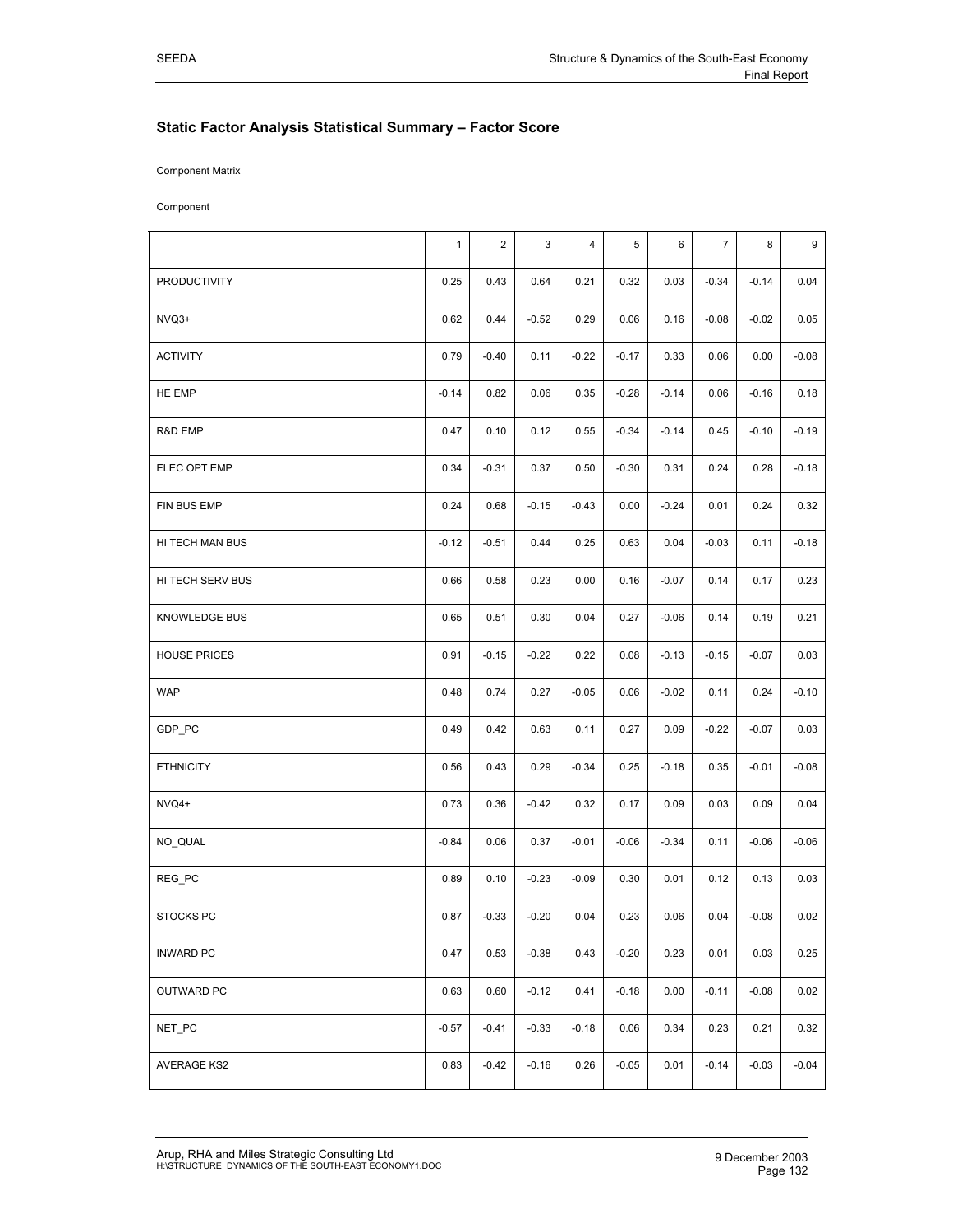## **Static Factor Analysis Statistical Summary – Factor Score**

Component Matrix

Component

|                      | $\mathbf{1}$ | $\overline{2}$ | 3       | 4       | 5       | 6       | $\overline{7}$ | 8       | 9       |
|----------------------|--------------|----------------|---------|---------|---------|---------|----------------|---------|---------|
| <b>PRODUCTIVITY</b>  | 0.25         | 0.43           | 0.64    | 0.21    | 0.32    | 0.03    | $-0.34$        | $-0.14$ | 0.04    |
| NVQ3+                | 0.62         | 0.44           | $-0.52$ | 0.29    | 0.06    | 0.16    | $-0.08$        | $-0.02$ | 0.05    |
| <b>ACTIVITY</b>      | 0.79         | $-0.40$        | 0.11    | $-0.22$ | $-0.17$ | 0.33    | 0.06           | 0.00    | $-0.08$ |
| HE EMP               | $-0.14$      | 0.82           | 0.06    | 0.35    | $-0.28$ | $-0.14$ | 0.06           | $-0.16$ | 0.18    |
| R&D EMP              | 0.47         | 0.10           | 0.12    | 0.55    | $-0.34$ | $-0.14$ | 0.45           | $-0.10$ | $-0.19$ |
| ELEC OPT EMP         | 0.34         | $-0.31$        | 0.37    | 0.50    | $-0.30$ | 0.31    | 0.24           | 0.28    | $-0.18$ |
| FIN BUS EMP          | 0.24         | 0.68           | $-0.15$ | $-0.43$ | 0.00    | $-0.24$ | 0.01           | 0.24    | 0.32    |
| HI TECH MAN BUS      | $-0.12$      | $-0.51$        | 0.44    | 0.25    | 0.63    | 0.04    | $-0.03$        | 0.11    | $-0.18$ |
| HI TECH SERV BUS     | 0.66         | 0.58           | 0.23    | 0.00    | 0.16    | $-0.07$ | 0.14           | 0.17    | 0.23    |
| <b>KNOWLEDGE BUS</b> | 0.65         | 0.51           | 0.30    | 0.04    | 0.27    | $-0.06$ | 0.14           | 0.19    | 0.21    |
| <b>HOUSE PRICES</b>  | 0.91         | $-0.15$        | $-0.22$ | 0.22    | 0.08    | $-0.13$ | $-0.15$        | $-0.07$ | 0.03    |
| <b>WAP</b>           | 0.48         | 0.74           | 0.27    | $-0.05$ | 0.06    | $-0.02$ | 0.11           | 0.24    | $-0.10$ |
| GDP_PC               | 0.49         | 0.42           | 0.63    | 0.11    | 0.27    | 0.09    | $-0.22$        | $-0.07$ | 0.03    |
| <b>ETHNICITY</b>     | 0.56         | 0.43           | 0.29    | $-0.34$ | 0.25    | $-0.18$ | 0.35           | $-0.01$ | $-0.08$ |
| NVQ4+                | 0.73         | 0.36           | $-0.42$ | 0.32    | 0.17    | 0.09    | 0.03           | 0.09    | 0.04    |
| NO_QUAL              | $-0.84$      | 0.06           | 0.37    | $-0.01$ | $-0.06$ | $-0.34$ | 0.11           | $-0.06$ | $-0.06$ |
| REG_PC               | 0.89         | 0.10           | $-0.23$ | $-0.09$ | 0.30    | 0.01    | 0.12           | 0.13    | 0.03    |
| <b>STOCKS PC</b>     | 0.87         | $-0.33$        | $-0.20$ | 0.04    | 0.23    | 0.06    | 0.04           | $-0.08$ | 0.02    |
| <b>INWARD PC</b>     | 0.47         | 0.53           | $-0.38$ | 0.43    | $-0.20$ | 0.23    | 0.01           | 0.03    | 0.25    |
| OUTWARD PC           | 0.63         | 0.60           | $-0.12$ | 0.41    | $-0.18$ | 0.00    | $-0.11$        | $-0.08$ | 0.02    |
| NET_PC               | $-0.57$      | $-0.41$        | $-0.33$ | $-0.18$ | 0.06    | 0.34    | 0.23           | 0.21    | 0.32    |
| <b>AVERAGE KS2</b>   | 0.83         | $-0.42$        | $-0.16$ | 0.26    | $-0.05$ | 0.01    | $-0.14$        | $-0.03$ | $-0.04$ |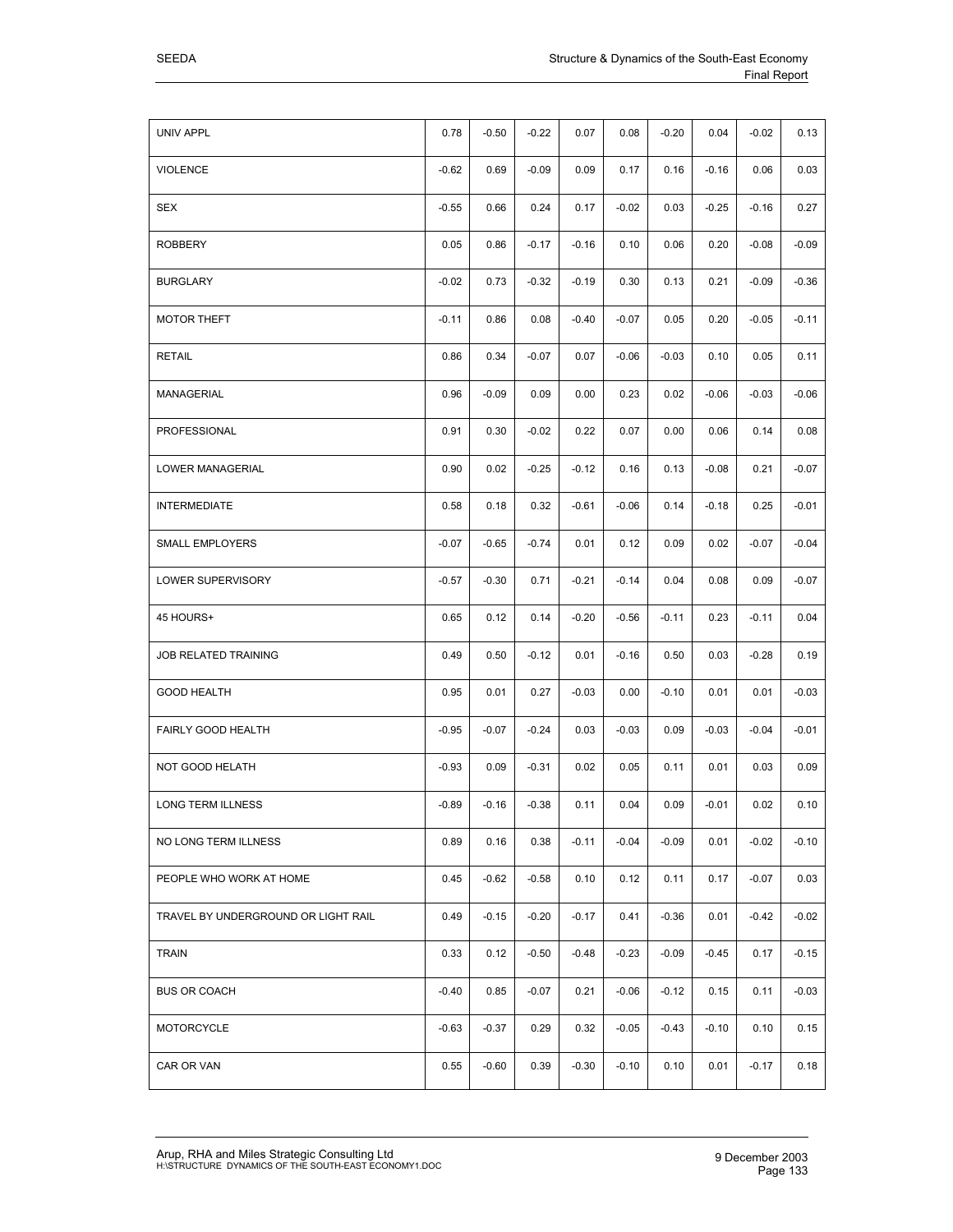|--|

| UNIV APPL                           | 0.78    | $-0.50$ | $-0.22$ | 0.07    | 0.08    | $-0.20$ | 0.04    | $-0.02$ | 0.13    |
|-------------------------------------|---------|---------|---------|---------|---------|---------|---------|---------|---------|
| <b>VIOLENCE</b>                     | $-0.62$ | 0.69    | $-0.09$ | 0.09    | 0.17    | 0.16    | $-0.16$ | 0.06    | 0.03    |
| <b>SEX</b>                          | $-0.55$ | 0.66    | 0.24    | 0.17    | $-0.02$ | 0.03    | $-0.25$ | $-0.16$ | 0.27    |
| <b>ROBBERY</b>                      | 0.05    | 0.86    | $-0.17$ | $-0.16$ | 0.10    | 0.06    | 0.20    | $-0.08$ | $-0.09$ |
| <b>BURGLARY</b>                     | $-0.02$ | 0.73    | $-0.32$ | $-0.19$ | 0.30    | 0.13    | 0.21    | $-0.09$ | $-0.36$ |
| <b>MOTOR THEFT</b>                  | $-0.11$ | 0.86    | 0.08    | $-0.40$ | $-0.07$ | 0.05    | 0.20    | $-0.05$ | $-0.11$ |
| <b>RETAIL</b>                       | 0.86    | 0.34    | $-0.07$ | 0.07    | $-0.06$ | $-0.03$ | 0.10    | 0.05    | 0.11    |
| MANAGERIAL                          | 0.96    | $-0.09$ | 0.09    | 0.00    | 0.23    | 0.02    | $-0.06$ | $-0.03$ | $-0.06$ |
| PROFESSIONAL                        | 0.91    | 0.30    | $-0.02$ | 0.22    | 0.07    | 0.00    | 0.06    | 0.14    | 0.08    |
| LOWER MANAGERIAL                    | 0.90    | 0.02    | $-0.25$ | $-0.12$ | 0.16    | 0.13    | $-0.08$ | 0.21    | $-0.07$ |
| <b>INTERMEDIATE</b>                 | 0.58    | 0.18    | 0.32    | $-0.61$ | $-0.06$ | 0.14    | $-0.18$ | 0.25    | $-0.01$ |
| <b>SMALL EMPLOYERS</b>              | $-0.07$ | $-0.65$ | $-0.74$ | 0.01    | 0.12    | 0.09    | 0.02    | $-0.07$ | $-0.04$ |
| LOWER SUPERVISORY                   | $-0.57$ | $-0.30$ | 0.71    | $-0.21$ | $-0.14$ | 0.04    | 0.08    | 0.09    | $-0.07$ |
| 45 HOURS+                           | 0.65    | 0.12    | 0.14    | $-0.20$ | $-0.56$ | $-0.11$ | 0.23    | $-0.11$ | 0.04    |
| JOB RELATED TRAINING                | 0.49    | 0.50    | $-0.12$ | 0.01    | $-0.16$ | 0.50    | 0.03    | $-0.28$ | 0.19    |
| <b>GOOD HEALTH</b>                  | 0.95    | 0.01    | 0.27    | $-0.03$ | 0.00    | $-0.10$ | 0.01    | 0.01    | $-0.03$ |
| FAIRLY GOOD HEALTH                  | $-0.95$ | $-0.07$ | $-0.24$ | 0.03    | $-0.03$ | 0.09    | $-0.03$ | $-0.04$ | $-0.01$ |
| NOT GOOD HELATH                     | $-0.93$ | 0.09    | $-0.31$ | 0.02    | 0.05    | 0.11    | 0.01    | 0.03    | 0.09    |
| LONG TERM ILLNESS                   | $-0.89$ | $-0.16$ | $-0.38$ | 0.11    | 0.04    | 0.09    | $-0.01$ | 0.02    | 0.10    |
| NO LONG TERM ILLNESS                | 0.89    | 0.16    | 0.38    | $-0.11$ | $-0.04$ | $-0.09$ | 0.01    | $-0.02$ | $-0.10$ |
| PEOPLE WHO WORK AT HOME             | 0.45    | $-0.62$ | $-0.58$ | 0.10    | 0.12    | 0.11    | 0.17    | $-0.07$ | 0.03    |
| TRAVEL BY UNDERGROUND OR LIGHT RAIL | 0.49    | $-0.15$ | $-0.20$ | $-0.17$ | 0.41    | $-0.36$ | 0.01    | $-0.42$ | $-0.02$ |
| <b>TRAIN</b>                        | 0.33    | 0.12    | $-0.50$ | $-0.48$ | $-0.23$ | $-0.09$ | $-0.45$ | 0.17    | $-0.15$ |
| <b>BUS OR COACH</b>                 | $-0.40$ | 0.85    | $-0.07$ | 0.21    | $-0.06$ | $-0.12$ | 0.15    | 0.11    | $-0.03$ |
| <b>MOTORCYCLE</b>                   | $-0.63$ | $-0.37$ | 0.29    | 0.32    | $-0.05$ | $-0.43$ | $-0.10$ | 0.10    | 0.15    |
| CAR OR VAN                          | 0.55    | $-0.60$ | 0.39    | $-0.30$ | $-0.10$ | 0.10    | 0.01    | $-0.17$ | 0.18    |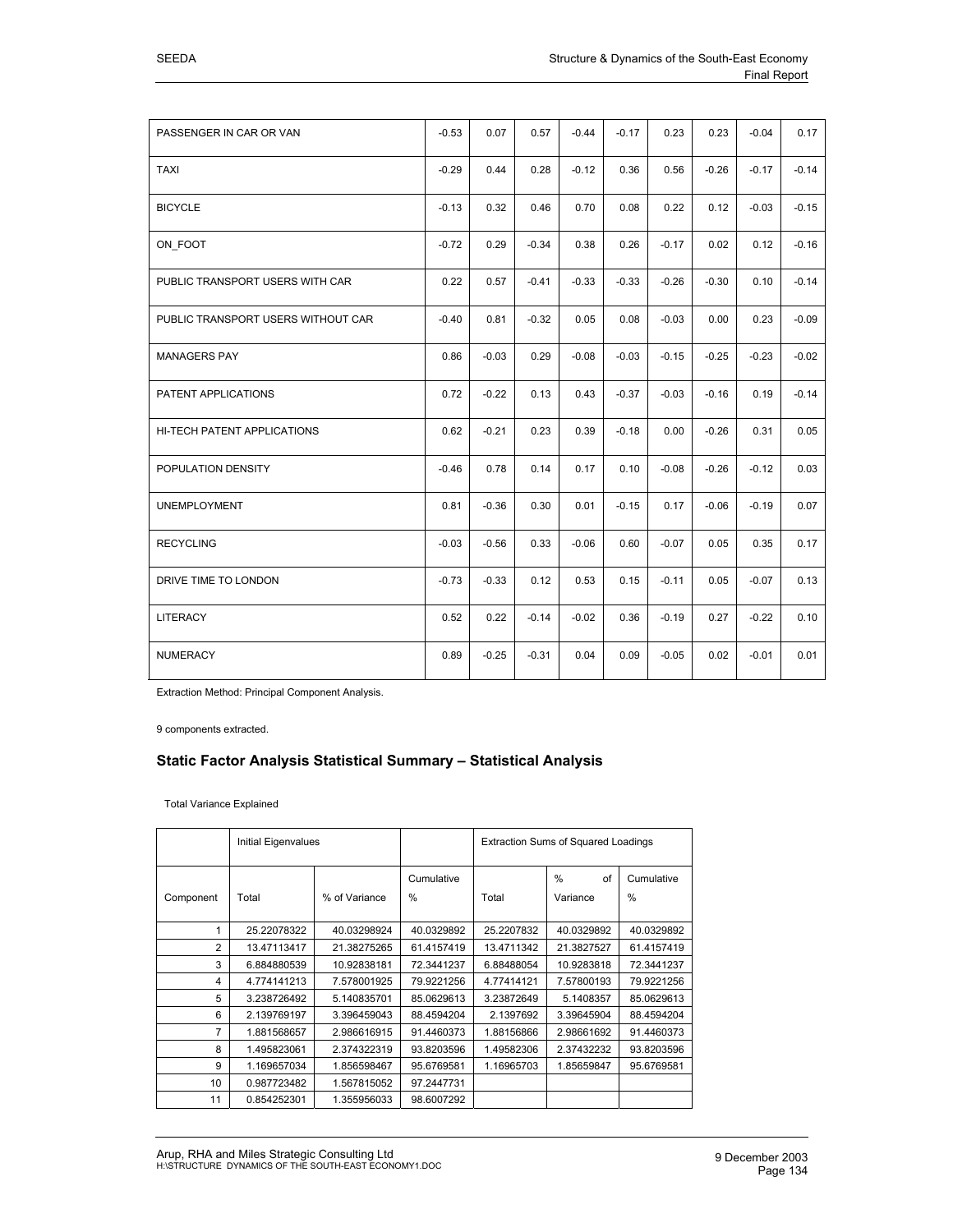|                                    | <b>Final Report</b> |         |         |         |         |         |         |         |         |
|------------------------------------|---------------------|---------|---------|---------|---------|---------|---------|---------|---------|
|                                    |                     |         |         |         |         |         |         |         |         |
| PASSENGER IN CAR OR VAN            | $-0.53$             | 0.07    | 0.57    | $-0.44$ | $-0.17$ | 0.23    | 0.23    | $-0.04$ | 0.17    |
| <b>TAXI</b>                        | $-0.29$             | 0.44    | 0.28    | $-0.12$ | 0.36    | 0.56    | $-0.26$ | $-0.17$ | $-0.14$ |
| <b>BICYCLE</b>                     | $-0.13$             | 0.32    | 0.46    | 0.70    | 0.08    | 0.22    | 0.12    | $-0.03$ | $-0.15$ |
| ON FOOT                            | $-0.72$             | 0.29    | $-0.34$ | 0.38    | 0.26    | $-0.17$ | 0.02    | 0.12    | $-0.16$ |
| PUBLIC TRANSPORT USERS WITH CAR    | 0.22                | 0.57    | $-0.41$ | $-0.33$ | $-0.33$ | $-0.26$ | $-0.30$ | 0.10    | $-0.14$ |
| PUBLIC TRANSPORT USERS WITHOUT CAR | $-0.40$             | 0.81    | $-0.32$ | 0.05    | 0.08    | $-0.03$ | 0.00    | 0.23    | $-0.09$ |
| <b>MANAGERS PAY</b>                | 0.86                | $-0.03$ | 0.29    | $-0.08$ | $-0.03$ | $-0.15$ | $-0.25$ | $-0.23$ | $-0.02$ |
| PATENT APPLICATIONS                | 0.72                | $-0.22$ | 0.13    | 0.43    | $-0.37$ | $-0.03$ | $-0.16$ | 0.19    | $-0.14$ |
| HI-TECH PATENT APPLICATIONS        | 0.62                | $-0.21$ | 0.23    | 0.39    | $-0.18$ | 0.00    | $-0.26$ | 0.31    | 0.05    |
| POPULATION DENSITY                 | $-0.46$             | 0.78    | 0.14    | 0.17    | 0.10    | $-0.08$ | $-0.26$ | $-0.12$ | 0.03    |
| <b>UNEMPLOYMENT</b>                | 0.81                | $-0.36$ | 0.30    | 0.01    | $-0.15$ | 0.17    | $-0.06$ | $-0.19$ | 0.07    |
| <b>RECYCLING</b>                   | $-0.03$             | $-0.56$ | 0.33    | $-0.06$ | 0.60    | $-0.07$ | 0.05    | 0.35    | 0.17    |

DRIVE TIME TO LONDON  $\begin{vmatrix} -0.73 & -0.33 & 0.12 & 0.53 & 0.15 & -0.11 & 0.05 & -0.07 & 0.13 \end{vmatrix}$ 

LITERACY 0.52 0.22 -0.14 -0.02 0.36 -0.19 0.27 -0.22 0.10

NUMERACY 0.89 -0.25 -0.31 0.04 0.09 -0.05 0.02 -0.01 0.01

Extraction Method: Principal Component Analysis.

9 components extracted.

#### **Static Factor Analysis Statistical Summary – Statistical Analysis**

Total Variance Explained

|                | <b>Initial Eigenvalues</b> |               |                             |            | <b>Extraction Sums of Squared Loadings</b> |                    |  |  |
|----------------|----------------------------|---------------|-----------------------------|------------|--------------------------------------------|--------------------|--|--|
| Component      | Total                      | % of Variance | Cumulative<br>$\frac{0}{0}$ | Total      | $\%$<br>of<br>Variance                     | Cumulative<br>$\%$ |  |  |
|                | 25.22078322                | 40.03298924   | 40.0329892                  | 25.2207832 | 40.0329892                                 | 40.0329892         |  |  |
| 2              | 13.47113417                | 21.38275265   | 61.4157419                  | 13.4711342 | 21.3827527                                 | 61.4157419         |  |  |
| 3              | 6.884880539                | 10.92838181   | 72.3441237                  | 6.88488054 | 10.9283818                                 | 72.3441237         |  |  |
| 4              | 4.774141213                | 7.578001925   | 79.9221256                  | 4.77414121 | 7.57800193                                 | 79.9221256         |  |  |
| 5              | 3.238726492                | 5.140835701   | 85.0629613                  | 3.23872649 | 5.1408357                                  | 85.0629613         |  |  |
| 6              | 2.139769197                | 3.396459043   | 88.4594204                  | 2.1397692  | 3.39645904                                 | 88.4594204         |  |  |
| $\overline{7}$ | 1.881568657                | 2.986616915   | 91.4460373                  | 1.88156866 | 2.98661692                                 | 91.4460373         |  |  |
| 8              | 1.495823061                | 2.374322319   | 93.8203596                  | 1.49582306 | 2.37432232                                 | 93.8203596         |  |  |
| 9              | 1.169657034                | 1.856598467   | 95.6769581                  | 1.16965703 | 1.85659847                                 | 95.6769581         |  |  |
| 10             | 0.987723482                | 1.567815052   | 97.2447731                  |            |                                            |                    |  |  |
| 11             | 0.854252301                | 1.355956033   | 98.6007292                  |            |                                            |                    |  |  |

j.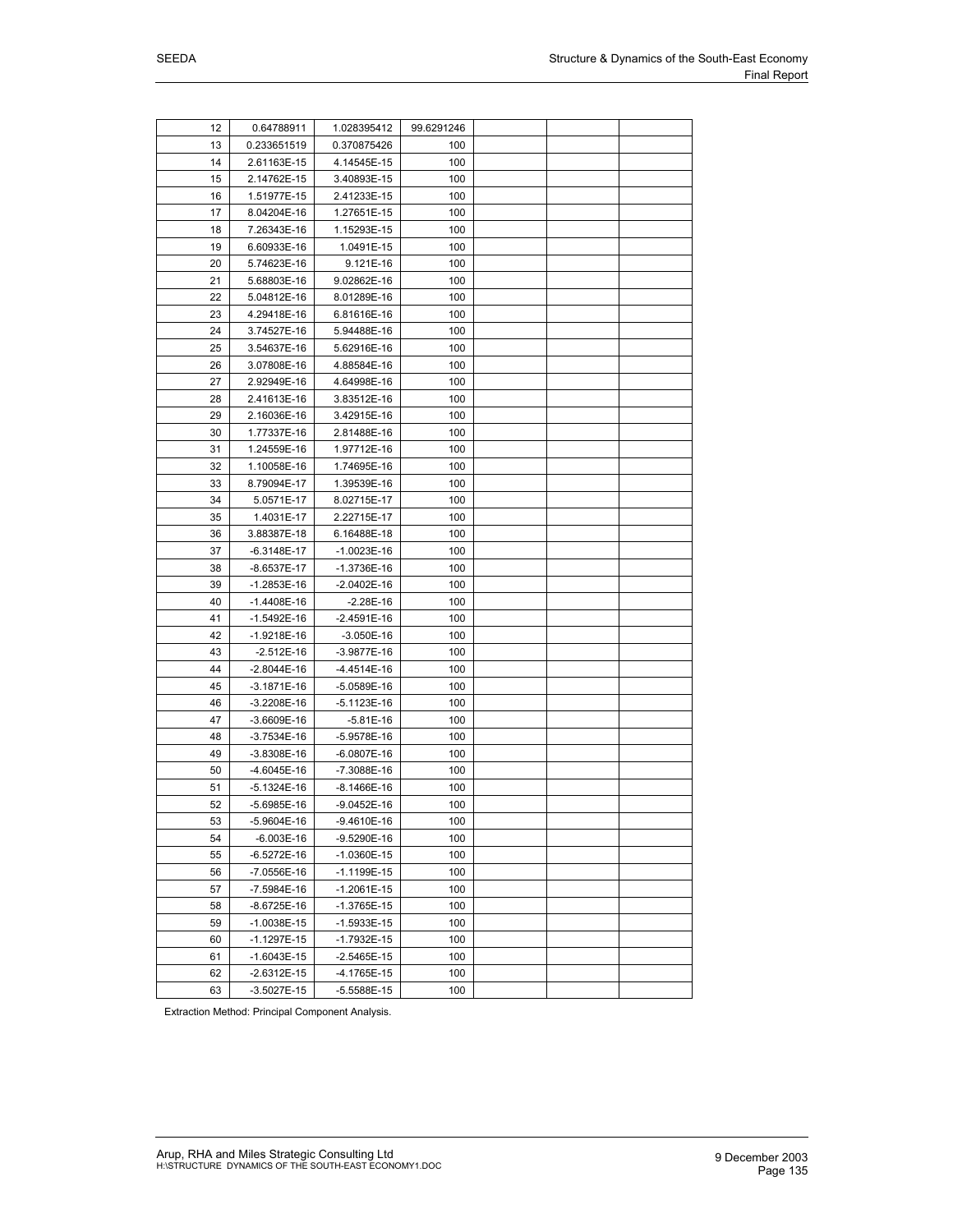| 12 | 0.64788911    | 1.028395412   | 99.6291246 |  |  |
|----|---------------|---------------|------------|--|--|
| 13 | 0.233651519   | 0.370875426   | 100        |  |  |
| 14 | 2.61163E-15   | 4.14545E-15   | 100        |  |  |
| 15 | 2.14762E-15   | 3.40893E-15   | 100        |  |  |
| 16 | 1.51977E-15   | 2.41233E-15   | 100        |  |  |
| 17 | 8.04204E-16   | 1.27651E-15   | 100        |  |  |
| 18 | 7.26343E-16   | 1.15293E-15   | 100        |  |  |
| 19 | 6.60933E-16   | 1.0491E-15    | 100        |  |  |
| 20 | 5.74623E-16   | 9.121E-16     | 100        |  |  |
| 21 | 5.68803E-16   | 9.02862E-16   | 100        |  |  |
| 22 | 5.04812E-16   | 8.01289E-16   | 100        |  |  |
| 23 | 4.29418E-16   | 6.81616E-16   | 100        |  |  |
| 24 | 3.74527E-16   | 5.94488E-16   | 100        |  |  |
| 25 | 3.54637E-16   | 5.62916E-16   | 100        |  |  |
| 26 | 3.07808E-16   | 4.88584E-16   | 100        |  |  |
| 27 | 2.92949E-16   | 4.64998E-16   | 100        |  |  |
| 28 | 2.41613E-16   | 3.83512E-16   | 100        |  |  |
| 29 | 2.16036E-16   | 3.42915E-16   | 100        |  |  |
| 30 | 1.77337E-16   | 2.81488E-16   | 100        |  |  |
| 31 | 1.24559E-16   | 1.97712E-16   | 100        |  |  |
| 32 | 1.10058E-16   | 1.74695E-16   | 100        |  |  |
| 33 | 8.79094E-17   | 1.39539E-16   | 100        |  |  |
| 34 | 5.0571E-17    | 8.02715E-17   | 100        |  |  |
| 35 | 1.4031E-17    | 2.22715E-17   | 100        |  |  |
| 36 | 3.88387E-18   | 6.16488E-18   | 100        |  |  |
| 37 | -6.3148E-17   | $-1.0023E-16$ | 100        |  |  |
| 38 | -8.6537E-17   | $-1.3736E-16$ | 100        |  |  |
| 39 | -1.2853E-16   | $-2.0402E-16$ | 100        |  |  |
| 40 | -1.4408E-16   | $-2.28E-16$   | 100        |  |  |
| 41 | $-1.5492E-16$ | $-2.4591E-16$ | 100        |  |  |
| 42 | $-1.9218E-16$ | $-3.050E-16$  | 100        |  |  |
| 43 | $-2.512E-16$  | -3.9877E-16   | 100        |  |  |
| 44 | $-2.8044E-16$ | -4.4514E-16   | 100        |  |  |
| 45 | -3.1871E-16   | $-5.0589E-16$ | 100        |  |  |
| 46 | $-3.2208E-16$ | $-5.1123E-16$ | 100        |  |  |
| 47 | -3.6609E-16   | $-5.81E-16$   | 100        |  |  |
| 48 | -3.7534E-16   | -5.9578E-16   | 100        |  |  |
| 49 | -3.8308E-16   | $-6.0807E-16$ | 100        |  |  |
| 50 | -4.6045E-16   | -7.3088E-16   | 100        |  |  |
| 51 | -5.1324E-16   | $-8.1466E-16$ | 100        |  |  |
| 52 | -5.6985E-16   | $-9.0452E-16$ | 100        |  |  |
| 53 | -5.9604E-16   | -9.4610E-16   | 100        |  |  |
| 54 | $-6.003E-16$  | -9.5290E-16   | 100        |  |  |
| 55 | $-6.5272E-16$ | $-1.0360E-15$ | 100        |  |  |
| 56 | -7.0556E-16   | $-1.1199E-15$ | 100        |  |  |
| 57 | -7.5984E-16   | $-1.2061E-15$ | 100        |  |  |
| 58 | -8.6725E-16   | $-1.3765E-15$ | 100        |  |  |
| 59 | -1.0038E-15   | $-1.5933E-15$ | 100        |  |  |
| 60 | $-1.1297E-15$ | $-1.7932E-15$ | 100        |  |  |
| 61 | $-1.6043E-15$ | $-2.5465E-15$ | 100        |  |  |
| 62 | $-2.6312E-15$ | $-4.1765E-15$ | 100        |  |  |
| 63 | $-3.5027E-15$ | $-5.5588E-15$ | 100        |  |  |

Extraction Method: Principal Component Analysis.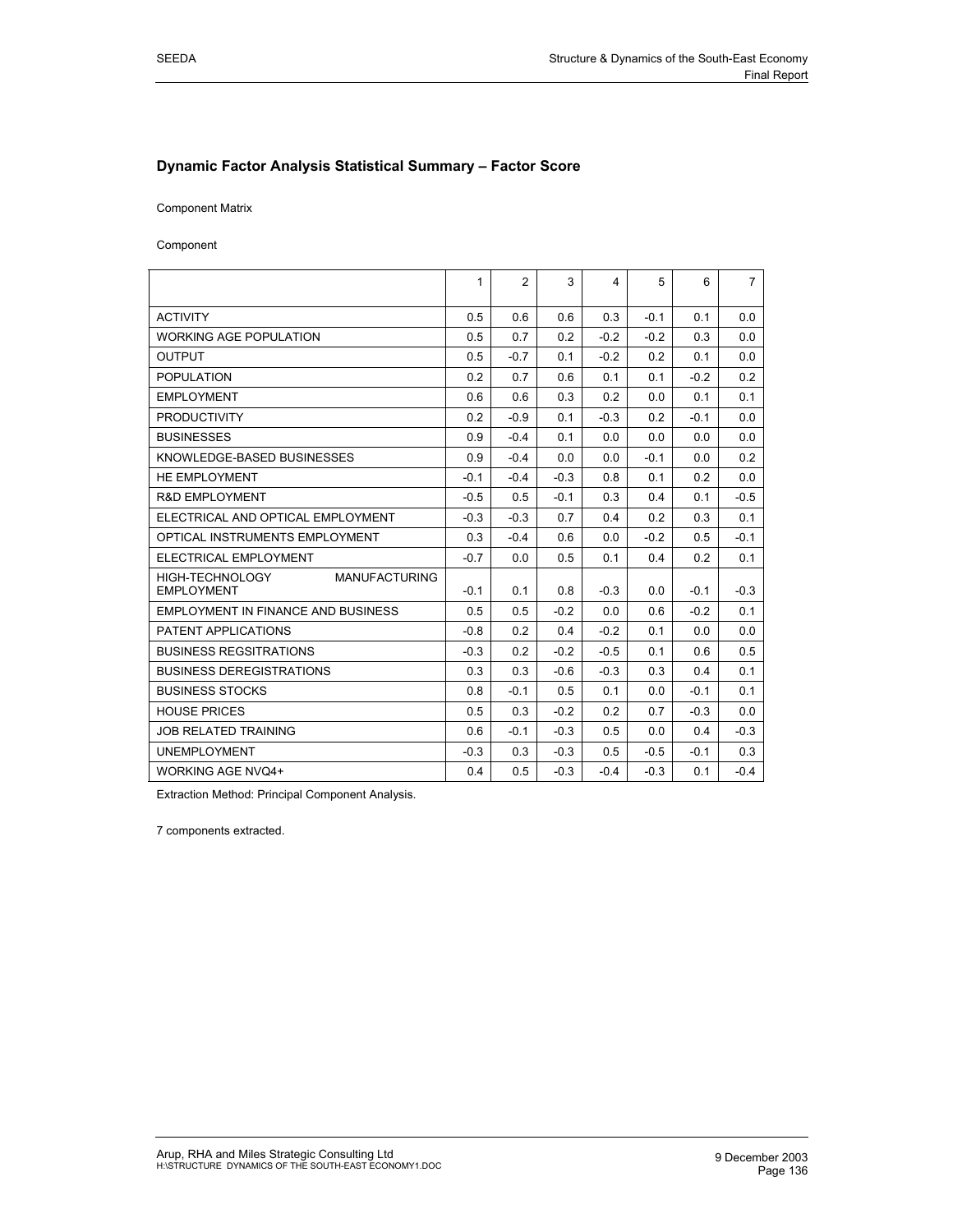#### **Dynamic Factor Analysis Statistical Summary – Factor Score**

Component Matrix

Component

|                                                              | 1      | $\overline{2}$ | 3      | 4      | 5      | 6      | $\overline{7}$ |
|--------------------------------------------------------------|--------|----------------|--------|--------|--------|--------|----------------|
| <b>ACTIVITY</b>                                              | 0.5    | 0.6            | 0.6    | 0.3    | $-0.1$ | 0.1    | 0.0            |
| <b>WORKING AGE POPULATION</b>                                | 0.5    | 0.7            | 0.2    | $-0.2$ | $-0.2$ | 0.3    | 0.0            |
| <b>OUTPUT</b>                                                | 0.5    | $-0.7$         | 0.1    | $-0.2$ | 0.2    | 0.1    | 0.0            |
| <b>POPULATION</b>                                            | 0.2    | 0.7            | 0.6    | 0.1    | 0.1    | $-0.2$ | 0.2            |
| <b>EMPLOYMENT</b>                                            | 0.6    | 0.6            | 0.3    | 0.2    | 0.0    | 0.1    | 0.1            |
| <b>PRODUCTIVITY</b>                                          | 0.2    | $-0.9$         | 0.1    | $-0.3$ | 0.2    | $-0.1$ | 0.0            |
| <b>BUSINESSES</b>                                            | 0.9    | $-0.4$         | 0.1    | 0.0    | 0.0    | 0.0    | 0.0            |
| KNOWLEDGE-BASED BUSINESSES                                   | 0.9    | $-0.4$         | 0.0    | 0.0    | $-0.1$ | 0.0    | 0.2            |
| HE EMPLOYMENT                                                | $-0.1$ | $-0.4$         | $-0.3$ | 0.8    | 0.1    | 0.2    | 0.0            |
| <b>R&amp;D EMPLOYMENT</b>                                    | $-0.5$ | 0.5            | $-0.1$ | 0.3    | 0.4    | 0.1    | $-0.5$         |
| ELECTRICAL AND OPTICAL EMPLOYMENT                            | $-0.3$ | $-0.3$         | 0.7    | 0.4    | 0.2    | 0.3    | 0.1            |
| OPTICAL INSTRUMENTS EMPLOYMENT                               | 0.3    | $-0.4$         | 0.6    | 0.0    | $-0.2$ | 0.5    | $-0.1$         |
| ELECTRICAL EMPLOYMENT                                        |        | 0.0            | 0.5    | 0.1    | 0.4    | 0.2    | 0.1            |
| HIGH-TECHNOLOGY<br><b>MANUFACTURING</b><br><b>EMPLOYMENT</b> | $-0.1$ | 0.1            | 0.8    | $-0.3$ | 0.0    | $-0.1$ | $-0.3$         |
| EMPLOYMENT IN FINANCE AND BUSINESS                           | 0.5    | 0.5            | $-0.2$ | 0.0    | 0.6    | $-0.2$ | 0.1            |
| PATENT APPLICATIONS                                          |        | 0.2            | 0.4    | $-0.2$ | 0.1    | 0.0    | 0.0            |
| <b>BUSINESS REGSITRATIONS</b>                                |        | 0.2            | $-0.2$ | $-0.5$ | 0.1    | 0 6    | 0.5            |
| <b>BUSINESS DEREGISTRATIONS</b>                              |        | 0.3            | $-0.6$ | $-0.3$ | 0.3    | 0.4    | 0.1            |
| <b>BUSINESS STOCKS</b>                                       |        | $-0.1$         | 0.5    | 0.1    | 0.0    | $-0.1$ | 0.1            |
| <b>HOUSE PRICES</b>                                          | 0.5    | 0.3            | $-0.2$ | 0.2    | 0.7    | $-0.3$ | 0.0            |
| <b>JOB RELATED TRAINING</b>                                  |        | $-0.1$         | $-0.3$ | 0.5    | 0.0    | 0.4    | $-0.3$         |
| <b>UNEMPLOYMENT</b>                                          |        | 0.3            | $-0.3$ | 0.5    | $-0.5$ | $-0.1$ | 0.3            |
| <b>WORKING AGE NVQ4+</b>                                     | 0.4    | 0.5            | $-0.3$ | $-0.4$ | $-0.3$ | 0.1    | $-0.4$         |

Extraction Method: Principal Component Analysis.

7 components extracted.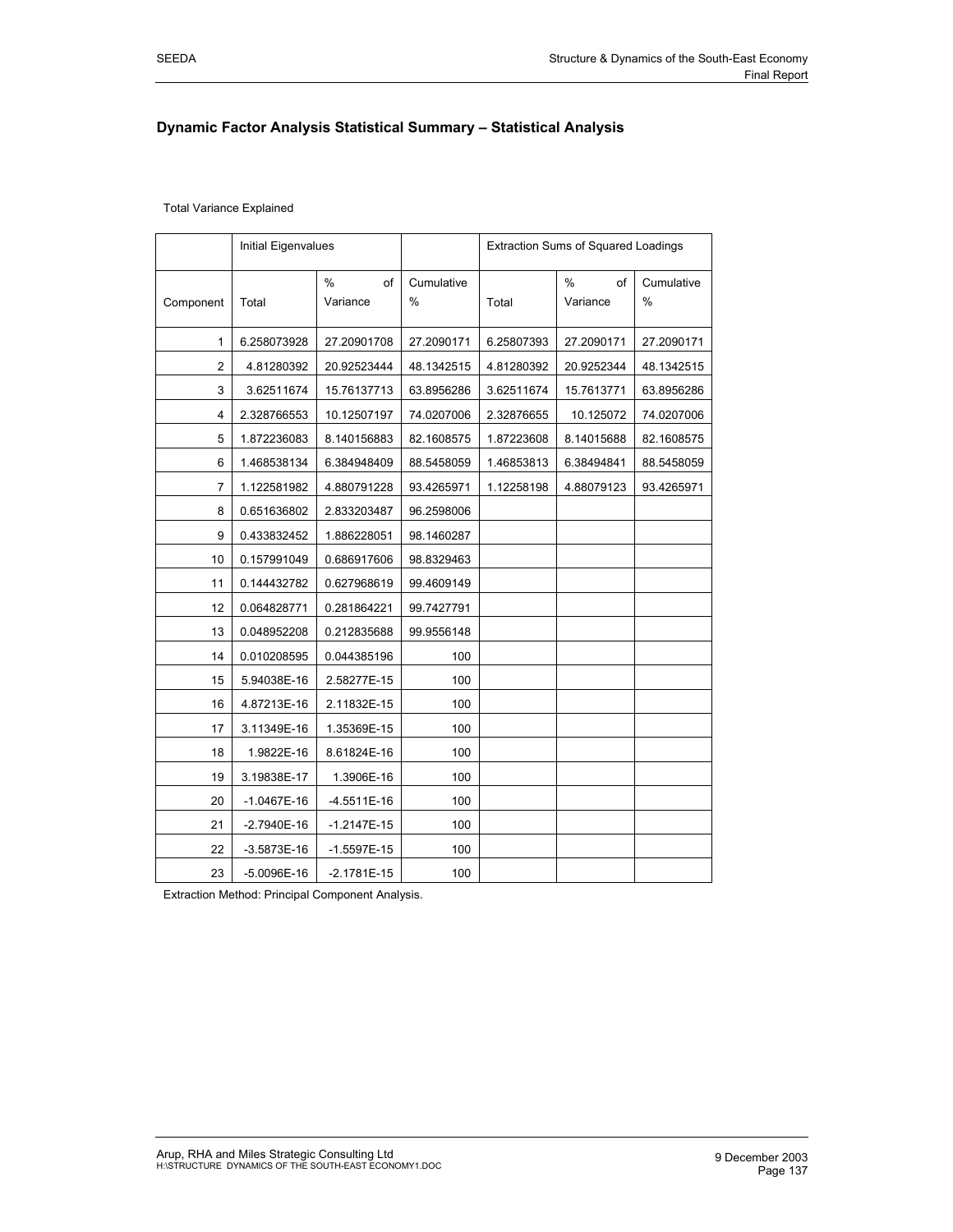### **Dynamic Factor Analysis Statistical Summary – Statistical Analysis**

|                | Initial Eigenvalues |                                 |                    | <b>Extraction Sums of Squared Loadings</b> |                                 |                    |
|----------------|---------------------|---------------------------------|--------------------|--------------------------------------------|---------------------------------|--------------------|
| Component      | Total               | $\frac{0}{0}$<br>of<br>Variance | Cumulative<br>$\%$ | Total                                      | $\frac{0}{0}$<br>of<br>Variance | Cumulative<br>$\%$ |
| 1              | 6.258073928         | 27.20901708                     | 27.2090171         | 6.25807393                                 | 27.2090171                      | 27.2090171         |
| $\overline{2}$ | 4.81280392          | 20.92523444                     | 48.1342515         | 4.81280392                                 | 20.9252344                      | 48.1342515         |
| 3              | 3.62511674          | 15.76137713                     | 63.8956286         | 3.62511674                                 | 15.7613771                      | 63.8956286         |
| 4              | 2.328766553         | 10.12507197                     | 74.0207006         | 2.32876655                                 | 10.125072                       | 74.0207006         |
| 5              | 1.872236083         | 8.140156883                     | 82.1608575         | 1.87223608                                 | 8.14015688                      | 82.1608575         |
| 6              | 1.468538134         | 6.384948409                     | 88.5458059         | 1.46853813                                 | 6.38494841                      | 88.5458059         |
| 7              | 1.122581982         | 4.880791228                     | 93.4265971         | 1.12258198                                 | 4.88079123                      | 93.4265971         |
| 8              | 0.651636802         | 2.833203487                     | 96.2598006         |                                            |                                 |                    |
| 9              | 0.433832452         | 1.886228051                     | 98.1460287         |                                            |                                 |                    |
| 10             | 0.157991049         | 0.686917606                     | 98.8329463         |                                            |                                 |                    |
| 11             | 0.144432782         | 0.627968619                     | 99.4609149         |                                            |                                 |                    |
| 12             | 0.064828771         | 0.281864221                     | 99.7427791         |                                            |                                 |                    |
| 13             | 0.048952208         | 0.212835688                     | 99.9556148         |                                            |                                 |                    |
| 14             | 0.010208595         | 0.044385196                     | 100                |                                            |                                 |                    |
| 15             | 5.94038E-16         | 2.58277E-15                     | 100                |                                            |                                 |                    |
| 16             | 4.87213E-16         | 2.11832E-15                     | 100                |                                            |                                 |                    |
| 17             | 3.11349E-16         | 1.35369E-15                     | 100                |                                            |                                 |                    |
| 18             | 1.9822E-16          | 8.61824E-16                     | 100                |                                            |                                 |                    |
| 19             | 3.19838E-17         | 1.3906E-16                      | 100                |                                            |                                 |                    |
| 20             | -1.0467E-16         | -4.5511E-16                     | 100                |                                            |                                 |                    |
| 21             | $-2.7940E-16$       | $-1.2147E-15$                   | 100                |                                            |                                 |                    |
| 22             | $-3.5873E-16$       | $-1.5597E-15$                   | 100                |                                            |                                 |                    |
| 23             | $-5.0096E-16$       | $-2.1781E-15$                   | 100                |                                            |                                 |                    |

Extraction Method: Principal Component Analysis.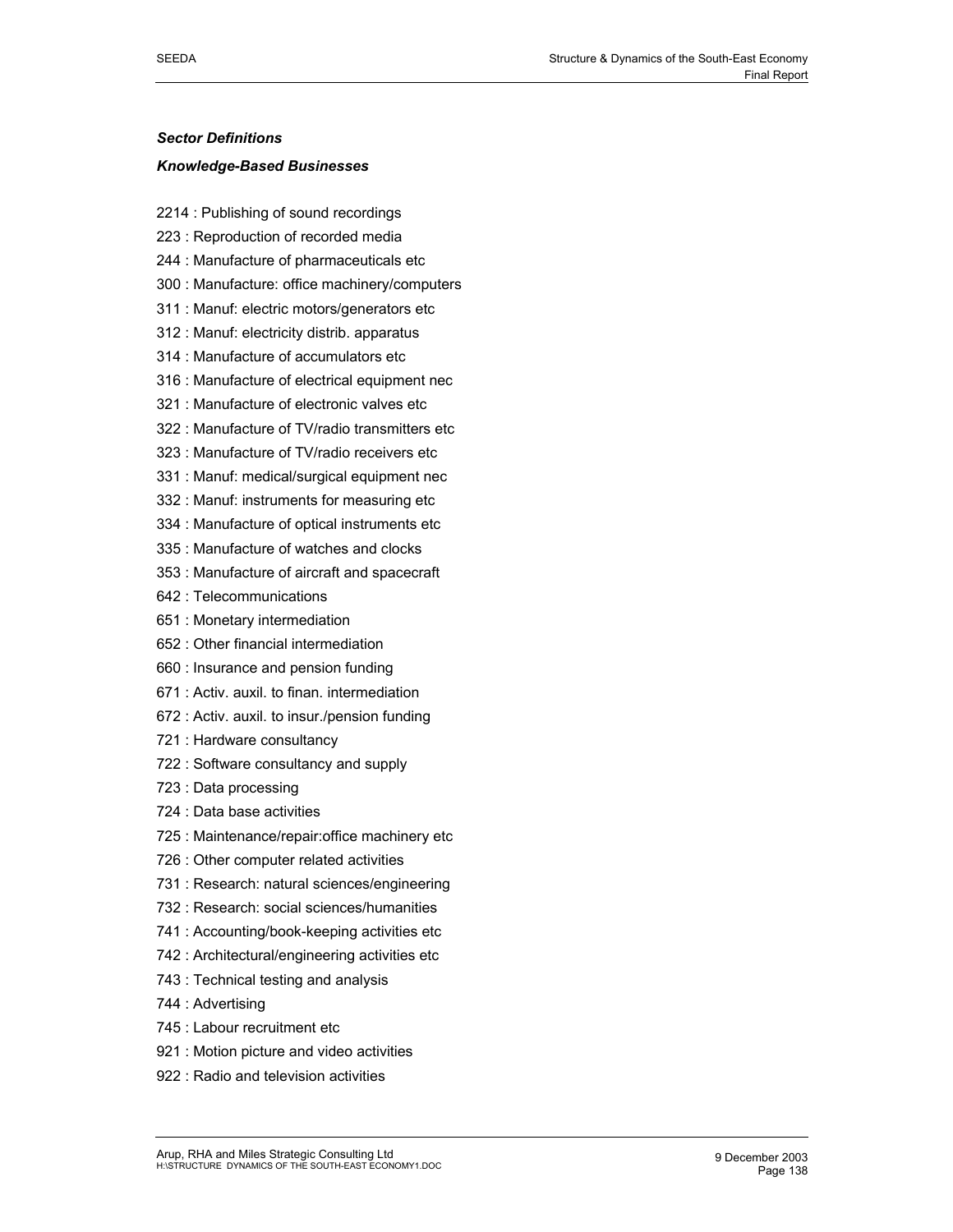#### *Sector Definitions*

#### *Knowledge-Based Businesses*

- 2214 : Publishing of sound recordings
- 223 : Reproduction of recorded media
- 244 : Manufacture of pharmaceuticals etc
- 300 : Manufacture: office machinery/computers
- 311 : Manuf: electric motors/generators etc
- 312 : Manuf: electricity distrib. apparatus
- 314 : Manufacture of accumulators etc
- 316 : Manufacture of electrical equipment nec
- 321 : Manufacture of electronic valves etc
- 322 : Manufacture of TV/radio transmitters etc
- 323 : Manufacture of TV/radio receivers etc
- 331 : Manuf: medical/surgical equipment nec
- 332 : Manuf: instruments for measuring etc
- 334 : Manufacture of optical instruments etc
- 335 : Manufacture of watches and clocks
- 353 : Manufacture of aircraft and spacecraft
- 642 : Telecommunications
- 651 : Monetary intermediation
- 652 : Other financial intermediation
- 660 : Insurance and pension funding
- 671 : Activ. auxil. to finan. intermediation
- 672 : Activ. auxil. to insur./pension funding
- 721 : Hardware consultancy
- 722 : Software consultancy and supply
- 723 : Data processing
- 724 : Data base activities
- 725 : Maintenance/repair:office machinery etc
- 726 : Other computer related activities
- 731 : Research: natural sciences/engineering
- 732 : Research: social sciences/humanities
- 741 : Accounting/book-keeping activities etc
- 742 : Architectural/engineering activities etc
- 743 : Technical testing and analysis
- 744 : Advertising
- 745 : Labour recruitment etc
- 921 : Motion picture and video activities
- 922 : Radio and television activities